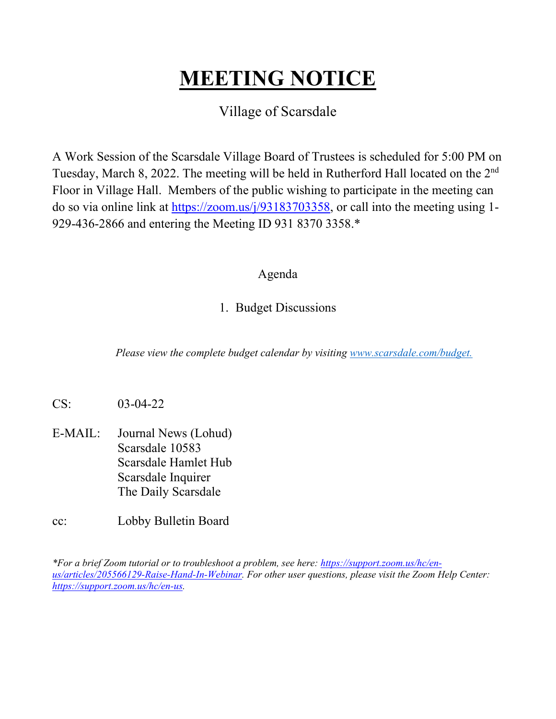#### **MEETING NOTICE**

#### Village of Scarsdale

A Work Session of the Scarsdale Village Board of Trustees is scheduled for 5:00 PM on Tuesday, March 8, 2022. The meeting will be held in Rutherford Hall located on the 2<sup>nd</sup> Floor in Village Hall. Members of the public wishing to participate in the meeting can do so via online link at https://zoom.us/j/93183703358, or call into the meeting using 1- 929-436-2866 and entering the Meeting ID 931 8370 3358.\*

#### Agenda

#### 1. Budget Discussions

*Please view the complete budget calendar by visiting www.scarsdale.com/budget.*

- CS: 03-04-22
- E-MAIL: Journal News (Lohud) Scarsdale 10583 Scarsdale Hamlet Hub Scarsdale Inquirer The Daily Scarsdale
- cc: Lobby Bulletin Board

*\*For a brief Zoom tutorial or to troubleshoot a problem, see here: https://support.zoom.us/hc/enus/articles/205566129-Raise-Hand-In-Webinar. For other user questions, please visit the Zoom Help Center: https://support.zoom.us/hc/en-us.*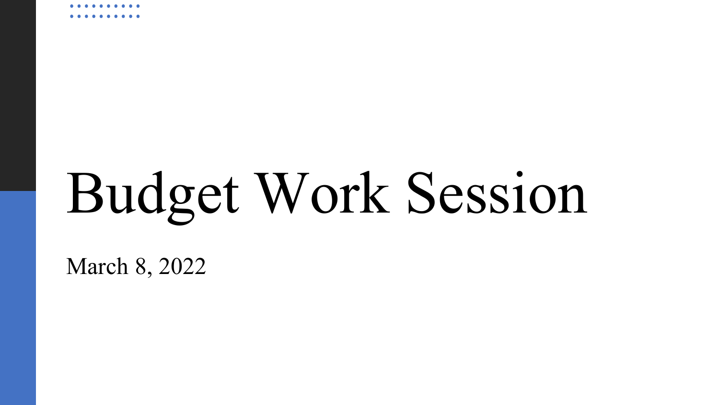# Budget Work Session

March 8, 2022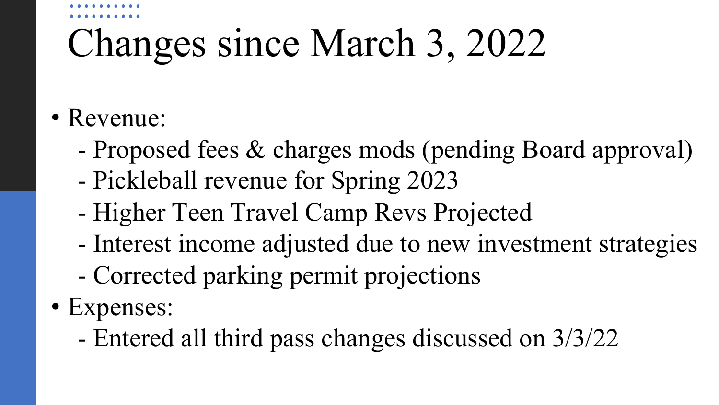### Changes since March 3, 2022

- Revenue:
	- Proposed fees & charges mods (pending Board approval)
	- Pickleball revenue for Spring 2023
	- Higher Teen Travel Camp Revs Projected
	- Interest income adjusted due to new investment strategies
	- Corrected parking permit projections
- Expenses:
	- Entered all third pass changes discussed on 3/3/22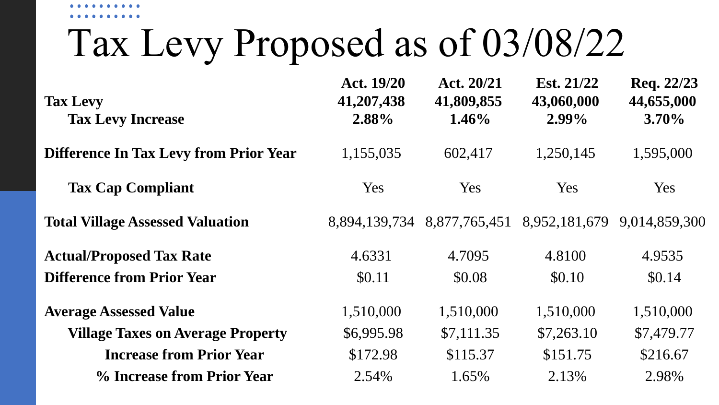### Tax Levy Proposed as of 03/08/22

| <b>Tax Levy</b><br><b>Tax Levy Increase</b>   | Act. 19/20<br>41,207,438<br>2.88% | Act. 20/21<br>41,809,855<br>$1.46\%$                    | Est. $21/22$<br>43,060,000<br>$2.99\%$ | Req. 22/23<br>44,655,000<br>$3.70\%$ |
|-----------------------------------------------|-----------------------------------|---------------------------------------------------------|----------------------------------------|--------------------------------------|
| <b>Difference In Tax Levy from Prior Year</b> | 1,155,035                         | 602,417                                                 | 1,250,145                              | 1,595,000                            |
| <b>Tax Cap Compliant</b>                      | Yes                               | <b>Yes</b>                                              | Yes                                    | Yes                                  |
| <b>Total Village Assessed Valuation</b>       |                                   | 8,894,139,734 8,877,765,451 8,952,181,679 9,014,859,300 |                                        |                                      |
| <b>Actual/Proposed Tax Rate</b>               | 4.6331                            | 4.7095                                                  | 4.8100                                 | 4.9535                               |
| <b>Difference from Prior Year</b>             | \$0.11                            | \$0.08                                                  | \$0.10                                 | \$0.14                               |
| <b>Average Assessed Value</b>                 | 1,510,000                         | 1,510,000                                               | 1,510,000                              | 1,510,000                            |
| <b>Village Taxes on Average Property</b>      | \$6,995.98                        | \$7,111.35                                              | \$7,263.10                             | \$7,479.77                           |
| <b>Increase from Prior Year</b>               | \$172.98                          | \$115.37                                                | \$151.75                               | \$216.67                             |
| % Increase from Prior Year                    | 2.54%                             | 1.65%                                                   | 2.13%                                  | 2.98%                                |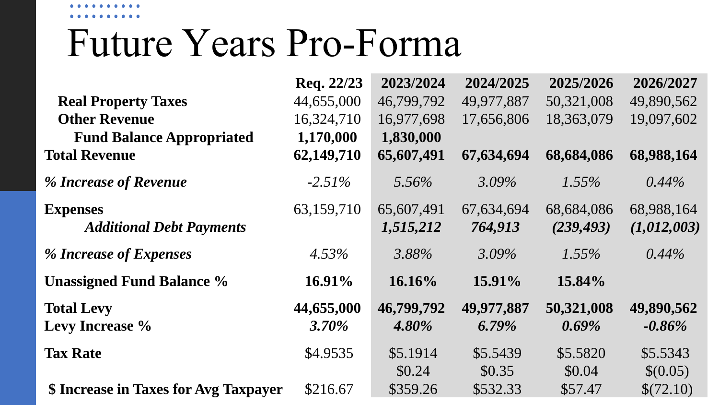### Future Years Pro-Forma

|                                       | Req. 22/23 | 2023/2024  | 2024/2025  | 2025/2026  | 2026/2027   |
|---------------------------------------|------------|------------|------------|------------|-------------|
| <b>Real Property Taxes</b>            | 44,655,000 | 46,799,792 | 49,977,887 | 50,321,008 | 49,890,562  |
| <b>Other Revenue</b>                  | 16,324,710 | 16,977,698 | 17,656,806 | 18,363,079 | 19,097,602  |
| <b>Fund Balance Appropriated</b>      | 1,170,000  | 1,830,000  |            |            |             |
| <b>Total Revenue</b>                  | 62,149,710 | 65,607,491 | 67,634,694 | 68,684,086 | 68,988,164  |
| % Increase of Revenue                 | $-2.51\%$  | $5.56\%$   | $3.09\%$   | $1.55\%$   | $0.44\%$    |
| <b>Expenses</b>                       | 63,159,710 | 65,607,491 | 67,634,694 | 68,684,086 | 68,988,164  |
| <b>Additional Debt Payments</b>       |            | 1,515,212  | 764,913    | (239, 493) | (1,012,003) |
| % Increase of Expenses                | $4.53\%$   | 3.88%      | $3.09\%$   | $1.55\%$   | $0.44\%$    |
| <b>Unassigned Fund Balance %</b>      | $16.91\%$  | $16.16\%$  | $15.91\%$  | 15.84%     |             |
| <b>Total Levy</b>                     | 44,655,000 | 46,799,792 | 49,977,887 | 50,321,008 | 49,890,562  |
| Levy Increase %                       | $3.70\%$   | $4.80\%$   | $6.79\%$   | $0.69\%$   | $-0.86\%$   |
| <b>Tax Rate</b>                       | \$4.9535   | \$5.1914   | \$5.5439   | \$5.5820   | \$5.5343    |
|                                       |            | \$0.24     | \$0.35     | \$0.04     | \$(0.05)    |
| \$ Increase in Taxes for Avg Taxpayer | \$216.67   | \$359.26   | \$532.33   | \$57.47    | \$(72.10)   |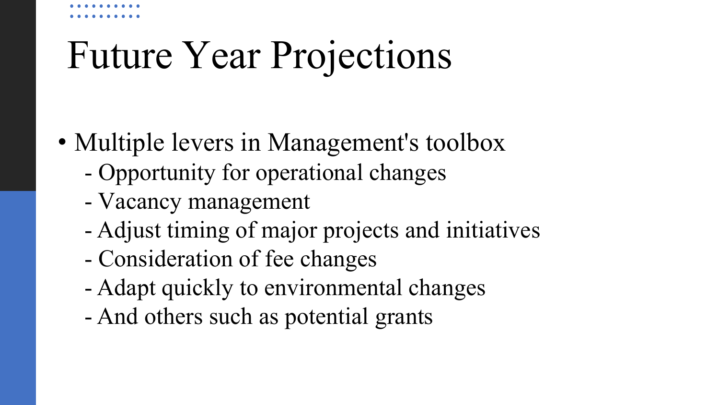## Future Year Projections

- Multiple levers in Management's toolbox
	- Opportunity for operational changes
	- Vacancy management
	- Adjust timing of major projects and initiatives
	- Consideration of fee changes
	- Adapt quickly to environmental changes
	- And others such as potential grants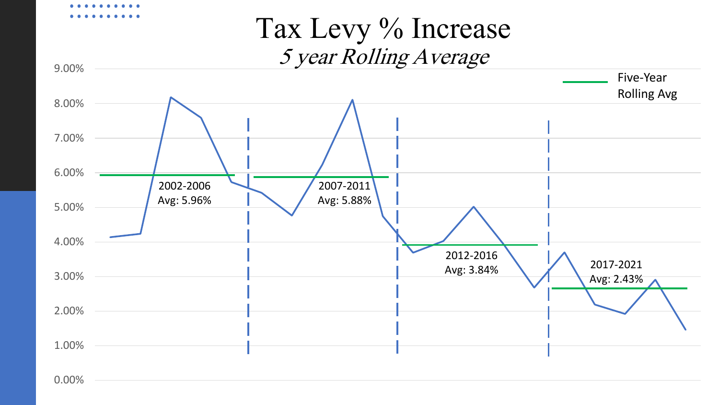### Tax Levy % Increase 5 year Rolling Average



0.00%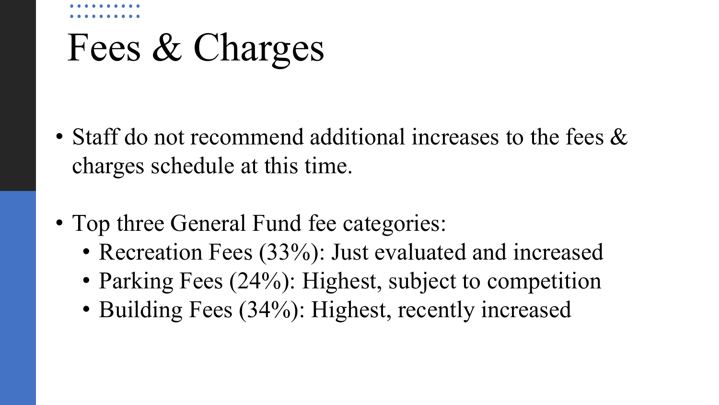### Fees & Charges

- Staff do not recommend additional increases to the fees  $\&$ charges schedule at this time.
- Top three General Fund fee categories:
	- Recreation Fees (33%): Just evaluated and increased
	- Parking Fees (24%): Highest, subject to competition
	- Building Fees (34%): Highest, recently increased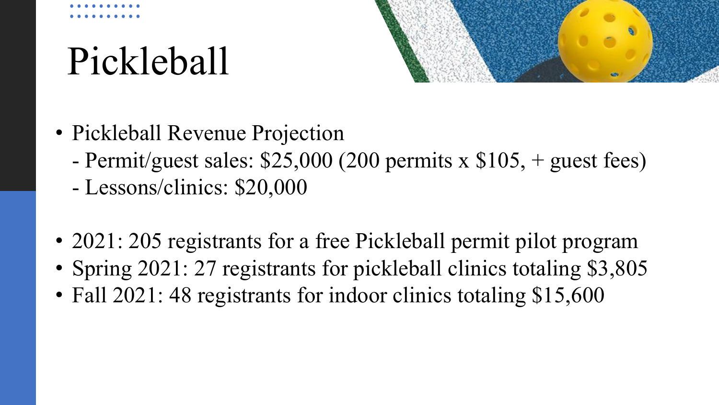### Pickleball



- Pickleball Revenue Projection
	- Permit/guest sales: \$25,000 (200 permits x \$105, + guest fees)
	- Lessons/clinics: \$20,000
- 2021: 205 registrants for a free Pickleball permit pilot program
- Spring 2021: 27 registrants for pickleball clinics totaling \$3,805
- Fall 2021: 48 registrants for indoor clinics totaling \$15,600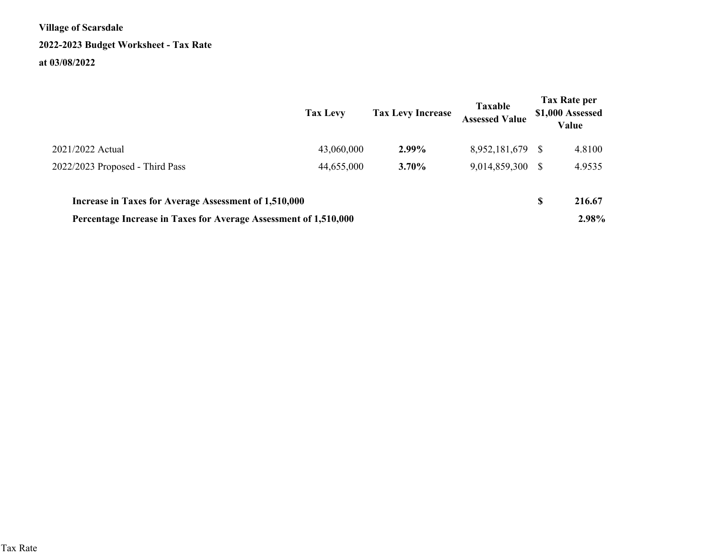**Village of Scarsdale2022-2023 Budget Worksheet - Tax Rateat 03/08/2022**

|                                                                  | <b>Tax Levy</b> | <b>Tax Levy Increase</b> | <b>Taxable</b><br><b>Assessed Value</b> |               | <b>Tax Rate per</b><br>\$1,000 Assessed<br>Value |
|------------------------------------------------------------------|-----------------|--------------------------|-----------------------------------------|---------------|--------------------------------------------------|
| 2021/2022 Actual                                                 | 43,060,000      | 2.99%                    | 8,952,181,679                           | <sup>S</sup>  | 4.8100                                           |
| 2022/2023 Proposed - Third Pass                                  | 44,655,000      | $3.70\%$                 | 9,014,859,300                           | <sup>\$</sup> | 4.9535                                           |
| Increase in Taxes for Average Assessment of 1,510,000            |                 |                          |                                         | S             | 216.67                                           |
| Percentage Increase in Taxes for Average Assessment of 1,510,000 |                 |                          |                                         |               | 2.98%                                            |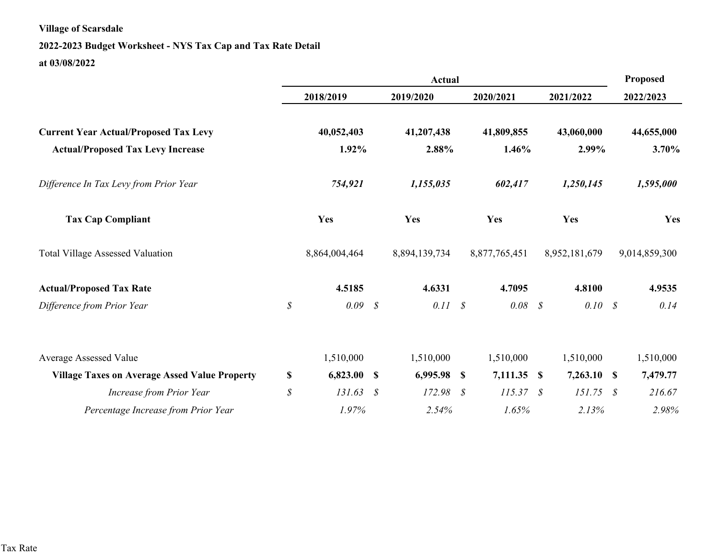#### **2022-2023 Budget Worksheet - NYS Tax Cap and Tax Rate Detailat 03/08/2022**

|                                                      | <b>Actual</b> |               |                   |               |               |               | Proposed      |  |               |
|------------------------------------------------------|---------------|---------------|-------------------|---------------|---------------|---------------|---------------|--|---------------|
|                                                      |               | 2018/2019     |                   | 2019/2020     |               | 2020/2021     | 2021/2022     |  | 2022/2023     |
| <b>Current Year Actual/Proposed Tax Levy</b>         |               | 40,052,403    |                   | 41,207,438    |               | 41,809,855    | 43,060,000    |  | 44,655,000    |
| <b>Actual/Proposed Tax Levy Increase</b>             |               | 1.92%         |                   | 2.88%         |               | 1.46%         | 2.99%         |  | 3.70%         |
| Difference In Tax Levy from Prior Year               |               | 754,921       |                   | 1,155,035     |               | 602,417       | 1,250,145     |  | 1,595,000     |
| <b>Tax Cap Compliant</b>                             |               | Yes           |                   | Yes           |               | Yes           | Yes           |  | Yes           |
| <b>Total Village Assessed Valuation</b>              |               | 8,864,004,464 |                   | 8,894,139,734 |               | 8,877,765,451 | 8,952,181,679 |  | 9,014,859,300 |
| <b>Actual/Proposed Tax Rate</b>                      |               | 4.5185        |                   | 4.6331        |               | 4.7095        | 4.8100        |  | 4.9535        |
| Difference from Prior Year                           | $\mathcal S$  | 0.09          | $\mathcal{S}$     | 0.11          | $\mathcal{S}$ | $0.08 \t S$   | $0.10\,$ \$   |  | 0.14          |
| Average Assessed Value                               |               | 1,510,000     |                   | 1,510,000     |               | 1,510,000     | 1,510,000     |  | 1,510,000     |
| <b>Village Taxes on Average Assed Value Property</b> | $\mathbb{S}$  | 6,823.00      | <b>S</b>          | 6,995.98 \$   |               | 7,111.35 \$   | $7,263.10$ \$ |  | 7,479.77      |
| <b>Increase from Prior Year</b>                      | \$            | 131.63        | $\mathcal{S}_{0}$ | 172.98        | S             | 115.37 S      | $151.75$ \$   |  | 216.67        |
| Percentage Increase from Prior Year                  |               | 1.97%         |                   | 2.54%         |               | 1.65%         | 2.13%         |  | 2.98%         |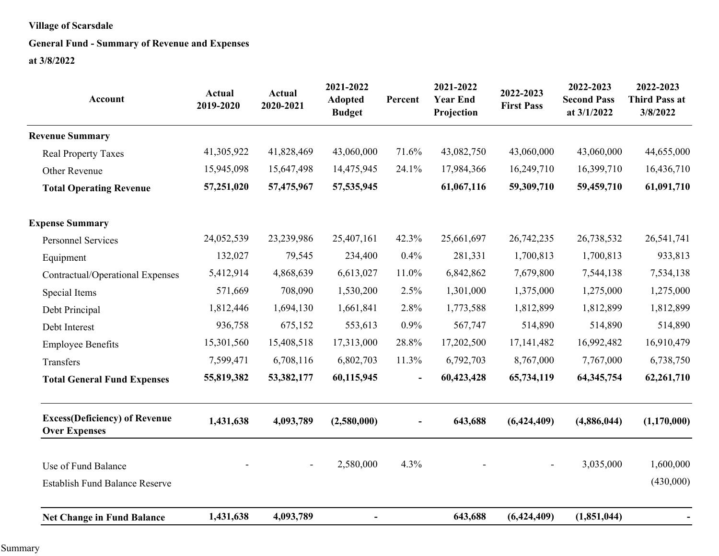#### **General Fund - Summary of Revenue and Expenses**

| <b>Account</b>                                               | <b>Actual</b><br>2019-2020 | <b>Actual</b><br>2020-2021 | 2021-2022<br><b>Adopted</b><br><b>Budget</b> | Percent        | 2021-2022<br><b>Year End</b><br>Projection | 2022-2023<br><b>First Pass</b> | 2022-2023<br><b>Second Pass</b><br>at 3/1/2022 | 2022-2023<br><b>Third Pass at</b><br>3/8/2022 |
|--------------------------------------------------------------|----------------------------|----------------------------|----------------------------------------------|----------------|--------------------------------------------|--------------------------------|------------------------------------------------|-----------------------------------------------|
| <b>Revenue Summary</b>                                       |                            |                            |                                              |                |                                            |                                |                                                |                                               |
| <b>Real Property Taxes</b>                                   | 41,305,922                 | 41,828,469                 | 43,060,000                                   | 71.6%          | 43,082,750                                 | 43,060,000                     | 43,060,000                                     | 44,655,000                                    |
| Other Revenue                                                | 15,945,098                 | 15,647,498                 | 14,475,945                                   | 24.1%          | 17,984,366                                 | 16,249,710                     | 16,399,710                                     | 16,436,710                                    |
| <b>Total Operating Revenue</b>                               | 57,251,020                 | 57,475,967                 | 57, 535, 945                                 |                | 61,067,116                                 | 59,309,710                     | 59,459,710                                     | 61,091,710                                    |
| <b>Expense Summary</b>                                       |                            |                            |                                              |                |                                            |                                |                                                |                                               |
| <b>Personnel Services</b>                                    | 24,052,539                 | 23,239,986                 | 25,407,161                                   | 42.3%          | 25,661,697                                 | 26,742,235                     | 26,738,532                                     | 26,541,741                                    |
| Equipment                                                    | 132,027                    | 79,545                     | 234,400                                      | 0.4%           | 281,331                                    | 1,700,813                      | 1,700,813                                      | 933,813                                       |
| Contractual/Operational Expenses                             | 5,412,914                  | 4,868,639                  | 6,613,027                                    | 11.0%          | 6,842,862                                  | 7,679,800                      | 7,544,138                                      | 7,534,138                                     |
| Special Items                                                | 571,669                    | 708,090                    | 1,530,200                                    | 2.5%           | 1,301,000                                  | 1,375,000                      | 1,275,000                                      | 1,275,000                                     |
| Debt Principal                                               | 1,812,446                  | 1,694,130                  | 1,661,841                                    | 2.8%           | 1,773,588                                  | 1,812,899                      | 1,812,899                                      | 1,812,899                                     |
| Debt Interest                                                | 936,758                    | 675,152                    | 553,613                                      | 0.9%           | 567,747                                    | 514,890                        | 514,890                                        | 514,890                                       |
| <b>Employee Benefits</b>                                     | 15,301,560                 | 15,408,518                 | 17,313,000                                   | 28.8%          | 17,202,500                                 | 17, 141, 482                   | 16,992,482                                     | 16,910,479                                    |
| Transfers                                                    | 7,599,471                  | 6,708,116                  | 6,802,703                                    | 11.3%          | 6,792,703                                  | 8,767,000                      | 7,767,000                                      | 6,738,750                                     |
| <b>Total General Fund Expenses</b>                           | 55,819,382                 | 53,382,177                 | 60,115,945                                   | $\blacksquare$ | 60,423,428                                 | 65,734,119                     | 64, 345, 754                                   | 62,261,710                                    |
| <b>Excess(Deficiency) of Revenue</b><br><b>Over Expenses</b> | 1,431,638                  | 4,093,789                  | (2,580,000)                                  |                | 643,688                                    | (6,424,409)                    | (4,886,044)                                    | (1,170,000)                                   |
| Use of Fund Balance                                          |                            | $\overline{\phantom{a}}$   | 2,580,000                                    | 4.3%           |                                            |                                | 3,035,000                                      | 1,600,000                                     |
| <b>Establish Fund Balance Reserve</b>                        |                            |                            |                                              |                |                                            |                                |                                                | (430,000)                                     |
| <b>Net Change in Fund Balance</b>                            | 1,431,638                  | 4,093,789                  | $\blacksquare$                               |                | 643,688                                    | (6,424,409)                    | (1,851,044)                                    |                                               |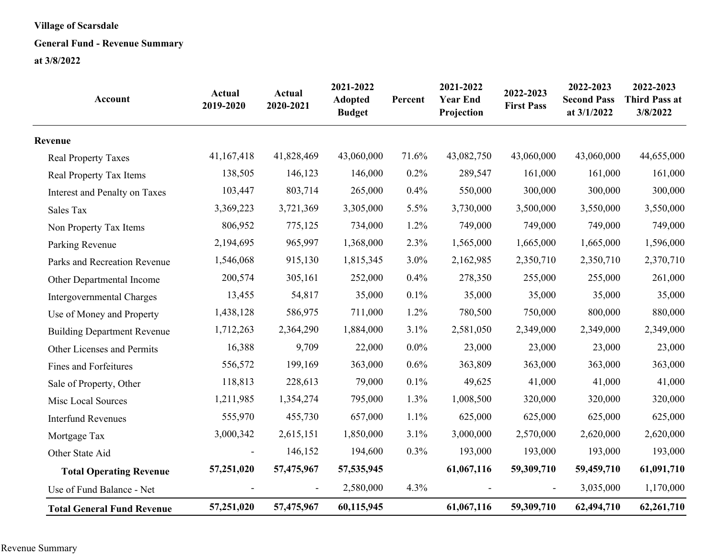#### **General Fund - Revenue Summary**

| <b>Account</b>                     | Actual<br>2019-2020 | <b>Actual</b><br>2020-2021   | 2021-2022<br><b>Adopted</b><br><b>Budget</b> | Percent | 2021-2022<br><b>Year End</b><br>Projection | 2022-2023<br><b>First Pass</b> | 2022-2023<br><b>Second Pass</b><br>at 3/1/2022 | 2022-2023<br><b>Third Pass at</b><br>3/8/2022 |
|------------------------------------|---------------------|------------------------------|----------------------------------------------|---------|--------------------------------------------|--------------------------------|------------------------------------------------|-----------------------------------------------|
| Revenue                            |                     |                              |                                              |         |                                            |                                |                                                |                                               |
| <b>Real Property Taxes</b>         | 41,167,418          | 41,828,469                   | 43,060,000                                   | 71.6%   | 43,082,750                                 | 43,060,000                     | 43,060,000                                     | 44,655,000                                    |
| Real Property Tax Items            | 138,505             | 146,123                      | 146,000                                      | 0.2%    | 289,547                                    | 161,000                        | 161,000                                        | 161,000                                       |
| Interest and Penalty on Taxes      | 103,447             | 803,714                      | 265,000                                      | 0.4%    | 550,000                                    | 300,000                        | 300,000                                        | 300,000                                       |
| Sales Tax                          | 3,369,223           | 3,721,369                    | 3,305,000                                    | 5.5%    | 3,730,000                                  | 3,500,000                      | 3,550,000                                      | 3,550,000                                     |
| Non Property Tax Items             | 806,952             | 775,125                      | 734,000                                      | 1.2%    | 749,000                                    | 749,000                        | 749,000                                        | 749,000                                       |
| Parking Revenue                    | 2,194,695           | 965,997                      | 1,368,000                                    | 2.3%    | 1,565,000                                  | 1,665,000                      | 1,665,000                                      | 1,596,000                                     |
| Parks and Recreation Revenue       | 1,546,068           | 915,130                      | 1,815,345                                    | 3.0%    | 2,162,985                                  | 2,350,710                      | 2,350,710                                      | 2,370,710                                     |
| Other Departmental Income          | 200,574             | 305,161                      | 252,000                                      | 0.4%    | 278,350                                    | 255,000                        | 255,000                                        | 261,000                                       |
| Intergovernmental Charges          | 13,455              | 54,817                       | 35,000                                       | 0.1%    | 35,000                                     | 35,000                         | 35,000                                         | 35,000                                        |
| Use of Money and Property          | 1,438,128           | 586,975                      | 711,000                                      | 1.2%    | 780,500                                    | 750,000                        | 800,000                                        | 880,000                                       |
| <b>Building Department Revenue</b> | 1,712,263           | 2,364,290                    | 1,884,000                                    | 3.1%    | 2,581,050                                  | 2,349,000                      | 2,349,000                                      | 2,349,000                                     |
| Other Licenses and Permits         | 16,388              | 9,709                        | 22,000                                       | $0.0\%$ | 23,000                                     | 23,000                         | 23,000                                         | 23,000                                        |
| <b>Fines and Forfeitures</b>       | 556,572             | 199,169                      | 363,000                                      | 0.6%    | 363,809                                    | 363,000                        | 363,000                                        | 363,000                                       |
| Sale of Property, Other            | 118,813             | 228,613                      | 79,000                                       | 0.1%    | 49,625                                     | 41,000                         | 41,000                                         | 41,000                                        |
| Misc Local Sources                 | 1,211,985           | 1,354,274                    | 795,000                                      | 1.3%    | 1,008,500                                  | 320,000                        | 320,000                                        | 320,000                                       |
| <b>Interfund Revenues</b>          | 555,970             | 455,730                      | 657,000                                      | 1.1%    | 625,000                                    | 625,000                        | 625,000                                        | 625,000                                       |
| Mortgage Tax                       | 3,000,342           | 2,615,151                    | 1,850,000                                    | 3.1%    | 3,000,000                                  | 2,570,000                      | 2,620,000                                      | 2,620,000                                     |
| Other State Aid                    |                     | 146,152                      | 194,600                                      | 0.3%    | 193,000                                    | 193,000                        | 193,000                                        | 193,000                                       |
| <b>Total Operating Revenue</b>     | 57,251,020          | 57,475,967                   | 57, 535, 945                                 |         | 61,067,116                                 | 59,309,710                     | 59,459,710                                     | 61,091,710                                    |
| Use of Fund Balance - Net          |                     | $\qquad \qquad \blacksquare$ | 2,580,000                                    | 4.3%    |                                            |                                | 3,035,000                                      | 1,170,000                                     |
| <b>Total General Fund Revenue</b>  | 57,251,020          | 57,475,967                   | 60,115,945                                   |         | 61,067,116                                 | 59,309,710                     | 62,494,710                                     | 62,261,710                                    |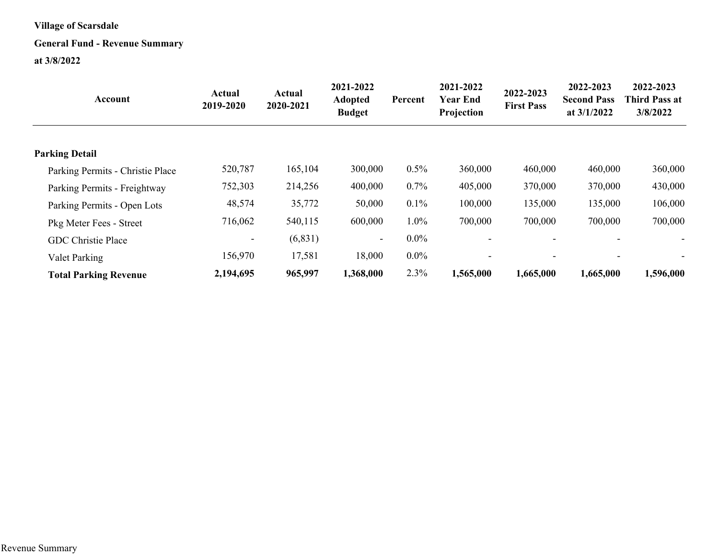#### **General Fund - Revenue Summary**

| Account                          | <b>Actual</b><br>2019-2020 | <b>Actual</b><br>2020-2021 | 2021-2022<br><b>Adopted</b><br><b>Budget</b> | Percent | 2021-2022<br><b>Year End</b><br>Projection | 2022-2023<br><b>First Pass</b> | 2022-2023<br><b>Second Pass</b><br>at $3/1/2022$ | 2022-2023<br><b>Third Pass at</b><br>3/8/2022 |
|----------------------------------|----------------------------|----------------------------|----------------------------------------------|---------|--------------------------------------------|--------------------------------|--------------------------------------------------|-----------------------------------------------|
| <b>Parking Detail</b>            |                            |                            |                                              |         |                                            |                                |                                                  |                                               |
| Parking Permits - Christie Place | 520,787                    | 165,104                    | 300,000                                      | 0.5%    | 360,000                                    | 460,000                        | 460,000                                          | 360,000                                       |
| Parking Permits - Freightway     | 752,303                    | 214,256                    | 400,000                                      | 0.7%    | 405,000                                    | 370,000                        | 370,000                                          | 430,000                                       |
| Parking Permits - Open Lots      | 48,574                     | 35,772                     | 50,000                                       | 0.1%    | 100,000                                    | 135,000                        | 135,000                                          | 106,000                                       |
| Pkg Meter Fees - Street          | 716,062                    | 540,115                    | 600,000                                      | 1.0%    | 700,000                                    | 700,000                        | 700,000                                          | 700,000                                       |
| <b>GDC</b> Christie Place        | $\overline{\phantom{a}}$   | (6, 831)                   | $\sim$                                       | $0.0\%$ |                                            |                                |                                                  | $\blacksquare$                                |
| Valet Parking                    | 156,970                    | 17,581                     | 18,000                                       | $0.0\%$ |                                            |                                |                                                  |                                               |
| <b>Total Parking Revenue</b>     | 2,194,695                  | 965,997                    | 1,368,000                                    | 2.3%    | 1,565,000                                  | 1,665,000                      | 1,665,000                                        | 1,596,000                                     |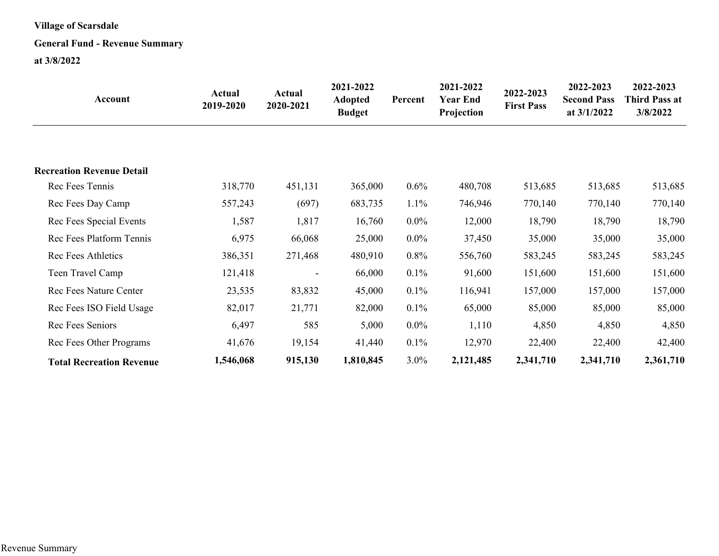#### **General Fund - Revenue Summary**

| Account                          | Actual<br>2019-2020 | Actual<br>2020-2021      | 2021-2022<br><b>Adopted</b><br><b>Budget</b> | Percent | 2021-2022<br><b>Year End</b><br>Projection | 2022-2023<br><b>First Pass</b> | 2022-2023<br><b>Second Pass</b><br>at 3/1/2022 | 2022-2023<br><b>Third Pass at</b><br>3/8/2022 |
|----------------------------------|---------------------|--------------------------|----------------------------------------------|---------|--------------------------------------------|--------------------------------|------------------------------------------------|-----------------------------------------------|
|                                  |                     |                          |                                              |         |                                            |                                |                                                |                                               |
| <b>Recreation Revenue Detail</b> |                     |                          |                                              |         |                                            |                                |                                                |                                               |
| Rec Fees Tennis                  | 318,770             | 451,131                  | 365,000                                      | $0.6\%$ | 480,708                                    | 513,685                        | 513,685                                        | 513,685                                       |
| Rec Fees Day Camp                | 557,243             | (697)                    | 683,735                                      | 1.1%    | 746,946                                    | 770,140                        | 770,140                                        | 770,140                                       |
| Rec Fees Special Events          | 1,587               | 1,817                    | 16,760                                       | $0.0\%$ | 12,000                                     | 18,790                         | 18,790                                         | 18,790                                        |
| Rec Fees Platform Tennis         | 6,975               | 66,068                   | 25,000                                       | $0.0\%$ | 37,450                                     | 35,000                         | 35,000                                         | 35,000                                        |
| Rec Fees Athletics               | 386,351             | 271,468                  | 480,910                                      | $0.8\%$ | 556,760                                    | 583,245                        | 583,245                                        | 583,245                                       |
| Teen Travel Camp                 | 121,418             | $\overline{\phantom{a}}$ | 66,000                                       | 0.1%    | 91,600                                     | 151,600                        | 151,600                                        | 151,600                                       |
| <b>Rec Fees Nature Center</b>    | 23,535              | 83,832                   | 45,000                                       | 0.1%    | 116,941                                    | 157,000                        | 157,000                                        | 157,000                                       |
| Rec Fees ISO Field Usage         | 82,017              | 21,771                   | 82,000                                       | 0.1%    | 65,000                                     | 85,000                         | 85,000                                         | 85,000                                        |
| Rec Fees Seniors                 | 6,497               | 585                      | 5,000                                        | $0.0\%$ | 1,110                                      | 4,850                          | 4,850                                          | 4,850                                         |
| Rec Fees Other Programs          | 41,676              | 19,154                   | 41,440                                       | 0.1%    | 12,970                                     | 22,400                         | 22,400                                         | 42,400                                        |
| <b>Total Recreation Revenue</b>  | 1,546,068           | 915,130                  | 1,810,845                                    | $3.0\%$ | 2,121,485                                  | 2,341,710                      | 2,341,710                                      | 2,361,710                                     |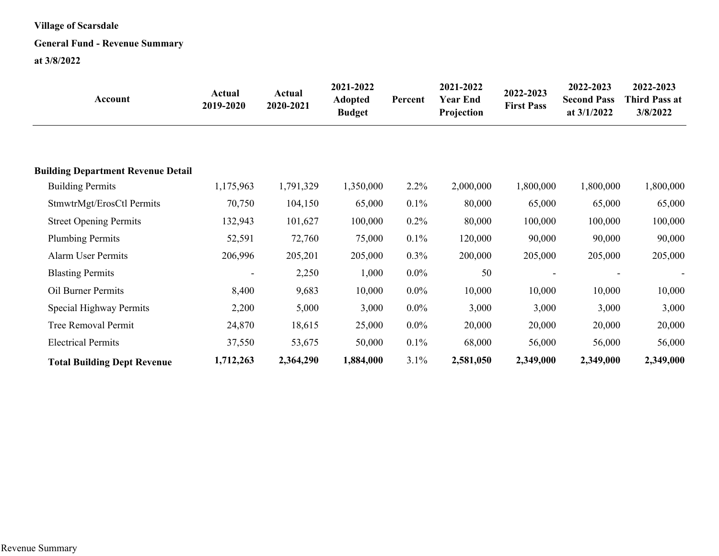#### **General Fund - Revenue Summary**

| Account                                   | Actual<br>2019-2020 | Actual<br>2020-2021 | 2021-2022<br><b>Adopted</b><br><b>Budget</b> | Percent | 2021-2022<br>Year End<br>Projection | 2022-2023<br><b>First Pass</b> | 2022-2023<br><b>Second Pass</b><br>at $3/1/2022$ | 2022-2023<br><b>Third Pass at</b><br>3/8/2022 |
|-------------------------------------------|---------------------|---------------------|----------------------------------------------|---------|-------------------------------------|--------------------------------|--------------------------------------------------|-----------------------------------------------|
|                                           |                     |                     |                                              |         |                                     |                                |                                                  |                                               |
| <b>Building Department Revenue Detail</b> |                     |                     |                                              |         |                                     |                                |                                                  |                                               |
| <b>Building Permits</b>                   | 1,175,963           | 1,791,329           | 1,350,000                                    | 2.2%    | 2,000,000                           | 1,800,000                      | 1,800,000                                        | 1,800,000                                     |
| StmwtrMgt/ErosCtl Permits                 | 70,750              | 104,150             | 65,000                                       | 0.1%    | 80,000                              | 65,000                         | 65,000                                           | 65,000                                        |
| <b>Street Opening Permits</b>             | 132,943             | 101,627             | 100,000                                      | 0.2%    | 80,000                              | 100,000                        | 100,000                                          | 100,000                                       |
| <b>Plumbing Permits</b>                   | 52,591              | 72,760              | 75,000                                       | 0.1%    | 120,000                             | 90,000                         | 90,000                                           | 90,000                                        |
| <b>Alarm User Permits</b>                 | 206,996             | 205,201             | 205,000                                      | 0.3%    | 200,000                             | 205,000                        | 205,000                                          | 205,000                                       |
| <b>Blasting Permits</b>                   | -                   | 2,250               | 1,000                                        | $0.0\%$ | 50                                  |                                |                                                  |                                               |
| Oil Burner Permits                        | 8,400               | 9,683               | 10,000                                       | $0.0\%$ | 10,000                              | 10,000                         | 10,000                                           | 10,000                                        |
| Special Highway Permits                   | 2,200               | 5,000               | 3,000                                        | $0.0\%$ | 3,000                               | 3,000                          | 3,000                                            | 3,000                                         |
| Tree Removal Permit                       | 24,870              | 18,615              | 25,000                                       | $0.0\%$ | 20,000                              | 20,000                         | 20,000                                           | 20,000                                        |
| <b>Electrical Permits</b>                 | 37,550              | 53,675              | 50,000                                       | 0.1%    | 68,000                              | 56,000                         | 56,000                                           | 56,000                                        |
| <b>Total Building Dept Revenue</b>        | 1,712,263           | 2,364,290           | 1,884,000                                    | 3.1%    | 2,581,050                           | 2,349,000                      | 2,349,000                                        | 2,349,000                                     |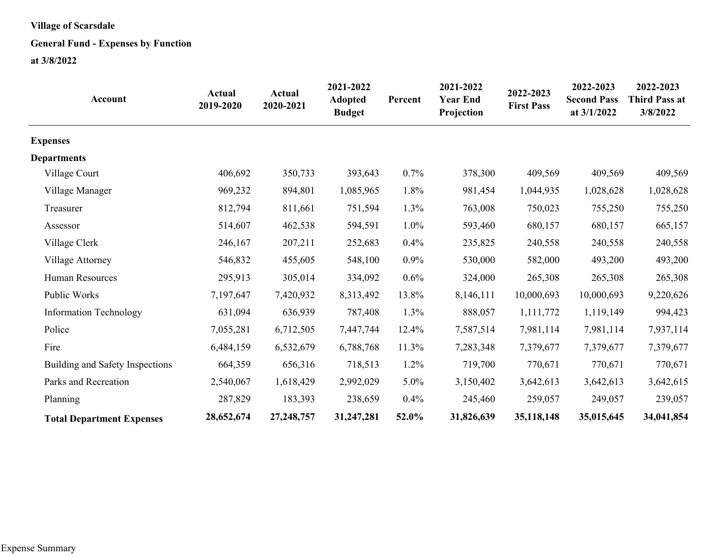#### **General Fund - Expenses by Function**

| Account                          | <b>Actual</b><br>2019-2020 | <b>Actual</b><br>2020-2021 | 2021-2022<br><b>Adopted</b><br><b>Budget</b> | Percent | 2021-2022<br><b>Year End</b><br>Projection | 2022-2023<br><b>First Pass</b> | 2022-2023<br><b>Second Pass</b><br>at 3/1/2022 | 2022-2023<br><b>Third Pass at</b><br>3/8/2022 |
|----------------------------------|----------------------------|----------------------------|----------------------------------------------|---------|--------------------------------------------|--------------------------------|------------------------------------------------|-----------------------------------------------|
| <b>Expenses</b>                  |                            |                            |                                              |         |                                            |                                |                                                |                                               |
| <b>Departments</b>               |                            |                            |                                              |         |                                            |                                |                                                |                                               |
| Village Court                    | 406,692                    | 350,733                    | 393,643                                      | 0.7%    | 378,300                                    | 409,569                        | 409,569                                        | 409,569                                       |
| Village Manager                  | 969,232                    | 894,801                    | 1,085,965                                    | 1.8%    | 981,454                                    | 1,044,935                      | 1,028,628                                      | 1,028,628                                     |
| Treasurer                        | 812,794                    | 811,661                    | 751,594                                      | 1.3%    | 763,008                                    | 750,023                        | 755,250                                        | 755,250                                       |
| Assessor                         | 514,607                    | 462,538                    | 594,591                                      | $1.0\%$ | 593,460                                    | 680,157                        | 680,157                                        | 665,157                                       |
| Village Clerk                    | 246,167                    | 207,211                    | 252,683                                      | 0.4%    | 235,825                                    | 240,558                        | 240,558                                        | 240,558                                       |
| Village Attorney                 | 546,832                    | 455,605                    | 548,100                                      | 0.9%    | 530,000                                    | 582,000                        | 493,200                                        | 493,200                                       |
| <b>Human Resources</b>           | 295,913                    | 305,014                    | 334,092                                      | $0.6\%$ | 324,000                                    | 265,308                        | 265,308                                        | 265,308                                       |
| Public Works                     | 7,197,647                  | 7,420,932                  | 8,313,492                                    | 13.8%   | 8,146,111                                  | 10,000,693                     | 10,000,693                                     | 9,220,626                                     |
| <b>Information Technology</b>    | 631,094                    | 636,939                    | 787,408                                      | 1.3%    | 888,057                                    | 1,111,772                      | 1,119,149                                      | 994,423                                       |
| Police                           | 7,055,281                  | 6,712,505                  | 7,447,744                                    | 12.4%   | 7,587,514                                  | 7,981,114                      | 7,981,114                                      | 7,937,114                                     |
| Fire                             | 6,484,159                  | 6,532,679                  | 6,788,768                                    | 11.3%   | 7,283,348                                  | 7,379,677                      | 7,379,677                                      | 7,379,677                                     |
| Building and Safety Inspections  | 664,359                    | 656,316                    | 718,513                                      | $1.2\%$ | 719,700                                    | 770,671                        | 770,671                                        | 770,671                                       |
| Parks and Recreation             | 2,540,067                  | 1,618,429                  | 2,992,029                                    | 5.0%    | 3,150,402                                  | 3,642,613                      | 3,642,613                                      | 3,642,615                                     |
| Planning                         | 287,829                    | 183,393                    | 238,659                                      | 0.4%    | 245,460                                    | 259,057                        | 249,057                                        | 239,057                                       |
| <b>Total Department Expenses</b> | 28,652,674                 | 27,248,757                 | 31,247,281                                   | 52.0%   | 31,826,639                                 | 35,118,148                     | 35,015,645                                     | 34,041,854                                    |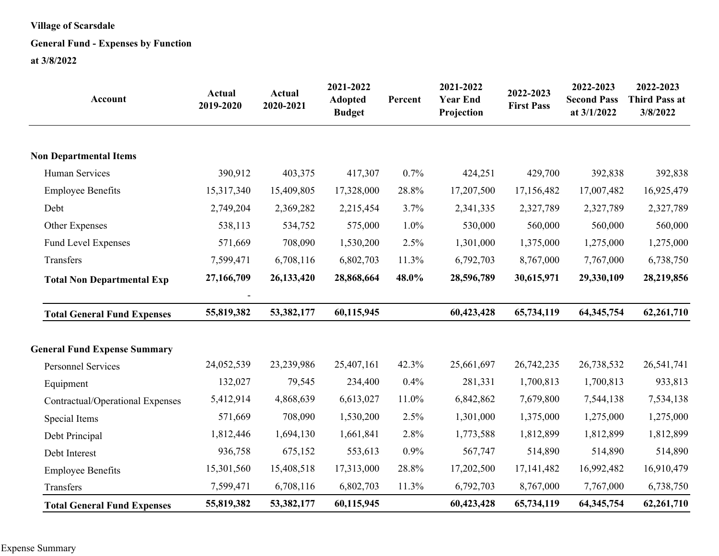#### **General Fund - Expenses by Function**

| Account                             | <b>Actual</b><br>2019-2020 | <b>Actual</b><br>2020-2021 | 2021-2022<br><b>Adopted</b><br><b>Budget</b> | Percent | 2021-2022<br><b>Year End</b><br>Projection | 2022-2023<br><b>First Pass</b> | 2022-2023<br><b>Second Pass</b><br>at 3/1/2022 | 2022-2023<br><b>Third Pass at</b><br>3/8/2022 |
|-------------------------------------|----------------------------|----------------------------|----------------------------------------------|---------|--------------------------------------------|--------------------------------|------------------------------------------------|-----------------------------------------------|
| <b>Non Departmental Items</b>       |                            |                            |                                              |         |                                            |                                |                                                |                                               |
| Human Services                      | 390,912                    | 403,375                    | 417,307                                      | 0.7%    | 424,251                                    | 429,700                        | 392,838                                        | 392,838                                       |
| <b>Employee Benefits</b>            | 15,317,340                 | 15,409,805                 | 17,328,000                                   | 28.8%   | 17,207,500                                 | 17,156,482                     | 17,007,482                                     | 16,925,479                                    |
| Debt                                | 2,749,204                  | 2,369,282                  | 2,215,454                                    | 3.7%    | 2,341,335                                  | 2,327,789                      | 2,327,789                                      | 2,327,789                                     |
| Other Expenses                      | 538,113                    | 534,752                    | 575,000                                      | 1.0%    | 530,000                                    | 560,000                        | 560,000                                        | 560,000                                       |
| Fund Level Expenses                 | 571,669                    | 708,090                    | 1,530,200                                    | 2.5%    | 1,301,000                                  | 1,375,000                      | 1,275,000                                      | 1,275,000                                     |
| Transfers                           | 7,599,471                  | 6,708,116                  | 6,802,703                                    | 11.3%   | 6,792,703                                  | 8,767,000                      | 7,767,000                                      | 6,738,750                                     |
| <b>Total Non Departmental Exp</b>   | 27,166,709                 | 26,133,420                 | 28,868,664                                   | 48.0%   | 28,596,789                                 | 30,615,971                     | 29,330,109                                     | 28,219,856                                    |
| <b>Total General Fund Expenses</b>  | 55,819,382                 | 53,382,177                 | 60,115,945                                   |         | 60,423,428                                 | 65,734,119                     | 64, 345, 754                                   | 62,261,710                                    |
| <b>General Fund Expense Summary</b> |                            |                            |                                              |         |                                            |                                |                                                |                                               |
| <b>Personnel Services</b>           | 24,052,539                 | 23,239,986                 | 25,407,161                                   | 42.3%   | 25,661,697                                 | 26,742,235                     | 26,738,532                                     | 26,541,741                                    |
| Equipment                           | 132,027                    | 79,545                     | 234,400                                      | 0.4%    | 281,331                                    | 1,700,813                      | 1,700,813                                      | 933,813                                       |
| Contractual/Operational Expenses    | 5,412,914                  | 4,868,639                  | 6,613,027                                    | 11.0%   | 6,842,862                                  | 7,679,800                      | 7,544,138                                      | 7,534,138                                     |
| Special Items                       | 571,669                    | 708,090                    | 1,530,200                                    | 2.5%    | 1,301,000                                  | 1,375,000                      | 1,275,000                                      | 1,275,000                                     |
| Debt Principal                      | 1,812,446                  | 1,694,130                  | 1,661,841                                    | 2.8%    | 1,773,588                                  | 1,812,899                      | 1,812,899                                      | 1,812,899                                     |
| Debt Interest                       | 936,758                    | 675,152                    | 553,613                                      | 0.9%    | 567,747                                    | 514,890                        | 514,890                                        | 514,890                                       |
| <b>Employee Benefits</b>            | 15,301,560                 | 15,408,518                 | 17,313,000                                   | 28.8%   | 17,202,500                                 | 17,141,482                     | 16,992,482                                     | 16,910,479                                    |
| Transfers                           | 7,599,471                  | 6,708,116                  | 6,802,703                                    | 11.3%   | 6,792,703                                  | 8,767,000                      | 7,767,000                                      | 6,738,750                                     |
| <b>Total General Fund Expenses</b>  | 55,819,382                 | 53,382,177                 | 60,115,945                                   |         | 60,423,428                                 | 65,734,119                     | 64, 345, 754                                   | 62,261,710                                    |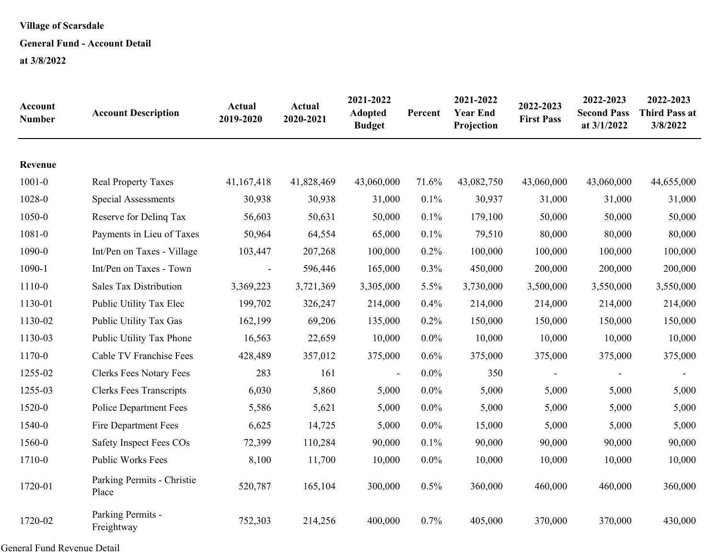#### **General Fund - Account Detail**

**at 3/8/2022**

| Account<br><b>Number</b> | <b>Account Description</b>          | Actual<br>2019-2020 | Actual<br>2020-2021 | 2021-2022<br><b>Adopted</b><br><b>Budget</b> | Percent | 2021-2022<br><b>Year End</b><br>Projection | 2022-2023<br><b>First Pass</b> | 2022-2023<br><b>Second Pass</b><br>at 3/1/2022 | 2022-2023<br><b>Third Pass at</b><br>3/8/2022 |
|--------------------------|-------------------------------------|---------------------|---------------------|----------------------------------------------|---------|--------------------------------------------|--------------------------------|------------------------------------------------|-----------------------------------------------|
| Revenue                  |                                     |                     |                     |                                              |         |                                            |                                |                                                |                                               |
| $1001 - 0$               | <b>Real Property Taxes</b>          | 41,167,418          | 41,828,469          | 43,060,000                                   | 71.6%   | 43,082,750                                 | 43,060,000                     | 43,060,000                                     | 44,655,000                                    |
| 1028-0                   | <b>Special Assessments</b>          | 30,938              | 30,938              | 31,000                                       | 0.1%    | 30,937                                     | 31,000                         | 31,000                                         | 31,000                                        |
| 1050-0                   | Reserve for Delinq Tax              | 56,603              | 50,631              | 50,000                                       | 0.1%    | 179,100                                    | 50,000                         | 50,000                                         | 50,000                                        |
| $1081 - 0$               | Payments in Lieu of Taxes           | 50,964              | 64,554              | 65,000                                       | 0.1%    | 79,510                                     | 80,000                         | 80,000                                         | 80,000                                        |
| 1090-0                   | Int/Pen on Taxes - Village          | 103,447             | 207,268             | 100,000                                      | 0.2%    | 100,000                                    | 100,000                        | 100,000                                        | 100,000                                       |
| 1090-1                   | Int/Pen on Taxes - Town             |                     | 596,446             | 165,000                                      | 0.3%    | 450,000                                    | 200,000                        | 200,000                                        | 200,000                                       |
| 1110-0                   | <b>Sales Tax Distribution</b>       | 3,369,223           | 3,721,369           | 3,305,000                                    | 5.5%    | 3,730,000                                  | 3,500,000                      | 3,550,000                                      | 3,550,000                                     |
| 1130-01                  | Public Utility Tax Elec             | 199,702             | 326,247             | 214,000                                      | 0.4%    | 214,000                                    | 214,000                        | 214,000                                        | 214,000                                       |
| 1130-02                  | Public Utility Tax Gas              | 162,199             | 69,206              | 135,000                                      | 0.2%    | 150,000                                    | 150,000                        | 150,000                                        | 150,000                                       |
| 1130-03                  | Public Utility Tax Phone            | 16,563              | 22,659              | 10,000                                       | 0.0%    | 10,000                                     | 10,000                         | 10,000                                         | 10,000                                        |
| 1170-0                   | Cable TV Franchise Fees             | 428,489             | 357,012             | 375,000                                      | 0.6%    | 375,000                                    | 375,000                        | 375,000                                        | 375,000                                       |
| 1255-02                  | <b>Clerks Fees Notary Fees</b>      | 283                 | 161                 | $\blacksquare$                               | $0.0\%$ | 350                                        |                                |                                                |                                               |
| 1255-03                  | <b>Clerks Fees Transcripts</b>      | 6,030               | 5,860               | 5,000                                        | $0.0\%$ | 5,000                                      | 5,000                          | 5,000                                          | 5,000                                         |
| 1520-0                   | <b>Police Department Fees</b>       | 5,586               | 5,621               | 5,000                                        | $0.0\%$ | 5,000                                      | 5,000                          | 5,000                                          | 5,000                                         |
| 1540-0                   | <b>Fire Department Fees</b>         | 6,625               | 14,725              | 5,000                                        | $0.0\%$ | 15,000                                     | 5,000                          | 5,000                                          | 5,000                                         |
| 1560-0                   | <b>Safety Inspect Fees COs</b>      | 72,399              | 110,284             | 90,000                                       | 0.1%    | 90,000                                     | 90,000                         | 90,000                                         | 90,000                                        |
| 1710-0                   | <b>Public Works Fees</b>            | 8,100               | 11,700              | 10,000                                       | 0.0%    | 10,000                                     | 10,000                         | 10,000                                         | 10,000                                        |
| 1720-01                  | Parking Permits - Christie<br>Place | 520,787             | 165,104             | 300,000                                      | 0.5%    | 360,000                                    | 460,000                        | 460,000                                        | 360,000                                       |
| 1720-02                  | Parking Permits -<br>Freightway     | 752,303             | 214,256             | 400,000                                      | 0.7%    | 405,000                                    | 370,000                        | 370,000                                        | 430,000                                       |

General Fund Revenue Detail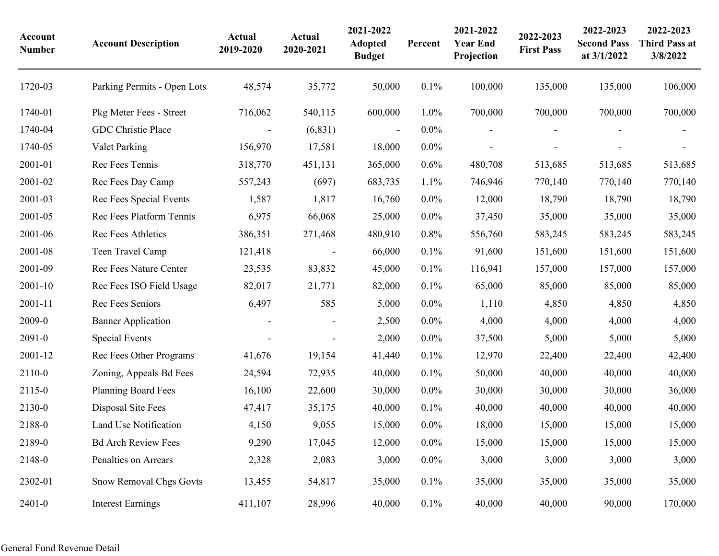| Account<br><b>Number</b> | <b>Account Description</b>     | Actual<br>2019-2020      | Actual<br>2020-2021      | 2021-2022<br><b>Adopted</b><br><b>Budget</b> | Percent | 2021-2022<br><b>Year End</b><br>Projection | 2022-2023<br><b>First Pass</b> | 2022-2023<br><b>Second Pass</b><br>at 3/1/2022 | 2022-2023<br><b>Third Pass at</b><br>3/8/2022 |
|--------------------------|--------------------------------|--------------------------|--------------------------|----------------------------------------------|---------|--------------------------------------------|--------------------------------|------------------------------------------------|-----------------------------------------------|
| 1720-03                  | Parking Permits - Open Lots    | 48,574                   | 35,772                   | 50,000                                       | 0.1%    | 100,000                                    | 135,000                        | 135,000                                        | 106,000                                       |
| 1740-01                  | Pkg Meter Fees - Street        | 716,062                  | 540,115                  | 600,000                                      | $1.0\%$ | 700,000                                    | 700,000                        | 700,000                                        | 700,000                                       |
| 1740-04                  | GDC Christie Place             | $\overline{\phantom{a}}$ | (6, 831)                 | $\overline{\phantom{a}}$                     | $0.0\%$ |                                            |                                |                                                |                                               |
| 1740-05                  | Valet Parking                  | 156,970                  | 17,581                   | 18,000                                       | $0.0\%$ |                                            |                                |                                                |                                               |
| 2001-01                  | Rec Fees Tennis                | 318,770                  | 451,131                  | 365,000                                      | 0.6%    | 480,708                                    | 513,685                        | 513,685                                        | 513,685                                       |
| 2001-02                  | Rec Fees Day Camp              | 557,243                  | (697)                    | 683,735                                      | 1.1%    | 746,946                                    | 770,140                        | 770,140                                        | 770,140                                       |
| 2001-03                  | Rec Fees Special Events        | 1,587                    | 1,817                    | 16,760                                       | $0.0\%$ | 12,000                                     | 18,790                         | 18,790                                         | 18,790                                        |
| 2001-05                  | Rec Fees Platform Tennis       | 6,975                    | 66,068                   | 25,000                                       | $0.0\%$ | 37,450                                     | 35,000                         | 35,000                                         | 35,000                                        |
| 2001-06                  | Rec Fees Athletics             | 386,351                  | 271,468                  | 480,910                                      | 0.8%    | 556,760                                    | 583,245                        | 583,245                                        | 583,245                                       |
| 2001-08                  | Teen Travel Camp               | 121,418                  |                          | 66,000                                       | 0.1%    | 91,600                                     | 151,600                        | 151,600                                        | 151,600                                       |
| 2001-09                  | Rec Fees Nature Center         | 23,535                   | 83,832                   | 45,000                                       | 0.1%    | 116,941                                    | 157,000                        | 157,000                                        | 157,000                                       |
| 2001-10                  | Rec Fees ISO Field Usage       | 82,017                   | 21,771                   | 82,000                                       | 0.1%    | 65,000                                     | 85,000                         | 85,000                                         | 85,000                                        |
| 2001-11                  | Rec Fees Seniors               | 6,497                    | 585                      | 5,000                                        | $0.0\%$ | 1,110                                      | 4,850                          | 4,850                                          | 4,850                                         |
| 2009-0                   | <b>Banner Application</b>      |                          | $\overline{\phantom{a}}$ | 2,500                                        | $0.0\%$ | 4,000                                      | 4,000                          | 4,000                                          | 4,000                                         |
| $2091 - 0$               | <b>Special Events</b>          |                          |                          | 2,000                                        | $0.0\%$ | 37,500                                     | 5,000                          | 5,000                                          | 5,000                                         |
| 2001-12                  | Rec Fees Other Programs        | 41,676                   | 19,154                   | 41,440                                       | 0.1%    | 12,970                                     | 22,400                         | 22,400                                         | 42,400                                        |
| 2110-0                   | Zoning, Appeals Bd Fees        | 24,594                   | 72,935                   | 40,000                                       | 0.1%    | 50,000                                     | 40,000                         | 40,000                                         | 40,000                                        |
| 2115-0                   | <b>Planning Board Fees</b>     | 16,100                   | 22,600                   | 30,000                                       | $0.0\%$ | 30,000                                     | 30,000                         | 30,000                                         | 36,000                                        |
| 2130-0                   | Disposal Site Fees             | 47,417                   | 35,175                   | 40,000                                       | 0.1%    | 40,000                                     | 40,000                         | 40,000                                         | 40,000                                        |
| 2188-0                   | Land Use Notification          | 4,150                    | 9,055                    | 15,000                                       | $0.0\%$ | 18,000                                     | 15,000                         | 15,000                                         | 15,000                                        |
| 2189-0                   | <b>Bd Arch Review Fees</b>     | 9,290                    | 17,045                   | 12,000                                       | $0.0\%$ | 15,000                                     | 15,000                         | 15,000                                         | 15,000                                        |
| 2148-0                   | Penalties on Arrears           | 2,328                    | 2,083                    | 3,000                                        | $0.0\%$ | 3,000                                      | 3,000                          | 3,000                                          | 3,000                                         |
| 2302-01                  | <b>Snow Removal Chgs Govts</b> | 13,455                   | 54,817                   | 35,000                                       | 0.1%    | 35,000                                     | 35,000                         | 35,000                                         | 35,000                                        |
| $2401 - 0$               | <b>Interest Earnings</b>       | 411,107                  | 28,996                   | 40,000                                       | $0.1\%$ | 40,000                                     | 40,000                         | 90,000                                         | 170,000                                       |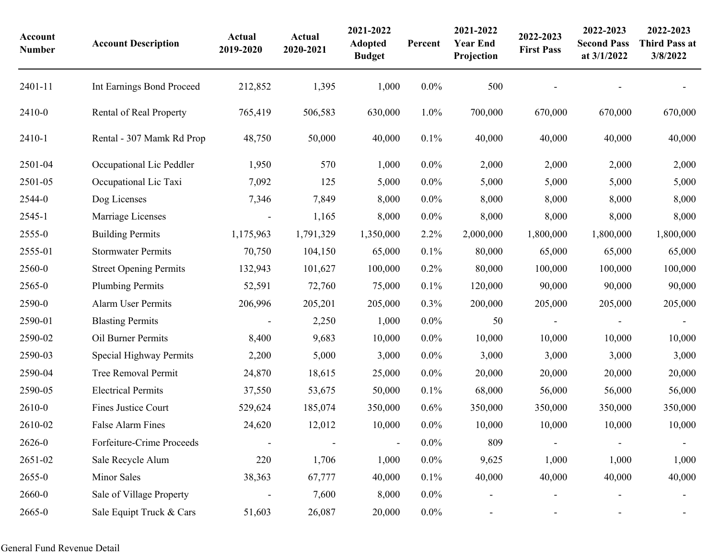| Account<br><b>Number</b> | <b>Account Description</b>    | Actual<br>2019-2020      | <b>Actual</b><br>2020-2021 | 2021-2022<br><b>Adopted</b><br><b>Budget</b> | Percent | 2021-2022<br><b>Year End</b><br>Projection | 2022-2023<br><b>First Pass</b> | 2022-2023<br><b>Second Pass</b><br>at 3/1/2022 | 2022-2023<br><b>Third Pass at</b><br>3/8/2022 |
|--------------------------|-------------------------------|--------------------------|----------------------------|----------------------------------------------|---------|--------------------------------------------|--------------------------------|------------------------------------------------|-----------------------------------------------|
| 2401-11                  | Int Earnings Bond Proceed     | 212,852                  | 1,395                      | 1,000                                        | $0.0\%$ | 500                                        |                                |                                                |                                               |
| 2410-0                   | Rental of Real Property       | 765,419                  | 506,583                    | 630,000                                      | 1.0%    | 700,000                                    | 670,000                        | 670,000                                        | 670,000                                       |
| 2410-1                   | Rental - 307 Mamk Rd Prop     | 48,750                   | 50,000                     | 40,000                                       | 0.1%    | 40,000                                     | 40,000                         | 40,000                                         | 40,000                                        |
| 2501-04                  | Occupational Lic Peddler      | 1,950                    | 570                        | 1,000                                        | $0.0\%$ | 2,000                                      | 2,000                          | 2,000                                          | 2,000                                         |
| 2501-05                  | Occupational Lic Taxi         | 7,092                    | 125                        | 5,000                                        | $0.0\%$ | 5,000                                      | 5,000                          | 5,000                                          | 5,000                                         |
| 2544-0                   | Dog Licenses                  | 7,346                    | 7,849                      | 8,000                                        | $0.0\%$ | 8,000                                      | 8,000                          | 8,000                                          | 8,000                                         |
| 2545-1                   | Marriage Licenses             |                          | 1,165                      | 8,000                                        | $0.0\%$ | 8,000                                      | 8,000                          | 8,000                                          | 8,000                                         |
| 2555-0                   | <b>Building Permits</b>       | 1,175,963                | 1,791,329                  | 1,350,000                                    | 2.2%    | 2,000,000                                  | 1,800,000                      | 1,800,000                                      | 1,800,000                                     |
| 2555-01                  | <b>Stormwater Permits</b>     | 70,750                   | 104,150                    | 65,000                                       | 0.1%    | 80,000                                     | 65,000                         | 65,000                                         | 65,000                                        |
| 2560-0                   | <b>Street Opening Permits</b> | 132,943                  | 101,627                    | 100,000                                      | 0.2%    | 80,000                                     | 100,000                        | 100,000                                        | 100,000                                       |
| 2565-0                   | <b>Plumbing Permits</b>       | 52,591                   | 72,760                     | 75,000                                       | 0.1%    | 120,000                                    | 90,000                         | 90,000                                         | 90,000                                        |
| 2590-0                   | <b>Alarm User Permits</b>     | 206,996                  | 205,201                    | 205,000                                      | 0.3%    | 200,000                                    | 205,000                        | 205,000                                        | 205,000                                       |
| 2590-01                  | <b>Blasting Permits</b>       | $\overline{\phantom{a}}$ | 2,250                      | 1,000                                        | $0.0\%$ | 50                                         |                                |                                                |                                               |
| 2590-02                  | Oil Burner Permits            | 8,400                    | 9,683                      | 10,000                                       | $0.0\%$ | 10,000                                     | 10,000                         | 10,000                                         | 10,000                                        |
| 2590-03                  | Special Highway Permits       | 2,200                    | 5,000                      | 3,000                                        | $0.0\%$ | 3,000                                      | 3,000                          | 3,000                                          | 3,000                                         |
| 2590-04                  | Tree Removal Permit           | 24,870                   | 18,615                     | 25,000                                       | $0.0\%$ | 20,000                                     | 20,000                         | 20,000                                         | 20,000                                        |
| 2590-05                  | <b>Electrical Permits</b>     | 37,550                   | 53,675                     | 50,000                                       | 0.1%    | 68,000                                     | 56,000                         | 56,000                                         | 56,000                                        |
| 2610-0                   | Fines Justice Court           | 529,624                  | 185,074                    | 350,000                                      | 0.6%    | 350,000                                    | 350,000                        | 350,000                                        | 350,000                                       |
| 2610-02                  | False Alarm Fines             | 24,620                   | 12,012                     | 10,000                                       | $0.0\%$ | 10,000                                     | 10,000                         | 10,000                                         | 10,000                                        |
| 2626-0                   | Forfeiture-Crime Proceeds     |                          |                            | $\overline{\phantom{a}}$                     | $0.0\%$ | 809                                        |                                |                                                |                                               |
| 2651-02                  | Sale Recycle Alum             | 220                      | 1,706                      | 1,000                                        | $0.0\%$ | 9,625                                      | 1,000                          | 1,000                                          | 1,000                                         |
| 2655-0                   | Minor Sales                   | 38,363                   | 67,777                     | 40,000                                       | 0.1%    | 40,000                                     | 40,000                         | 40,000                                         | 40,000                                        |
| 2660-0                   | Sale of Village Property      |                          | 7,600                      | 8,000                                        | $0.0\%$ |                                            |                                |                                                |                                               |
| 2665-0                   | Sale Equipt Truck & Cars      | 51,603                   | 26,087                     | 20,000                                       | $0.0\%$ |                                            |                                |                                                |                                               |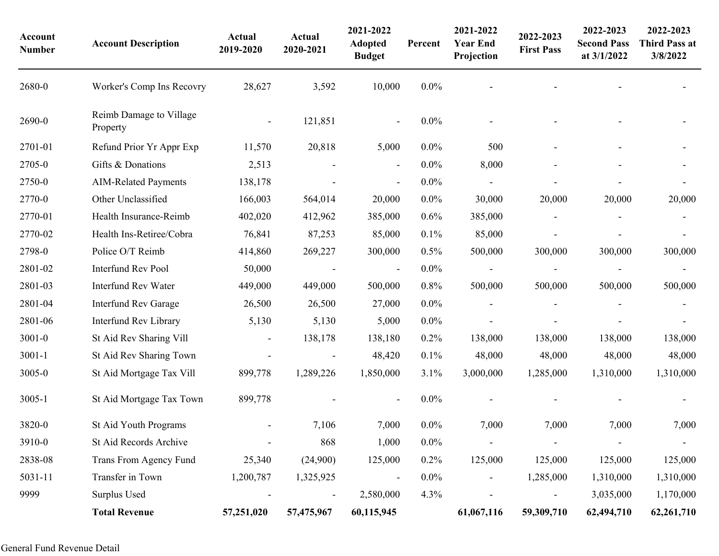| Account<br><b>Number</b> | <b>Account Description</b>          | Actual<br>2019-2020 | Actual<br>2020-2021 | 2021-2022<br><b>Adopted</b><br><b>Budget</b> | Percent | 2021-2022<br><b>Year End</b><br>Projection | 2022-2023<br><b>First Pass</b> | 2022-2023<br><b>Second Pass</b><br>at 3/1/2022 | 2022-2023<br><b>Third Pass at</b><br>3/8/2022 |
|--------------------------|-------------------------------------|---------------------|---------------------|----------------------------------------------|---------|--------------------------------------------|--------------------------------|------------------------------------------------|-----------------------------------------------|
| 2680-0                   | Worker's Comp Ins Recovry           | 28,627              | 3,592               | 10,000                                       | $0.0\%$ |                                            |                                |                                                |                                               |
| 2690-0                   | Reimb Damage to Village<br>Property |                     | 121,851             |                                              | $0.0\%$ |                                            |                                |                                                |                                               |
| 2701-01                  | Refund Prior Yr Appr Exp            | 11,570              | 20,818              | 5,000                                        | $0.0\%$ | 500                                        |                                |                                                |                                               |
| 2705-0                   | Gifts & Donations                   | 2,513               |                     | $\overline{\phantom{a}}$                     | $0.0\%$ | 8,000                                      |                                |                                                |                                               |
| 2750-0                   | <b>AIM-Related Payments</b>         | 138,178             |                     | $\overline{\phantom{a}}$                     | $0.0\%$ |                                            |                                |                                                |                                               |
| 2770-0                   | Other Unclassified                  | 166,003             | 564,014             | 20,000                                       | $0.0\%$ | 30,000                                     | 20,000                         | 20,000                                         | 20,000                                        |
| 2770-01                  | Health Insurance-Reimb              | 402,020             | 412,962             | 385,000                                      | 0.6%    | 385,000                                    |                                |                                                |                                               |
| 2770-02                  | Health Ins-Retiree/Cobra            | 76,841              | 87,253              | 85,000                                       | 0.1%    | 85,000                                     |                                |                                                |                                               |
| 2798-0                   | Police O/T Reimb                    | 414,860             | 269,227             | 300,000                                      | 0.5%    | 500,000                                    | 300,000                        | 300,000                                        | 300,000                                       |
| 2801-02                  | <b>Interfund Rev Pool</b>           | 50,000              |                     | $\overline{\phantom{a}}$                     | $0.0\%$ |                                            |                                |                                                |                                               |
| 2801-03                  | <b>Interfund Rev Water</b>          | 449,000             | 449,000             | 500,000                                      | 0.8%    | 500,000                                    | 500,000                        | 500,000                                        | 500,000                                       |
| 2801-04                  | <b>Interfund Rev Garage</b>         | 26,500              | 26,500              | 27,000                                       | $0.0\%$ |                                            |                                |                                                |                                               |
| 2801-06                  | Interfund Rev Library               | 5,130               | 5,130               | 5,000                                        | $0.0\%$ |                                            |                                |                                                |                                               |
| $3001 - 0$               | St Aid Rev Sharing Vill             | $\blacksquare$      | 138,178             | 138,180                                      | 0.2%    | 138,000                                    | 138,000                        | 138,000                                        | 138,000                                       |
| $3001 - 1$               | St Aid Rev Sharing Town             |                     |                     | 48,420                                       | 0.1%    | 48,000                                     | 48,000                         | 48,000                                         | 48,000                                        |
| 3005-0                   | St Aid Mortgage Tax Vill            | 899,778             | 1,289,226           | 1,850,000                                    | 3.1%    | 3,000,000                                  | 1,285,000                      | 1,310,000                                      | 1,310,000                                     |
| 3005-1                   | St Aid Mortgage Tax Town            | 899,778             |                     |                                              | $0.0\%$ |                                            |                                |                                                |                                               |
| 3820-0                   | St Aid Youth Programs               |                     | 7,106               | 7,000                                        | $0.0\%$ | 7,000                                      | 7,000                          | 7,000                                          | 7,000                                         |
| 3910-0                   | St Aid Records Archive              |                     | 868                 | 1,000                                        | $0.0\%$ |                                            |                                | $\overline{\phantom{a}}$                       | $\blacksquare$                                |
| 2838-08                  | Trans From Agency Fund              | 25,340              | (24,900)            | 125,000                                      | 0.2%    | 125,000                                    | 125,000                        | 125,000                                        | 125,000                                       |
| 5031-11                  | Transfer in Town                    | 1,200,787           | 1,325,925           |                                              | $0.0\%$ |                                            | 1,285,000                      | 1,310,000                                      | 1,310,000                                     |
| 9999                     | Surplus Used                        |                     |                     | 2,580,000                                    | 4.3%    |                                            |                                | 3,035,000                                      | 1,170,000                                     |
|                          | <b>Total Revenue</b>                | 57,251,020          | 57,475,967          | 60,115,945                                   |         | 61,067,116                                 | 59,309,710                     | 62,494,710                                     | 62,261,710                                    |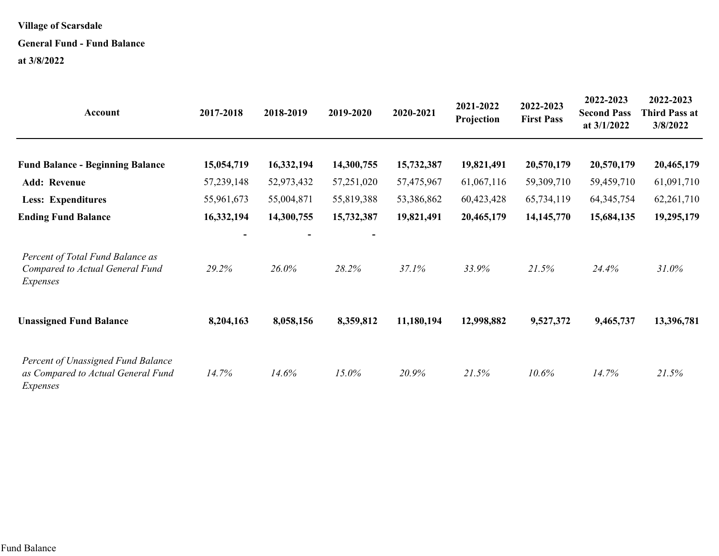#### **General Fund - Fund Balance**

| Account                                                                              | 2017-2018  | 2018-2019  | 2019-2020  | 2020-2021  | 2021-2022<br>Projection | 2022-2023<br><b>First Pass</b> | 2022-2023<br><b>Second Pass</b><br>at 3/1/2022 | 2022-2023<br><b>Third Pass at</b><br>3/8/2022 |
|--------------------------------------------------------------------------------------|------------|------------|------------|------------|-------------------------|--------------------------------|------------------------------------------------|-----------------------------------------------|
| <b>Fund Balance - Beginning Balance</b>                                              | 15,054,719 | 16,332,194 | 14,300,755 | 15,732,387 | 19,821,491              | 20,570,179                     | 20,570,179                                     | 20,465,179                                    |
| <b>Add: Revenue</b>                                                                  | 57,239,148 | 52,973,432 | 57,251,020 | 57,475,967 | 61,067,116              | 59,309,710                     | 59,459,710                                     | 61,091,710                                    |
| <b>Less: Expenditures</b>                                                            | 55,961,673 | 55,004,871 | 55,819,388 | 53,386,862 | 60,423,428              | 65,734,119                     | 64, 345, 754                                   | 62, 261, 710                                  |
| <b>Ending Fund Balance</b>                                                           | 16,332,194 | 14,300,755 | 15,732,387 | 19,821,491 | 20,465,179              | 14, 145, 770                   | 15,684,135                                     | 19,295,179                                    |
| Percent of Total Fund Balance as<br>Compared to Actual General Fund<br>Expenses      | 29.2%      | 26.0%      | 28.2%      | 37.1%      | 33.9%                   | 21.5%                          | 24.4%                                          | 31.0%                                         |
| <b>Unassigned Fund Balance</b>                                                       | 8,204,163  | 8,058,156  | 8,359,812  | 11,180,194 | 12,998,882              | 9,527,372                      | 9,465,737                                      | 13,396,781                                    |
| Percent of Unassigned Fund Balance<br>as Compared to Actual General Fund<br>Expenses | 14.7%      | 14.6%      | 15.0%      | 20.9%      | 21.5%                   | 10.6%                          | 14.7%                                          | 21.5%                                         |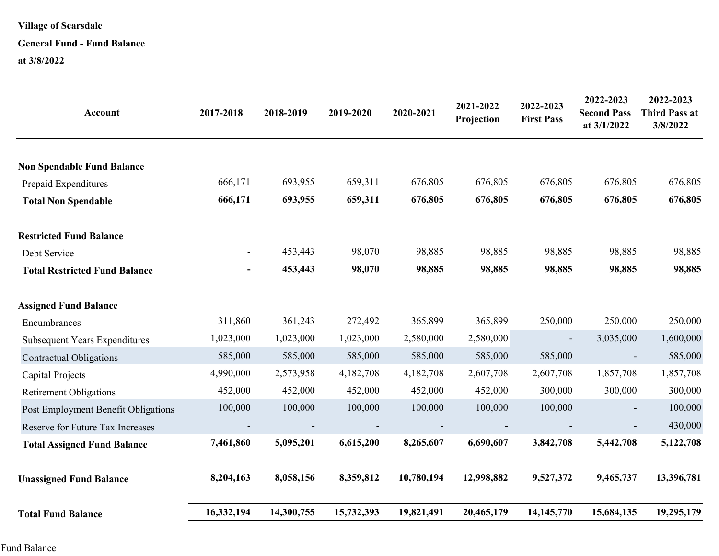#### **General Fund - Fund Balance**

| Account                              | 2017-2018      | 2018-2019  | 2019-2020  | 2020-2021  | 2021-2022<br>Projection | 2022-2023<br><b>First Pass</b> | 2022-2023<br><b>Second Pass</b><br>at 3/1/2022 | 2022-2023<br><b>Third Pass at</b><br>3/8/2022 |
|--------------------------------------|----------------|------------|------------|------------|-------------------------|--------------------------------|------------------------------------------------|-----------------------------------------------|
| <b>Non Spendable Fund Balance</b>    |                |            |            |            |                         |                                |                                                |                                               |
| Prepaid Expenditures                 | 666,171        | 693,955    | 659,311    | 676,805    | 676,805                 | 676,805                        | 676,805                                        | 676,805                                       |
| <b>Total Non Spendable</b>           | 666,171        | 693,955    | 659,311    | 676,805    | 676,805                 | 676,805                        | 676,805                                        | 676,805                                       |
| <b>Restricted Fund Balance</b>       |                |            |            |            |                         |                                |                                                |                                               |
| Debt Service                         | $\blacksquare$ | 453,443    | 98,070     | 98,885     | 98,885                  | 98,885                         | 98,885                                         | 98,885                                        |
| <b>Total Restricted Fund Balance</b> |                | 453,443    | 98,070     | 98,885     | 98,885                  | 98,885                         | 98,885                                         | 98,885                                        |
| <b>Assigned Fund Balance</b>         |                |            |            |            |                         |                                |                                                |                                               |
| Encumbrances                         | 311,860        | 361,243    | 272,492    | 365,899    | 365,899                 | 250,000                        | 250,000                                        | 250,000                                       |
| <b>Subsequent Years Expenditures</b> | 1,023,000      | 1,023,000  | 1,023,000  | 2,580,000  | 2,580,000               | $\overline{\phantom{a}}$       | 3,035,000                                      | 1,600,000                                     |
| <b>Contractual Obligations</b>       | 585,000        | 585,000    | 585,000    | 585,000    | 585,000                 | 585,000                        |                                                | 585,000                                       |
| Capital Projects                     | 4,990,000      | 2,573,958  | 4,182,708  | 4,182,708  | 2,607,708               | 2,607,708                      | 1,857,708                                      | 1,857,708                                     |
| <b>Retirement Obligations</b>        | 452,000        | 452,000    | 452,000    | 452,000    | 452,000                 | 300,000                        | 300,000                                        | 300,000                                       |
| Post Employment Benefit Obligations  | 100,000        | 100,000    | 100,000    | 100,000    | 100,000                 | 100,000                        |                                                | 100,000                                       |
| Reserve for Future Tax Increases     |                |            |            |            |                         |                                |                                                | 430,000                                       |
| <b>Total Assigned Fund Balance</b>   | 7,461,860      | 5,095,201  | 6,615,200  | 8,265,607  | 6,690,607               | 3,842,708                      | 5,442,708                                      | 5,122,708                                     |
| <b>Unassigned Fund Balance</b>       | 8,204,163      | 8,058,156  | 8,359,812  | 10,780,194 | 12,998,882              | 9,527,372                      | 9,465,737                                      | 13,396,781                                    |
| <b>Total Fund Balance</b>            | 16,332,194     | 14,300,755 | 15,732,393 | 19,821,491 | 20,465,179              | 14,145,770                     | 15,684,135                                     | 19,295,179                                    |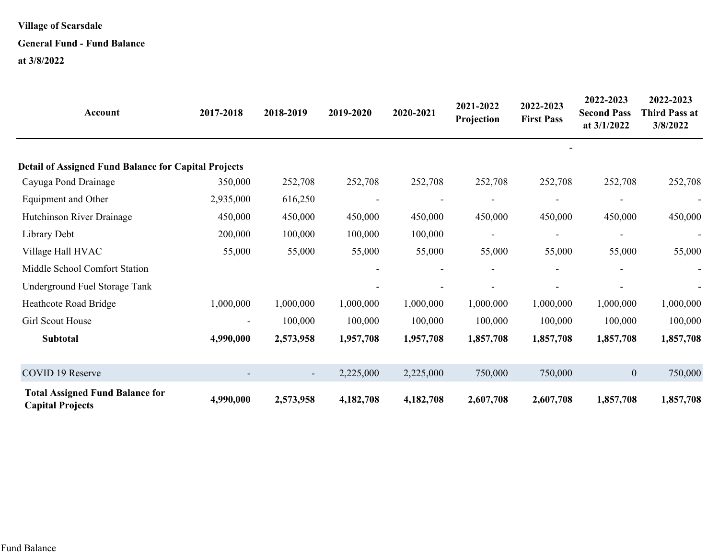#### **General Fund - Fund Balance**

| Account                                                           | 2017-2018 | 2018-2019 | 2019-2020 | 2020-2021 | 2021-2022<br>Projection | 2022-2023<br><b>First Pass</b> | 2022-2023<br><b>Second Pass</b><br>at $3/1/2022$ | 2022-2023<br><b>Third Pass at</b><br>3/8/2022 |
|-------------------------------------------------------------------|-----------|-----------|-----------|-----------|-------------------------|--------------------------------|--------------------------------------------------|-----------------------------------------------|
|                                                                   |           |           |           |           |                         |                                |                                                  |                                               |
| <b>Detail of Assigned Fund Balance for Capital Projects</b>       |           |           |           |           |                         |                                |                                                  |                                               |
| Cayuga Pond Drainage                                              | 350,000   | 252,708   | 252,708   | 252,708   | 252,708                 | 252,708                        | 252,708                                          | 252,708                                       |
| Equipment and Other                                               | 2,935,000 | 616,250   |           |           |                         |                                |                                                  |                                               |
| Hutchinson River Drainage                                         | 450,000   | 450,000   | 450,000   | 450,000   | 450,000                 | 450,000                        | 450,000                                          | 450,000                                       |
| Library Debt                                                      | 200,000   | 100,000   | 100,000   | 100,000   |                         |                                |                                                  |                                               |
| Village Hall HVAC                                                 | 55,000    | 55,000    | 55,000    | 55,000    | 55,000                  | 55,000                         | 55,000                                           | 55,000                                        |
| Middle School Comfort Station                                     |           |           |           |           |                         |                                |                                                  |                                               |
| Underground Fuel Storage Tank                                     |           |           |           |           |                         |                                |                                                  |                                               |
| Heathcote Road Bridge                                             | 1,000,000 | 1,000,000 | 1,000,000 | 1,000,000 | 1,000,000               | 1,000,000                      | 1,000,000                                        | 1,000,000                                     |
| Girl Scout House                                                  |           | 100,000   | 100,000   | 100,000   | 100,000                 | 100,000                        | 100,000                                          | 100,000                                       |
| Subtotal                                                          | 4,990,000 | 2,573,958 | 1,957,708 | 1,957,708 | 1,857,708               | 1,857,708                      | 1,857,708                                        | 1,857,708                                     |
| COVID 19 Reserve                                                  |           |           | 2,225,000 | 2,225,000 | 750,000                 | 750,000                        | $\boldsymbol{0}$                                 | 750,000                                       |
| <b>Total Assigned Fund Balance for</b><br><b>Capital Projects</b> | 4,990,000 | 2,573,958 | 4,182,708 | 4,182,708 | 2,607,708               | 2,607,708                      | 1,857,708                                        | 1,857,708                                     |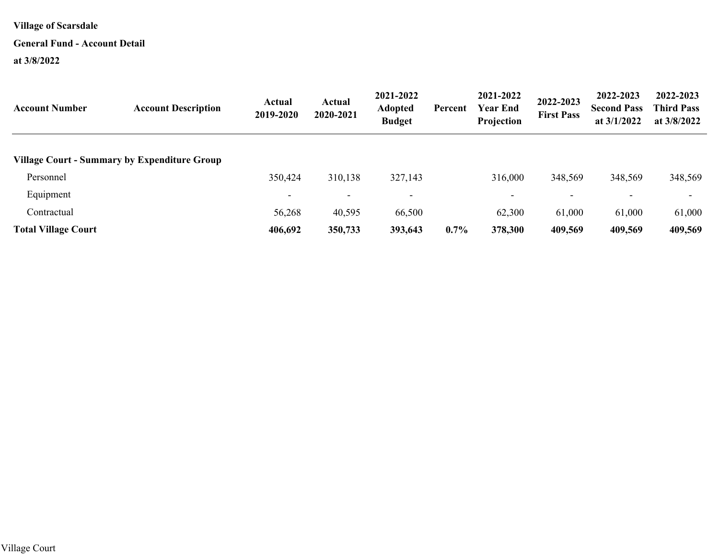#### **General Fund - Account Detail**

| <b>Account Number</b>      | <b>Account Description</b>                   | Actual<br>2019-2020      | <b>Actual</b><br>2020-2021 | 2021-2022<br><b>Adopted</b><br><b>Budget</b> | Percent | 2021-2022<br><b>Year End</b><br>Projection | 2022-2023<br><b>First Pass</b> | 2022-2023<br><b>Second Pass</b><br>at $3/1/2022$ | 2022-2023<br><b>Third Pass</b><br>at 3/8/2022 |
|----------------------------|----------------------------------------------|--------------------------|----------------------------|----------------------------------------------|---------|--------------------------------------------|--------------------------------|--------------------------------------------------|-----------------------------------------------|
|                            | Village Court - Summary by Expenditure Group |                          |                            |                                              |         |                                            |                                |                                                  |                                               |
| Personnel                  |                                              | 350,424                  | 310,138                    | 327,143                                      |         | 316,000                                    | 348,569                        | 348,569                                          | 348,569                                       |
| Equipment                  |                                              | $\overline{\phantom{0}}$ | $\overline{\phantom{0}}$   | $\overline{\phantom{0}}$                     |         | $\overline{\phantom{0}}$                   | $\overline{\phantom{0}}$       | $\overline{\phantom{0}}$                         | $\overline{\phantom{a}}$                      |
| Contractual                |                                              | 56,268                   | 40,595                     | 66,500                                       |         | 62,300                                     | 61,000                         | 61,000                                           | 61,000                                        |
| <b>Total Village Court</b> |                                              | 406,692                  | 350,733                    | 393,643                                      | 0.7%    | 378,300                                    | 409,569                        | 409,569                                          | 409,569                                       |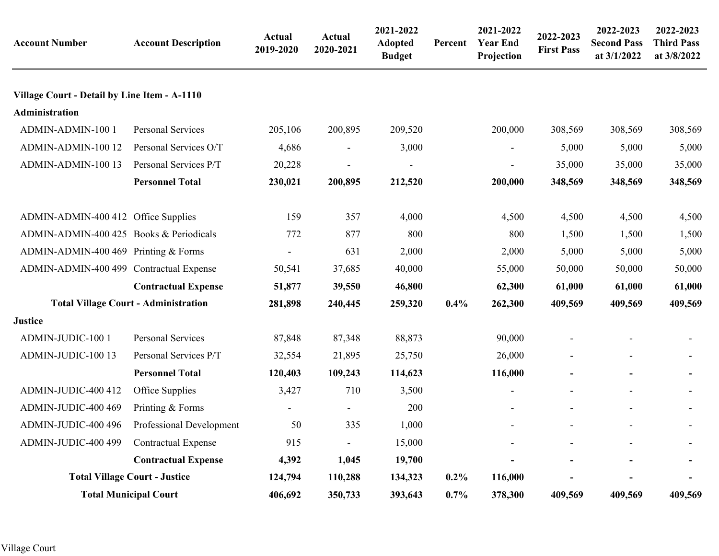| <b>Account Number</b>                        | <b>Account Description</b>                  | Actual<br>2019-2020 | <b>Actual</b><br>2020-2021 | 2021-2022<br><b>Adopted</b><br><b>Budget</b> | Percent | 2021-2022<br><b>Year End</b><br>Projection | 2022-2023<br><b>First Pass</b> | 2022-2023<br><b>Second Pass</b><br>at 3/1/2022 | 2022-2023<br><b>Third Pass</b><br>at 3/8/2022 |
|----------------------------------------------|---------------------------------------------|---------------------|----------------------------|----------------------------------------------|---------|--------------------------------------------|--------------------------------|------------------------------------------------|-----------------------------------------------|
| Village Court - Detail by Line Item - A-1110 |                                             |                     |                            |                                              |         |                                            |                                |                                                |                                               |
| <b>Administration</b>                        |                                             |                     |                            |                                              |         |                                            |                                |                                                |                                               |
| ADMIN-ADMIN-100 1                            | <b>Personal Services</b>                    | 205,106             | 200,895                    | 209,520                                      |         | 200,000                                    | 308,569                        | 308,569                                        | 308,569                                       |
| ADMIN-ADMIN-100 12                           | Personal Services O/T                       | 4,686               | $\overline{\phantom{a}}$   | 3,000                                        |         |                                            | 5,000                          | 5,000                                          | 5,000                                         |
| ADMIN-ADMIN-100 13                           | Personal Services P/T                       | 20,228              |                            |                                              |         | $\overline{\phantom{a}}$                   | 35,000                         | 35,000                                         | 35,000                                        |
|                                              | <b>Personnel Total</b>                      | 230,021             | 200,895                    | 212,520                                      |         | 200,000                                    | 348,569                        | 348,569                                        | 348,569                                       |
| ADMIN-ADMIN-400 412 Office Supplies          |                                             | 159                 | 357                        | 4,000                                        |         | 4,500                                      | 4,500                          | 4,500                                          | 4,500                                         |
| ADMIN-ADMIN-400 425 Books & Periodicals      |                                             | 772                 | 877                        | 800                                          |         | 800                                        | 1,500                          | 1,500                                          | 1,500                                         |
| ADMIN-ADMIN-400 469 Printing & Forms         |                                             |                     | 631                        | 2,000                                        |         | 2,000                                      | 5,000                          | 5,000                                          | 5,000                                         |
| ADMIN-ADMIN-400 499 Contractual Expense      |                                             | 50,541              | 37,685                     | 40,000                                       |         | 55,000                                     | 50,000                         | 50,000                                         | 50,000                                        |
|                                              | <b>Contractual Expense</b>                  | 51,877              | 39,550                     | 46,800                                       |         | 62,300                                     | 61,000                         | 61,000                                         | 61,000                                        |
|                                              | <b>Total Village Court - Administration</b> | 281,898             | 240,445                    | 259,320                                      | 0.4%    | 262,300                                    | 409,569                        | 409,569                                        | 409,569                                       |
| <b>Justice</b>                               |                                             |                     |                            |                                              |         |                                            |                                |                                                |                                               |
| ADMIN-JUDIC-100 1                            | Personal Services                           | 87,848              | 87,348                     | 88,873                                       |         | 90,000                                     |                                |                                                |                                               |
| ADMIN-JUDIC-100 13                           | Personal Services P/T                       | 32,554              | 21,895                     | 25,750                                       |         | 26,000                                     | $\blacksquare$                 | $\blacksquare$                                 |                                               |
|                                              | <b>Personnel Total</b>                      | 120,403             | 109,243                    | 114,623                                      |         | 116,000                                    |                                |                                                |                                               |
| ADMIN-JUDIC-400 412                          | Office Supplies                             | 3,427               | 710                        | 3,500                                        |         | Ξ.                                         |                                |                                                |                                               |
| ADMIN-JUDIC-400 469                          | Printing & Forms                            |                     | $\overline{\phantom{a}}$   | 200                                          |         |                                            |                                |                                                |                                               |
| ADMIN-JUDIC-400 496                          | Professional Development                    | 50                  | 335                        | 1,000                                        |         |                                            |                                |                                                |                                               |
| ADMIN-JUDIC-400 499                          | <b>Contractual Expense</b>                  | 915                 | $\overline{\phantom{a}}$   | 15,000                                       |         |                                            |                                |                                                |                                               |
|                                              | <b>Contractual Expense</b>                  | 4,392               | 1,045                      | 19,700                                       |         |                                            |                                |                                                |                                               |
|                                              | <b>Total Village Court - Justice</b>        | 124,794             | 110,288                    | 134,323                                      | $0.2\%$ | 116,000                                    |                                |                                                |                                               |
|                                              | <b>Total Municipal Court</b>                | 406,692             | 350,733                    | 393,643                                      | $0.7\%$ | 378,300                                    | 409,569                        | 409,569                                        | 409,569                                       |
|                                              |                                             |                     |                            |                                              |         |                                            |                                |                                                |                                               |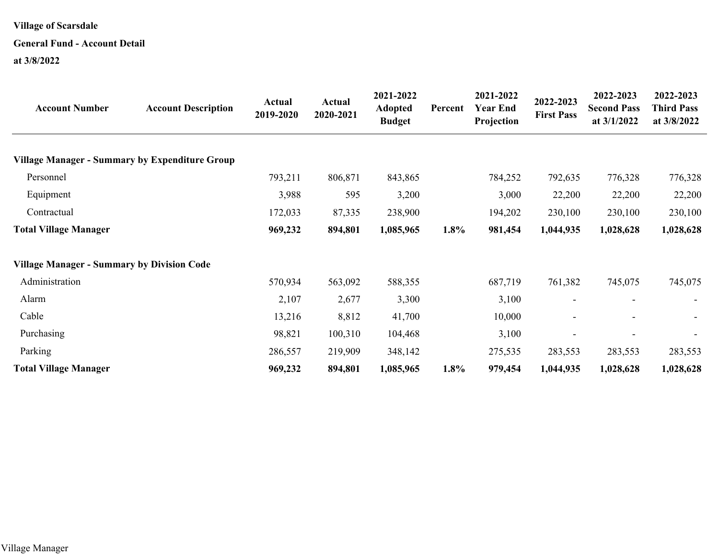#### **General Fund - Account Detail**

| <b>Account Number</b>                                 | <b>Account Description</b> | Actual<br>2019-2020 | <b>Actual</b><br>2020-2021 | 2021-2022<br><b>Adopted</b><br><b>Budget</b> | Percent | 2021-2022<br><b>Year End</b><br>Projection | 2022-2023<br><b>First Pass</b> | 2022-2023<br><b>Second Pass</b><br>at $3/1/2022$ | 2022-2023<br><b>Third Pass</b><br>at 3/8/2022 |
|-------------------------------------------------------|----------------------------|---------------------|----------------------------|----------------------------------------------|---------|--------------------------------------------|--------------------------------|--------------------------------------------------|-----------------------------------------------|
| <b>Village Manager - Summary by Expenditure Group</b> |                            |                     |                            |                                              |         |                                            |                                |                                                  |                                               |
| Personnel                                             |                            | 793,211             | 806,871                    | 843,865                                      |         | 784,252                                    | 792,635                        | 776,328                                          | 776,328                                       |
| Equipment                                             |                            | 3,988               | 595                        | 3,200                                        |         | 3,000                                      | 22,200                         | 22,200                                           | 22,200                                        |
| Contractual                                           |                            | 172,033             | 87,335                     | 238,900                                      |         | 194,202                                    | 230,100                        | 230,100                                          | 230,100                                       |
| <b>Total Village Manager</b>                          |                            | 969,232             | 894,801                    | 1,085,965                                    | 1.8%    | 981,454                                    | 1,044,935                      | 1,028,628                                        | 1,028,628                                     |
| <b>Village Manager - Summary by Division Code</b>     |                            |                     |                            |                                              |         |                                            |                                |                                                  |                                               |
| Administration                                        |                            | 570,934             | 563,092                    | 588,355                                      |         | 687,719                                    | 761,382                        | 745,075                                          | 745,075                                       |
| Alarm                                                 |                            | 2,107               | 2,677                      | 3,300                                        |         | 3,100                                      |                                |                                                  |                                               |
| Cable                                                 |                            | 13,216              | 8,812                      | 41,700                                       |         | 10,000                                     |                                |                                                  | $\overline{\phantom{a}}$                      |
| Purchasing                                            |                            | 98,821              | 100,310                    | 104,468                                      |         | 3,100                                      |                                |                                                  |                                               |
| Parking                                               |                            | 286,557             | 219,909                    | 348,142                                      |         | 275,535                                    | 283,553                        | 283,553                                          | 283,553                                       |
| <b>Total Village Manager</b>                          |                            | 969,232             | 894,801                    | 1,085,965                                    | 1.8%    | 979,454                                    | 1,044,935                      | 1,028,628                                        | 1,028,628                                     |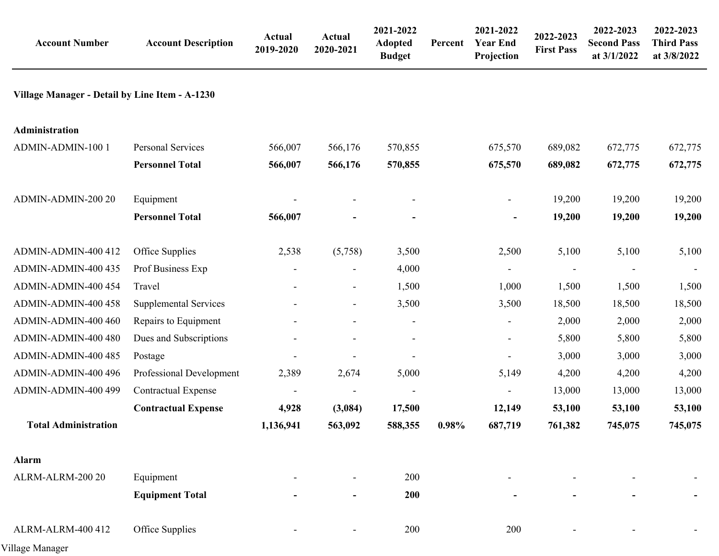| <b>Account Number</b>                          | <b>Account Description</b>   | Actual<br>2019-2020      | Actual<br>2020-2021      | 2021-2022<br><b>Adopted</b><br><b>Budget</b> | Percent | 2021-2022<br><b>Year End</b><br>Projection | 2022-2023<br><b>First Pass</b> | 2022-2023<br><b>Second Pass</b><br>at 3/1/2022 | 2022-2023<br><b>Third Pass</b><br>at 3/8/2022 |
|------------------------------------------------|------------------------------|--------------------------|--------------------------|----------------------------------------------|---------|--------------------------------------------|--------------------------------|------------------------------------------------|-----------------------------------------------|
| Village Manager - Detail by Line Item - A-1230 |                              |                          |                          |                                              |         |                                            |                                |                                                |                                               |
| <b>Administration</b>                          |                              |                          |                          |                                              |         |                                            |                                |                                                |                                               |
| ADMIN-ADMIN-100 1                              | Personal Services            | 566,007                  | 566,176                  | 570,855                                      |         | 675,570                                    | 689,082                        | 672,775                                        | 672,775                                       |
|                                                | <b>Personnel Total</b>       | 566,007                  | 566,176                  | 570,855                                      |         | 675,570                                    | 689,082                        | 672,775                                        | 672,775                                       |
| ADMIN-ADMIN-200 20                             | Equipment                    |                          |                          |                                              |         | $\overline{\phantom{a}}$                   | 19,200                         | 19,200                                         | 19,200                                        |
|                                                | <b>Personnel Total</b>       | 566,007                  |                          |                                              |         | $\blacksquare$                             | 19,200                         | 19,200                                         | 19,200                                        |
| ADMIN-ADMIN-400 412                            | Office Supplies              | 2,538                    | (5,758)                  | 3,500                                        |         | 2,500                                      | 5,100                          | 5,100                                          | 5,100                                         |
| ADMIN-ADMIN-400 435                            | Prof Business Exp            |                          |                          | 4,000                                        |         |                                            |                                |                                                |                                               |
| ADMIN-ADMIN-400 454                            | Travel                       |                          | $\blacksquare$           | 1,500                                        |         | 1,000                                      | 1,500                          | 1,500                                          | 1,500                                         |
| ADMIN-ADMIN-400 458                            | <b>Supplemental Services</b> |                          | $\overline{\phantom{a}}$ | 3,500                                        |         | 3,500                                      | 18,500                         | 18,500                                         | 18,500                                        |
| ADMIN-ADMIN-400 460                            | Repairs to Equipment         |                          | $\overline{\phantom{a}}$ | $\blacksquare$                               |         | $\blacksquare$                             | 2,000                          | 2,000                                          | 2,000                                         |
| ADMIN-ADMIN-400 480                            | Dues and Subscriptions       |                          |                          |                                              |         |                                            | 5,800                          | 5,800                                          | 5,800                                         |
| ADMIN-ADMIN-400 485                            | Postage                      |                          |                          |                                              |         |                                            | 3,000                          | 3,000                                          | 3,000                                         |
| ADMIN-ADMIN-400 496                            | Professional Development     | 2,389                    | 2,674                    | 5,000                                        |         | 5,149                                      | 4,200                          | 4,200                                          | 4,200                                         |
| ADMIN-ADMIN-400 499                            | <b>Contractual Expense</b>   | $\overline{\phantom{a}}$ |                          |                                              |         |                                            | 13,000                         | 13,000                                         | 13,000                                        |
|                                                | <b>Contractual Expense</b>   | 4,928                    | (3,084)                  | 17,500                                       |         | 12,149                                     | 53,100                         | 53,100                                         | 53,100                                        |
| <b>Total Administration</b>                    |                              | 1,136,941                | 563,092                  | 588,355                                      | 0.98%   | 687,719                                    | 761,382                        | 745,075                                        | 745,075                                       |
| <b>Alarm</b>                                   |                              |                          |                          |                                              |         |                                            |                                |                                                |                                               |
| ALRM-ALRM-200 20                               | Equipment                    |                          |                          | 200                                          |         |                                            |                                |                                                |                                               |
|                                                | <b>Equipment Total</b>       |                          |                          | 200                                          |         |                                            |                                |                                                |                                               |
| ALRM-ALRM-400 412                              | Office Supplies              |                          |                          | 200                                          |         | 200                                        |                                |                                                |                                               |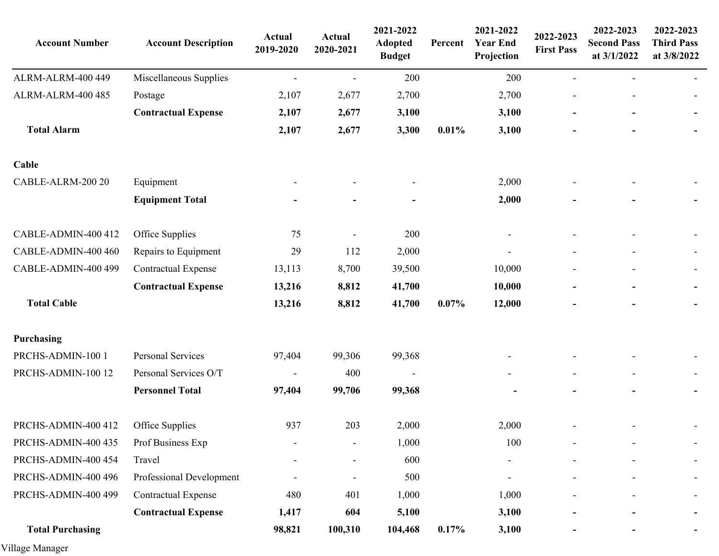| <b>Account Number</b>   | <b>Account Description</b> | Actual<br>2019-2020 | <b>Actual</b><br>2020-2021 | 2021-2022<br><b>Adopted</b><br><b>Budget</b> | Percent | 2021-2022<br><b>Year End</b><br>Projection | 2022-2023<br><b>First Pass</b> | 2022-2023<br><b>Second Pass</b><br>at 3/1/2022 | 2022-2023<br><b>Third Pass</b><br>at 3/8/2022 |
|-------------------------|----------------------------|---------------------|----------------------------|----------------------------------------------|---------|--------------------------------------------|--------------------------------|------------------------------------------------|-----------------------------------------------|
| ALRM-ALRM-400 449       | Miscellaneous Supplies     |                     |                            | 200                                          |         | 200                                        |                                |                                                |                                               |
| ALRM-ALRM-400 485       | Postage                    | 2,107               | 2,677                      | 2,700                                        |         | 2,700                                      |                                |                                                |                                               |
|                         | <b>Contractual Expense</b> | 2,107               | 2,677                      | 3,100                                        |         | 3,100                                      |                                |                                                | $\blacksquare$                                |
| <b>Total Alarm</b>      |                            | 2,107               | 2,677                      | 3,300                                        | 0.01%   | 3,100                                      |                                |                                                | ۰.                                            |
| Cable                   |                            |                     |                            |                                              |         |                                            |                                |                                                |                                               |
| CABLE-ALRM-200 20       | Equipment                  |                     |                            |                                              |         | 2,000                                      |                                |                                                |                                               |
|                         | <b>Equipment Total</b>     |                     |                            |                                              |         | 2,000                                      |                                |                                                |                                               |
| CABLE-ADMIN-400 412     | Office Supplies            | 75                  |                            | 200                                          |         | $\overline{\phantom{a}}$                   |                                |                                                |                                               |
| CABLE-ADMIN-400 460     | Repairs to Equipment       | 29                  | 112                        | 2,000                                        |         |                                            |                                |                                                |                                               |
| CABLE-ADMIN-400 499     | <b>Contractual Expense</b> | 13,113              | 8,700                      | 39,500                                       |         | 10,000                                     |                                |                                                | $\overline{\phantom{0}}$                      |
|                         | <b>Contractual Expense</b> | 13,216              | 8,812                      | 41,700                                       |         | 10,000                                     |                                |                                                | ۰                                             |
| <b>Total Cable</b>      |                            | 13,216              | 8,812                      | 41,700                                       | 0.07%   | 12,000                                     |                                |                                                | ٠                                             |
| Purchasing              |                            |                     |                            |                                              |         |                                            |                                |                                                |                                               |
| PRCHS-ADMIN-100 1       | Personal Services          | 97,404              | 99,306                     | 99,368                                       |         |                                            |                                |                                                |                                               |
| PRCHS-ADMIN-100 12      | Personal Services O/T      | $\blacksquare$      | 400                        | $\blacksquare$                               |         |                                            |                                |                                                |                                               |
|                         | <b>Personnel Total</b>     | 97,404              | 99,706                     | 99,368                                       |         |                                            |                                |                                                | ۰.                                            |
| PRCHS-ADMIN-400 412     | Office Supplies            | 937                 | 203                        | 2,000                                        |         | 2,000                                      |                                |                                                |                                               |
| PRCHS-ADMIN-400 435     | Prof Business Exp          |                     |                            | 1,000                                        |         | 100                                        |                                |                                                |                                               |
| PRCHS-ADMIN-400 454     | Travel                     |                     |                            | 600                                          |         |                                            |                                |                                                |                                               |
| PRCHS-ADMIN-400 496     | Professional Development   |                     |                            | 500                                          |         |                                            |                                |                                                |                                               |
| PRCHS-ADMIN-400 499     | <b>Contractual Expense</b> | 480                 | 401                        | 1,000                                        |         | 1,000                                      |                                |                                                | $\overline{\phantom{0}}$                      |
|                         | <b>Contractual Expense</b> | 1,417               | 604                        | 5,100                                        |         | 3,100                                      |                                |                                                |                                               |
| <b>Total Purchasing</b> |                            | 98,821              | 100,310                    | 104,468                                      | 0.17%   | 3,100                                      |                                |                                                |                                               |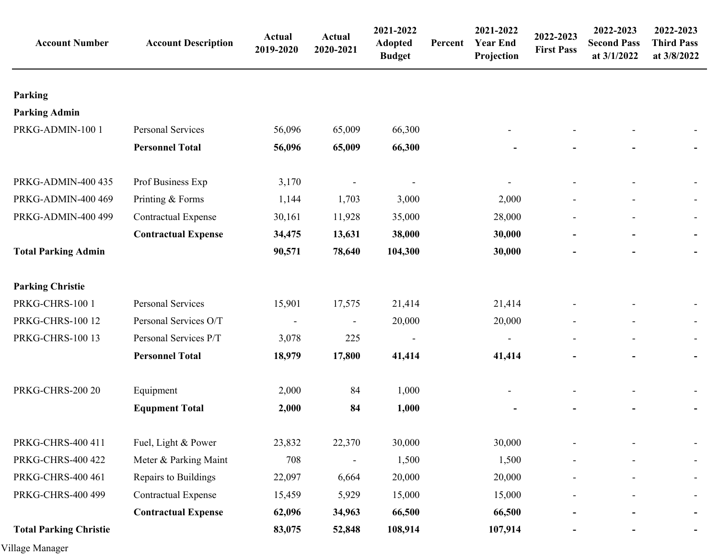| <b>Account Number</b>         | <b>Account Description</b> | Actual<br>2019-2020      | Actual<br>2020-2021      | 2021-2022<br><b>Adopted</b><br><b>Budget</b> | Percent | 2021-2022<br><b>Year End</b><br>Projection | 2022-2023<br><b>First Pass</b> | 2022-2023<br><b>Second Pass</b><br>at 3/1/2022 | 2022-2023<br><b>Third Pass</b><br>at 3/8/2022 |
|-------------------------------|----------------------------|--------------------------|--------------------------|----------------------------------------------|---------|--------------------------------------------|--------------------------------|------------------------------------------------|-----------------------------------------------|
| Parking                       |                            |                          |                          |                                              |         |                                            |                                |                                                |                                               |
| <b>Parking Admin</b>          |                            |                          |                          |                                              |         |                                            |                                |                                                |                                               |
| PRKG-ADMIN-100 1              | Personal Services          | 56,096                   | 65,009                   | 66,300                                       |         |                                            |                                |                                                |                                               |
|                               | <b>Personnel Total</b>     | 56,096                   | 65,009                   | 66,300                                       |         |                                            |                                |                                                |                                               |
| PRKG-ADMIN-400 435            | Prof Business Exp          | 3,170                    |                          |                                              |         |                                            |                                |                                                |                                               |
| PRKG-ADMIN-400 469            | Printing & Forms           | 1,144                    | 1,703                    | 3,000                                        |         | 2,000                                      |                                |                                                |                                               |
| PRKG-ADMIN-400 499            | <b>Contractual Expense</b> | 30,161                   | 11,928                   | 35,000                                       |         | 28,000                                     |                                |                                                | Ξ.                                            |
|                               | <b>Contractual Expense</b> | 34,475                   | 13,631                   | 38,000                                       |         | 30,000                                     |                                |                                                | $\blacksquare$                                |
| <b>Total Parking Admin</b>    |                            | 90,571                   | 78,640                   | 104,300                                      |         | 30,000                                     |                                |                                                |                                               |
| <b>Parking Christie</b>       |                            |                          |                          |                                              |         |                                            |                                |                                                |                                               |
| PRKG-CHRS-100 1               | Personal Services          | 15,901                   | 17,575                   | 21,414                                       |         | 21,414                                     |                                |                                                |                                               |
| <b>PRKG-CHRS-100 12</b>       | Personal Services O/T      | $\overline{\phantom{a}}$ | $\overline{\phantom{a}}$ | 20,000                                       |         | 20,000                                     |                                |                                                | $\overline{\phantom{a}}$                      |
| <b>PRKG-CHRS-100 13</b>       | Personal Services P/T      | 3,078                    | 225                      |                                              |         | $\blacksquare$                             |                                |                                                |                                               |
|                               | <b>Personnel Total</b>     | 18,979                   | 17,800                   | 41,414                                       |         | 41,414                                     |                                |                                                | ۰.                                            |
| <b>PRKG-CHRS-200 20</b>       | Equipment                  | 2,000                    | 84                       | 1,000                                        |         |                                            |                                |                                                |                                               |
|                               | <b>Equpment Total</b>      | 2,000                    | 84                       | 1,000                                        |         |                                            |                                |                                                |                                               |
| PRKG-CHRS-400 411             | Fuel, Light & Power        | 23,832                   | 22,370                   | 30,000                                       |         | 30,000                                     |                                |                                                |                                               |
| <b>PRKG-CHRS-400 422</b>      | Meter & Parking Maint      | 708                      |                          | 1,500                                        |         | 1,500                                      |                                |                                                |                                               |
| PRKG-CHRS-400 461             | Repairs to Buildings       | 22,097                   | 6,664                    | 20,000                                       |         | 20,000                                     |                                |                                                |                                               |
| PRKG-CHRS-400 499             | <b>Contractual Expense</b> | 15,459                   | 5,929                    | 15,000                                       |         | 15,000                                     |                                |                                                | $\blacksquare$                                |
|                               | <b>Contractual Expense</b> | 62,096                   | 34,963                   | 66,500                                       |         | 66,500                                     |                                |                                                |                                               |
| <b>Total Parking Christie</b> |                            | 83,075                   | 52,848                   | 108,914                                      |         | 107,914                                    |                                |                                                |                                               |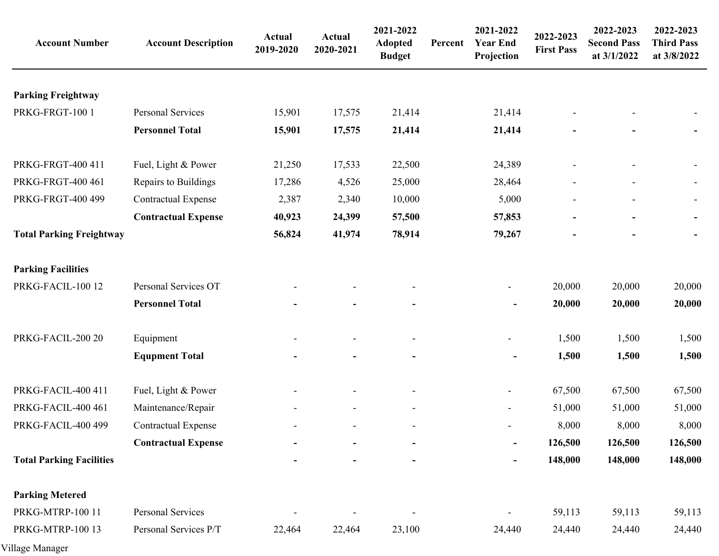| <b>Account Number</b>           | <b>Account Description</b> | Actual<br>2019-2020 | <b>Actual</b><br>2020-2021 | 2021-2022<br><b>Adopted</b><br><b>Budget</b> | Percent | 2021-2022<br><b>Year End</b><br>Projection | 2022-2023<br><b>First Pass</b> | 2022-2023<br><b>Second Pass</b><br>at 3/1/2022 | 2022-2023<br><b>Third Pass</b><br>at 3/8/2022 |
|---------------------------------|----------------------------|---------------------|----------------------------|----------------------------------------------|---------|--------------------------------------------|--------------------------------|------------------------------------------------|-----------------------------------------------|
| <b>Parking Freightway</b>       |                            |                     |                            |                                              |         |                                            |                                |                                                |                                               |
| PRKG-FRGT-100 1                 | Personal Services          | 15,901              | 17,575                     | 21,414                                       |         | 21,414                                     |                                |                                                |                                               |
|                                 | <b>Personnel Total</b>     | 15,901              | 17,575                     | 21,414                                       |         | 21,414                                     |                                |                                                |                                               |
| PRKG-FRGT-400 411               | Fuel, Light & Power        | 21,250              | 17,533                     | 22,500                                       |         | 24,389                                     |                                |                                                |                                               |
| PRKG-FRGT-400 461               | Repairs to Buildings       | 17,286              | 4,526                      | 25,000                                       |         | 28,464                                     |                                |                                                |                                               |
| PRKG-FRGT-400 499               | <b>Contractual Expense</b> | 2,387               | 2,340                      | 10,000                                       |         | 5,000                                      |                                |                                                |                                               |
|                                 | <b>Contractual Expense</b> | 40,923              | 24,399                     | 57,500                                       |         | 57,853                                     |                                |                                                |                                               |
| <b>Total Parking Freightway</b> |                            | 56,824              | 41,974                     | 78,914                                       |         | 79,267                                     |                                |                                                |                                               |
| <b>Parking Facilities</b>       |                            |                     |                            |                                              |         |                                            |                                |                                                |                                               |
| PRKG-FACIL-100 12               | Personal Services OT       |                     |                            |                                              |         |                                            | 20,000                         | 20,000                                         | 20,000                                        |
|                                 | <b>Personnel Total</b>     |                     |                            |                                              |         | $\overline{a}$                             | 20,000                         | 20,000                                         | 20,000                                        |
| PRKG-FACIL-200 20               | Equipment                  |                     |                            |                                              |         |                                            | 1,500                          | 1,500                                          | 1,500                                         |
|                                 | <b>Equpment Total</b>      |                     |                            |                                              |         | $\overline{a}$                             | 1,500                          | 1,500                                          | 1,500                                         |
| PRKG-FACIL-400 411              | Fuel, Light & Power        |                     |                            |                                              |         | $\overline{\phantom{a}}$                   | 67,500                         | 67,500                                         | 67,500                                        |
| PRKG-FACIL-400 461              | Maintenance/Repair         |                     |                            | $\overline{\phantom{a}}$                     |         | $\overline{\phantom{a}}$                   | 51,000                         | 51,000                                         | 51,000                                        |
| PRKG-FACIL-400 499              | <b>Contractual Expense</b> |                     |                            | $\overline{\phantom{a}}$                     |         |                                            | 8,000                          | 8,000                                          | 8,000                                         |
|                                 | <b>Contractual Expense</b> |                     |                            |                                              |         |                                            | 126,500                        | 126,500                                        | 126,500                                       |
| <b>Total Parking Facilities</b> |                            |                     |                            |                                              |         |                                            | 148,000                        | 148,000                                        | 148,000                                       |
| <b>Parking Metered</b>          |                            |                     |                            |                                              |         |                                            |                                |                                                |                                               |
| PRKG-MTRP-100 11                | Personal Services          |                     |                            | $\overline{\phantom{a}}$                     |         |                                            | 59,113                         | 59,113                                         | 59,113                                        |
| PRKG-MTRP-100 13                | Personal Services P/T      | 22,464              | 22,464                     | 23,100                                       |         | 24,440                                     | 24,440                         | 24,440                                         | 24,440                                        |
|                                 |                            |                     |                            |                                              |         |                                            |                                |                                                |                                               |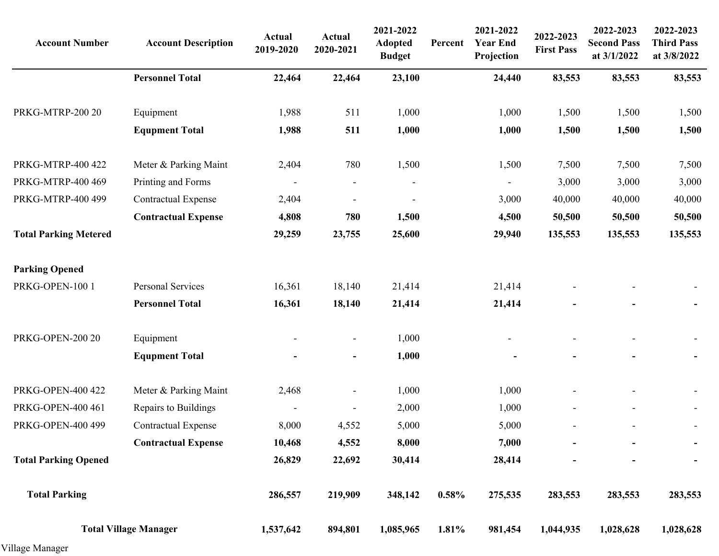| <b>Account Number</b>        | <b>Account Description</b>   | <b>Actual</b><br>2019-2020 | <b>Actual</b><br>2020-2021   | 2021-2022<br><b>Adopted</b><br><b>Budget</b> | Percent | 2021-2022<br><b>Year End</b><br>Projection | 2022-2023<br><b>First Pass</b> | 2022-2023<br><b>Second Pass</b><br>at 3/1/2022 | 2022-2023<br><b>Third Pass</b><br>at 3/8/2022 |
|------------------------------|------------------------------|----------------------------|------------------------------|----------------------------------------------|---------|--------------------------------------------|--------------------------------|------------------------------------------------|-----------------------------------------------|
|                              | <b>Personnel Total</b>       | 22,464                     | 22,464                       | 23,100                                       |         | 24,440                                     | 83,553                         | 83,553                                         | 83,553                                        |
| PRKG-MTRP-200 20             | Equipment                    | 1,988                      | 511                          | 1,000                                        |         | 1,000                                      | 1,500                          | 1,500                                          | 1,500                                         |
|                              | <b>Equpment Total</b>        | 1,988                      | 511                          | 1,000                                        |         | 1,000                                      | 1,500                          | 1,500                                          | 1,500                                         |
| PRKG-MTRP-400 422            | Meter & Parking Maint        | 2,404                      | 780                          | 1,500                                        |         | 1,500                                      | 7,500                          | 7,500                                          | 7,500                                         |
| PRKG-MTRP-400 469            | Printing and Forms           | $\overline{\phantom{a}}$   | $\overline{\phantom{a}}$     |                                              |         |                                            | 3,000                          | 3,000                                          | 3,000                                         |
| PRKG-MTRP-400 499            | <b>Contractual Expense</b>   | 2,404                      |                              |                                              |         | 3,000                                      | 40,000                         | 40,000                                         | 40,000                                        |
|                              | <b>Contractual Expense</b>   | 4,808                      | 780                          | 1,500                                        |         | 4,500                                      | 50,500                         | 50,500                                         | 50,500                                        |
| <b>Total Parking Metered</b> |                              | 29,259                     | 23,755                       | 25,600                                       |         | 29,940                                     | 135,553                        | 135,553                                        | 135,553                                       |
| <b>Parking Opened</b>        |                              |                            |                              |                                              |         |                                            |                                |                                                |                                               |
| PRKG-OPEN-100 1              | Personal Services            | 16,361                     | 18,140                       | 21,414                                       |         | 21,414                                     |                                |                                                |                                               |
|                              | <b>Personnel Total</b>       | 16,361                     | 18,140                       | 21,414                                       |         | 21,414                                     |                                |                                                |                                               |
| PRKG-OPEN-200 20             | Equipment                    |                            | $\overline{\phantom{a}}$     | 1,000                                        |         |                                            |                                |                                                |                                               |
|                              | <b>Equpment Total</b>        |                            | $\qquad \qquad \blacksquare$ | 1,000                                        |         |                                            |                                |                                                |                                               |
| PRKG-OPEN-400 422            | Meter & Parking Maint        | 2,468                      | $\qquad \qquad \blacksquare$ | 1,000                                        |         | 1,000                                      |                                |                                                |                                               |
| PRKG-OPEN-400 461            | Repairs to Buildings         | $\overline{\phantom{a}}$   | $\overline{\phantom{0}}$     | 2,000                                        |         | 1,000                                      |                                | $\overline{a}$                                 |                                               |
| <b>PRKG-OPEN-400 499</b>     | <b>Contractual Expense</b>   | 8,000                      | 4,552                        | 5,000                                        |         | 5,000                                      |                                |                                                |                                               |
|                              | <b>Contractual Expense</b>   | 10,468                     | 4,552                        | 8,000                                        |         | 7,000                                      |                                |                                                |                                               |
| <b>Total Parking Opened</b>  |                              | 26,829                     | 22,692                       | 30,414                                       |         | 28,414                                     |                                |                                                |                                               |
| <b>Total Parking</b>         |                              | 286,557                    | 219,909                      | 348,142                                      | 0.58%   | 275,535                                    | 283,553                        | 283,553                                        | 283,553                                       |
|                              | <b>Total Village Manager</b> | 1,537,642                  | 894,801                      | 1,085,965                                    | 1.81%   | 981,454                                    | 1,044,935                      | 1,028,628                                      | 1,028,628                                     |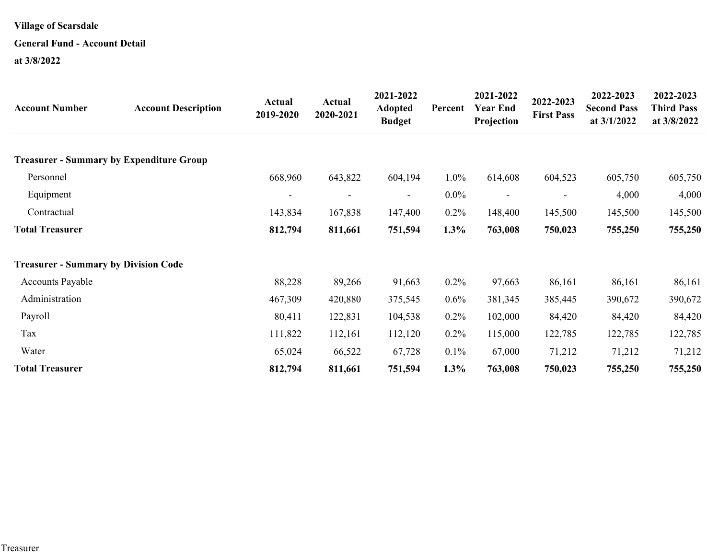#### **General Fund - Account Detail**

| <b>Account Number</b>                           | <b>Account Description</b> | Actual<br>2019-2020 | Actual<br>2020-2021 | 2021-2022<br><b>Adopted</b><br><b>Budget</b> | Percent | 2021-2022<br><b>Year End</b><br>Projection | 2022-2023<br><b>First Pass</b> | 2022-2023<br><b>Second Pass</b><br>at $3/1/2022$ | 2022-2023<br><b>Third Pass</b><br>at 3/8/2022 |
|-------------------------------------------------|----------------------------|---------------------|---------------------|----------------------------------------------|---------|--------------------------------------------|--------------------------------|--------------------------------------------------|-----------------------------------------------|
| <b>Treasurer - Summary by Expenditure Group</b> |                            |                     |                     |                                              |         |                                            |                                |                                                  |                                               |
| Personnel                                       |                            | 668,960             | 643,822             | 604,194                                      | 1.0%    | 614,608                                    | 604,523                        | 605,750                                          | 605,750                                       |
| Equipment                                       |                            |                     |                     |                                              | $0.0\%$ |                                            |                                |                                                  |                                               |
|                                                 |                            |                     |                     | $\overline{\phantom{a}}$                     |         | $\overline{\phantom{a}}$                   |                                | 4,000                                            | 4,000                                         |
| Contractual                                     |                            | 143,834             | 167,838             | 147,400                                      | $0.2\%$ | 148,400                                    | 145,500                        | 145,500                                          | 145,500                                       |
| <b>Total Treasurer</b>                          |                            | 812,794             | 811,661             | 751,594                                      | 1.3%    | 763,008                                    | 750,023                        | 755,250                                          | 755,250                                       |
| <b>Treasurer - Summary by Division Code</b>     |                            |                     |                     |                                              |         |                                            |                                |                                                  |                                               |
| <b>Accounts Payable</b>                         |                            | 88,228              | 89,266              | 91,663                                       | $0.2\%$ | 97,663                                     | 86,161                         | 86,161                                           | 86,161                                        |
| Administration                                  |                            | 467,309             | 420,880             | 375,545                                      | $0.6\%$ | 381,345                                    | 385,445                        | 390,672                                          | 390,672                                       |
| Payroll                                         |                            | 80,411              | 122,831             | 104,538                                      | $0.2\%$ | 102,000                                    | 84,420                         | 84,420                                           | 84,420                                        |
| Tax                                             |                            | 111,822             | 112,161             | 112,120                                      | $0.2\%$ | 115,000                                    | 122,785                        | 122,785                                          | 122,785                                       |
| Water                                           |                            | 65,024              | 66,522              | 67,728                                       | 0.1%    | 67,000                                     | 71,212                         | 71,212                                           | 71,212                                        |
| <b>Total Treasurer</b>                          |                            | 812,794             | 811,661             | 751,594                                      | 1.3%    | 763,008                                    | 750,023                        | 755,250                                          | 755,250                                       |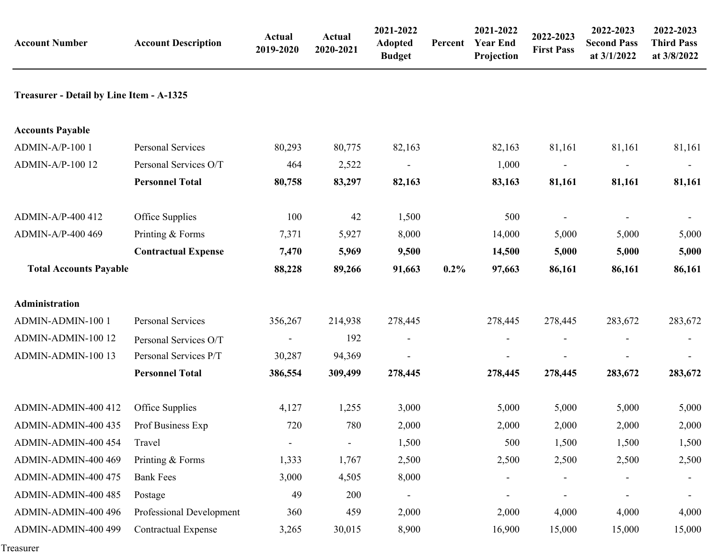| <b>Account Number</b>                    | <b>Account Description</b> | <b>Actual</b><br>2019-2020 | <b>Actual</b><br>2020-2021 | 2021-2022<br><b>Adopted</b><br><b>Budget</b> | Percent | 2021-2022<br><b>Year End</b><br>Projection | 2022-2023<br><b>First Pass</b> | 2022-2023<br><b>Second Pass</b><br>at 3/1/2022 | 2022-2023<br><b>Third Pass</b><br>at 3/8/2022 |
|------------------------------------------|----------------------------|----------------------------|----------------------------|----------------------------------------------|---------|--------------------------------------------|--------------------------------|------------------------------------------------|-----------------------------------------------|
| Treasurer - Detail by Line Item - A-1325 |                            |                            |                            |                                              |         |                                            |                                |                                                |                                               |
| <b>Accounts Payable</b>                  |                            |                            |                            |                                              |         |                                            |                                |                                                |                                               |
| ADMIN-A/P-100 1                          | Personal Services          | 80,293                     | 80,775                     | 82,163                                       |         | 82,163                                     | 81,161                         | 81,161                                         | 81,161                                        |
| ADMIN-A/P-100 12                         | Personal Services O/T      | 464                        | 2,522                      |                                              |         | 1,000                                      |                                |                                                |                                               |
|                                          | <b>Personnel Total</b>     | 80,758                     | 83,297                     | 82,163                                       |         | 83,163                                     | 81,161                         | 81,161                                         | 81,161                                        |
| ADMIN-A/P-400 412                        | Office Supplies            | 100                        | 42                         | 1,500                                        |         | 500                                        |                                |                                                |                                               |
| ADMIN-A/P-400 469                        | Printing & Forms           | 7,371                      | 5,927                      | 8,000                                        |         | 14,000                                     | 5,000                          | 5,000                                          | 5,000                                         |
|                                          | <b>Contractual Expense</b> | 7,470                      | 5,969                      | 9,500                                        |         | 14,500                                     | 5,000                          | 5,000                                          | 5,000                                         |
| <b>Total Accounts Payable</b>            |                            | 88,228                     | 89,266                     | 91,663                                       | $0.2\%$ | 97,663                                     | 86,161                         | 86,161                                         | 86,161                                        |
| Administration                           |                            |                            |                            |                                              |         |                                            |                                |                                                |                                               |
| ADMIN-ADMIN-100 1                        | Personal Services          | 356,267                    | 214,938                    | 278,445                                      |         | 278,445                                    | 278,445                        | 283,672                                        | 283,672                                       |
| ADMIN-ADMIN-100 12                       | Personal Services O/T      |                            | 192                        | $\overline{\phantom{a}}$                     |         |                                            |                                |                                                |                                               |
| ADMIN-ADMIN-100 13                       | Personal Services P/T      | 30,287                     | 94,369                     |                                              |         |                                            |                                |                                                |                                               |
|                                          | <b>Personnel Total</b>     | 386,554                    | 309,499                    | 278,445                                      |         | 278,445                                    | 278,445                        | 283,672                                        | 283,672                                       |
| ADMIN-ADMIN-400 412                      | Office Supplies            | 4,127                      | 1,255                      | 3,000                                        |         | 5,000                                      | 5,000                          | 5,000                                          | 5,000                                         |
| ADMIN-ADMIN-400 435                      | Prof Business Exp          | 720                        | 780                        | 2,000                                        |         | 2,000                                      | 2,000                          | 2,000                                          | 2,000                                         |
| ADMIN-ADMIN-400 454                      | Travel                     |                            |                            | 1,500                                        |         | 500                                        | 1,500                          | 1,500                                          | 1,500                                         |
| ADMIN-ADMIN-400 469                      | Printing & Forms           | 1,333                      | 1,767                      | 2,500                                        |         | 2,500                                      | 2,500                          | 2,500                                          | 2,500                                         |
| ADMIN-ADMIN-400 475                      | <b>Bank Fees</b>           | 3,000                      | 4,505                      | 8,000                                        |         | $\overline{a}$                             |                                |                                                |                                               |
| ADMIN-ADMIN-400 485                      | Postage                    | 49                         | 200                        |                                              |         |                                            |                                |                                                |                                               |
| ADMIN-ADMIN-400 496                      | Professional Development   | 360                        | 459                        | 2,000                                        |         | 2,000                                      | 4,000                          | 4,000                                          | 4,000                                         |
| ADMIN-ADMIN-400 499                      | <b>Contractual Expense</b> | 3,265                      | 30,015                     | 8,900                                        |         | 16,900                                     | 15,000                         | 15,000                                         | 15,000                                        |

Treasurer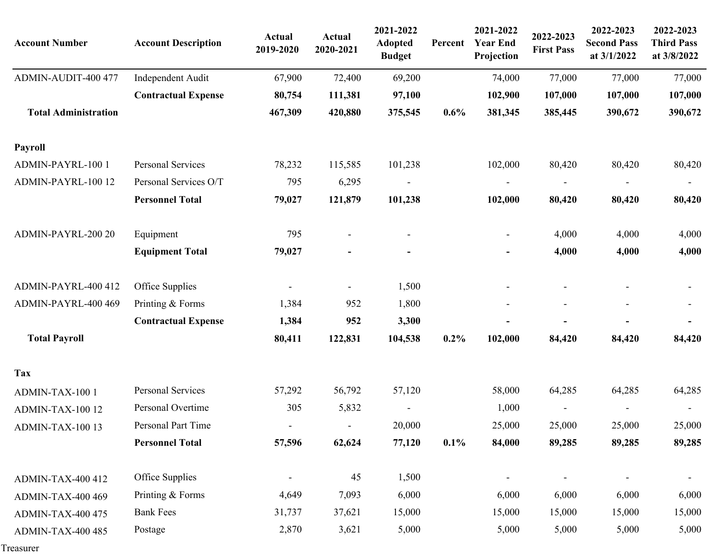| <b>Account Number</b>       | <b>Account Description</b> | <b>Actual</b><br>2019-2020 | <b>Actual</b><br>2020-2021 | 2021-2022<br><b>Adopted</b><br><b>Budget</b> | Percent | 2021-2022<br><b>Year End</b><br>Projection | 2022-2023<br><b>First Pass</b> | 2022-2023<br><b>Second Pass</b><br>at 3/1/2022 | 2022-2023<br><b>Third Pass</b><br>at 3/8/2022 |
|-----------------------------|----------------------------|----------------------------|----------------------------|----------------------------------------------|---------|--------------------------------------------|--------------------------------|------------------------------------------------|-----------------------------------------------|
| ADMIN-AUDIT-400 477         | Independent Audit          | 67,900                     | 72,400                     | 69,200                                       |         | 74,000                                     | 77,000                         | 77,000                                         | 77,000                                        |
|                             | <b>Contractual Expense</b> | 80,754                     | 111,381                    | 97,100                                       |         | 102,900                                    | 107,000                        | 107,000                                        | 107,000                                       |
| <b>Total Administration</b> |                            | 467,309                    | 420,880                    | 375,545                                      | 0.6%    | 381,345                                    | 385,445                        | 390,672                                        | 390,672                                       |
| Payroll                     |                            |                            |                            |                                              |         |                                            |                                |                                                |                                               |
| ADMIN-PAYRL-100 1           | Personal Services          | 78,232                     | 115,585                    | 101,238                                      |         | 102,000                                    | 80,420                         | 80,420                                         | 80,420                                        |
| ADMIN-PAYRL-100 12          | Personal Services O/T      | 795                        | 6,295                      |                                              |         |                                            |                                |                                                |                                               |
|                             | <b>Personnel Total</b>     | 79,027                     | 121,879                    | 101,238                                      |         | 102,000                                    | 80,420                         | 80,420                                         | 80,420                                        |
| ADMIN-PAYRL-200 20          | Equipment                  | 795                        |                            |                                              |         |                                            | 4,000                          | 4,000                                          | 4,000                                         |
|                             | <b>Equipment Total</b>     | 79,027                     |                            |                                              |         |                                            | 4,000                          | 4,000                                          | 4,000                                         |
| ADMIN-PAYRL-400 412         | Office Supplies            |                            |                            | 1,500                                        |         |                                            |                                |                                                |                                               |
| ADMIN-PAYRL-400 469         | Printing & Forms           | 1,384                      | 952                        | 1,800                                        |         |                                            | $\overline{\phantom{a}}$       | $\overline{\phantom{a}}$                       | $\overline{\phantom{a}}$                      |
|                             | <b>Contractual Expense</b> | 1,384                      | 952                        | 3,300                                        |         |                                            |                                |                                                |                                               |
| <b>Total Payroll</b>        |                            | 80,411                     | 122,831                    | 104,538                                      | $0.2\%$ | 102,000                                    | 84,420                         | 84,420                                         | 84,420                                        |
| <b>Tax</b>                  |                            |                            |                            |                                              |         |                                            |                                |                                                |                                               |
| ADMIN-TAX-100 1             | Personal Services          | 57,292                     | 56,792                     | 57,120                                       |         | 58,000                                     | 64,285                         | 64,285                                         | 64,285                                        |
| ADMIN-TAX-100 12            | Personal Overtime          | 305                        | 5,832                      |                                              |         | 1,000                                      |                                |                                                |                                               |
| ADMIN-TAX-100 13            | Personal Part Time         | $\overline{\phantom{a}}$   | $\overline{\phantom{a}}$   | 20,000                                       |         | 25,000                                     | 25,000                         | 25,000                                         | 25,000                                        |
|                             | <b>Personnel Total</b>     | 57,596                     | 62,624                     | 77,120                                       | 0.1%    | 84,000                                     | 89,285                         | 89,285                                         | 89,285                                        |
| <b>ADMIN-TAX-400 412</b>    | Office Supplies            |                            | 45                         | 1,500                                        |         |                                            | $\overline{\phantom{a}}$       |                                                | $\overline{\phantom{a}}$                      |
| <b>ADMIN-TAX-400 469</b>    | Printing & Forms           | 4,649                      | 7,093                      | 6,000                                        |         | 6,000                                      | 6,000                          | 6,000                                          | 6,000                                         |
| <b>ADMIN-TAX-400 475</b>    | <b>Bank Fees</b>           | 31,737                     | 37,621                     | 15,000                                       |         | 15,000                                     | 15,000                         | 15,000                                         | 15,000                                        |
| ADMIN-TAX-400 485           | Postage                    | 2,870                      | 3,621                      | 5,000                                        |         | 5,000                                      | 5,000                          | 5,000                                          | 5,000                                         |

Treasurer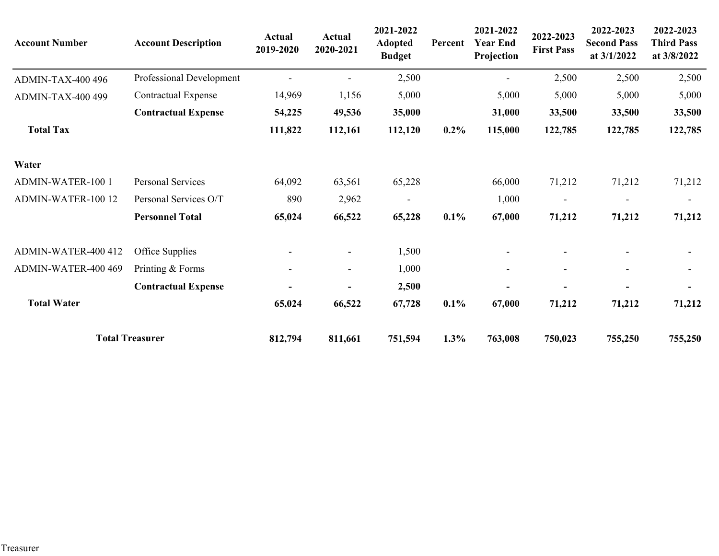| <b>Account Number</b>    | <b>Account Description</b> | Actual<br>2019-2020      | <b>Actual</b><br>2020-2021 | 2021-2022<br><b>Adopted</b><br><b>Budget</b> | Percent | 2021-2022<br><b>Year End</b><br>Projection | 2022-2023<br><b>First Pass</b> | 2022-2023<br><b>Second Pass</b><br>at $3/1/2022$ | 2022-2023<br><b>Third Pass</b><br>at 3/8/2022 |
|--------------------------|----------------------------|--------------------------|----------------------------|----------------------------------------------|---------|--------------------------------------------|--------------------------------|--------------------------------------------------|-----------------------------------------------|
| <b>ADMIN-TAX-400 496</b> | Professional Development   |                          |                            | 2,500                                        |         |                                            | 2,500                          | 2,500                                            | 2,500                                         |
| ADMIN-TAX-400 499        | <b>Contractual Expense</b> | 14,969                   | 1,156                      | 5,000                                        |         | 5,000                                      | 5,000                          | 5,000                                            | 5,000                                         |
|                          | <b>Contractual Expense</b> | 54,225                   | 49,536                     | 35,000                                       |         | 31,000                                     | 33,500                         | 33,500                                           | 33,500                                        |
| <b>Total Tax</b>         |                            | 111,822                  | 112,161                    | 112,120                                      | $0.2\%$ | 115,000                                    | 122,785                        | 122,785                                          | 122,785                                       |
| Water                    |                            |                          |                            |                                              |         |                                            |                                |                                                  |                                               |
| <b>ADMIN-WATER-100 1</b> | Personal Services          | 64,092                   | 63,561                     | 65,228                                       |         | 66,000                                     | 71,212                         | 71,212                                           | 71,212                                        |
| ADMIN-WATER-100 12       | Personal Services O/T      | 890                      | 2,962                      | $\overline{\phantom{a}}$                     |         | 1,000                                      | $\overline{\phantom{a}}$       | $\overline{\phantom{a}}$                         | $\overline{\phantom{a}}$                      |
|                          | <b>Personnel Total</b>     | 65,024                   | 66,522                     | 65,228                                       | 0.1%    | 67,000                                     | 71,212                         | 71,212                                           | 71,212                                        |
| ADMIN-WATER-400 412      | Office Supplies            |                          | $\blacksquare$             | 1,500                                        |         |                                            |                                |                                                  |                                               |
| ADMIN-WATER-400 469      | Printing & Forms           | $\overline{\phantom{a}}$ | $\overline{\phantom{0}}$   | 1,000                                        |         |                                            | ۰                              | $\overline{\phantom{a}}$                         | $\overline{\phantom{a}}$                      |
|                          | <b>Contractual Expense</b> |                          |                            | 2,500                                        |         |                                            |                                |                                                  | $\blacksquare$                                |
| <b>Total Water</b>       |                            | 65,024                   | 66,522                     | 67,728                                       | $0.1\%$ | 67,000                                     | 71,212                         | 71,212                                           | 71,212                                        |
|                          | <b>Total Treasurer</b>     | 812,794                  | 811,661                    | 751,594                                      | 1.3%    | 763,008                                    | 750,023                        | 755,250                                          | 755,250                                       |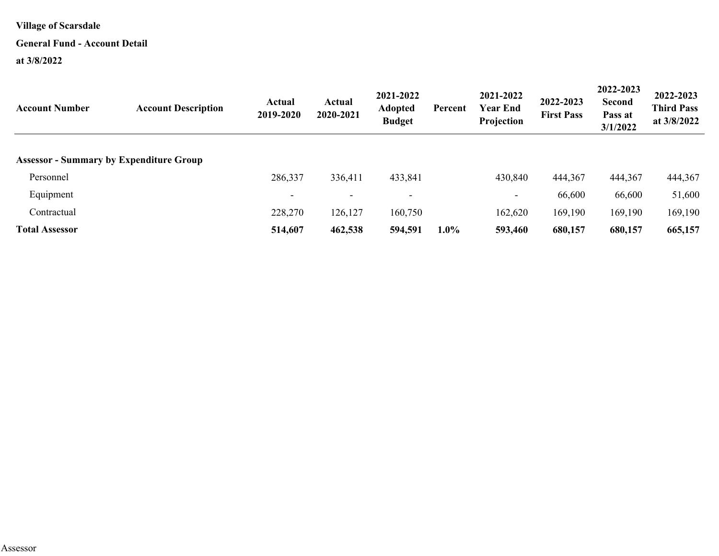## **General Fund - Account Detail**

| <b>Account Description</b> | Actual<br>2019-2020                            | Actual<br>2020-2021      | 2021-2022<br><b>Adopted</b><br><b>Budget</b> | Percent | 2021-2022<br><b>Year End</b><br>Projection | 2022-2023<br><b>First Pass</b> | 2022-2023<br><b>Second</b><br>Pass at<br>3/1/2022 | 2022-2023<br><b>Third Pass</b><br>at $3/8/2022$ |
|----------------------------|------------------------------------------------|--------------------------|----------------------------------------------|---------|--------------------------------------------|--------------------------------|---------------------------------------------------|-------------------------------------------------|
|                            |                                                |                          |                                              |         |                                            |                                |                                                   |                                                 |
|                            |                                                |                          |                                              |         |                                            |                                |                                                   | 444,367                                         |
|                            | $\overline{\phantom{0}}$                       | $\overline{\phantom{a}}$ | $\overline{\phantom{0}}$                     |         | $\overline{\phantom{a}}$                   | 66,600                         | 66,600                                            | 51,600                                          |
|                            | 228,270                                        | 126,127                  | 160,750                                      |         | 162,620                                    | 169,190                        | 169,190                                           | 169,190                                         |
|                            | 514,607                                        | 462,538                  | 594,591                                      | $1.0\%$ | 593,460                                    | 680,157                        | 680,157                                           | 665,157                                         |
|                            | <b>Assessor - Summary by Expenditure Group</b> | 286,337                  | 336,411                                      | 433,841 |                                            | 430,840                        | 444,367                                           | 444,367                                         |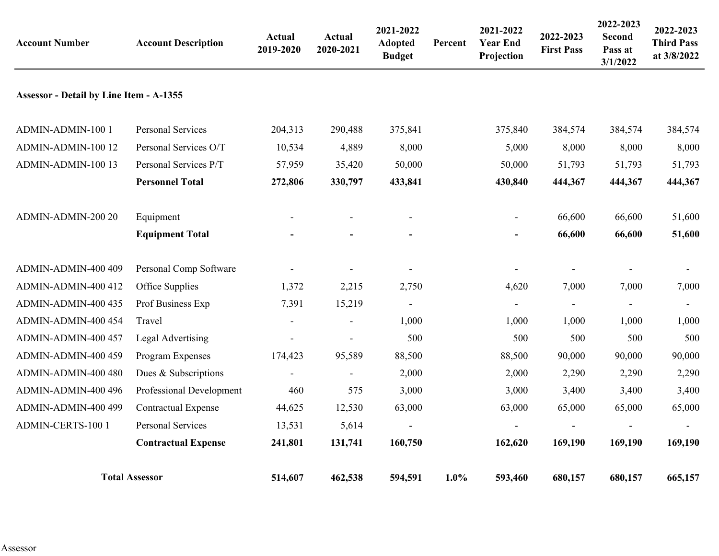| <b>Account Number</b>                          | <b>Account Description</b>      | <b>Actual</b><br>2019-2020 | <b>Actual</b><br>2020-2021 | 2021-2022<br><b>Adopted</b><br><b>Budget</b> | Percent | 2021-2022<br><b>Year End</b><br>Projection | 2022-2023<br><b>First Pass</b> | 2022-2023<br><b>Second</b><br>Pass at<br>3/1/2022 | 2022-2023<br><b>Third Pass</b><br>at 3/8/2022 |
|------------------------------------------------|---------------------------------|----------------------------|----------------------------|----------------------------------------------|---------|--------------------------------------------|--------------------------------|---------------------------------------------------|-----------------------------------------------|
| <b>Assessor - Detail by Line Item - A-1355</b> |                                 |                            |                            |                                              |         |                                            |                                |                                                   |                                               |
| ADMIN-ADMIN-100 1                              | Personal Services               | 204,313                    | 290,488                    | 375,841                                      |         | 375,840                                    | 384,574                        | 384,574                                           | 384,574                                       |
| ADMIN-ADMIN-100 12                             | Personal Services O/T           | 10,534                     | 4,889                      | 8,000                                        |         | 5,000                                      | 8,000                          | 8,000                                             | 8,000                                         |
| ADMIN-ADMIN-100 13                             | Personal Services P/T           | 57,959                     | 35,420                     | 50,000                                       |         | 50,000                                     | 51,793                         | 51,793                                            | 51,793                                        |
|                                                | <b>Personnel Total</b>          | 272,806                    | 330,797                    | 433,841                                      |         | 430,840                                    | 444,367                        | 444,367                                           | 444,367                                       |
| ADMIN-ADMIN-200 20                             | Equipment                       |                            |                            |                                              |         | $\overline{\phantom{0}}$                   | 66,600                         | 66,600                                            | 51,600                                        |
|                                                | <b>Equipment Total</b>          |                            |                            |                                              |         |                                            | 66,600                         | 66,600                                            | 51,600                                        |
| ADMIN-ADMIN-400 409                            | Personal Comp Software          |                            |                            |                                              |         |                                            |                                |                                                   |                                               |
| ADMIN-ADMIN-400 412                            | Office Supplies                 | 1,372                      | 2,215                      | 2,750                                        |         | 4,620                                      | 7,000                          | 7,000                                             | 7,000                                         |
| ADMIN-ADMIN-400 435                            | Prof Business Exp               | 7,391                      | 15,219                     |                                              |         |                                            | $\blacksquare$                 |                                                   |                                               |
| ADMIN-ADMIN-400 454                            | Travel                          |                            | $\sim$                     | 1,000                                        |         | 1,000                                      | 1,000                          | 1,000                                             | 1,000                                         |
| ADMIN-ADMIN-400 457                            | Legal Advertising               |                            |                            | 500                                          |         | 500                                        | 500                            | 500                                               | 500                                           |
| ADMIN-ADMIN-400 459                            | Program Expenses                | 174,423                    | 95,589                     | 88,500                                       |         | 88,500                                     | 90,000                         | 90,000                                            | 90,000                                        |
| ADMIN-ADMIN-400 480                            | Dues & Subscriptions            | $\blacksquare$             | $\overline{\phantom{a}}$   | 2,000                                        |         | 2,000                                      | 2,290                          | 2,290                                             | 2,290                                         |
| ADMIN-ADMIN-400 496                            | <b>Professional Development</b> | 460                        | 575                        | 3,000                                        |         | 3,000                                      | 3,400                          | 3,400                                             | 3,400                                         |
| ADMIN-ADMIN-400 499                            | <b>Contractual Expense</b>      | 44,625                     | 12,530                     | 63,000                                       |         | 63,000                                     | 65,000                         | 65,000                                            | 65,000                                        |
| <b>ADMIN-CERTS-100 1</b>                       | <b>Personal Services</b>        | 13,531                     | 5,614                      |                                              |         |                                            |                                |                                                   |                                               |
|                                                | <b>Contractual Expense</b>      | 241,801                    | 131,741                    | 160,750                                      |         | 162,620                                    | 169,190                        | 169,190                                           | 169,190                                       |
|                                                | <b>Total Assessor</b>           | 514,607                    | 462,538                    | 594,591                                      | 1.0%    | 593,460                                    | 680,157                        | 680,157                                           | 665,157                                       |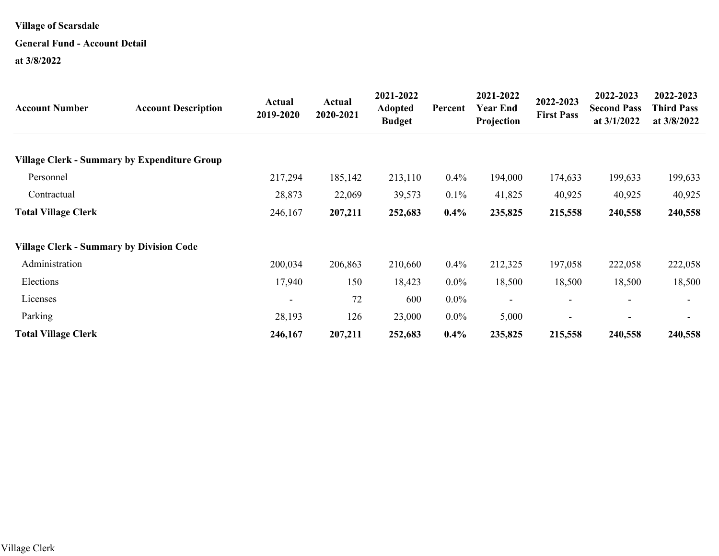# **General Fund - Account Detail**

| <b>Account Number</b>                               | <b>Account Description</b> | <b>Actual</b><br>2019-2020 | Actual<br>2020-2021 | 2021-2022<br><b>Adopted</b><br><b>Budget</b> | Percent | 2021-2022<br><b>Year End</b><br>Projection | 2022-2023<br><b>First Pass</b> | 2022-2023<br><b>Second Pass</b><br>at $3/1/2022$ | 2022-2023<br><b>Third Pass</b><br>at 3/8/2022 |
|-----------------------------------------------------|----------------------------|----------------------------|---------------------|----------------------------------------------|---------|--------------------------------------------|--------------------------------|--------------------------------------------------|-----------------------------------------------|
| <b>Village Clerk - Summary by Expenditure Group</b> |                            |                            |                     |                                              |         |                                            |                                |                                                  |                                               |
| Personnel                                           |                            | 217,294                    | 185,142             | 213,110                                      | $0.4\%$ | 194,000                                    | 174,633                        | 199,633                                          | 199,633                                       |
| Contractual                                         |                            | 28,873                     | 22,069              | 39,573                                       | $0.1\%$ | 41,825                                     | 40,925                         | 40,925                                           | 40,925                                        |
| <b>Total Village Clerk</b>                          |                            | 246,167                    | 207,211             | 252,683                                      | $0.4\%$ | 235,825                                    | 215,558                        | 240,558                                          | 240,558                                       |
| <b>Village Clerk - Summary by Division Code</b>     |                            |                            |                     |                                              |         |                                            |                                |                                                  |                                               |
| Administration                                      |                            | 200,034                    | 206,863             | 210,660                                      | $0.4\%$ | 212,325                                    | 197,058                        | 222,058                                          | 222,058                                       |
| Elections                                           |                            | 17,940                     | 150                 | 18,423                                       | $0.0\%$ | 18,500                                     | 18,500                         | 18,500                                           | 18,500                                        |
| Licenses                                            |                            |                            | 72                  | 600                                          | $0.0\%$ | $\qquad \qquad -$                          |                                | $\overline{\phantom{a}}$                         |                                               |
| Parking                                             |                            | 28,193                     | 126                 | 23,000                                       | $0.0\%$ | 5,000                                      |                                | ۰                                                |                                               |
| <b>Total Village Clerk</b>                          |                            | 246,167                    | 207,211             | 252,683                                      | $0.4\%$ | 235,825                                    | 215,558                        | 240,558                                          | 240,558                                       |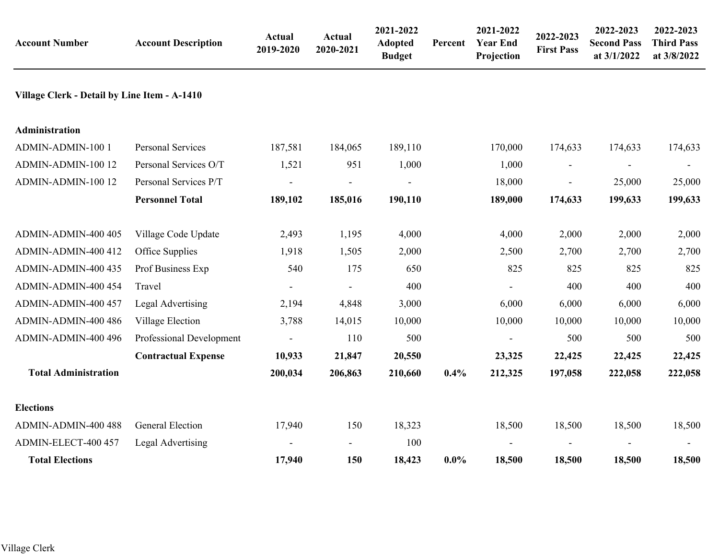| <b>Account Number</b>                        | <b>Account Description</b> | <b>Actual</b><br>2019-2020 | Actual<br>2020-2021 | 2021-2022<br><b>Adopted</b><br><b>Budget</b> | Percent | 2021-2022<br><b>Year End</b><br>Projection | 2022-2023<br><b>First Pass</b> | 2022-2023<br><b>Second Pass</b><br>at 3/1/2022 | 2022-2023<br><b>Third Pass</b><br>at 3/8/2022 |
|----------------------------------------------|----------------------------|----------------------------|---------------------|----------------------------------------------|---------|--------------------------------------------|--------------------------------|------------------------------------------------|-----------------------------------------------|
| Village Clerk - Detail by Line Item - A-1410 |                            |                            |                     |                                              |         |                                            |                                |                                                |                                               |
| Administration                               |                            |                            |                     |                                              |         |                                            |                                |                                                |                                               |
| ADMIN-ADMIN-100 1                            | <b>Personal Services</b>   | 187,581                    | 184,065             | 189,110                                      |         | 170,000                                    | 174,633                        | 174,633                                        | 174,633                                       |
| ADMIN-ADMIN-100 12                           | Personal Services O/T      | 1,521                      | 951                 | 1,000                                        |         | 1,000                                      | $\overline{\phantom{a}}$       |                                                |                                               |
| ADMIN-ADMIN-100 12                           | Personal Services P/T      | $\overline{\phantom{a}}$   |                     | $\blacksquare$                               |         | 18,000                                     | $\blacksquare$                 | 25,000                                         | 25,000                                        |
|                                              | <b>Personnel Total</b>     | 189,102                    | 185,016             | 190,110                                      |         | 189,000                                    | 174,633                        | 199,633                                        | 199,633                                       |
| ADMIN-ADMIN-400 405                          | Village Code Update        | 2,493                      | 1,195               | 4,000                                        |         | 4,000                                      | 2,000                          | 2,000                                          | 2,000                                         |
| ADMIN-ADMIN-400 412                          | Office Supplies            | 1,918                      | 1,505               | 2,000                                        |         | 2,500                                      | 2,700                          | 2,700                                          | 2,700                                         |
| ADMIN-ADMIN-400 435                          | Prof Business Exp          | 540                        | 175                 | 650                                          |         | 825                                        | 825                            | 825                                            | 825                                           |
| ADMIN-ADMIN-400 454                          | Travel                     |                            |                     | 400                                          |         |                                            | 400                            | 400                                            | 400                                           |
| ADMIN-ADMIN-400 457                          | Legal Advertising          | 2,194                      | 4,848               | 3,000                                        |         | 6,000                                      | 6,000                          | 6,000                                          | 6,000                                         |
| ADMIN-ADMIN-400 486                          | Village Election           | 3,788                      | 14,015              | 10,000                                       |         | 10,000                                     | 10,000                         | 10,000                                         | 10,000                                        |
| ADMIN-ADMIN-400 496                          | Professional Development   |                            | 110                 | 500                                          |         |                                            | 500                            | 500                                            | 500                                           |
|                                              | <b>Contractual Expense</b> | 10,933                     | 21,847              | 20,550                                       |         | 23,325                                     | 22,425                         | 22,425                                         | 22,425                                        |
| <b>Total Administration</b>                  |                            | 200,034                    | 206,863             | 210,660                                      | 0.4%    | 212,325                                    | 197,058                        | 222,058                                        | 222,058                                       |
| <b>Elections</b>                             |                            |                            |                     |                                              |         |                                            |                                |                                                |                                               |
| ADMIN-ADMIN-400 488                          | <b>General Election</b>    | 17,940                     | 150                 | 18,323                                       |         | 18,500                                     | 18,500                         | 18,500                                         | 18,500                                        |
| ADMIN-ELECT-400 457                          | Legal Advertising          |                            |                     | 100                                          |         |                                            |                                |                                                |                                               |
| <b>Total Elections</b>                       |                            | 17,940                     | 150                 | 18,423                                       | $0.0\%$ | 18,500                                     | 18,500                         | 18,500                                         | 18,500                                        |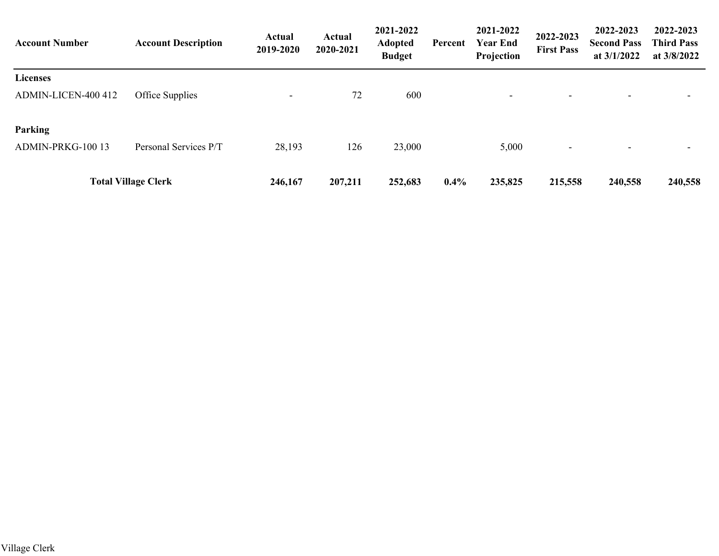| <b>Account Number</b> | <b>Account Description</b> | Actual<br>2019-2020 | <b>Actual</b><br>2020-2021 | 2021-2022<br><b>Adopted</b><br><b>Budget</b> | Percent | 2021-2022<br><b>Year End</b><br>Projection | 2022-2023<br><b>First Pass</b> | 2022-2023<br><b>Second Pass</b><br>at $3/1/2022$ | 2022-2023<br><b>Third Pass</b><br>at $3/8/2022$ |
|-----------------------|----------------------------|---------------------|----------------------------|----------------------------------------------|---------|--------------------------------------------|--------------------------------|--------------------------------------------------|-------------------------------------------------|
| <b>Licenses</b>       |                            |                     |                            |                                              |         |                                            |                                |                                                  |                                                 |
| ADMIN-LICEN-400 412   | Office Supplies            | ۰                   | 72                         | 600                                          |         | $\overline{\phantom{0}}$                   | $\overline{\phantom{a}}$       | $\overline{\phantom{0}}$                         |                                                 |
| <b>Parking</b>        |                            |                     |                            |                                              |         |                                            |                                |                                                  |                                                 |
| ADMIN-PRKG-100 13     | Personal Services P/T      | 28,193              | 126                        | 23,000                                       |         | 5,000                                      | $\overline{\phantom{a}}$       |                                                  |                                                 |
|                       | <b>Total Village Clerk</b> | 246,167             | 207,211                    | 252,683                                      | $0.4\%$ | 235,825                                    | 215,558                        | 240,558                                          | 240,558                                         |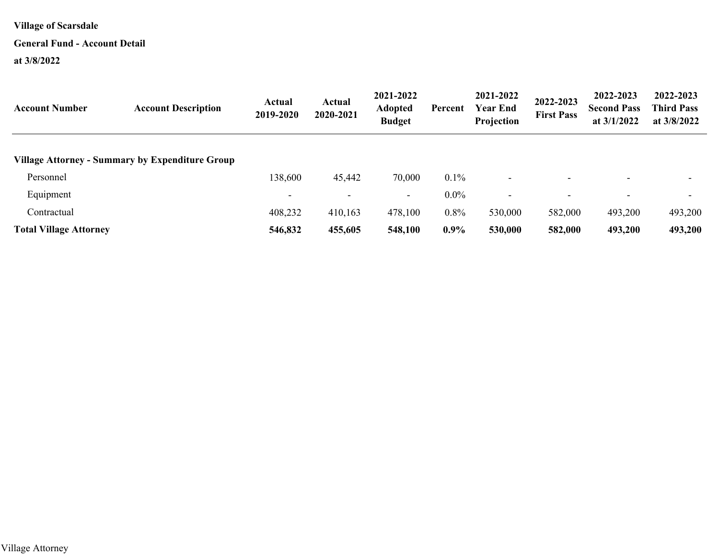#### **General Fund - Account Detail**

| <b>Account Number</b>         | <b>Account Description</b>                      | Actual<br>2019-2020 | <b>Actual</b><br>2020-2021 | 2021-2022<br><b>Adopted</b><br><b>Budget</b> | Percent | 2021-2022<br><b>Year End</b><br>Projection | 2022-2023<br><b>First Pass</b> | 2022-2023<br><b>Second Pass</b><br>at $3/1/2022$ | 2022-2023<br><b>Third Pass</b><br>at $3/8/2022$ |
|-------------------------------|-------------------------------------------------|---------------------|----------------------------|----------------------------------------------|---------|--------------------------------------------|--------------------------------|--------------------------------------------------|-------------------------------------------------|
|                               | Village Attorney - Summary by Expenditure Group |                     |                            |                                              |         |                                            |                                |                                                  |                                                 |
| Personnel                     |                                                 | 138,600             | 45,442                     | 70,000                                       | $0.1\%$ | $\overline{\phantom{0}}$                   |                                |                                                  |                                                 |
| Equipment                     |                                                 |                     | $\overline{\phantom{0}}$   | $\sim$                                       | $0.0\%$ | $\overline{\phantom{0}}$                   |                                |                                                  | $\overline{\phantom{0}}$                        |
| Contractual                   |                                                 | 408,232             | 410,163                    | 478,100                                      | $0.8\%$ | 530,000                                    | 582,000                        | 493,200                                          | 493,200                                         |
| <b>Total Village Attorney</b> |                                                 | 546,832             | 455,605                    | 548,100                                      | $0.9\%$ | 530,000                                    | 582,000                        | 493,200                                          | 493,200                                         |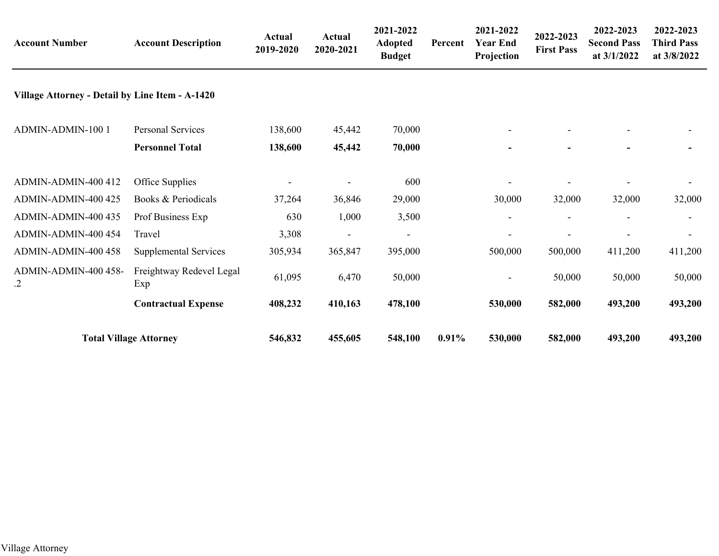| <b>Account Number</b>                           | <b>Account Description</b>      | <b>Actual</b><br>2019-2020 | <b>Actual</b><br>2020-2021 | 2021-2022<br><b>Adopted</b><br><b>Budget</b> | Percent  | 2021-2022<br><b>Year End</b><br>Projection | 2022-2023<br><b>First Pass</b> | 2022-2023<br><b>Second Pass</b><br>at 3/1/2022 | 2022-2023<br><b>Third Pass</b><br>at 3/8/2022 |
|-------------------------------------------------|---------------------------------|----------------------------|----------------------------|----------------------------------------------|----------|--------------------------------------------|--------------------------------|------------------------------------------------|-----------------------------------------------|
| Village Attorney - Detail by Line Item - A-1420 |                                 |                            |                            |                                              |          |                                            |                                |                                                |                                               |
| ADMIN-ADMIN-100 1                               | <b>Personal Services</b>        | 138,600                    | 45,442                     | 70,000                                       |          |                                            |                                |                                                |                                               |
|                                                 | <b>Personnel Total</b>          | 138,600                    | 45,442                     | 70,000                                       |          |                                            |                                |                                                |                                               |
| ADMIN-ADMIN-400 412                             | Office Supplies                 |                            |                            | 600                                          |          |                                            |                                |                                                |                                               |
| ADMIN-ADMIN-400 425                             | Books & Periodicals             | 37,264                     | 36,846                     | 29,000                                       |          | 30,000                                     | 32,000                         | 32,000                                         | 32,000                                        |
| ADMIN-ADMIN-400 435                             | Prof Business Exp               | 630                        | 1,000                      | 3,500                                        |          |                                            |                                |                                                |                                               |
| ADMIN-ADMIN-400 454                             | Travel                          | 3,308                      |                            | $\qquad \qquad -$                            |          |                                            |                                |                                                |                                               |
| ADMIN-ADMIN-400 458                             | Supplemental Services           | 305,934                    | 365,847                    | 395,000                                      |          | 500,000                                    | 500,000                        | 411,200                                        | 411,200                                       |
| ADMIN-ADMIN-400 458-<br>.2                      | Freightway Redevel Legal<br>Exp | 61,095                     | 6,470                      | 50,000                                       |          | $\overline{\phantom{a}}$                   | 50,000                         | 50,000                                         | 50,000                                        |
|                                                 | <b>Contractual Expense</b>      | 408,232                    | 410,163                    | 478,100                                      |          | 530,000                                    | 582,000                        | 493,200                                        | 493,200                                       |
|                                                 | <b>Total Village Attorney</b>   | 546,832                    | 455,605                    | 548,100                                      | $0.91\%$ | 530,000                                    | 582,000                        | 493,200                                        | 493,200                                       |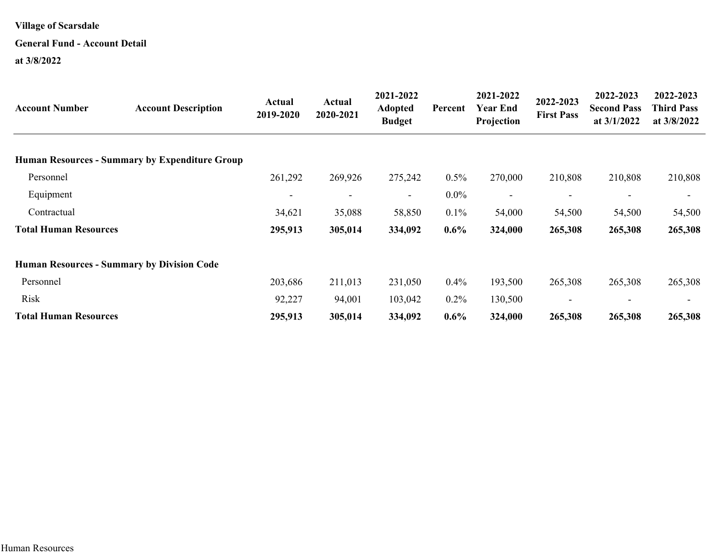## **General Fund - Account Detail**

| <b>Account Number</b>        | <b>Account Description</b>                            | Actual<br>2019-2020      | Actual<br>2020-2021      | 2021-2022<br><b>Adopted</b><br><b>Budget</b> | Percent | 2021-2022<br><b>Year End</b><br>Projection | 2022-2023<br><b>First Pass</b> | 2022-2023<br><b>Second Pass</b><br>at $3/1/2022$ | 2022-2023<br><b>Third Pass</b><br>at 3/8/2022 |
|------------------------------|-------------------------------------------------------|--------------------------|--------------------------|----------------------------------------------|---------|--------------------------------------------|--------------------------------|--------------------------------------------------|-----------------------------------------------|
|                              | <b>Human Resources - Summary by Expenditure Group</b> |                          |                          |                                              |         |                                            |                                |                                                  |                                               |
| Personnel                    |                                                       | 261,292                  | 269,926                  | 275,242                                      | $0.5\%$ | 270,000                                    | 210,808                        | 210,808                                          | 210,808                                       |
| Equipment                    |                                                       | $\overline{\phantom{a}}$ | $\overline{\phantom{a}}$ | $\sim$                                       | $0.0\%$ | $\overline{\phantom{a}}$                   | $\overline{\phantom{a}}$       |                                                  |                                               |
| Contractual                  |                                                       | 34,621                   | 35,088                   | 58,850                                       | $0.1\%$ | 54,000                                     | 54,500                         | 54,500                                           | 54,500                                        |
| <b>Total Human Resources</b> |                                                       | 295,913                  | 305,014                  | 334,092                                      | $0.6\%$ | 324,000                                    | 265,308                        | 265,308                                          | 265,308                                       |
|                              | <b>Human Resources - Summary by Division Code</b>     |                          |                          |                                              |         |                                            |                                |                                                  |                                               |
| Personnel                    |                                                       | 203,686                  | 211,013                  | 231,050                                      | $0.4\%$ | 193,500                                    | 265,308                        | 265,308                                          | 265,308                                       |
| Risk                         |                                                       | 92,227                   | 94,001                   | 103,042                                      | $0.2\%$ | 130,500                                    |                                |                                                  |                                               |
| <b>Total Human Resources</b> |                                                       | 295,913                  | 305,014                  | 334,092                                      | $0.6\%$ | 324,000                                    | 265,308                        | 265,308                                          | 265,308                                       |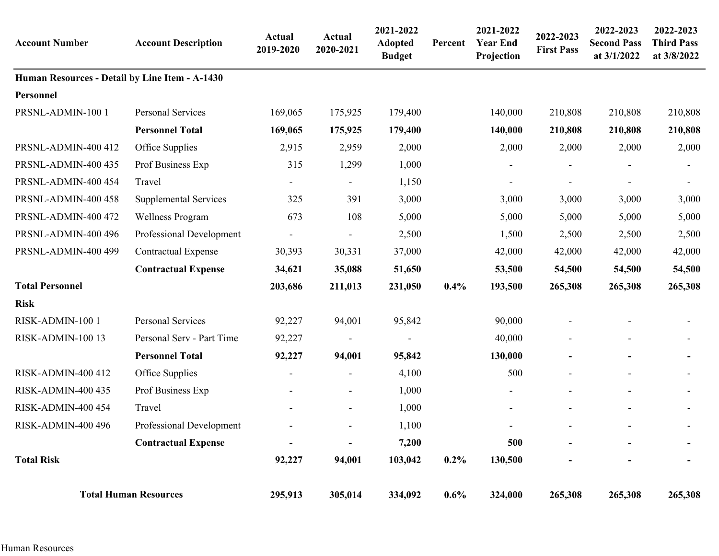| <b>Account Number</b>                          | <b>Account Description</b>   | Actual<br>2019-2020 | <b>Actual</b><br>2020-2021 | 2021-2022<br><b>Adopted</b><br><b>Budget</b> | Percent | 2021-2022<br><b>Year End</b><br>Projection | 2022-2023<br><b>First Pass</b> | 2022-2023<br><b>Second Pass</b><br>at 3/1/2022 | 2022-2023<br><b>Third Pass</b><br>at 3/8/2022 |
|------------------------------------------------|------------------------------|---------------------|----------------------------|----------------------------------------------|---------|--------------------------------------------|--------------------------------|------------------------------------------------|-----------------------------------------------|
| Human Resources - Detail by Line Item - A-1430 |                              |                     |                            |                                              |         |                                            |                                |                                                |                                               |
| Personnel                                      |                              |                     |                            |                                              |         |                                            |                                |                                                |                                               |
| PRSNL-ADMIN-100 1                              | Personal Services            | 169,065             | 175,925                    | 179,400                                      |         | 140,000                                    | 210,808                        | 210,808                                        | 210,808                                       |
|                                                | <b>Personnel Total</b>       | 169,065             | 175,925                    | 179,400                                      |         | 140,000                                    | 210,808                        | 210,808                                        | 210,808                                       |
| PRSNL-ADMIN-400 412                            | Office Supplies              | 2,915               | 2,959                      | 2,000                                        |         | 2,000                                      | 2,000                          | 2,000                                          | 2,000                                         |
| PRSNL-ADMIN-400 435                            | Prof Business Exp            | 315                 | 1,299                      | 1,000                                        |         |                                            |                                |                                                |                                               |
| PRSNL-ADMIN-400 454                            | Travel                       |                     |                            | 1,150                                        |         |                                            |                                |                                                |                                               |
| PRSNL-ADMIN-400 458                            | <b>Supplemental Services</b> | 325                 | 391                        | 3,000                                        |         | 3,000                                      | 3,000                          | 3,000                                          | 3,000                                         |
| PRSNL-ADMIN-400 472                            | <b>Wellness Program</b>      | 673                 | 108                        | 5,000                                        |         | 5,000                                      | 5,000                          | 5,000                                          | 5,000                                         |
| PRSNL-ADMIN-400 496                            | Professional Development     |                     | $\overline{\phantom{a}}$   | 2,500                                        |         | 1,500                                      | 2,500                          | 2,500                                          | 2,500                                         |
| PRSNL-ADMIN-400 499                            | <b>Contractual Expense</b>   | 30,393              | 30,331                     | 37,000                                       |         | 42,000                                     | 42,000                         | 42,000                                         | 42,000                                        |
|                                                | <b>Contractual Expense</b>   | 34,621              | 35,088                     | 51,650                                       |         | 53,500                                     | 54,500                         | 54,500                                         | 54,500                                        |
| <b>Total Personnel</b>                         |                              | 203,686             | 211,013                    | 231,050                                      | 0.4%    | 193,500                                    | 265,308                        | 265,308                                        | 265,308                                       |
| <b>Risk</b>                                    |                              |                     |                            |                                              |         |                                            |                                |                                                |                                               |
| RISK-ADMIN-100 1                               | <b>Personal Services</b>     | 92,227              | 94,001                     | 95,842                                       |         | 90,000                                     |                                |                                                |                                               |
| RISK-ADMIN-100 13                              | Personal Serv - Part Time    | 92,227              |                            |                                              |         | 40,000                                     |                                |                                                |                                               |
|                                                | <b>Personnel Total</b>       | 92,227              | 94,001                     | 95,842                                       |         | 130,000                                    |                                |                                                |                                               |
| <b>RISK-ADMIN-400 412</b>                      | Office Supplies              |                     |                            | 4,100                                        |         | 500                                        |                                |                                                |                                               |
| <b>RISK-ADMIN-400 435</b>                      | Prof Business Exp            |                     | $\overline{\phantom{a}}$   | 1,000                                        |         |                                            |                                |                                                |                                               |
| <b>RISK-ADMIN-400 454</b>                      | Travel                       |                     | $\overline{\phantom{a}}$   | 1,000                                        |         | $\overline{\phantom{a}}$                   |                                |                                                |                                               |
| <b>RISK-ADMIN-400 496</b>                      | Professional Development     |                     | $\overline{\phantom{a}}$   | 1,100                                        |         |                                            |                                |                                                |                                               |
|                                                | <b>Contractual Expense</b>   |                     | ٠                          | 7,200                                        |         | 500                                        |                                |                                                |                                               |
| <b>Total Risk</b>                              |                              | 92,227              | 94,001                     | 103,042                                      | $0.2\%$ | 130,500                                    |                                |                                                |                                               |
|                                                | <b>Total Human Resources</b> | 295,913             | 305,014                    | 334,092                                      | $0.6\%$ | 324,000                                    | 265,308                        | 265,308                                        | 265,308                                       |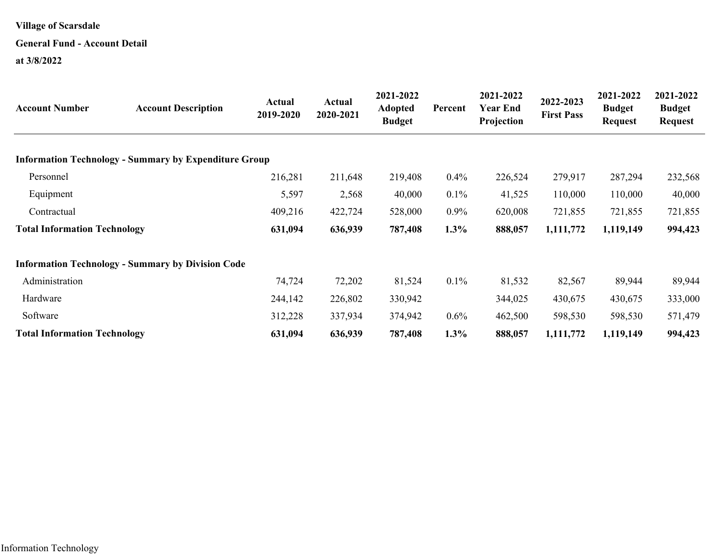# **General Fund - Account Detail**

| <b>Account Number</b>               | <b>Account Description</b>                                   | Actual<br>2019-2020 | Actual<br>2020-2021 | 2021-2022<br><b>Adopted</b><br><b>Budget</b> | Percent | 2021-2022<br>Year End<br>Projection | 2022-2023<br><b>First Pass</b> | 2021-2022<br><b>Budget</b><br><b>Request</b> | 2021-2022<br><b>Budget</b><br><b>Request</b> |
|-------------------------------------|--------------------------------------------------------------|---------------------|---------------------|----------------------------------------------|---------|-------------------------------------|--------------------------------|----------------------------------------------|----------------------------------------------|
|                                     | <b>Information Technology - Summary by Expenditure Group</b> |                     |                     |                                              |         |                                     |                                |                                              |                                              |
| Personnel                           |                                                              | 216,281             | 211,648             | 219,408                                      | $0.4\%$ | 226,524                             | 279,917                        | 287,294                                      | 232,568                                      |
| Equipment                           |                                                              | 5,597               | 2,568               | 40,000                                       | $0.1\%$ | 41,525                              | 110,000                        | 110,000                                      | 40,000                                       |
| Contractual                         |                                                              | 409,216             | 422,724             | 528,000                                      | $0.9\%$ | 620,008                             | 721,855                        | 721,855                                      | 721,855                                      |
| <b>Total Information Technology</b> |                                                              | 631,094             | 636,939             | 787,408                                      | 1.3%    | 888,057                             | 1,111,772                      | 1,119,149                                    | 994,423                                      |
|                                     | <b>Information Technology - Summary by Division Code</b>     |                     |                     |                                              |         |                                     |                                |                                              |                                              |
| Administration                      |                                                              | 74,724              | 72,202              | 81,524                                       | $0.1\%$ | 81,532                              | 82,567                         | 89,944                                       | 89,944                                       |
| Hardware                            |                                                              | 244,142             | 226,802             | 330,942                                      |         | 344,025                             | 430,675                        | 430,675                                      | 333,000                                      |
| Software                            |                                                              | 312,228             | 337,934             | 374,942                                      | $0.6\%$ | 462,500                             | 598,530                        | 598,530                                      | 571,479                                      |
| <b>Total Information Technology</b> |                                                              | 631,094             | 636,939             | 787,408                                      | $1.3\%$ | 888,057                             | 1,111,772                      | 1,119,149                                    | 994,423                                      |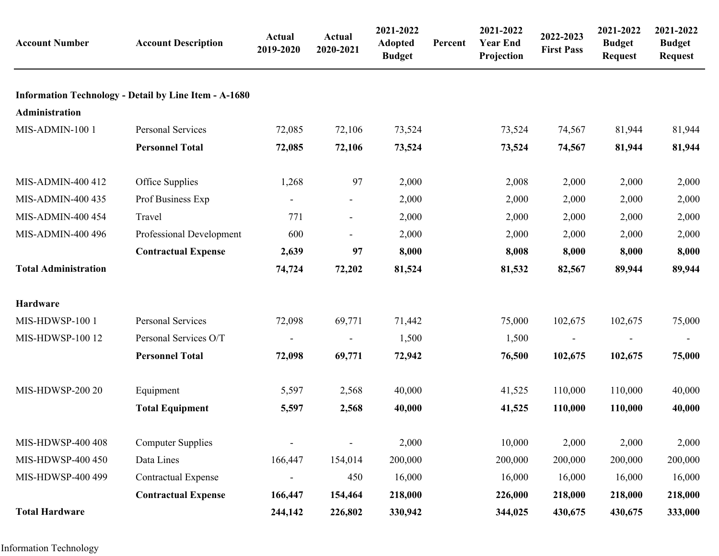| <b>Account Number</b>       | <b>Account Description</b>                                   | Actual<br>2019-2020      | <b>Actual</b><br>2020-2021 | 2021-2022<br><b>Adopted</b><br><b>Budget</b> | Percent | 2021-2022<br><b>Year End</b><br>Projection | 2022-2023<br><b>First Pass</b> | 2021-2022<br><b>Budget</b><br><b>Request</b> | 2021-2022<br><b>Budget</b><br><b>Request</b> |
|-----------------------------|--------------------------------------------------------------|--------------------------|----------------------------|----------------------------------------------|---------|--------------------------------------------|--------------------------------|----------------------------------------------|----------------------------------------------|
|                             | <b>Information Technology - Detail by Line Item - A-1680</b> |                          |                            |                                              |         |                                            |                                |                                              |                                              |
| Administration              |                                                              |                          |                            |                                              |         |                                            |                                |                                              |                                              |
| MIS-ADMIN-100 1             | Personal Services                                            | 72,085                   | 72,106                     | 73,524                                       |         | 73,524                                     | 74,567                         | 81,944                                       | 81,944                                       |
|                             | <b>Personnel Total</b>                                       | 72,085                   | 72,106                     | 73,524                                       |         | 73,524                                     | 74,567                         | 81,944                                       | 81,944                                       |
| MIS-ADMIN-400 412           | Office Supplies                                              | 1,268                    | 97                         | 2,000                                        |         | 2,008                                      | 2,000                          | 2,000                                        | 2,000                                        |
| MIS-ADMIN-400 435           | Prof Business Exp                                            |                          |                            | 2,000                                        |         | 2,000                                      | 2,000                          | 2,000                                        | 2,000                                        |
| <b>MIS-ADMIN-400 454</b>    | Travel                                                       | 771                      |                            | 2,000                                        |         | 2,000                                      | 2,000                          | 2,000                                        | 2,000                                        |
| MIS-ADMIN-400 496           | Professional Development                                     | 600                      | $\blacksquare$             | 2,000                                        |         | 2,000                                      | 2,000                          | 2,000                                        | 2,000                                        |
|                             | <b>Contractual Expense</b>                                   | 2,639                    | 97                         | 8,000                                        |         | 8,008                                      | 8,000                          | 8,000                                        | 8,000                                        |
| <b>Total Administration</b> |                                                              | 74,724                   | 72,202                     | 81,524                                       |         | 81,532                                     | 82,567                         | 89,944                                       | 89,944                                       |
| Hardware                    |                                                              |                          |                            |                                              |         |                                            |                                |                                              |                                              |
| MIS-HDWSP-100 1             | <b>Personal Services</b>                                     | 72,098                   | 69,771                     | 71,442                                       |         | 75,000                                     | 102,675                        | 102,675                                      | 75,000                                       |
| MIS-HDWSP-100 12            | Personal Services O/T                                        | $\overline{\phantom{a}}$ |                            | 1,500                                        |         | 1,500                                      |                                |                                              |                                              |
|                             | <b>Personnel Total</b>                                       | 72,098                   | 69,771                     | 72,942                                       |         | 76,500                                     | 102,675                        | 102,675                                      | 75,000                                       |
| MIS-HDWSP-200 20            | Equipment                                                    | 5,597                    | 2,568                      | 40,000                                       |         | 41,525                                     | 110,000                        | 110,000                                      | 40,000                                       |
|                             | <b>Total Equipment</b>                                       | 5,597                    | 2,568                      | 40,000                                       |         | 41,525                                     | 110,000                        | 110,000                                      | 40,000                                       |
| MIS-HDWSP-400 408           | <b>Computer Supplies</b>                                     |                          | $\overline{\phantom{a}}$   | 2,000                                        |         | 10,000                                     | 2,000                          | 2,000                                        | 2,000                                        |
| MIS-HDWSP-400 450           | Data Lines                                                   | 166,447                  | 154,014                    | 200,000                                      |         | 200,000                                    | 200,000                        | 200,000                                      | 200,000                                      |
| MIS-HDWSP-400 499           | <b>Contractual Expense</b>                                   |                          | 450                        | 16,000                                       |         | 16,000                                     | 16,000                         | 16,000                                       | 16,000                                       |
|                             | <b>Contractual Expense</b>                                   | 166,447                  | 154,464                    | 218,000                                      |         | 226,000                                    | 218,000                        | 218,000                                      | 218,000                                      |
| <b>Total Hardware</b>       |                                                              | 244,142                  | 226,802                    | 330,942                                      |         | 344,025                                    | 430,675                        | 430,675                                      | 333,000                                      |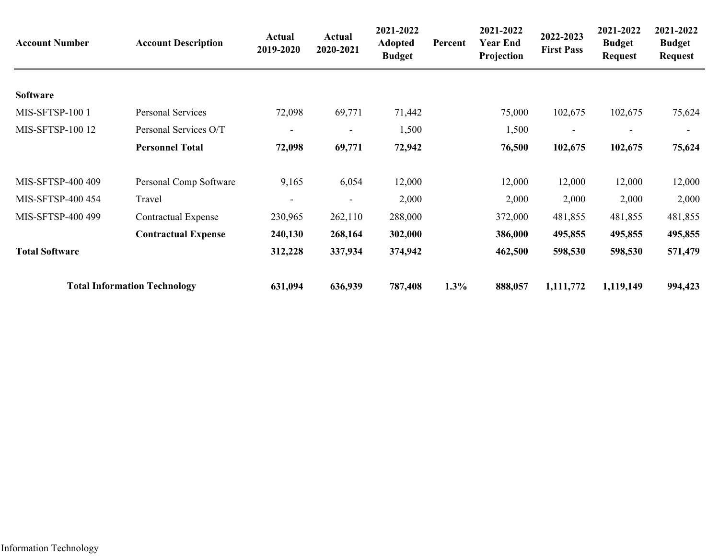| <b>Account Number</b> | <b>Account Description</b>          | Actual<br>2019-2020      | <b>Actual</b><br>2020-2021 | 2021-2022<br><b>Adopted</b><br><b>Budget</b> | Percent | 2021-2022<br><b>Year End</b><br>Projection | 2022-2023<br><b>First Pass</b> | 2021-2022<br><b>Budget</b><br><b>Request</b> | 2021-2022<br><b>Budget</b><br><b>Request</b> |
|-----------------------|-------------------------------------|--------------------------|----------------------------|----------------------------------------------|---------|--------------------------------------------|--------------------------------|----------------------------------------------|----------------------------------------------|
| Software              |                                     |                          |                            |                                              |         |                                            |                                |                                              |                                              |
| <b>MIS-SFTSP-1001</b> | Personal Services                   | 72,098                   | 69,771                     | 71,442                                       |         | 75,000                                     | 102,675                        | 102,675                                      | 75,624                                       |
| MIS-SFTSP-100 12      | Personal Services O/T               | $\overline{\phantom{a}}$ | Ξ.                         | 1,500                                        |         | 1,500                                      |                                |                                              | -                                            |
|                       | <b>Personnel Total</b>              | 72,098                   | 69,771                     | 72,942                                       |         | 76,500                                     | 102,675                        | 102,675                                      | 75,624                                       |
| MIS-SFTSP-400 409     | Personal Comp Software              | 9,165                    | 6,054                      | 12,000                                       |         | 12,000                                     | 12,000                         | 12,000                                       | 12,000                                       |
| MIS-SFTSP-400 454     | Travel                              |                          |                            | 2,000                                        |         | 2,000                                      | 2,000                          | 2,000                                        | 2,000                                        |
| MIS-SFTSP-400 499     | <b>Contractual Expense</b>          | 230,965                  | 262,110                    | 288,000                                      |         | 372,000                                    | 481,855                        | 481,855                                      | 481,855                                      |
|                       | <b>Contractual Expense</b>          | 240,130                  | 268,164                    | 302,000                                      |         | 386,000                                    | 495,855                        | 495,855                                      | 495,855                                      |
| <b>Total Software</b> |                                     | 312,228                  | 337,934                    | 374,942                                      |         | 462,500                                    | 598,530                        | 598,530                                      | 571,479                                      |
|                       | <b>Total Information Technology</b> | 631,094                  | 636,939                    | 787,408                                      | 1.3%    | 888,057                                    | 1,111,772                      | 1,119,149                                    | 994,423                                      |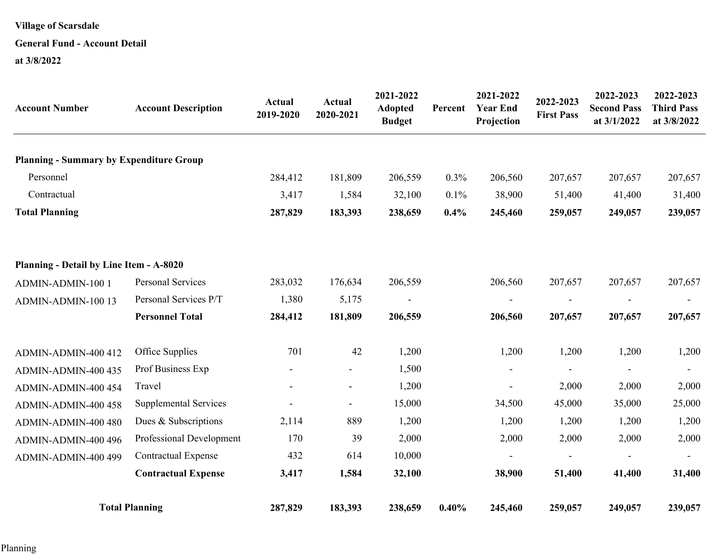# **General Fund - Account Detail**

| <b>Account Number</b>                          | <b>Account Description</b>   | Actual<br>2019-2020      | <b>Actual</b><br>2020-2021 | 2021-2022<br><b>Adopted</b><br><b>Budget</b> | Percent | 2021-2022<br><b>Year End</b><br>Projection | 2022-2023<br><b>First Pass</b> | 2022-2023<br><b>Second Pass</b><br>at 3/1/2022 | 2022-2023<br><b>Third Pass</b><br>at 3/8/2022 |
|------------------------------------------------|------------------------------|--------------------------|----------------------------|----------------------------------------------|---------|--------------------------------------------|--------------------------------|------------------------------------------------|-----------------------------------------------|
| <b>Planning - Summary by Expenditure Group</b> |                              |                          |                            |                                              |         |                                            |                                |                                                |                                               |
| Personnel                                      |                              | 284,412                  | 181,809                    | 206,559                                      | 0.3%    | 206,560                                    | 207,657                        | 207,657                                        | 207,657                                       |
| Contractual                                    |                              | 3,417                    | 1,584                      | 32,100                                       | 0.1%    | 38,900                                     | 51,400                         | 41,400                                         | 31,400                                        |
| <b>Total Planning</b>                          |                              | 287,829                  | 183,393                    | 238,659                                      | 0.4%    | 245,460                                    | 259,057                        | 249,057                                        | 239,057                                       |
| Planning - Detail by Line Item - A-8020        |                              |                          |                            |                                              |         |                                            |                                |                                                |                                               |
| ADMIN-ADMIN-100 1                              | <b>Personal Services</b>     | 283,032                  | 176,634                    | 206,559                                      |         | 206,560                                    | 207,657                        | 207,657                                        | 207,657                                       |
| ADMIN-ADMIN-100 13                             | Personal Services P/T        | 1,380                    | 5,175                      | $\overline{\phantom{a}}$                     |         |                                            |                                |                                                | $\overline{\phantom{a}}$                      |
|                                                | <b>Personnel Total</b>       | 284,412                  | 181,809                    | 206,559                                      |         | 206,560                                    | 207,657                        | 207,657                                        | 207,657                                       |
| ADMIN-ADMIN-400 412                            | Office Supplies              | 701                      | 42                         | 1,200                                        |         | 1,200                                      | 1,200                          | 1,200                                          | 1,200                                         |
| ADMIN-ADMIN-400 435                            | Prof Business Exp            | $\overline{\phantom{a}}$ | $\overline{\phantom{a}}$   | 1,500                                        |         |                                            |                                |                                                |                                               |
| ADMIN-ADMIN-400 454                            | Travel                       |                          | $\overline{\phantom{a}}$   | 1,200                                        |         |                                            | 2,000                          | 2,000                                          | 2,000                                         |
| ADMIN-ADMIN-400 458                            | <b>Supplemental Services</b> |                          | $\sim$                     | 15,000                                       |         | 34,500                                     | 45,000                         | 35,000                                         | 25,000                                        |
| ADMIN-ADMIN-400 480                            | Dues & Subscriptions         | 2,114                    | 889                        | 1,200                                        |         | 1,200                                      | 1,200                          | 1,200                                          | 1,200                                         |
| ADMIN-ADMIN-400 496                            | Professional Development     | 170                      | 39                         | 2,000                                        |         | 2,000                                      | 2,000                          | 2,000                                          | 2,000                                         |
| ADMIN-ADMIN-400 499                            | <b>Contractual Expense</b>   | 432                      | 614                        | 10,000                                       |         | $\overline{\phantom{a}}$                   |                                |                                                |                                               |
|                                                | <b>Contractual Expense</b>   | 3,417                    | 1,584                      | 32,100                                       |         | 38,900                                     | 51,400                         | 41,400                                         | 31,400                                        |
|                                                | <b>Total Planning</b>        | 287,829                  | 183,393                    | 238,659                                      | 0.40%   | 245,460                                    | 259,057                        | 249,057                                        | 239,057                                       |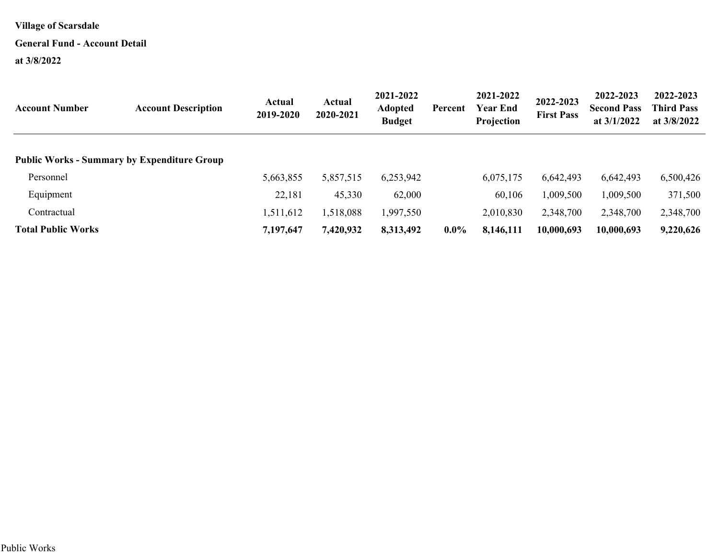#### **General Fund - Account Detail**

| <b>Account Number</b>                              | <b>Account Description</b> | Actual<br>2019-2020 | Actual<br>2020-2021 | 2021-2022<br><b>Adopted</b><br><b>Budget</b> | Percent | 2021-2022<br><b>Year End</b><br>Projection | 2022-2023<br><b>First Pass</b> | 2022-2023<br><b>Second Pass</b><br>at $3/1/2022$ | 2022-2023<br><b>Third Pass</b><br>at $3/8/2022$ |
|----------------------------------------------------|----------------------------|---------------------|---------------------|----------------------------------------------|---------|--------------------------------------------|--------------------------------|--------------------------------------------------|-------------------------------------------------|
| <b>Public Works - Summary by Expenditure Group</b> |                            |                     |                     |                                              |         |                                            |                                |                                                  |                                                 |
| Personnel                                          |                            | 5,663,855           | 5,857,515           | 6,253,942                                    |         | 6,075,175                                  | 6,642,493                      | 6,642,493                                        | 6,500,426                                       |
| Equipment                                          |                            | 22,181              | 45,330              | 62,000                                       |         | 60,106                                     | 1,009,500                      | 1,009,500                                        | 371,500                                         |
| Contractual                                        |                            | 1,511,612           | 1,518,088           | 1,997,550                                    |         | 2,010,830                                  | 2,348,700                      | 2,348,700                                        | 2,348,700                                       |
| <b>Total Public Works</b>                          |                            | 7,197,647           | 7,420,932           | 8,313,492                                    | $0.0\%$ | 8,146,111                                  | 10,000,693                     | 10,000,693                                       | 9,220,626                                       |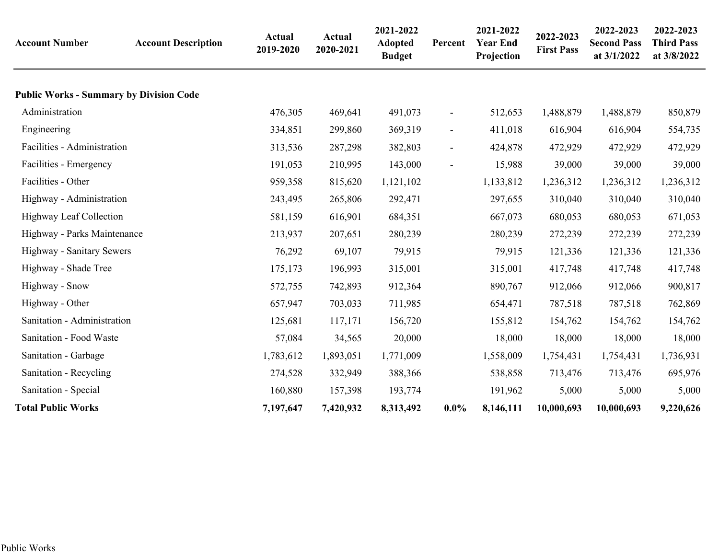| <b>Account Number</b>                          | <b>Account Description</b> | <b>Actual</b><br>2019-2020 | Actual<br>2020-2021 | 2021-2022<br><b>Adopted</b><br><b>Budget</b> | Percent        | 2021-2022<br><b>Year End</b><br>Projection | 2022-2023<br><b>First Pass</b> | 2022-2023<br><b>Second Pass</b><br>at 3/1/2022 | 2022-2023<br><b>Third Pass</b><br>at 3/8/2022 |
|------------------------------------------------|----------------------------|----------------------------|---------------------|----------------------------------------------|----------------|--------------------------------------------|--------------------------------|------------------------------------------------|-----------------------------------------------|
| <b>Public Works - Summary by Division Code</b> |                            |                            |                     |                                              |                |                                            |                                |                                                |                                               |
| Administration                                 |                            | 476,305                    | 469,641             | 491,073                                      | $\blacksquare$ | 512,653                                    | 1,488,879                      | 1,488,879                                      | 850,879                                       |
| Engineering                                    |                            | 334,851                    | 299,860             | 369,319                                      | $\blacksquare$ | 411,018                                    | 616,904                        | 616,904                                        | 554,735                                       |
| Facilities - Administration                    |                            | 313,536                    | 287,298             | 382,803                                      | $\blacksquare$ | 424,878                                    | 472,929                        | 472,929                                        | 472,929                                       |
| Facilities - Emergency                         |                            | 191,053                    | 210,995             | 143,000                                      | $\blacksquare$ | 15,988                                     | 39,000                         | 39,000                                         | 39,000                                        |
| Facilities - Other                             |                            | 959,358                    | 815,620             | 1,121,102                                    |                | 1,133,812                                  | 1,236,312                      | 1,236,312                                      | 1,236,312                                     |
| Highway - Administration                       |                            | 243,495                    | 265,806             | 292,471                                      |                | 297,655                                    | 310,040                        | 310,040                                        | 310,040                                       |
| Highway Leaf Collection                        |                            | 581,159                    | 616,901             | 684,351                                      |                | 667,073                                    | 680,053                        | 680,053                                        | 671,053                                       |
| Highway - Parks Maintenance                    |                            | 213,937                    | 207,651             | 280,239                                      |                | 280,239                                    | 272,239                        | 272,239                                        | 272,239                                       |
| Highway - Sanitary Sewers                      |                            | 76,292                     | 69,107              | 79,915                                       |                | 79,915                                     | 121,336                        | 121,336                                        | 121,336                                       |
| Highway - Shade Tree                           |                            | 175,173                    | 196,993             | 315,001                                      |                | 315,001                                    | 417,748                        | 417,748                                        | 417,748                                       |
| Highway - Snow                                 |                            | 572,755                    | 742,893             | 912,364                                      |                | 890,767                                    | 912,066                        | 912,066                                        | 900,817                                       |
| Highway - Other                                |                            | 657,947                    | 703,033             | 711,985                                      |                | 654,471                                    | 787,518                        | 787,518                                        | 762,869                                       |
| Sanitation - Administration                    |                            | 125,681                    | 117,171             | 156,720                                      |                | 155,812                                    | 154,762                        | 154,762                                        | 154,762                                       |
| Sanitation - Food Waste                        |                            | 57,084                     | 34,565              | 20,000                                       |                | 18,000                                     | 18,000                         | 18,000                                         | 18,000                                        |
| Sanitation - Garbage                           |                            | 1,783,612                  | 1,893,051           | 1,771,009                                    |                | 1,558,009                                  | 1,754,431                      | 1,754,431                                      | 1,736,931                                     |
| Sanitation - Recycling                         |                            | 274,528                    | 332,949             | 388,366                                      |                | 538,858                                    | 713,476                        | 713,476                                        | 695,976                                       |
| Sanitation - Special                           |                            | 160,880                    | 157,398             | 193,774                                      |                | 191,962                                    | 5,000                          | 5,000                                          | 5,000                                         |
| <b>Total Public Works</b>                      |                            | 7,197,647                  | 7,420,932           | 8,313,492                                    | $0.0\%$        | 8,146,111                                  | 10,000,693                     | 10,000,693                                     | 9,220,626                                     |
|                                                |                            |                            |                     |                                              |                |                                            |                                |                                                |                                               |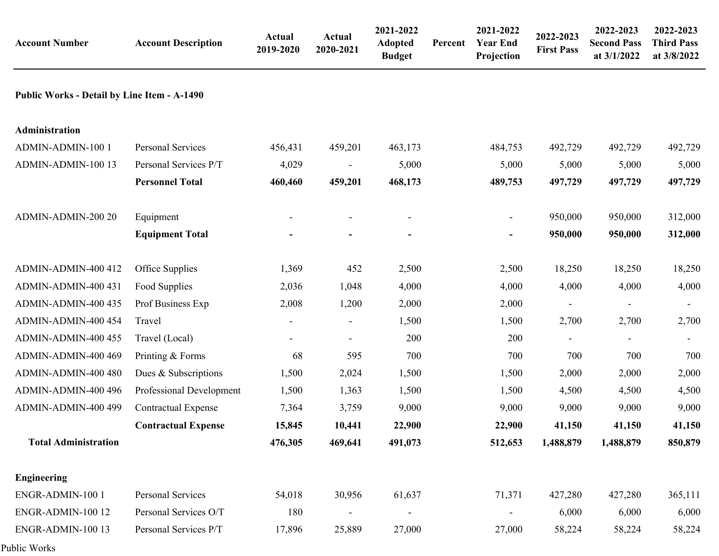| <b>Account Number</b>                              | <b>Account Description</b> | Actual<br>2019-2020 | Actual<br>2020-2021      | 2021-2022<br>Adopted<br><b>Budget</b> | Percent | 2021-2022<br><b>Year End</b><br>Projection | 2022-2023<br><b>First Pass</b> | 2022-2023<br><b>Second Pass</b><br>at 3/1/2022 | 2022-2023<br><b>Third Pass</b><br>at 3/8/2022 |
|----------------------------------------------------|----------------------------|---------------------|--------------------------|---------------------------------------|---------|--------------------------------------------|--------------------------------|------------------------------------------------|-----------------------------------------------|
| <b>Public Works - Detail by Line Item - A-1490</b> |                            |                     |                          |                                       |         |                                            |                                |                                                |                                               |
| Administration                                     |                            |                     |                          |                                       |         |                                            |                                |                                                |                                               |
| ADMIN-ADMIN-100 1                                  | Personal Services          | 456,431             | 459,201                  | 463,173                               |         | 484,753                                    | 492,729                        | 492,729                                        | 492,729                                       |
| ADMIN-ADMIN-100 13                                 | Personal Services P/T      | 4,029               |                          | 5,000                                 |         | 5,000                                      | 5,000                          | 5,000                                          | 5,000                                         |
|                                                    | <b>Personnel Total</b>     | 460,460             | 459,201                  | 468,173                               |         | 489,753                                    | 497,729                        | 497,729                                        | 497,729                                       |
| ADMIN-ADMIN-200 20                                 | Equipment                  |                     | $\overline{\phantom{a}}$ |                                       |         | $\blacksquare$                             | 950,000                        | 950,000                                        | 312,000                                       |
|                                                    | <b>Equipment Total</b>     |                     | ۰                        |                                       |         |                                            | 950,000                        | 950,000                                        | 312,000                                       |
| ADMIN-ADMIN-400 412                                | Office Supplies            | 1,369               | 452                      | 2,500                                 |         | 2,500                                      | 18,250                         | 18,250                                         | 18,250                                        |
| ADMIN-ADMIN-400 431                                | Food Supplies              | 2,036               | 1,048                    | 4,000                                 |         | 4,000                                      | 4,000                          | 4,000                                          | 4,000                                         |
| ADMIN-ADMIN-400 435                                | Prof Business Exp          | 2,008               | 1,200                    | 2,000                                 |         | 2,000                                      |                                | $\overline{\phantom{a}}$                       |                                               |
| ADMIN-ADMIN-400 454                                | Travel                     | $\blacksquare$      | $\overline{\phantom{a}}$ | 1,500                                 |         | 1,500                                      | 2,700                          | 2,700                                          | 2,700                                         |
| ADMIN-ADMIN-400 455                                | Travel (Local)             |                     |                          | 200                                   |         | 200                                        |                                |                                                |                                               |
| ADMIN-ADMIN-400 469                                | Printing & Forms           | 68                  | 595                      | 700                                   |         | 700                                        | 700                            | 700                                            | 700                                           |
| ADMIN-ADMIN-400 480                                | Dues & Subscriptions       | 1,500               | 2,024                    | 1,500                                 |         | 1,500                                      | 2,000                          | 2,000                                          | 2,000                                         |
| ADMIN-ADMIN-400 496                                | Professional Development   | 1,500               | 1,363                    | 1,500                                 |         | 1,500                                      | 4,500                          | 4,500                                          | 4,500                                         |
| ADMIN-ADMIN-400 499                                | <b>Contractual Expense</b> | 7,364               | 3,759                    | 9,000                                 |         | 9,000                                      | 9,000                          | 9,000                                          | 9,000                                         |
|                                                    | <b>Contractual Expense</b> | 15,845              | 10,441                   | 22,900                                |         | 22,900                                     | 41,150                         | 41,150                                         | 41,150                                        |
| <b>Total Administration</b>                        |                            | 476,305             | 469,641                  | 491,073                               |         | 512,653                                    | 1,488,879                      | 1,488,879                                      | 850,879                                       |
| <b>Engineering</b>                                 |                            |                     |                          |                                       |         |                                            |                                |                                                |                                               |
| ENGR-ADMIN-100 1                                   | Personal Services          | 54,018              | 30,956                   | 61,637                                |         | 71,371                                     | 427,280                        | 427,280                                        | 365,111                                       |
| ENGR-ADMIN-100 12                                  | Personal Services O/T      | 180                 |                          | $\overline{a}$                        |         |                                            | 6,000                          | 6,000                                          | 6,000                                         |
| ENGR-ADMIN-100 13                                  | Personal Services P/T      | 17,896              | 25,889                   | 27,000                                |         | 27,000                                     | 58,224                         | 58,224                                         | 58,224                                        |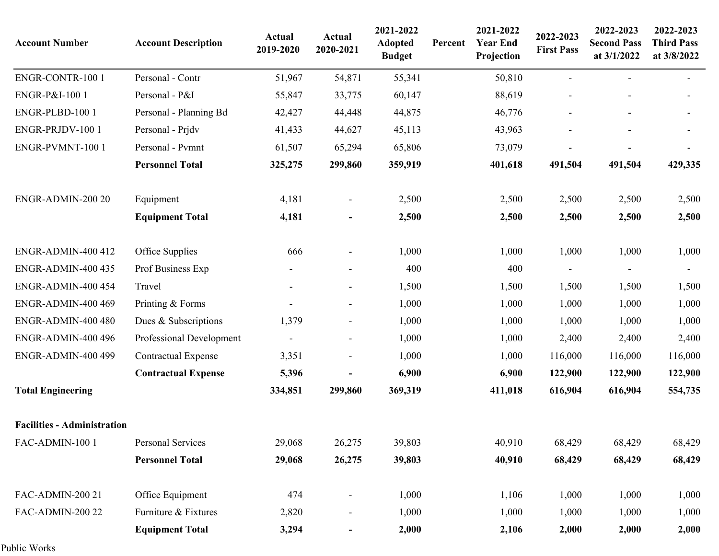| <b>Account Number</b>              | <b>Account Description</b> | Actual<br>2019-2020      | Actual<br>2020-2021          | 2021-2022<br><b>Adopted</b><br><b>Budget</b> | Percent | 2021-2022<br><b>Year End</b><br>Projection | 2022-2023<br><b>First Pass</b> | 2022-2023<br><b>Second Pass</b><br>at 3/1/2022 | 2022-2023<br><b>Third Pass</b><br>at 3/8/2022 |
|------------------------------------|----------------------------|--------------------------|------------------------------|----------------------------------------------|---------|--------------------------------------------|--------------------------------|------------------------------------------------|-----------------------------------------------|
| ENGR-CONTR-100 1                   | Personal - Contr           | 51,967                   | 54,871                       | 55,341                                       |         | 50,810                                     |                                |                                                |                                               |
| ENGR-P&I-100 1                     | Personal - P&I             | 55,847                   | 33,775                       | 60,147                                       |         | 88,619                                     |                                |                                                |                                               |
| ENGR-PLBD-100 1                    | Personal - Planning Bd     | 42,427                   | 44,448                       | 44,875                                       |         | 46,776                                     |                                |                                                |                                               |
| ENGR-PRJDV-100 1                   | Personal - Prjdv           | 41,433                   | 44,627                       | 45,113                                       |         | 43,963                                     |                                |                                                |                                               |
| ENGR-PVMNT-100 1                   | Personal - Pvmnt           | 61,507                   | 65,294                       | 65,806                                       |         | 73,079                                     |                                |                                                |                                               |
|                                    | <b>Personnel Total</b>     | 325,275                  | 299,860                      | 359,919                                      |         | 401,618                                    | 491,504                        | 491,504                                        | 429,335                                       |
| ENGR-ADMIN-200 20                  | Equipment                  | 4,181                    |                              | 2,500                                        |         | 2,500                                      | 2,500                          | 2,500                                          | 2,500                                         |
|                                    | <b>Equipment Total</b>     | 4,181                    |                              | 2,500                                        |         | 2,500                                      | 2,500                          | 2,500                                          | 2,500                                         |
| <b>ENGR-ADMIN-400 412</b>          | Office Supplies            | 666                      | $\overline{\phantom{a}}$     | 1,000                                        |         | 1,000                                      | 1,000                          | 1,000                                          | 1,000                                         |
| <b>ENGR-ADMIN-400 435</b>          | Prof Business Exp          |                          | $\overline{\phantom{0}}$     | 400                                          |         | 400                                        |                                |                                                |                                               |
| <b>ENGR-ADMIN-400 454</b>          | Travel                     |                          | $\overline{\phantom{a}}$     | 1,500                                        |         | 1,500                                      | 1,500                          | 1,500                                          | 1,500                                         |
| ENGR-ADMIN-400 469                 | Printing & Forms           |                          | $\overline{\phantom{a}}$     | 1,000                                        |         | 1,000                                      | 1,000                          | 1,000                                          | 1,000                                         |
| ENGR-ADMIN-400 480                 | Dues & Subscriptions       | 1,379                    | $\overline{\phantom{a}}$     | 1,000                                        |         | 1,000                                      | 1,000                          | 1,000                                          | 1,000                                         |
| ENGR-ADMIN-400 496                 | Professional Development   | $\overline{\phantom{a}}$ | $\overline{\phantom{a}}$     | 1,000                                        |         | 1,000                                      | 2,400                          | 2,400                                          | 2,400                                         |
| <b>ENGR-ADMIN-400 499</b>          | <b>Contractual Expense</b> | 3,351                    | $\overline{\phantom{a}}$     | 1,000                                        |         | 1,000                                      | 116,000                        | 116,000                                        | 116,000                                       |
|                                    | <b>Contractual Expense</b> | 5,396                    |                              | 6,900                                        |         | 6,900                                      | 122,900                        | 122,900                                        | 122,900                                       |
| <b>Total Engineering</b>           |                            | 334,851                  | 299,860                      | 369,319                                      |         | 411,018                                    | 616,904                        | 616,904                                        | 554,735                                       |
| <b>Facilities - Administration</b> |                            |                          |                              |                                              |         |                                            |                                |                                                |                                               |
| FAC-ADMIN-100 1                    | <b>Personal Services</b>   | 29,068                   | 26,275                       | 39,803                                       |         | 40,910                                     | 68,429                         | 68,429                                         | 68,429                                        |
|                                    | <b>Personnel Total</b>     | 29,068                   | 26,275                       | 39,803                                       |         | 40,910                                     | 68,429                         | 68,429                                         | 68,429                                        |
| FAC-ADMIN-200 21                   | Office Equipment           | 474                      | $\qquad \qquad \blacksquare$ | 1,000                                        |         | 1,106                                      | 1,000                          | 1,000                                          | 1,000                                         |
| FAC-ADMIN-200 22                   | Furniture & Fixtures       | 2,820                    | $\qquad \qquad \blacksquare$ | 1,000                                        |         | 1,000                                      | 1,000                          | 1,000                                          | 1,000                                         |
|                                    | <b>Equipment Total</b>     | 3,294                    | ۰                            | 2,000                                        |         | 2,106                                      | 2,000                          | 2,000                                          | 2,000                                         |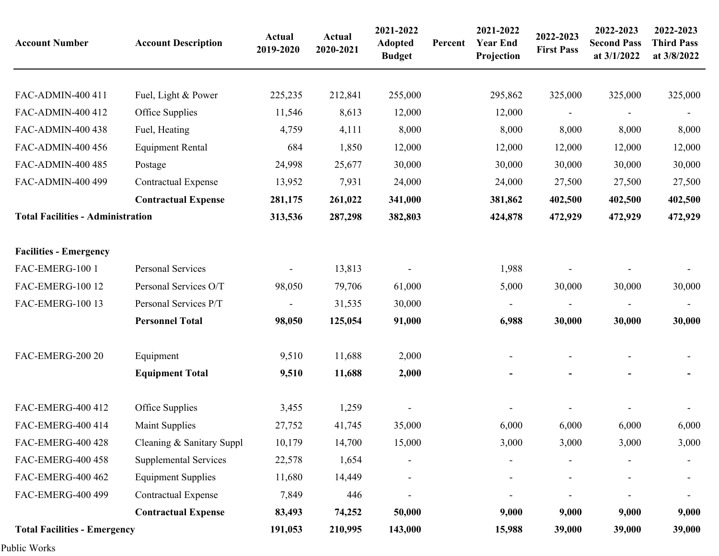| <b>Account Number</b>                    | <b>Account Description</b>   | <b>Actual</b><br>2019-2020 | <b>Actual</b><br>2020-2021 | 2021-2022<br><b>Adopted</b><br><b>Budget</b> | Percent | 2021-2022<br><b>Year End</b><br>Projection | 2022-2023<br><b>First Pass</b> | 2022-2023<br><b>Second Pass</b><br>at 3/1/2022 | 2022-2023<br><b>Third Pass</b><br>at 3/8/2022 |
|------------------------------------------|------------------------------|----------------------------|----------------------------|----------------------------------------------|---------|--------------------------------------------|--------------------------------|------------------------------------------------|-----------------------------------------------|
|                                          |                              |                            |                            |                                              |         |                                            |                                |                                                |                                               |
| FAC-ADMIN-400 411                        | Fuel, Light & Power          | 225,235                    | 212,841                    | 255,000                                      |         | 295,862                                    | 325,000                        | 325,000                                        | 325,000                                       |
| FAC-ADMIN-400 412                        | Office Supplies              | 11,546                     | 8,613                      | 12,000                                       |         | 12,000                                     |                                |                                                |                                               |
| FAC-ADMIN-400 438                        | Fuel, Heating                | 4,759                      | 4,111                      | 8,000                                        |         | 8,000                                      | 8,000                          | 8,000                                          | 8,000                                         |
| FAC-ADMIN-400 456                        | <b>Equipment Rental</b>      | 684                        | 1,850                      | 12,000                                       |         | 12,000                                     | 12,000                         | 12,000                                         | 12,000                                        |
| FAC-ADMIN-400 485                        | Postage                      | 24,998                     | 25,677                     | 30,000                                       |         | 30,000                                     | 30,000                         | 30,000                                         | 30,000                                        |
| FAC-ADMIN-400 499                        | <b>Contractual Expense</b>   | 13,952                     | 7,931                      | 24,000                                       |         | 24,000                                     | 27,500                         | 27,500                                         | 27,500                                        |
|                                          | <b>Contractual Expense</b>   | 281,175                    | 261,022                    | 341,000                                      |         | 381,862                                    | 402,500                        | 402,500                                        | 402,500                                       |
| <b>Total Facilities - Administration</b> |                              | 313,536                    | 287,298                    | 382,803                                      |         | 424,878                                    | 472,929                        | 472,929                                        | 472,929                                       |
| <b>Facilities - Emergency</b>            |                              |                            |                            |                                              |         |                                            |                                |                                                |                                               |
| FAC-EMERG-100 1                          | Personal Services            |                            | 13,813                     |                                              |         | 1,988                                      |                                |                                                |                                               |
| <b>FAC-EMERG-100 12</b>                  | Personal Services O/T        | 98,050                     | 79,706                     | 61,000                                       |         | 5,000                                      | 30,000                         | 30,000                                         | 30,000                                        |
| <b>FAC-EMERG-100 13</b>                  | Personal Services P/T        |                            | 31,535                     | 30,000                                       |         | $\overline{\phantom{a}}$                   |                                |                                                |                                               |
|                                          | <b>Personnel Total</b>       | 98,050                     | 125,054                    | 91,000                                       |         | 6,988                                      | 30,000                         | 30,000                                         | 30,000                                        |
| FAC-EMERG-200 20                         | Equipment                    | 9,510                      | 11,688                     | 2,000                                        |         |                                            |                                |                                                |                                               |
|                                          | <b>Equipment Total</b>       | 9,510                      | 11,688                     | 2,000                                        |         |                                            |                                |                                                |                                               |
| FAC-EMERG-400 412                        | Office Supplies              | 3,455                      | 1,259                      |                                              |         |                                            |                                |                                                |                                               |
| FAC-EMERG-400 414                        | <b>Maint Supplies</b>        | 27,752                     | 41,745                     | 35,000                                       |         | 6,000                                      | 6,000                          | 6,000                                          | 6,000                                         |
| FAC-EMERG-400 428                        | Cleaning & Sanitary Suppl    | 10,179                     | 14,700                     | 15,000                                       |         | 3,000                                      | 3,000                          | 3,000                                          | 3,000                                         |
| FAC-EMERG-400 458                        | <b>Supplemental Services</b> | 22,578                     | 1,654                      |                                              |         |                                            |                                |                                                |                                               |
| FAC-EMERG-400 462                        | <b>Equipment Supplies</b>    | 11,680                     | 14,449                     |                                              |         |                                            |                                |                                                |                                               |
| FAC-EMERG-400 499                        | <b>Contractual Expense</b>   | 7,849                      | 446                        |                                              |         |                                            |                                |                                                |                                               |
|                                          | <b>Contractual Expense</b>   | 83,493                     | 74,252                     | 50,000                                       |         | 9,000                                      | 9,000                          | 9,000                                          | 9,000                                         |
| <b>Total Facilities - Emergency</b>      |                              | 191,053                    | 210,995                    | 143,000                                      |         | 15,988                                     | 39,000                         | 39,000                                         | 39,000                                        |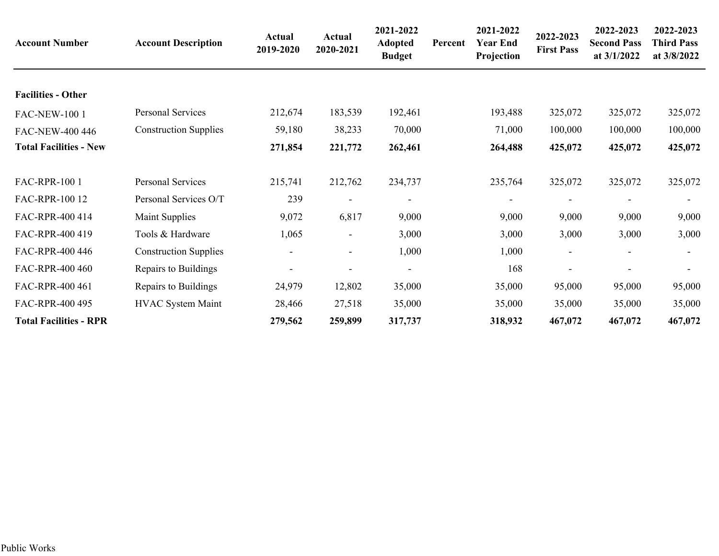| <b>Account Number</b>         | <b>Account Description</b>   | Actual<br>2019-2020 | Actual<br>2020-2021      | 2021-2022<br><b>Adopted</b><br><b>Budget</b> | Percent | 2021-2022<br><b>Year End</b><br>Projection | 2022-2023<br><b>First Pass</b> | 2022-2023<br><b>Second Pass</b><br>at 3/1/2022 | 2022-2023<br><b>Third Pass</b><br>at 3/8/2022 |
|-------------------------------|------------------------------|---------------------|--------------------------|----------------------------------------------|---------|--------------------------------------------|--------------------------------|------------------------------------------------|-----------------------------------------------|
| <b>Facilities - Other</b>     |                              |                     |                          |                                              |         |                                            |                                |                                                |                                               |
| <b>FAC-NEW-1001</b>           | Personal Services            | 212,674             | 183,539                  | 192,461                                      |         | 193,488                                    | 325,072                        | 325,072                                        | 325,072                                       |
| FAC-NEW-400 446               | <b>Construction Supplies</b> | 59,180              | 38,233                   | 70,000                                       |         | 71,000                                     | 100,000                        | 100,000                                        | 100,000                                       |
| <b>Total Facilities - New</b> |                              | 271,854             | 221,772                  | 262,461                                      |         | 264,488                                    | 425,072                        | 425,072                                        | 425,072                                       |
| FAC-RPR-100 1                 | Personal Services            | 215,741             | 212,762                  | 234,737                                      |         | 235,764                                    | 325,072                        | 325,072                                        | 325,072                                       |
| FAC-RPR-100 12                | Personal Services O/T        | 239                 | $\blacksquare$           |                                              |         |                                            | $\overline{\phantom{a}}$       |                                                |                                               |
| FAC-RPR-400 414               | Maint Supplies               | 9,072               | 6,817                    | 9,000                                        |         | 9,000                                      | 9,000                          | 9,000                                          | 9,000                                         |
| FAC-RPR-400 419               | Tools & Hardware             | 1,065               | $\overline{\phantom{a}}$ | 3,000                                        |         | 3,000                                      | 3,000                          | 3,000                                          | 3,000                                         |
| FAC-RPR-400 446               | <b>Construction Supplies</b> |                     | $\overline{\phantom{a}}$ | 1,000                                        |         | 1,000                                      |                                |                                                |                                               |
| FAC-RPR-400 460               | Repairs to Buildings         |                     | $\qquad \qquad -$        |                                              |         | 168                                        |                                |                                                |                                               |
| FAC-RPR-400 461               | Repairs to Buildings         | 24,979              | 12,802                   | 35,000                                       |         | 35,000                                     | 95,000                         | 95,000                                         | 95,000                                        |
| FAC-RPR-400 495               | <b>HVAC System Maint</b>     | 28,466              | 27,518                   | 35,000                                       |         | 35,000                                     | 35,000                         | 35,000                                         | 35,000                                        |
| <b>Total Facilities - RPR</b> |                              | 279,562             | 259,899                  | 317,737                                      |         | 318,932                                    | 467,072                        | 467,072                                        | 467,072                                       |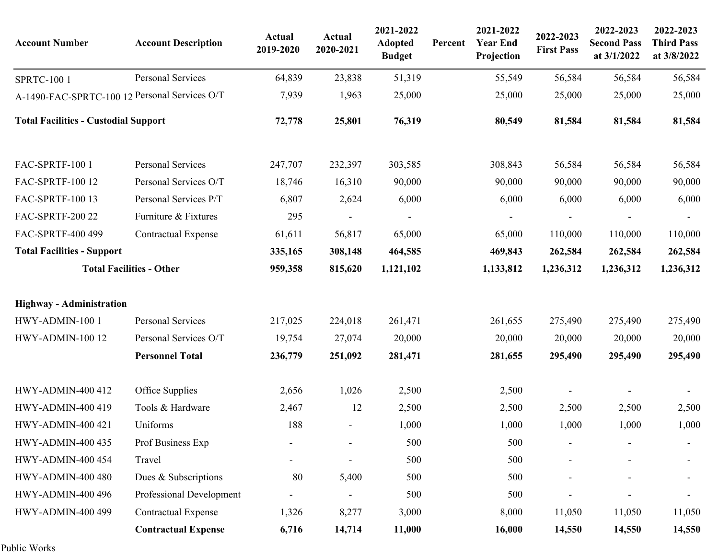| <b>Account Number</b>                         | <b>Account Description</b>      | Actual<br>2019-2020 | Actual<br>2020-2021 | 2021-2022<br><b>Adopted</b><br><b>Budget</b> | Percent | 2021-2022<br><b>Year End</b><br>Projection | 2022-2023<br><b>First Pass</b> | 2022-2023<br><b>Second Pass</b><br>at 3/1/2022 | 2022-2023<br><b>Third Pass</b><br>at 3/8/2022 |
|-----------------------------------------------|---------------------------------|---------------------|---------------------|----------------------------------------------|---------|--------------------------------------------|--------------------------------|------------------------------------------------|-----------------------------------------------|
| <b>SPRTC-100 1</b>                            | Personal Services               | 64,839              | 23,838              | 51,319                                       |         | 55,549                                     | 56,584                         | 56,584                                         | 56,584                                        |
| A-1490-FAC-SPRTC-100 12 Personal Services O/T |                                 | 7,939               | 1,963               | 25,000                                       |         | 25,000                                     | 25,000                         | 25,000                                         | 25,000                                        |
| <b>Total Facilities - Custodial Support</b>   |                                 | 72,778              | 25,801              | 76,319                                       |         | 80,549                                     | 81,584                         | 81,584                                         | 81,584                                        |
| FAC-SPRTF-100 1                               | Personal Services               | 247,707             | 232,397             | 303,585                                      |         | 308,843                                    | 56,584                         | 56,584                                         | 56,584                                        |
| FAC-SPRTF-100 12                              | Personal Services O/T           | 18,746              | 16,310              | 90,000                                       |         | 90,000                                     | 90,000                         | 90,000                                         | 90,000                                        |
| FAC-SPRTF-100 13                              | Personal Services P/T           | 6,807               | 2,624               | 6,000                                        |         | 6,000                                      | 6,000                          | 6,000                                          | 6,000                                         |
| <b>FAC-SPRTF-200 22</b>                       | Furniture & Fixtures            | 295                 |                     |                                              |         |                                            |                                |                                                |                                               |
| FAC-SPRTF-400 499                             | <b>Contractual Expense</b>      | 61,611              | 56,817              | 65,000                                       |         | 65,000                                     | 110,000                        | 110,000                                        | 110,000                                       |
| <b>Total Facilities - Support</b>             |                                 | 335,165             | 308,148             | 464,585                                      |         | 469,843                                    | 262,584                        | 262,584                                        | 262,584                                       |
|                                               | <b>Total Facilities - Other</b> | 959,358             | 815,620             | 1,121,102                                    |         | 1,133,812                                  | 1,236,312                      | 1,236,312                                      | 1,236,312                                     |
| <b>Highway - Administration</b>               |                                 |                     |                     |                                              |         |                                            |                                |                                                |                                               |
| HWY-ADMIN-100 1                               | Personal Services               | 217,025             | 224,018             | 261,471                                      |         | 261,655                                    | 275,490                        | 275,490                                        | 275,490                                       |
| HWY-ADMIN-100 12                              | Personal Services O/T           | 19,754              | 27,074              | 20,000                                       |         | 20,000                                     | 20,000                         | 20,000                                         | 20,000                                        |
|                                               | <b>Personnel Total</b>          | 236,779             | 251,092             | 281,471                                      |         | 281,655                                    | 295,490                        | 295,490                                        | 295,490                                       |
| <b>HWY-ADMIN-400 412</b>                      | Office Supplies                 | 2,656               | 1,026               | 2,500                                        |         | 2,500                                      |                                |                                                |                                               |
| <b>HWY-ADMIN-400 419</b>                      | Tools & Hardware                | 2,467               | 12                  | 2,500                                        |         | 2,500                                      | 2,500                          | 2,500                                          | 2,500                                         |
| <b>HWY-ADMIN-400 421</b>                      | Uniforms                        | 188                 |                     | 1,000                                        |         | 1,000                                      | 1,000                          | 1,000                                          | 1,000                                         |
| <b>HWY-ADMIN-400 435</b>                      | Prof Business Exp               |                     |                     | 500                                          |         | 500                                        |                                |                                                |                                               |
| <b>HWY-ADMIN-400 454</b>                      | Travel                          |                     |                     | 500                                          |         | 500                                        |                                |                                                |                                               |
| <b>HWY-ADMIN-400 480</b>                      | Dues & Subscriptions            | 80                  | 5,400               | 500                                          |         | 500                                        |                                |                                                |                                               |
| <b>HWY-ADMIN-400 496</b>                      | Professional Development        |                     |                     | 500                                          |         | 500                                        |                                |                                                |                                               |
| <b>HWY-ADMIN-400 499</b>                      | <b>Contractual Expense</b>      | 1,326               | 8,277               | 3,000                                        |         | 8,000                                      | 11,050                         | 11,050                                         | 11,050                                        |
|                                               | <b>Contractual Expense</b>      | 6,716               | 14,714              | 11,000                                       |         | 16,000                                     | 14,550                         | 14,550                                         | 14,550                                        |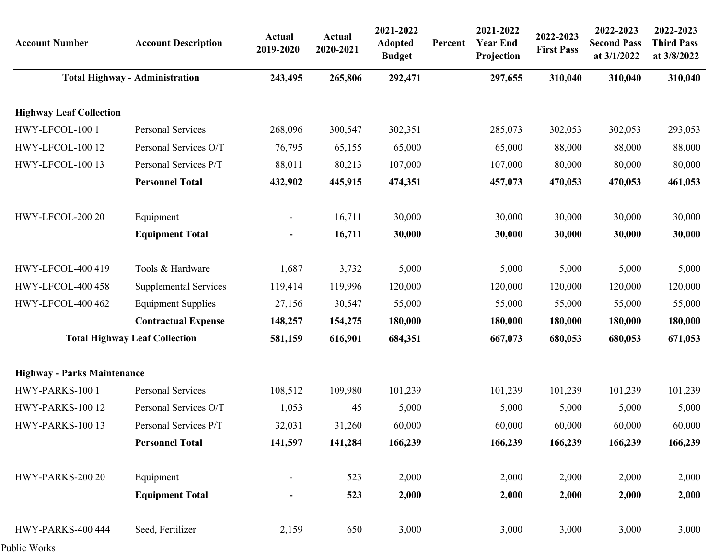| <b>Account Number</b>              | <b>Account Description</b>            | <b>Actual</b><br>2019-2020 | <b>Actual</b><br>2020-2021 | 2021-2022<br><b>Adopted</b><br><b>Budget</b> | Percent | 2021-2022<br><b>Year End</b><br>Projection | 2022-2023<br><b>First Pass</b> | 2022-2023<br><b>Second Pass</b><br>at 3/1/2022 | 2022-2023<br><b>Third Pass</b><br>at 3/8/2022 |
|------------------------------------|---------------------------------------|----------------------------|----------------------------|----------------------------------------------|---------|--------------------------------------------|--------------------------------|------------------------------------------------|-----------------------------------------------|
|                                    | <b>Total Highway - Administration</b> | 243,495                    | 265,806                    | 292,471                                      |         | 297,655                                    | 310,040                        | 310,040                                        | 310,040                                       |
| <b>Highway Leaf Collection</b>     |                                       |                            |                            |                                              |         |                                            |                                |                                                |                                               |
| HWY-LFCOL-100 1                    | Personal Services                     | 268,096                    | 300,547                    | 302,351                                      |         | 285,073                                    | 302,053                        | 302,053                                        | 293,053                                       |
| HWY-LFCOL-100 12                   | Personal Services O/T                 | 76,795                     | 65,155                     | 65,000                                       |         | 65,000                                     | 88,000                         | 88,000                                         | 88,000                                        |
| HWY-LFCOL-100 13                   | Personal Services P/T                 | 88,011                     | 80,213                     | 107,000                                      |         | 107,000                                    | 80,000                         | 80,000                                         | 80,000                                        |
|                                    | <b>Personnel Total</b>                | 432,902                    | 445,915                    | 474,351                                      |         | 457,073                                    | 470,053                        | 470,053                                        | 461,053                                       |
| HWY-LFCOL-200 20                   | Equipment                             | $\overline{\phantom{a}}$   | 16,711                     | 30,000                                       |         | 30,000                                     | 30,000                         | 30,000                                         | 30,000                                        |
|                                    | <b>Equipment Total</b>                | $\blacksquare$             | 16,711                     | 30,000                                       |         | 30,000                                     | 30,000                         | 30,000                                         | 30,000                                        |
| HWY-LFCOL-400 419                  | Tools & Hardware                      | 1,687                      | 3,732                      | 5,000                                        |         | 5,000                                      | 5,000                          | 5,000                                          | 5,000                                         |
| HWY-LFCOL-400 458                  | <b>Supplemental Services</b>          | 119,414                    | 119,996                    | 120,000                                      |         | 120,000                                    | 120,000                        | 120,000                                        | 120,000                                       |
| HWY-LFCOL-400 462                  | <b>Equipment Supplies</b>             | 27,156                     | 30,547                     | 55,000                                       |         | 55,000                                     | 55,000                         | 55,000                                         | 55,000                                        |
|                                    | <b>Contractual Expense</b>            | 148,257                    | 154,275                    | 180,000                                      |         | 180,000                                    | 180,000                        | 180,000                                        | 180,000                                       |
|                                    | <b>Total Highway Leaf Collection</b>  | 581,159                    | 616,901                    | 684,351                                      |         | 667,073                                    | 680,053                        | 680,053                                        | 671,053                                       |
| <b>Highway - Parks Maintenance</b> |                                       |                            |                            |                                              |         |                                            |                                |                                                |                                               |
| HWY-PARKS-100 1                    | Personal Services                     | 108,512                    | 109,980                    | 101,239                                      |         | 101,239                                    | 101,239                        | 101,239                                        | 101,239                                       |
| HWY-PARKS-100 12                   | Personal Services O/T                 | 1,053                      | 45                         | 5,000                                        |         | 5,000                                      | 5,000                          | 5,000                                          | 5,000                                         |
| HWY-PARKS-100 13                   | Personal Services P/T                 | 32,031                     | 31,260                     | 60,000                                       |         | 60,000                                     | 60,000                         | 60,000                                         | 60,000                                        |
|                                    | <b>Personnel Total</b>                | 141,597                    | 141,284                    | 166,239                                      |         | 166,239                                    | 166,239                        | 166,239                                        | 166,239                                       |
| HWY-PARKS-200 20                   | Equipment                             |                            | 523                        | 2,000                                        |         | 2,000                                      | 2,000                          | 2,000                                          | 2,000                                         |
|                                    | <b>Equipment Total</b>                | -                          | 523                        | 2,000                                        |         | 2,000                                      | 2,000                          | 2,000                                          | 2,000                                         |
| HWY-PARKS-400 444                  | Seed, Fertilizer                      | 2,159                      | 650                        | 3,000                                        |         | 3,000                                      | 3,000                          | 3,000                                          | 3,000                                         |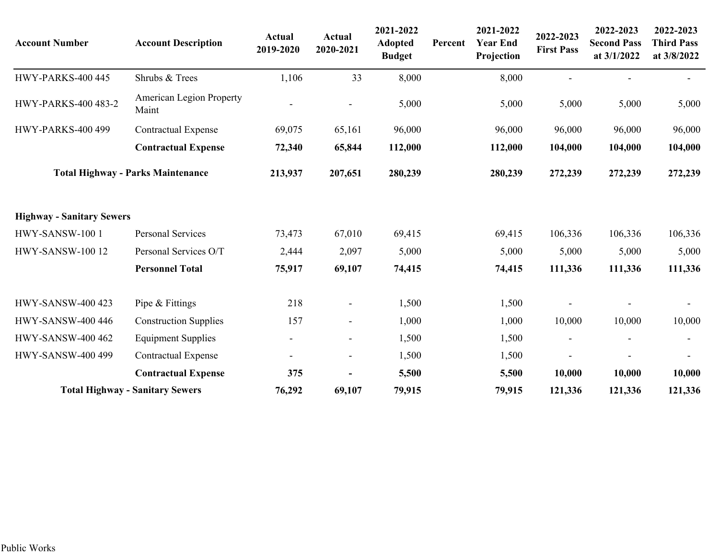| <b>Account Number</b>            | <b>Account Description</b>               | Actual<br>2019-2020      | <b>Actual</b><br>2020-2021 | 2021-2022<br><b>Adopted</b><br><b>Budget</b> | Percent | 2021-2022<br><b>Year End</b><br>Projection | 2022-2023<br><b>First Pass</b> | 2022-2023<br><b>Second Pass</b><br>at 3/1/2022 | 2022-2023<br><b>Third Pass</b><br>at 3/8/2022 |
|----------------------------------|------------------------------------------|--------------------------|----------------------------|----------------------------------------------|---------|--------------------------------------------|--------------------------------|------------------------------------------------|-----------------------------------------------|
| <b>HWY-PARKS-400 445</b>         | Shrubs & Trees                           | 1,106                    | 33                         | 8,000                                        |         | 8,000                                      |                                |                                                |                                               |
| <b>HWY-PARKS-400 483-2</b>       | <b>American Legion Property</b><br>Maint |                          |                            | 5,000                                        |         | 5,000                                      | 5,000                          | 5,000                                          | 5,000                                         |
| <b>HWY-PARKS-400 499</b>         | <b>Contractual Expense</b>               | 69,075                   | 65,161                     | 96,000                                       |         | 96,000                                     | 96,000                         | 96,000                                         | 96,000                                        |
|                                  | <b>Contractual Expense</b>               | 72,340                   | 65,844                     | 112,000                                      |         | 112,000                                    | 104,000                        | 104,000                                        | 104,000                                       |
|                                  | <b>Total Highway - Parks Maintenance</b> | 213,937                  | 207,651                    | 280,239                                      |         | 280,239                                    | 272,239                        | 272,239                                        | 272,239                                       |
| <b>Highway - Sanitary Sewers</b> |                                          |                          |                            |                                              |         |                                            |                                |                                                |                                               |
| HWY-SANSW-100 1                  | <b>Personal Services</b>                 | 73,473                   | 67,010                     | 69,415                                       |         | 69,415                                     | 106,336                        | 106,336                                        | 106,336                                       |
| <b>HWY-SANSW-100 12</b>          | Personal Services O/T                    | 2,444                    | 2,097                      | 5,000                                        |         | 5,000                                      | 5,000                          | 5,000                                          | 5,000                                         |
|                                  | <b>Personnel Total</b>                   | 75,917                   | 69,107                     | 74,415                                       |         | 74,415                                     | 111,336                        | 111,336                                        | 111,336                                       |
| <b>HWY-SANSW-400 423</b>         | Pipe & Fittings                          | 218                      | $\sim$                     | 1,500                                        |         | 1,500                                      |                                |                                                |                                               |
| <b>HWY-SANSW-400 446</b>         | <b>Construction Supplies</b>             | 157                      | $\blacksquare$             | 1,000                                        |         | 1,000                                      | 10,000                         | 10,000                                         | 10,000                                        |
| <b>HWY-SANSW-400 462</b>         | <b>Equipment Supplies</b>                | $\overline{\phantom{a}}$ | $\blacksquare$             | 1,500                                        |         | 1,500                                      |                                |                                                |                                               |
| <b>HWY-SANSW-400 499</b>         | <b>Contractual Expense</b>               | $\overline{\phantom{a}}$ | $\overline{\phantom{a}}$   | 1,500                                        |         | 1,500                                      |                                |                                                |                                               |
|                                  | <b>Contractual Expense</b>               | 375                      |                            | 5,500                                        |         | 5,500                                      | 10,000                         | 10,000                                         | 10,000                                        |
|                                  | <b>Total Highway - Sanitary Sewers</b>   | 76,292                   | 69,107                     | 79,915                                       |         | 79,915                                     | 121,336                        | 121,336                                        | 121,336                                       |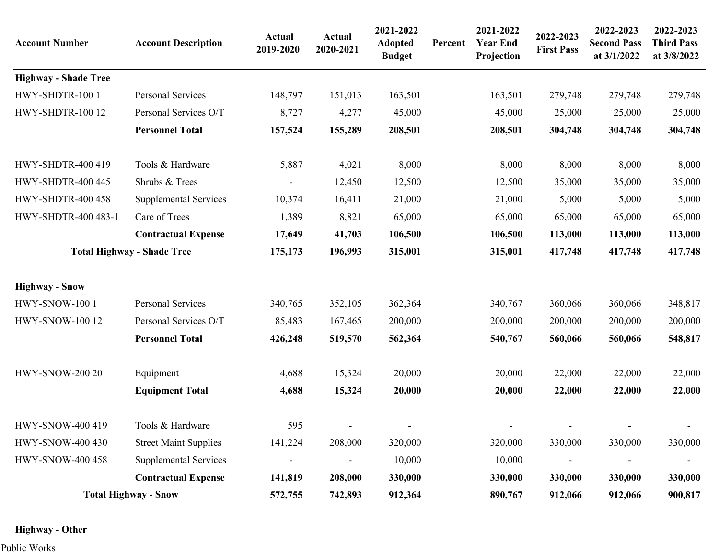| <b>Account Number</b>       | <b>Account Description</b>        | <b>Actual</b><br>2019-2020 | Actual<br>2020-2021 | 2021-2022<br><b>Adopted</b><br><b>Budget</b> | Percent | 2021-2022<br><b>Year End</b><br>Projection | 2022-2023<br><b>First Pass</b> | 2022-2023<br><b>Second Pass</b><br>at 3/1/2022 | 2022-2023<br><b>Third Pass</b><br>at 3/8/2022 |
|-----------------------------|-----------------------------------|----------------------------|---------------------|----------------------------------------------|---------|--------------------------------------------|--------------------------------|------------------------------------------------|-----------------------------------------------|
| <b>Highway - Shade Tree</b> |                                   |                            |                     |                                              |         |                                            |                                |                                                |                                               |
| HWY-SHDTR-100 1             | Personal Services                 | 148,797                    | 151,013             | 163,501                                      |         | 163,501                                    | 279,748                        | 279,748                                        | 279,748                                       |
| HWY-SHDTR-100 12            | Personal Services O/T             | 8,727                      | 4,277               | 45,000                                       |         | 45,000                                     | 25,000                         | 25,000                                         | 25,000                                        |
|                             | <b>Personnel Total</b>            | 157,524                    | 155,289             | 208,501                                      |         | 208,501                                    | 304,748                        | 304,748                                        | 304,748                                       |
| <b>HWY-SHDTR-400 419</b>    | Tools & Hardware                  | 5,887                      | 4,021               | 8,000                                        |         | 8,000                                      | 8,000                          | 8,000                                          | 8,000                                         |
| HWY-SHDTR-400 445           | Shrubs & Trees                    |                            | 12,450              | 12,500                                       |         | 12,500                                     | 35,000                         | 35,000                                         | 35,000                                        |
| <b>HWY-SHDTR-400 458</b>    | <b>Supplemental Services</b>      | 10,374                     | 16,411              | 21,000                                       |         | 21,000                                     | 5,000                          | 5,000                                          | 5,000                                         |
| HWY-SHDTR-400 483-1         | Care of Trees                     | 1,389                      | 8,821               | 65,000                                       |         | 65,000                                     | 65,000                         | 65,000                                         | 65,000                                        |
|                             | <b>Contractual Expense</b>        | 17,649                     | 41,703              | 106,500                                      |         | 106,500                                    | 113,000                        | 113,000                                        | 113,000                                       |
|                             | <b>Total Highway - Shade Tree</b> | 175,173                    | 196,993             | 315,001                                      |         | 315,001                                    | 417,748                        | 417,748                                        | 417,748                                       |
| <b>Highway - Snow</b>       |                                   |                            |                     |                                              |         |                                            |                                |                                                |                                               |
| HWY-SNOW-100 1              | Personal Services                 | 340,765                    | 352,105             | 362,364                                      |         | 340,767                                    | 360,066                        | 360,066                                        | 348,817                                       |
| <b>HWY-SNOW-100 12</b>      | Personal Services O/T             | 85,483                     | 167,465             | 200,000                                      |         | 200,000                                    | 200,000                        | 200,000                                        | 200,000                                       |
|                             | <b>Personnel Total</b>            | 426,248                    | 519,570             | 562,364                                      |         | 540,767                                    | 560,066                        | 560,066                                        | 548,817                                       |
| <b>HWY-SNOW-200 20</b>      | Equipment                         | 4,688                      | 15,324              | 20,000                                       |         | 20,000                                     | 22,000                         | 22,000                                         | 22,000                                        |
|                             | <b>Equipment Total</b>            | 4,688                      | 15,324              | 20,000                                       |         | 20,000                                     | 22,000                         | 22,000                                         | 22,000                                        |
| HWY-SNOW-400 419            | Tools & Hardware                  | 595                        |                     |                                              |         |                                            |                                |                                                |                                               |
| <b>HWY-SNOW-400 430</b>     | <b>Street Maint Supplies</b>      | 141,224                    | 208,000             | 320,000                                      |         | 320,000                                    | 330,000                        | 330,000                                        | 330,000                                       |
| <b>HWY-SNOW-400 458</b>     | <b>Supplemental Services</b>      |                            |                     | 10,000                                       |         | 10,000                                     |                                |                                                |                                               |
|                             | <b>Contractual Expense</b>        | 141,819                    | 208,000             | 330,000                                      |         | 330,000                                    | 330,000                        | 330,000                                        | 330,000                                       |
|                             | <b>Total Highway - Snow</b>       | 572,755                    | 742,893             | 912,364                                      |         | 890,767                                    | 912,066                        | 912,066                                        | 900,817                                       |

### **Highway - Other**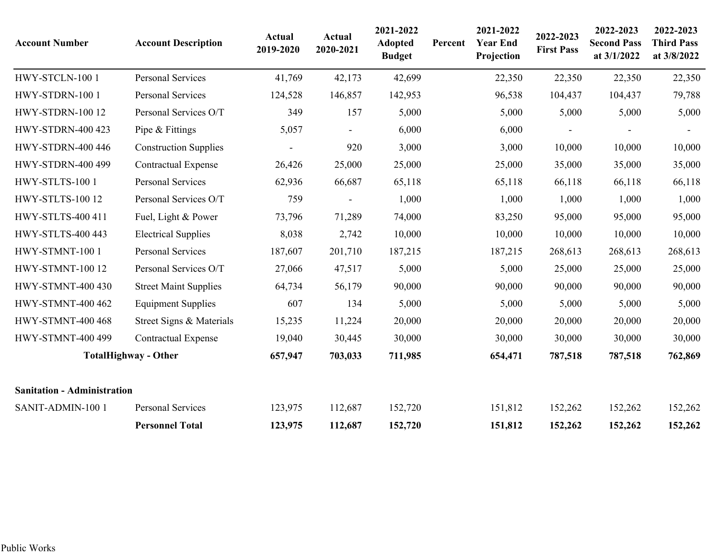| <b>Account Number</b>              | <b>Account Description</b>   | <b>Actual</b><br>2019-2020 | Actual<br>2020-2021 | 2021-2022<br><b>Adopted</b><br><b>Budget</b> | Percent | 2021-2022<br><b>Year End</b><br>Projection | 2022-2023<br><b>First Pass</b> | 2022-2023<br><b>Second Pass</b><br>at 3/1/2022 | 2022-2023<br><b>Third Pass</b><br>at 3/8/2022 |
|------------------------------------|------------------------------|----------------------------|---------------------|----------------------------------------------|---------|--------------------------------------------|--------------------------------|------------------------------------------------|-----------------------------------------------|
| HWY-STCLN-100 1                    | <b>Personal Services</b>     | 41,769                     | 42,173              | 42,699                                       |         | 22,350                                     | 22,350                         | 22,350                                         | 22,350                                        |
| HWY-STDRN-100 1                    | Personal Services            | 124,528                    | 146,857             | 142,953                                      |         | 96,538                                     | 104,437                        | 104,437                                        | 79,788                                        |
| <b>HWY-STDRN-100 12</b>            | Personal Services O/T        | 349                        | 157                 | 5,000                                        |         | 5,000                                      | 5,000                          | 5,000                                          | 5,000                                         |
| <b>HWY-STDRN-400 423</b>           | Pipe & Fittings              | 5,057                      |                     | 6,000                                        |         | 6,000                                      |                                |                                                |                                               |
| <b>HWY-STDRN-400 446</b>           | <b>Construction Supplies</b> |                            | 920                 | 3,000                                        |         | 3,000                                      | 10,000                         | 10,000                                         | 10,000                                        |
| <b>HWY-STDRN-400 499</b>           | <b>Contractual Expense</b>   | 26,426                     | 25,000              | 25,000                                       |         | 25,000                                     | 35,000                         | 35,000                                         | 35,000                                        |
| HWY-STLTS-100 1                    | <b>Personal Services</b>     | 62,936                     | 66,687              | 65,118                                       |         | 65,118                                     | 66,118                         | 66,118                                         | 66,118                                        |
| HWY-STLTS-100 12                   | Personal Services O/T        | 759                        |                     | 1,000                                        |         | 1,000                                      | 1,000                          | 1,000                                          | 1,000                                         |
| <b>HWY-STLTS-400 411</b>           | Fuel, Light & Power          | 73,796                     | 71,289              | 74,000                                       |         | 83,250                                     | 95,000                         | 95,000                                         | 95,000                                        |
| <b>HWY-STLTS-400 443</b>           | <b>Electrical Supplies</b>   | 8,038                      | 2,742               | 10,000                                       |         | 10,000                                     | 10,000                         | 10,000                                         | 10,000                                        |
| HWY-STMNT-100 1                    | <b>Personal Services</b>     | 187,607                    | 201,710             | 187,215                                      |         | 187,215                                    | 268,613                        | 268,613                                        | 268,613                                       |
| HWY-STMNT-100 12                   | Personal Services O/T        | 27,066                     | 47,517              | 5,000                                        |         | 5,000                                      | 25,000                         | 25,000                                         | 25,000                                        |
| <b>HWY-STMNT-400 430</b>           | <b>Street Maint Supplies</b> | 64,734                     | 56,179              | 90,000                                       |         | 90,000                                     | 90,000                         | 90,000                                         | 90,000                                        |
| <b>HWY-STMNT-400 462</b>           | <b>Equipment Supplies</b>    | 607                        | 134                 | 5,000                                        |         | 5,000                                      | 5,000                          | 5,000                                          | 5,000                                         |
| <b>HWY-STMNT-400 468</b>           | Street Signs & Materials     | 15,235                     | 11,224              | 20,000                                       |         | 20,000                                     | 20,000                         | 20,000                                         | 20,000                                        |
| <b>HWY-STMNT-400 499</b>           | <b>Contractual Expense</b>   | 19,040                     | 30,445              | 30,000                                       |         | 30,000                                     | 30,000                         | 30,000                                         | 30,000                                        |
|                                    | <b>TotalHighway - Other</b>  | 657,947                    | 703,033             | 711,985                                      |         | 654,471                                    | 787,518                        | 787,518                                        | 762,869                                       |
| <b>Sanitation - Administration</b> |                              |                            |                     |                                              |         |                                            |                                |                                                |                                               |
| SANIT-ADMIN-100 1                  | Personal Services            | 123,975                    | 112,687             | 152,720                                      |         | 151,812                                    | 152,262                        | 152,262                                        | 152,262                                       |
|                                    | <b>Personnel Total</b>       | 123,975                    | 112,687             | 152,720                                      |         | 151,812                                    | 152,262                        | 152,262                                        | 152,262                                       |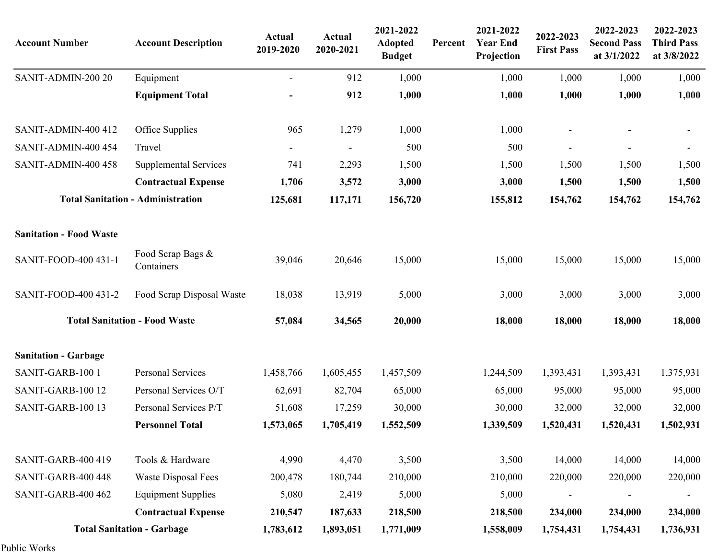| <b>Account Number</b>          | <b>Account Description</b>               | <b>Actual</b><br>2019-2020 | <b>Actual</b><br>2020-2021 | 2021-2022<br><b>Adopted</b><br><b>Budget</b> | Percent | 2021-2022<br><b>Year End</b><br>Projection | 2022-2023<br><b>First Pass</b> | 2022-2023<br><b>Second Pass</b><br>at 3/1/2022 | 2022-2023<br><b>Third Pass</b><br>at 3/8/2022 |
|--------------------------------|------------------------------------------|----------------------------|----------------------------|----------------------------------------------|---------|--------------------------------------------|--------------------------------|------------------------------------------------|-----------------------------------------------|
| SANIT-ADMIN-200 20             | Equipment                                | $\blacksquare$             | 912                        | 1,000                                        |         | 1,000                                      | 1,000                          | 1,000                                          | 1,000                                         |
|                                | <b>Equipment Total</b>                   |                            | 912                        | 1,000                                        |         | 1,000                                      | 1,000                          | 1,000                                          | 1,000                                         |
| SANIT-ADMIN-400 412            | Office Supplies                          | 965                        | 1,279                      | 1,000                                        |         | 1,000                                      | $\overline{\phantom{a}}$       |                                                | $\overline{\phantom{a}}$                      |
| SANIT-ADMIN-400 454            | Travel                                   | $\overline{\phantom{a}}$   |                            | 500                                          |         | 500                                        | $\overline{\phantom{a}}$       | $\overline{a}$                                 | $\blacksquare$                                |
| SANIT-ADMIN-400 458            | <b>Supplemental Services</b>             | 741                        | 2,293                      | 1,500                                        |         | 1,500                                      | 1,500                          | 1,500                                          | 1,500                                         |
|                                | <b>Contractual Expense</b>               | 1,706                      | 3,572                      | 3,000                                        |         | 3,000                                      | 1,500                          | 1,500                                          | 1,500                                         |
|                                | <b>Total Sanitation - Administration</b> | 125,681                    | 117,171                    | 156,720                                      |         | 155,812                                    | 154,762                        | 154,762                                        | 154,762                                       |
| <b>Sanitation - Food Waste</b> |                                          |                            |                            |                                              |         |                                            |                                |                                                |                                               |
| SANIT-FOOD-400 431-1           | Food Scrap Bags &<br>Containers          | 39,046                     | 20,646                     | 15,000                                       |         | 15,000                                     | 15,000                         | 15,000                                         | 15,000                                        |
| SANIT-FOOD-400 431-2           | Food Scrap Disposal Waste                | 18,038                     | 13,919                     | 5,000                                        |         | 3,000                                      | 3,000                          | 3,000                                          | 3,000                                         |
|                                | <b>Total Sanitation - Food Waste</b>     | 57,084                     | 34,565                     | 20,000                                       |         | 18,000                                     | 18,000                         | 18,000                                         | 18,000                                        |
| <b>Sanitation - Garbage</b>    |                                          |                            |                            |                                              |         |                                            |                                |                                                |                                               |
| SANIT-GARB-100 1               | Personal Services                        | 1,458,766                  | 1,605,455                  | 1,457,509                                    |         | 1,244,509                                  | 1,393,431                      | 1,393,431                                      | 1,375,931                                     |
| SANIT-GARB-100 12              | Personal Services O/T                    | 62,691                     | 82,704                     | 65,000                                       |         | 65,000                                     | 95,000                         | 95,000                                         | 95,000                                        |
| SANIT-GARB-100 13              | Personal Services P/T                    | 51,608                     | 17,259                     | 30,000                                       |         | 30,000                                     | 32,000                         | 32,000                                         | 32,000                                        |
|                                | <b>Personnel Total</b>                   | 1,573,065                  | 1,705,419                  | 1,552,509                                    |         | 1,339,509                                  | 1,520,431                      | 1,520,431                                      | 1,502,931                                     |
| SANIT-GARB-400 419             | Tools & Hardware                         | 4,990                      | 4,470                      | 3,500                                        |         | 3,500                                      | 14,000                         | 14,000                                         | 14,000                                        |
| SANIT-GARB-400 448             | Waste Disposal Fees                      | 200,478                    | 180,744                    | 210,000                                      |         | 210,000                                    | 220,000                        | 220,000                                        | 220,000                                       |
| SANIT-GARB-400 462             | <b>Equipment Supplies</b>                | 5,080                      | 2,419                      | 5,000                                        |         | 5,000                                      | $\overline{\phantom{a}}$       |                                                |                                               |
|                                | <b>Contractual Expense</b>               | 210,547                    | 187,633                    | 218,500                                      |         | 218,500                                    | 234,000                        | 234,000                                        | 234,000                                       |
|                                | <b>Total Sanitation - Garbage</b>        | 1,783,612                  | 1,893,051                  | 1,771,009                                    |         | 1,558,009                                  | 1,754,431                      | 1,754,431                                      | 1,736,931                                     |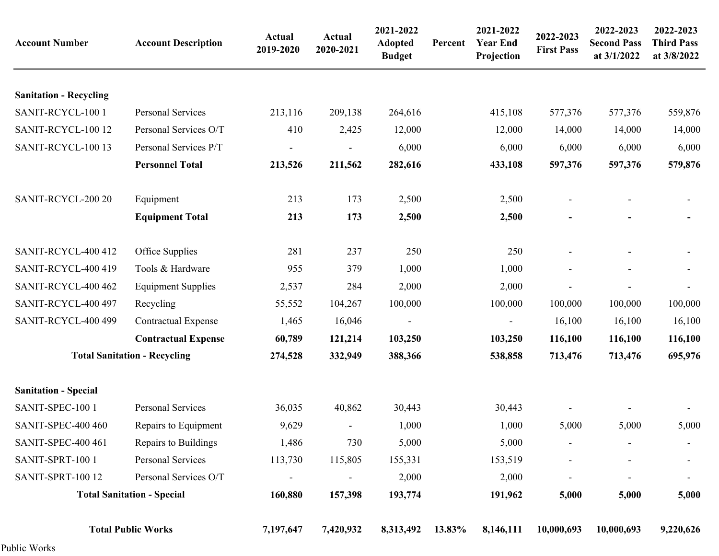| <b>Account Number</b>         | <b>Account Description</b>          | <b>Actual</b><br>2019-2020 | <b>Actual</b><br>2020-2021 | 2021-2022<br><b>Adopted</b><br><b>Budget</b> | Percent | 2021-2022<br><b>Year End</b><br>Projection | 2022-2023<br><b>First Pass</b> | 2022-2023<br><b>Second Pass</b><br>at 3/1/2022 | 2022-2023<br><b>Third Pass</b><br>at 3/8/2022 |
|-------------------------------|-------------------------------------|----------------------------|----------------------------|----------------------------------------------|---------|--------------------------------------------|--------------------------------|------------------------------------------------|-----------------------------------------------|
| <b>Sanitation - Recycling</b> |                                     |                            |                            |                                              |         |                                            |                                |                                                |                                               |
| SANIT-RCYCL-100 1             | Personal Services                   | 213,116                    | 209,138                    | 264,616                                      |         | 415,108                                    | 577,376                        | 577,376                                        | 559,876                                       |
| SANIT-RCYCL-100 12            | Personal Services O/T               | 410                        | 2,425                      | 12,000                                       |         | 12,000                                     | 14,000                         | 14,000                                         | 14,000                                        |
| SANIT-RCYCL-100 13            | Personal Services P/T               |                            |                            | 6,000                                        |         | 6,000                                      | 6,000                          | 6,000                                          | 6,000                                         |
|                               | <b>Personnel Total</b>              | 213,526                    | 211,562                    | 282,616                                      |         | 433,108                                    | 597,376                        | 597,376                                        | 579,876                                       |
| SANIT-RCYCL-200 20            | Equipment                           | 213                        | 173                        | 2,500                                        |         | 2,500                                      |                                |                                                |                                               |
|                               | <b>Equipment Total</b>              | 213                        | 173                        | 2,500                                        |         | 2,500                                      |                                |                                                |                                               |
| SANIT-RCYCL-400 412           | Office Supplies                     | 281                        | 237                        | 250                                          |         | 250                                        |                                |                                                |                                               |
| SANIT-RCYCL-400 419           | Tools & Hardware                    | 955                        | 379                        | 1,000                                        |         | 1,000                                      |                                |                                                |                                               |
| SANIT-RCYCL-400 462           | <b>Equipment Supplies</b>           | 2,537                      | 284                        | 2,000                                        |         | 2,000                                      |                                |                                                |                                               |
| SANIT-RCYCL-400 497           | Recycling                           | 55,552                     | 104,267                    | 100,000                                      |         | 100,000                                    | 100,000                        | 100,000                                        | 100,000                                       |
| SANIT-RCYCL-400 499           | <b>Contractual Expense</b>          | 1,465                      | 16,046                     | $\blacksquare$                               |         |                                            | 16,100                         | 16,100                                         | 16,100                                        |
|                               | <b>Contractual Expense</b>          | 60,789                     | 121,214                    | 103,250                                      |         | 103,250                                    | 116,100                        | 116,100                                        | 116,100                                       |
|                               | <b>Total Sanitation - Recycling</b> | 274,528                    | 332,949                    | 388,366                                      |         | 538,858                                    | 713,476                        | 713,476                                        | 695,976                                       |
| <b>Sanitation - Special</b>   |                                     |                            |                            |                                              |         |                                            |                                |                                                |                                               |
| SANIT-SPEC-100 1              | Personal Services                   | 36,035                     | 40,862                     | 30,443                                       |         | 30,443                                     |                                |                                                |                                               |
| SANIT-SPEC-400 460            | Repairs to Equipment                | 9,629                      |                            | 1,000                                        |         | 1,000                                      | 5,000                          | 5,000                                          | 5,000                                         |
| SANIT-SPEC-400 461            | Repairs to Buildings                | 1,486                      | 730                        | 5,000                                        |         | 5,000                                      |                                |                                                |                                               |
| SANIT-SPRT-100 1              | Personal Services                   | 113,730                    | 115,805                    | 155,331                                      |         | 153,519                                    |                                |                                                |                                               |
| SANIT-SPRT-100 12             | Personal Services O/T               |                            |                            | 2,000                                        |         | 2,000                                      |                                |                                                |                                               |
|                               | <b>Total Sanitation - Special</b>   | 160,880                    | 157,398                    | 193,774                                      |         | 191,962                                    | 5,000                          | 5,000                                          | 5,000                                         |
|                               | <b>Total Public Works</b>           | 7,197,647                  | 7,420,932                  | 8,313,492                                    | 13.83%  | 8,146,111                                  | 10,000,693                     | 10,000,693                                     | 9,220,626                                     |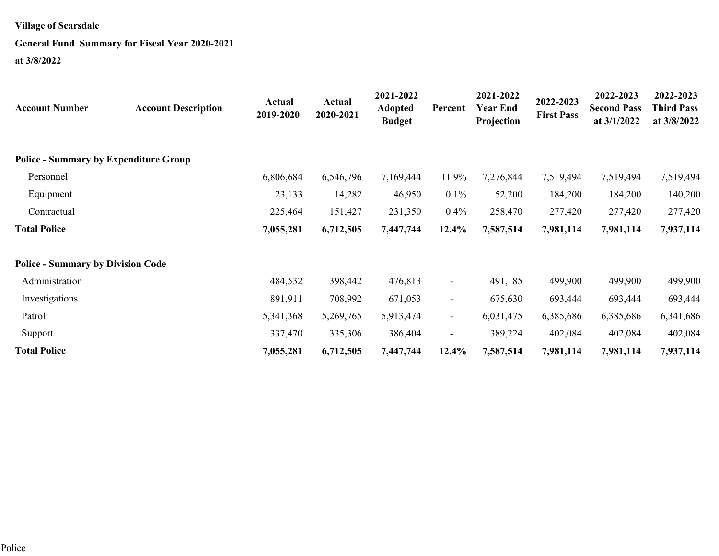### **General Fund Summary for Fiscal Year 2020-2021**

| <b>Account Number</b>                        | <b>Account Description</b> | <b>Actual</b><br>2019-2020 | Actual<br>2020-2021 | 2021-2022<br><b>Adopted</b><br><b>Budget</b> | Percent                  | 2021-2022<br><b>Year End</b><br>Projection | 2022-2023<br><b>First Pass</b> | 2022-2023<br><b>Second Pass</b><br>at $3/1/2022$ | 2022-2023<br><b>Third Pass</b><br>at 3/8/2022 |
|----------------------------------------------|----------------------------|----------------------------|---------------------|----------------------------------------------|--------------------------|--------------------------------------------|--------------------------------|--------------------------------------------------|-----------------------------------------------|
| <b>Police - Summary by Expenditure Group</b> |                            |                            |                     |                                              |                          |                                            |                                |                                                  |                                               |
| Personnel                                    |                            | 6,806,684                  | 6,546,796           | 7,169,444                                    | 11.9%                    | 7,276,844                                  | 7,519,494                      | 7,519,494                                        | 7,519,494                                     |
| Equipment                                    |                            | 23,133                     | 14,282              | 46,950                                       | $0.1\%$                  | 52,200                                     | 184,200                        | 184,200                                          | 140,200                                       |
| Contractual                                  |                            | 225,464                    | 151,427             | 231,350                                      | 0.4%                     | 258,470                                    | 277,420                        | 277,420                                          | 277,420                                       |
| <b>Total Police</b>                          |                            | 7,055,281                  | 6,712,505           | 7,447,744                                    | 12.4%                    | 7,587,514                                  | 7,981,114                      | 7,981,114                                        | 7,937,114                                     |
| <b>Police - Summary by Division Code</b>     |                            |                            |                     |                                              |                          |                                            |                                |                                                  |                                               |
| Administration                               |                            | 484,532                    | 398,442             | 476,813                                      | $\blacksquare$           | 491,185                                    | 499,900                        | 499,900                                          | 499,900                                       |
| Investigations                               |                            | 891,911                    | 708,992             | 671,053                                      | $\overline{\phantom{a}}$ | 675,630                                    | 693,444                        | 693,444                                          | 693,444                                       |
| Patrol                                       |                            | 5,341,368                  | 5,269,765           | 5,913,474                                    | $\overline{\phantom{a}}$ | 6,031,475                                  | 6,385,686                      | 6,385,686                                        | 6,341,686                                     |
| Support                                      |                            | 337,470                    | 335,306             | 386,404                                      | $\blacksquare$           | 389,224                                    | 402,084                        | 402,084                                          | 402,084                                       |
| <b>Total Police</b>                          |                            | 7,055,281                  | 6,712,505           | 7,447,744                                    | 12.4%                    | 7,587,514                                  | 7,981,114                      | 7,981,114                                        | 7,937,114                                     |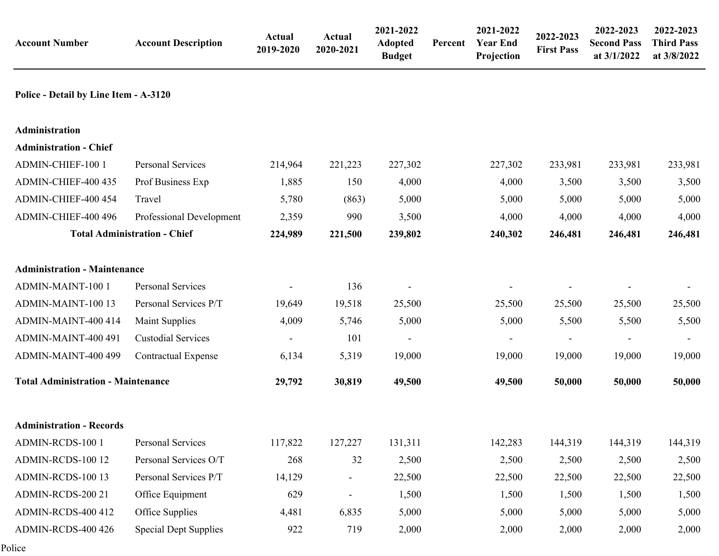| <b>Account Number</b>                     | <b>Account Description</b>          | <b>Actual</b><br>2019-2020 | <b>Actual</b><br>2020-2021 | 2021-2022<br>Adopted<br><b>Budget</b> | Percent | 2021-2022<br><b>Year End</b><br>Projection | 2022-2023<br><b>First Pass</b> | 2022-2023<br><b>Second Pass</b><br>at 3/1/2022 | 2022-2023<br><b>Third Pass</b><br>at 3/8/2022 |
|-------------------------------------------|-------------------------------------|----------------------------|----------------------------|---------------------------------------|---------|--------------------------------------------|--------------------------------|------------------------------------------------|-----------------------------------------------|
| Police - Detail by Line Item - A-3120     |                                     |                            |                            |                                       |         |                                            |                                |                                                |                                               |
| <b>Administration</b>                     |                                     |                            |                            |                                       |         |                                            |                                |                                                |                                               |
| <b>Administration - Chief</b>             |                                     |                            |                            |                                       |         |                                            |                                |                                                |                                               |
| ADMIN-CHIEF-100 1                         | Personal Services                   | 214,964                    | 221,223                    | 227,302                               |         | 227,302                                    | 233,981                        | 233,981                                        | 233,981                                       |
| ADMIN-CHIEF-400 435                       | Prof Business Exp                   | 1,885                      | 150                        | 4,000                                 |         | 4,000                                      | 3,500                          | 3,500                                          | 3,500                                         |
| ADMIN-CHIEF-400 454                       | Travel                              | 5,780                      | (863)                      | 5,000                                 |         | 5,000                                      | 5,000                          | 5,000                                          | 5,000                                         |
| ADMIN-CHIEF-400 496                       | Professional Development            | 2,359                      | 990                        | 3,500                                 |         | 4,000                                      | 4,000                          | 4,000                                          | 4,000                                         |
|                                           | <b>Total Administration - Chief</b> | 224,989                    | 221,500                    | 239,802                               |         | 240,302                                    | 246,481                        | 246,481                                        | 246,481                                       |
| <b>Administration - Maintenance</b>       |                                     |                            |                            |                                       |         |                                            |                                |                                                |                                               |
| <b>ADMIN-MAINT-100 1</b>                  | Personal Services                   |                            | 136                        |                                       |         |                                            | $\overline{\phantom{a}}$       |                                                | $\overline{\phantom{a}}$                      |
| ADMIN-MAINT-100 13                        | Personal Services P/T               | 19,649                     | 19,518                     | 25,500                                |         | 25,500                                     | 25,500                         | 25,500                                         | 25,500                                        |
| ADMIN-MAINT-400 414                       | <b>Maint Supplies</b>               | 4,009                      | 5,746                      | 5,000                                 |         | 5,000                                      | 5,500                          | 5,500                                          | 5,500                                         |
| ADMIN-MAINT-400 491                       | <b>Custodial Services</b>           |                            | 101                        |                                       |         |                                            | $\overline{\phantom{a}}$       | $\overline{a}$                                 | $\blacksquare$                                |
| ADMIN-MAINT-400 499                       | <b>Contractual Expense</b>          | 6,134                      | 5,319                      | 19,000                                |         | 19,000                                     | 19,000                         | 19,000                                         | 19,000                                        |
| <b>Total Administration - Maintenance</b> |                                     | 29,792                     | 30,819                     | 49,500                                |         | 49,500                                     | 50,000                         | 50,000                                         | 50,000                                        |
| <b>Administration - Records</b>           |                                     |                            |                            |                                       |         |                                            |                                |                                                |                                               |
| ADMIN-RCDS-100 1                          | Personal Services                   | 117,822                    | 127,227                    | 131,311                               |         | 142,283                                    | 144,319                        | 144,319                                        | 144,319                                       |
| ADMIN-RCDS-100 12                         | Personal Services O/T               | 268                        | 32                         | 2,500                                 |         | 2,500                                      | 2,500                          | 2,500                                          | 2,500                                         |
| ADMIN-RCDS-100 13                         | Personal Services P/T               | 14,129                     | $\sim$                     | 22,500                                |         | 22,500                                     | 22,500                         | 22,500                                         | 22,500                                        |
| ADMIN-RCDS-200 21                         | Office Equipment                    | 629                        |                            | 1,500                                 |         | 1,500                                      | 1,500                          | 1,500                                          | 1,500                                         |
| ADMIN-RCDS-400 412                        | Office Supplies                     | 4,481                      | 6,835                      | 5,000                                 |         | 5,000                                      | 5,000                          | 5,000                                          | 5,000                                         |
| ADMIN-RCDS-400 426                        | <b>Special Dept Supplies</b>        | 922                        | 719                        | 2,000                                 |         | 2,000                                      | 2,000                          | 2,000                                          | 2,000                                         |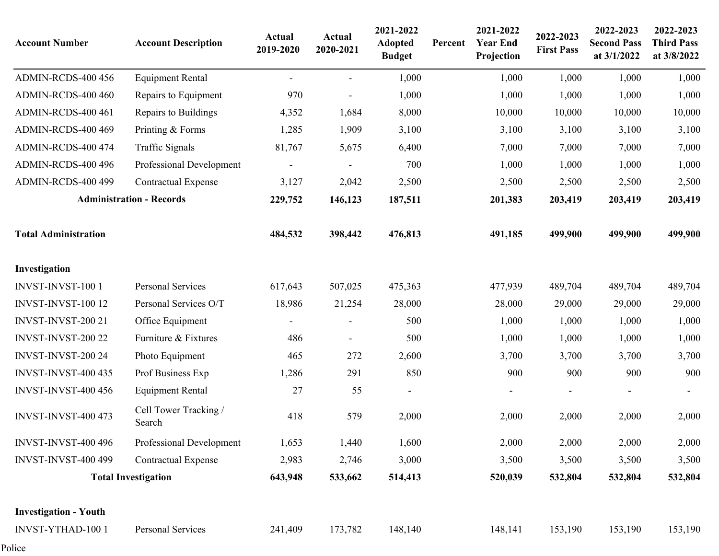| <b>Account Number</b>        | <b>Account Description</b>      | <b>Actual</b><br>2019-2020 | <b>Actual</b><br>2020-2021 | 2021-2022<br><b>Adopted</b><br><b>Budget</b> | Percent | 2021-2022<br><b>Year End</b><br>Projection | 2022-2023<br><b>First Pass</b> | 2022-2023<br><b>Second Pass</b><br>at 3/1/2022 | 2022-2023<br><b>Third Pass</b><br>at 3/8/2022 |
|------------------------------|---------------------------------|----------------------------|----------------------------|----------------------------------------------|---------|--------------------------------------------|--------------------------------|------------------------------------------------|-----------------------------------------------|
| ADMIN-RCDS-400 456           | <b>Equipment Rental</b>         |                            | $\frac{1}{2}$              | 1,000                                        |         | 1,000                                      | 1,000                          | 1,000                                          | 1,000                                         |
| ADMIN-RCDS-400 460           | Repairs to Equipment            | 970                        |                            | 1,000                                        |         | 1,000                                      | 1,000                          | 1,000                                          | 1,000                                         |
| ADMIN-RCDS-400 461           | Repairs to Buildings            | 4,352                      | 1,684                      | 8,000                                        |         | 10,000                                     | 10,000                         | 10,000                                         | 10,000                                        |
| ADMIN-RCDS-400 469           | Printing & Forms                | 1,285                      | 1,909                      | 3,100                                        |         | 3,100                                      | 3,100                          | 3,100                                          | 3,100                                         |
| ADMIN-RCDS-400 474           | <b>Traffic Signals</b>          | 81,767                     | 5,675                      | 6,400                                        |         | 7,000                                      | 7,000                          | 7,000                                          | 7,000                                         |
| ADMIN-RCDS-400 496           | Professional Development        |                            |                            | 700                                          |         | 1,000                                      | 1,000                          | 1,000                                          | 1,000                                         |
| ADMIN-RCDS-400 499           | <b>Contractual Expense</b>      | 3,127                      | 2,042                      | 2,500                                        |         | 2,500                                      | 2,500                          | 2,500                                          | 2,500                                         |
|                              | <b>Administration - Records</b> | 229,752                    | 146,123                    | 187,511                                      |         | 201,383                                    | 203,419                        | 203,419                                        | 203,419                                       |
| <b>Total Administration</b>  |                                 | 484,532                    | 398,442                    | 476,813                                      |         | 491,185                                    | 499,900                        | 499,900                                        | 499,900                                       |
| Investigation                |                                 |                            |                            |                                              |         |                                            |                                |                                                |                                               |
| <b>INVST-INVST-100 1</b>     | <b>Personal Services</b>        | 617,643                    | 507,025                    | 475,363                                      |         | 477,939                                    | 489,704                        | 489,704                                        | 489,704                                       |
| INVST-INVST-100 12           | Personal Services O/T           | 18,986                     | 21,254                     | 28,000                                       |         | 28,000                                     | 29,000                         | 29,000                                         | 29,000                                        |
| INVST-INVST-200 21           | Office Equipment                | $\overline{\phantom{a}}$   | $\overline{\phantom{a}}$   | 500                                          |         | 1,000                                      | 1,000                          | 1,000                                          | 1,000                                         |
| INVST-INVST-200 22           | Furniture & Fixtures            | 486                        | $\overline{\phantom{a}}$   | 500                                          |         | 1,000                                      | 1,000                          | 1,000                                          | 1,000                                         |
| INVST-INVST-200 24           | Photo Equipment                 | 465                        | 272                        | 2,600                                        |         | 3,700                                      | 3,700                          | 3,700                                          | 3,700                                         |
| <b>INVST-INVST-400 435</b>   | Prof Business Exp               | 1,286                      | 291                        | 850                                          |         | 900                                        | 900                            | 900                                            | 900                                           |
| <b>INVST-INVST-400 456</b>   | <b>Equipment Rental</b>         | 27                         | 55                         | $\frac{1}{2}$                                |         |                                            |                                |                                                |                                               |
| <b>INVST-INVST-400 473</b>   | Cell Tower Tracking /<br>Search | 418                        | 579                        | 2,000                                        |         | 2,000                                      | 2,000                          | 2,000                                          | 2,000                                         |
| <b>INVST-INVST-400 496</b>   | Professional Development        | 1,653                      | 1,440                      | 1,600                                        |         | 2,000                                      | 2,000                          | 2,000                                          | 2,000                                         |
| <b>INVST-INVST-400 499</b>   | <b>Contractual Expense</b>      | 2,983                      | 2,746                      | 3,000                                        |         | 3,500                                      | 3,500                          | 3,500                                          | 3,500                                         |
|                              | <b>Total Investigation</b>      | 643,948                    | 533,662                    | 514,413                                      |         | 520,039                                    | 532,804                        | 532,804                                        | 532,804                                       |
| <b>Investigation - Youth</b> |                                 |                            |                            |                                              |         |                                            |                                |                                                |                                               |
| INVST-YTHAD-100 1            | Personal Services               | 241,409                    | 173,782                    | 148,140                                      |         | 148,141                                    | 153,190                        | 153,190                                        | 153,190                                       |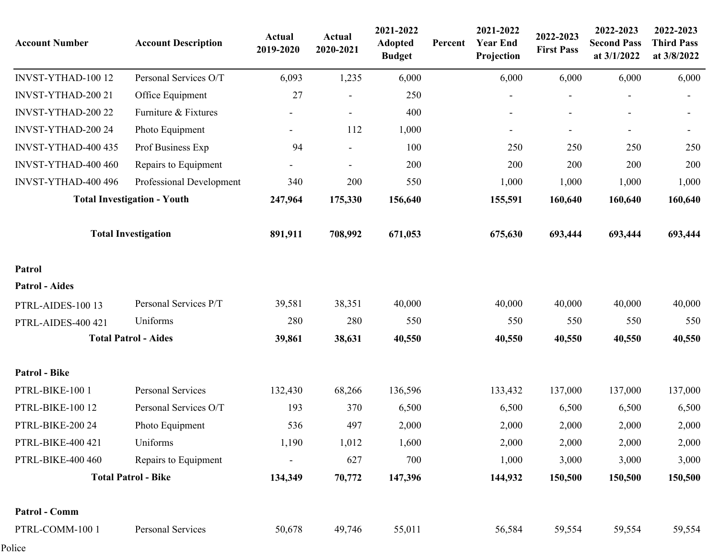| <b>Account Number</b> | <b>Account Description</b>         | <b>Actual</b><br>2019-2020 | <b>Actual</b><br>2020-2021 | 2021-2022<br><b>Adopted</b><br><b>Budget</b> | Percent | 2021-2022<br><b>Year End</b><br>Projection | 2022-2023<br><b>First Pass</b> | 2022-2023<br><b>Second Pass</b><br>at 3/1/2022 | 2022-2023<br><b>Third Pass</b><br>at 3/8/2022 |
|-----------------------|------------------------------------|----------------------------|----------------------------|----------------------------------------------|---------|--------------------------------------------|--------------------------------|------------------------------------------------|-----------------------------------------------|
| INVST-YTHAD-100 12    | Personal Services O/T              | 6,093                      | 1,235                      | 6,000                                        |         | 6,000                                      | 6,000                          | 6,000                                          | 6,000                                         |
| INVST-YTHAD-200 21    | Office Equipment                   | 27                         |                            | 250                                          |         |                                            |                                |                                                |                                               |
| INVST-YTHAD-200 22    | Furniture & Fixtures               |                            |                            | 400                                          |         |                                            |                                | ÷,                                             |                                               |
| INVST-YTHAD-200 24    | Photo Equipment                    |                            | 112                        | 1,000                                        |         | $\overline{\phantom{a}}$                   | $\blacksquare$                 | $\overline{\phantom{a}}$                       | $\overline{\phantom{a}}$                      |
| INVST-YTHAD-400 435   | Prof Business Exp                  | 94                         | $\overline{\phantom{a}}$   | 100                                          |         | 250                                        | 250                            | 250                                            | 250                                           |
| INVST-YTHAD-400 460   | Repairs to Equipment               |                            |                            | 200                                          |         | 200                                        | 200                            | 200                                            | 200                                           |
| INVST-YTHAD-400 496   | Professional Development           | 340                        | 200                        | 550                                          |         | 1,000                                      | 1,000                          | 1,000                                          | 1,000                                         |
|                       | <b>Total Investigation - Youth</b> | 247,964                    | 175,330                    | 156,640                                      |         | 155,591                                    | 160,640                        | 160,640                                        | 160,640                                       |
|                       | <b>Total Investigation</b>         | 891,911                    | 708,992                    | 671,053                                      |         | 675,630                                    | 693,444                        | 693,444                                        | 693,444                                       |
| Patrol                |                                    |                            |                            |                                              |         |                                            |                                |                                                |                                               |
| <b>Patrol</b> - Aides |                                    |                            |                            |                                              |         |                                            |                                |                                                |                                               |
| PTRL-AIDES-100 13     | Personal Services P/T              | 39,581                     | 38,351                     | 40,000                                       |         | 40,000                                     | 40,000                         | 40,000                                         | 40,000                                        |
| PTRL-AIDES-400 421    | Uniforms                           | 280                        | 280                        | 550                                          |         | 550                                        | 550                            | 550                                            | 550                                           |
|                       | <b>Total Patrol - Aides</b>        | 39,861                     | 38,631                     | 40,550                                       |         | 40,550                                     | 40,550                         | 40,550                                         | 40,550                                        |
| <b>Patrol - Bike</b>  |                                    |                            |                            |                                              |         |                                            |                                |                                                |                                               |
| PTRL-BIKE-100 1       | Personal Services                  | 132,430                    | 68,266                     | 136,596                                      |         | 133,432                                    | 137,000                        | 137,000                                        | 137,000                                       |
| PTRL-BIKE-100 12      | Personal Services O/T              | 193                        | 370                        | 6,500                                        |         | 6,500                                      | 6,500                          | 6,500                                          | 6,500                                         |
| PTRL-BIKE-200 24      | Photo Equipment                    | 536                        | 497                        | 2,000                                        |         | 2,000                                      | 2,000                          | 2,000                                          | 2,000                                         |
| PTRL-BIKE-400 421     | Uniforms                           | 1,190                      | 1,012                      | 1,600                                        |         | 2,000                                      | 2,000                          | 2,000                                          | 2,000                                         |
| PTRL-BIKE-400 460     | Repairs to Equipment               |                            | 627                        | 700                                          |         | 1,000                                      | 3,000                          | 3,000                                          | 3,000                                         |
|                       | <b>Total Patrol - Bike</b>         | 134,349                    | 70,772                     | 147,396                                      |         | 144,932                                    | 150,500                        | 150,500                                        | 150,500                                       |
| Patrol - Comm         |                                    |                            |                            |                                              |         |                                            |                                |                                                |                                               |
| PTRL-COMM-100 1       | Personal Services                  | 50,678                     | 49,746                     | 55,011                                       |         | 56,584                                     | 59,554                         | 59,554                                         | 59,554                                        |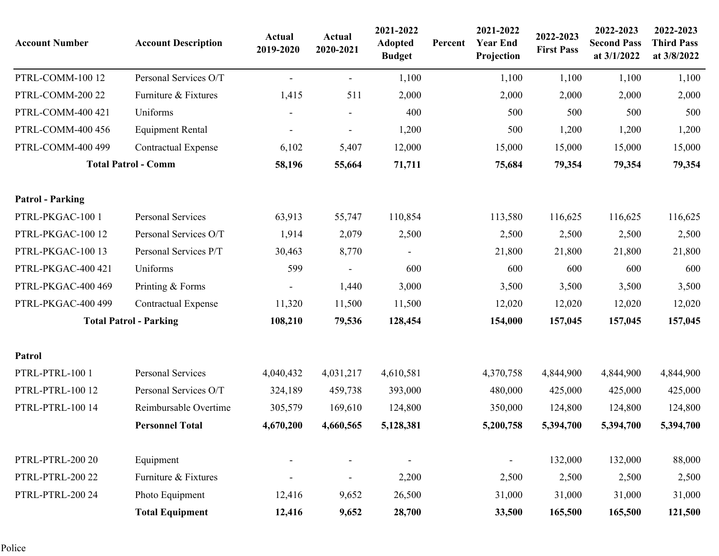| <b>Account Number</b>   | <b>Account Description</b>    | Actual<br>2019-2020 | Actual<br>2020-2021 | 2021-2022<br><b>Adopted</b><br><b>Budget</b> | Percent | 2021-2022<br><b>Year End</b><br>Projection | 2022-2023<br><b>First Pass</b> | 2022-2023<br><b>Second Pass</b><br>at 3/1/2022 | 2022-2023<br><b>Third Pass</b><br>at 3/8/2022 |
|-------------------------|-------------------------------|---------------------|---------------------|----------------------------------------------|---------|--------------------------------------------|--------------------------------|------------------------------------------------|-----------------------------------------------|
| PTRL-COMM-100 12        | Personal Services O/T         | $\sim$              | $\sim$              | 1,100                                        |         | 1,100                                      | 1,100                          | 1,100                                          | 1,100                                         |
| PTRL-COMM-200 22        | Furniture & Fixtures          | 1,415               | 511                 | 2,000                                        |         | 2,000                                      | 2,000                          | 2,000                                          | 2,000                                         |
| PTRL-COMM-400 421       | Uniforms                      |                     |                     | 400                                          |         | 500                                        | 500                            | 500                                            | 500                                           |
| PTRL-COMM-400 456       | <b>Equipment Rental</b>       |                     |                     | 1,200                                        |         | 500                                        | 1,200                          | 1,200                                          | 1,200                                         |
| PTRL-COMM-400 499       | <b>Contractual Expense</b>    | 6,102               | 5,407               | 12,000                                       |         | 15,000                                     | 15,000                         | 15,000                                         | 15,000                                        |
|                         | <b>Total Patrol - Comm</b>    | 58,196              | 55,664              | 71,711                                       |         | 75,684                                     | 79,354                         | 79,354                                         | 79,354                                        |
| <b>Patrol - Parking</b> |                               |                     |                     |                                              |         |                                            |                                |                                                |                                               |
| PTRL-PKGAC-100 1        | Personal Services             | 63,913              | 55,747              | 110,854                                      |         | 113,580                                    | 116,625                        | 116,625                                        | 116,625                                       |
| PTRL-PKGAC-100 12       | Personal Services O/T         | 1,914               | 2,079               | 2,500                                        |         | 2,500                                      | 2,500                          | 2,500                                          | 2,500                                         |
| PTRL-PKGAC-100 13       | Personal Services P/T         | 30,463              | 8,770               |                                              |         | 21,800                                     | 21,800                         | 21,800                                         | 21,800                                        |
| PTRL-PKGAC-400 421      | Uniforms                      | 599                 |                     | 600                                          |         | 600                                        | 600                            | 600                                            | 600                                           |
| PTRL-PKGAC-400 469      | Printing & Forms              |                     | 1,440               | 3,000                                        |         | 3,500                                      | 3,500                          | 3,500                                          | 3,500                                         |
| PTRL-PKGAC-400 499      | <b>Contractual Expense</b>    | 11,320              | 11,500              | 11,500                                       |         | 12,020                                     | 12,020                         | 12,020                                         | 12,020                                        |
|                         | <b>Total Patrol - Parking</b> | 108,210             | 79,536              | 128,454                                      |         | 154,000                                    | 157,045                        | 157,045                                        | 157,045                                       |
| Patrol                  |                               |                     |                     |                                              |         |                                            |                                |                                                |                                               |
| PTRL-PTRL-100 1         | Personal Services             | 4,040,432           | 4,031,217           | 4,610,581                                    |         | 4,370,758                                  | 4,844,900                      | 4,844,900                                      | 4,844,900                                     |
| PTRL-PTRL-100 12        | Personal Services O/T         | 324,189             | 459,738             | 393,000                                      |         | 480,000                                    | 425,000                        | 425,000                                        | 425,000                                       |
| PTRL-PTRL-100 14        | Reimbursable Overtime         | 305,579             | 169,610             | 124,800                                      |         | 350,000                                    | 124,800                        | 124,800                                        | 124,800                                       |
|                         | <b>Personnel Total</b>        | 4,670,200           | 4,660,565           | 5,128,381                                    |         | 5,200,758                                  | 5,394,700                      | 5,394,700                                      | 5,394,700                                     |
| PTRL-PTRL-200 20        | Equipment                     |                     |                     |                                              |         |                                            | 132,000                        | 132,000                                        | 88,000                                        |
| PTRL-PTRL-200 22        | Furniture & Fixtures          |                     |                     | 2,200                                        |         | 2,500                                      | 2,500                          | 2,500                                          | 2,500                                         |
| PTRL-PTRL-200 24        | Photo Equipment               | 12,416              | 9,652               | 26,500                                       |         | 31,000                                     | 31,000                         | 31,000                                         | 31,000                                        |
|                         | <b>Total Equipment</b>        | 12,416              | 9,652               | 28,700                                       |         | 33,500                                     | 165,500                        | 165,500                                        | 121,500                                       |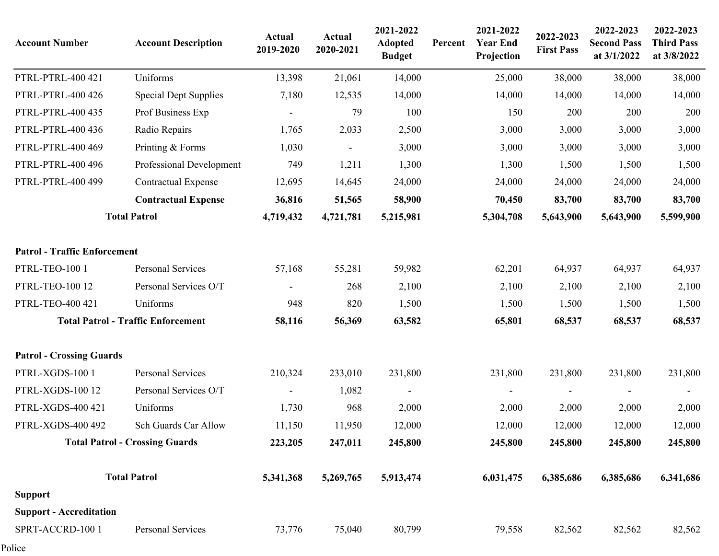| <b>Account Number</b>               | <b>Account Description</b>                | <b>Actual</b><br>2019-2020 | <b>Actual</b><br>2020-2021 | 2021-2022<br><b>Adopted</b><br><b>Budget</b> | Percent | 2021-2022<br><b>Year End</b><br>Projection | 2022-2023<br><b>First Pass</b> | 2022-2023<br><b>Second Pass</b><br>at 3/1/2022 | 2022-2023<br><b>Third Pass</b><br>at 3/8/2022 |
|-------------------------------------|-------------------------------------------|----------------------------|----------------------------|----------------------------------------------|---------|--------------------------------------------|--------------------------------|------------------------------------------------|-----------------------------------------------|
| PTRL-PTRL-400 421                   | Uniforms                                  | 13,398                     | 21,061                     | 14,000                                       |         | 25,000                                     | 38,000                         | 38,000                                         | 38,000                                        |
| PTRL-PTRL-400 426                   | <b>Special Dept Supplies</b>              | 7,180                      | 12,535                     | 14,000                                       |         | 14,000                                     | 14,000                         | 14,000                                         | 14,000                                        |
| PTRL-PTRL-400 435                   | Prof Business Exp                         |                            | 79                         | 100                                          |         | 150                                        | 200                            | 200                                            | 200                                           |
| PTRL-PTRL-400 436                   | Radio Repairs                             | 1,765                      | 2,033                      | 2,500                                        |         | 3,000                                      | 3,000                          | 3,000                                          | 3,000                                         |
| PTRL-PTRL-400 469                   | Printing & Forms                          | 1,030                      | $\overline{\phantom{a}}$   | 3,000                                        |         | 3,000                                      | 3,000                          | 3,000                                          | 3,000                                         |
| PTRL-PTRL-400 496                   | Professional Development                  | 749                        | 1,211                      | 1,300                                        |         | 1,300                                      | 1,500                          | 1,500                                          | 1,500                                         |
| PTRL-PTRL-400 499                   | <b>Contractual Expense</b>                | 12,695                     | 14,645                     | 24,000                                       |         | 24,000                                     | 24,000                         | 24,000                                         | 24,000                                        |
|                                     | <b>Contractual Expense</b>                | 36,816                     | 51,565                     | 58,900                                       |         | 70,450                                     | 83,700                         | 83,700                                         | 83,700                                        |
|                                     | <b>Total Patrol</b>                       | 4,719,432                  | 4,721,781                  | 5,215,981                                    |         | 5,304,708                                  | 5,643,900                      | 5,643,900                                      | 5,599,900                                     |
| <b>Patrol - Traffic Enforcement</b> |                                           |                            |                            |                                              |         |                                            |                                |                                                |                                               |
| PTRL-TEO-100 1                      | Personal Services                         | 57,168                     | 55,281                     | 59,982                                       |         | 62,201                                     | 64,937                         | 64,937                                         | 64,937                                        |
| PTRL-TEO-100 12                     | Personal Services O/T                     |                            | 268                        | 2,100                                        |         | 2,100                                      | 2,100                          | 2,100                                          | 2,100                                         |
| PTRL-TEO-400 421                    | Uniforms                                  | 948                        | 820                        | 1,500                                        |         | 1,500                                      | 1,500                          | 1,500                                          | 1,500                                         |
|                                     | <b>Total Patrol - Traffic Enforcement</b> | 58,116                     | 56,369                     | 63,582                                       |         | 65,801                                     | 68,537                         | 68,537                                         | 68,537                                        |
| <b>Patrol - Crossing Guards</b>     |                                           |                            |                            |                                              |         |                                            |                                |                                                |                                               |
| PTRL-XGDS-100 1                     | <b>Personal Services</b>                  | 210,324                    | 233,010                    | 231,800                                      |         | 231,800                                    | 231,800                        | 231,800                                        | 231,800                                       |
| <b>PTRL-XGDS-100 12</b>             | Personal Services O/T                     |                            | 1,082                      |                                              |         |                                            |                                |                                                |                                               |
| PTRL-XGDS-400 421                   | Uniforms                                  | 1,730                      | 968                        | 2,000                                        |         | 2,000                                      | 2,000                          | 2,000                                          | 2,000                                         |
| PTRL-XGDS-400 492                   | <b>Sch Guards Car Allow</b>               | 11,150                     | 11,950                     | 12,000                                       |         | 12,000                                     | 12,000                         | 12,000                                         | 12,000                                        |
|                                     | <b>Total Patrol - Crossing Guards</b>     | 223,205                    | 247,011                    | 245,800                                      |         | 245,800                                    | 245,800                        | 245,800                                        | 245,800                                       |
|                                     | <b>Total Patrol</b>                       | 5,341,368                  | 5,269,765                  | 5,913,474                                    |         | 6,031,475                                  | 6,385,686                      | 6,385,686                                      | 6,341,686                                     |
| <b>Support</b>                      |                                           |                            |                            |                                              |         |                                            |                                |                                                |                                               |
| <b>Support - Accreditation</b>      |                                           |                            |                            |                                              |         |                                            |                                |                                                |                                               |
| SPRT-ACCRD-100 1                    | Personal Services                         | 73,776                     | 75,040                     | 80,799                                       |         | 79,558                                     | 82,562                         | 82,562                                         | 82,562                                        |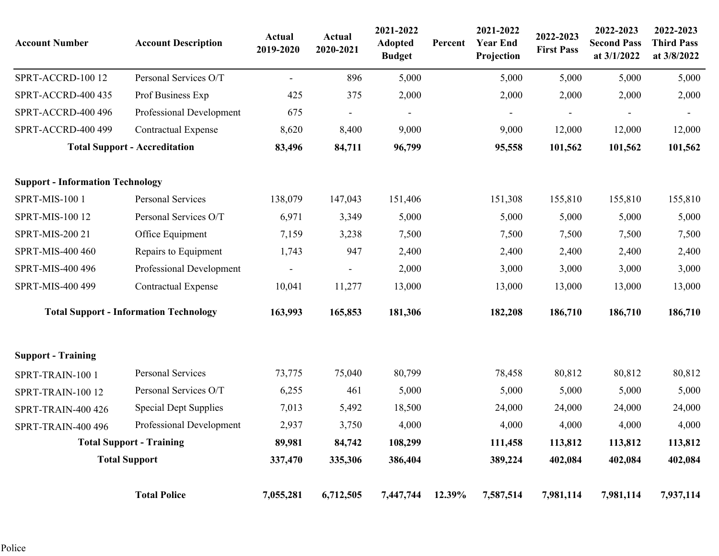| <b>Account Number</b>                   | <b>Account Description</b>                    | <b>Actual</b><br>2019-2020 | <b>Actual</b><br>2020-2021 | 2021-2022<br><b>Adopted</b><br><b>Budget</b> | Percent | 2021-2022<br><b>Year End</b><br>Projection | 2022-2023<br><b>First Pass</b> | 2022-2023<br><b>Second Pass</b><br>at 3/1/2022 | 2022-2023<br><b>Third Pass</b><br>at 3/8/2022 |
|-----------------------------------------|-----------------------------------------------|----------------------------|----------------------------|----------------------------------------------|---------|--------------------------------------------|--------------------------------|------------------------------------------------|-----------------------------------------------|
| SPRT-ACCRD-100 12                       | Personal Services O/T                         | $\overline{\phantom{a}}$   | 896                        | 5,000                                        |         | 5,000                                      | 5,000                          | 5,000                                          | 5,000                                         |
| SPRT-ACCRD-400 435                      | Prof Business Exp                             | 425                        | 375                        | 2,000                                        |         | 2,000                                      | 2,000                          | 2,000                                          | 2,000                                         |
| SPRT-ACCRD-400 496                      | Professional Development                      | 675                        |                            |                                              |         |                                            |                                |                                                |                                               |
| SPRT-ACCRD-400 499                      | <b>Contractual Expense</b>                    | 8,620                      | 8,400                      | 9,000                                        |         | 9,000                                      | 12,000                         | 12,000                                         | 12,000                                        |
|                                         | <b>Total Support - Accreditation</b>          | 83,496                     | 84,711                     | 96,799                                       |         | 95,558                                     | 101,562                        | 101,562                                        | 101,562                                       |
| <b>Support - Information Technology</b> |                                               |                            |                            |                                              |         |                                            |                                |                                                |                                               |
| <b>SPRT-MIS-100 1</b>                   | Personal Services                             | 138,079                    | 147,043                    | 151,406                                      |         | 151,308                                    | 155,810                        | 155,810                                        | 155,810                                       |
| SPRT-MIS-100 12                         | Personal Services O/T                         | 6,971                      | 3,349                      | 5,000                                        |         | 5,000                                      | 5,000                          | 5,000                                          | 5,000                                         |
| SPRT-MIS-200 21                         | Office Equipment                              | 7,159                      | 3,238                      | 7,500                                        |         | 7,500                                      | 7,500                          | 7,500                                          | 7,500                                         |
| SPRT-MIS-400 460                        | Repairs to Equipment                          | 1,743                      | 947                        | 2,400                                        |         | 2,400                                      | 2,400                          | 2,400                                          | 2,400                                         |
| SPRT-MIS-400 496                        | Professional Development                      |                            |                            | 2,000                                        |         | 3,000                                      | 3,000                          | 3,000                                          | 3,000                                         |
| SPRT-MIS-400 499                        | <b>Contractual Expense</b>                    | 10,041                     | 11,277                     | 13,000                                       |         | 13,000                                     | 13,000                         | 13,000                                         | 13,000                                        |
|                                         | <b>Total Support - Information Technology</b> | 163,993                    | 165,853                    | 181,306                                      |         | 182,208                                    | 186,710                        | 186,710                                        | 186,710                                       |
| <b>Support - Training</b>               |                                               |                            |                            |                                              |         |                                            |                                |                                                |                                               |
| SPRT-TRAIN-100 1                        | Personal Services                             | 73,775                     | 75,040                     | 80,799                                       |         | 78,458                                     | 80,812                         | 80,812                                         | 80,812                                        |
| SPRT-TRAIN-100 12                       | Personal Services O/T                         | 6,255                      | 461                        | 5,000                                        |         | 5,000                                      | 5,000                          | 5,000                                          | 5,000                                         |
| SPRT-TRAIN-400 426                      | <b>Special Dept Supplies</b>                  | 7,013                      | 5,492                      | 18,500                                       |         | 24,000                                     | 24,000                         | 24,000                                         | 24,000                                        |
| SPRT-TRAIN-400 496                      | Professional Development                      | 2,937                      | 3,750                      | 4,000                                        |         | 4,000                                      | 4,000                          | 4,000                                          | 4,000                                         |
|                                         | <b>Total Support - Training</b>               | 89,981                     | 84,742                     | 108,299                                      |         | 111,458                                    | 113,812                        | 113,812                                        | 113,812                                       |
|                                         | <b>Total Support</b>                          | 337,470                    | 335,306                    | 386,404                                      |         | 389,224                                    | 402,084                        | 402,084                                        | 402,084                                       |
|                                         | <b>Total Police</b>                           | 7,055,281                  | 6,712,505                  | 7,447,744                                    | 12.39%  | 7,587,514                                  | 7,981,114                      | 7,981,114                                      | 7,937,114                                     |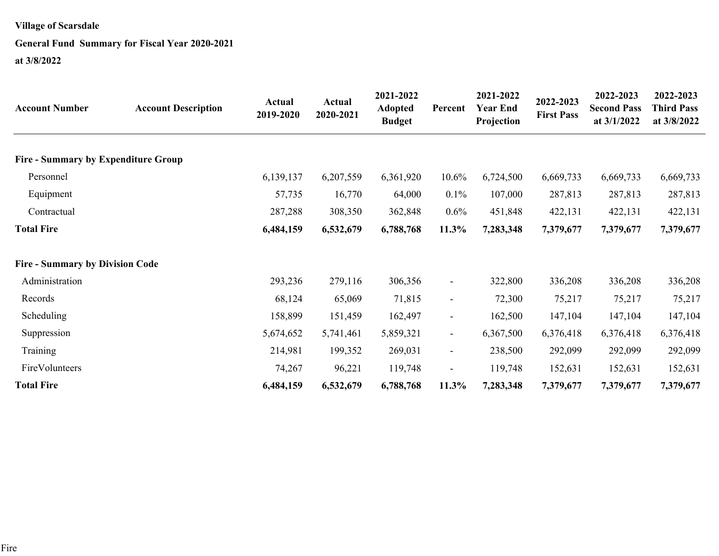### **General Fund Summary for Fiscal Year 2020-2021**

| <b>Account Number</b>                      | <b>Account Description</b> | <b>Actual</b><br>2019-2020 | Actual<br>2020-2021 | 2021-2022<br><b>Adopted</b><br><b>Budget</b> | Percent                  | 2021-2022<br><b>Year End</b><br>Projection | 2022-2023<br><b>First Pass</b> | 2022-2023<br><b>Second Pass</b><br>at 3/1/2022 | 2022-2023<br><b>Third Pass</b><br>at 3/8/2022 |
|--------------------------------------------|----------------------------|----------------------------|---------------------|----------------------------------------------|--------------------------|--------------------------------------------|--------------------------------|------------------------------------------------|-----------------------------------------------|
| <b>Fire - Summary by Expenditure Group</b> |                            |                            |                     |                                              |                          |                                            |                                |                                                |                                               |
| Personnel                                  |                            | 6,139,137                  | 6,207,559           | 6,361,920                                    | 10.6%                    | 6,724,500                                  | 6,669,733                      | 6,669,733                                      | 6,669,733                                     |
| Equipment                                  |                            | 57,735                     | 16,770              | 64,000                                       | 0.1%                     | 107,000                                    | 287,813                        | 287,813                                        | 287,813                                       |
| Contractual                                |                            | 287,288                    | 308,350             | 362,848                                      | $0.6\%$                  | 451,848                                    | 422,131                        | 422,131                                        | 422,131                                       |
| <b>Total Fire</b>                          |                            | 6,484,159                  | 6,532,679           | 6,788,768                                    | $11.3\%$                 | 7,283,348                                  | 7,379,677                      | 7,379,677                                      | 7,379,677                                     |
| <b>Fire - Summary by Division Code</b>     |                            |                            |                     |                                              |                          |                                            |                                |                                                |                                               |
| Administration                             |                            | 293,236                    | 279,116             | 306,356                                      | $\blacksquare$           | 322,800                                    | 336,208                        | 336,208                                        | 336,208                                       |
| Records                                    |                            | 68,124                     | 65,069              | 71,815                                       | $\overline{\phantom{a}}$ | 72,300                                     | 75,217                         | 75,217                                         | 75,217                                        |
| Scheduling                                 |                            | 158,899                    | 151,459             | 162,497                                      | $\blacksquare$           | 162,500                                    | 147,104                        | 147,104                                        | 147,104                                       |
| Suppression                                |                            | 5,674,652                  | 5,741,461           | 5,859,321                                    | $\blacksquare$           | 6,367,500                                  | 6,376,418                      | 6,376,418                                      | 6,376,418                                     |
| Training                                   |                            | 214,981                    | 199,352             | 269,031                                      | $\blacksquare$           | 238,500                                    | 292,099                        | 292,099                                        | 292,099                                       |
| FireVolunteers                             |                            | 74,267                     | 96,221              | 119,748                                      | $\overline{\phantom{a}}$ | 119,748                                    | 152,631                        | 152,631                                        | 152,631                                       |
| <b>Total Fire</b>                          |                            | 6,484,159                  | 6,532,679           | 6,788,768                                    | $11.3\%$                 | 7,283,348                                  | 7,379,677                      | 7,379,677                                      | 7,379,677                                     |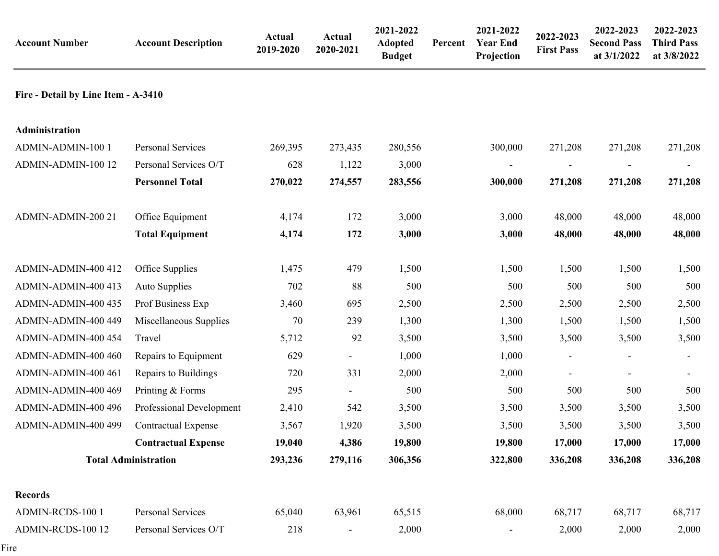| <b>Account Number</b>               | <b>Account Description</b>  | <b>Actual</b><br>2019-2020 | <b>Actual</b><br>2020-2021 | 2021-2022<br><b>Adopted</b><br><b>Budget</b> | Percent | 2021-2022<br><b>Year End</b><br>Projection | 2022-2023<br><b>First Pass</b> | 2022-2023<br><b>Second Pass</b><br>at 3/1/2022 | 2022-2023<br><b>Third Pass</b><br>at 3/8/2022 |
|-------------------------------------|-----------------------------|----------------------------|----------------------------|----------------------------------------------|---------|--------------------------------------------|--------------------------------|------------------------------------------------|-----------------------------------------------|
| Fire - Detail by Line Item - A-3410 |                             |                            |                            |                                              |         |                                            |                                |                                                |                                               |
| Administration                      |                             |                            |                            |                                              |         |                                            |                                |                                                |                                               |
| ADMIN-ADMIN-100 1                   | Personal Services           | 269,395                    | 273,435                    | 280,556                                      |         | 300,000                                    | 271,208                        | 271,208                                        | 271,208                                       |
| ADMIN-ADMIN-100 12                  | Personal Services O/T       | 628                        | 1,122                      | 3,000                                        |         |                                            |                                |                                                |                                               |
|                                     | <b>Personnel Total</b>      | 270,022                    | 274,557                    | 283,556                                      |         | 300,000                                    | 271,208                        | 271,208                                        | 271,208                                       |
| ADMIN-ADMIN-200 21                  | Office Equipment            | 4,174                      | 172                        | 3,000                                        |         | 3,000                                      | 48,000                         | 48,000                                         | 48,000                                        |
|                                     | <b>Total Equipment</b>      | 4,174                      | 172                        | 3,000                                        |         | 3,000                                      | 48,000                         | 48,000                                         | 48,000                                        |
| ADMIN-ADMIN-400 412                 | Office Supplies             | 1,475                      | 479                        | 1,500                                        |         | 1,500                                      | 1,500                          | 1,500                                          | 1,500                                         |
| ADMIN-ADMIN-400 413                 | Auto Supplies               | 702                        | 88                         | 500                                          |         | 500                                        | 500                            | 500                                            | 500                                           |
| ADMIN-ADMIN-400 435                 | Prof Business Exp           | 3,460                      | 695                        | 2,500                                        |         | 2,500                                      | 2,500                          | 2,500                                          | 2,500                                         |
| ADMIN-ADMIN-400 449                 | Miscellaneous Supplies      | 70                         | 239                        | 1,300                                        |         | 1,300                                      | 1,500                          | 1,500                                          | 1,500                                         |
| ADMIN-ADMIN-400 454                 | Travel                      | 5,712                      | 92                         | 3,500                                        |         | 3,500                                      | 3,500                          | 3,500                                          | 3,500                                         |
| ADMIN-ADMIN-400 460                 | Repairs to Equipment        | 629                        |                            | 1,000                                        |         | 1,000                                      |                                |                                                |                                               |
| ADMIN-ADMIN-400 461                 | Repairs to Buildings        | 720                        | 331                        | 2,000                                        |         | 2,000                                      | $\frac{1}{2}$                  |                                                |                                               |
| ADMIN-ADMIN-400 469                 | Printing & Forms            | 295                        |                            | 500                                          |         | 500                                        | 500                            | 500                                            | 500                                           |
| ADMIN-ADMIN-400 496                 | Professional Development    | 2,410                      | 542                        | 3,500                                        |         | 3,500                                      | 3,500                          | 3,500                                          | 3,500                                         |
| ADMIN-ADMIN-400 499                 | <b>Contractual Expense</b>  | 3,567                      | 1,920                      | 3,500                                        |         | 3,500                                      | 3,500                          | 3,500                                          | 3,500                                         |
|                                     | <b>Contractual Expense</b>  | 19,040                     | 4,386                      | 19,800                                       |         | 19,800                                     | 17,000                         | 17,000                                         | 17,000                                        |
|                                     | <b>Total Administration</b> | 293,236                    | 279,116                    | 306,356                                      |         | 322,800                                    | 336,208                        | 336,208                                        | 336,208                                       |
| <b>Records</b>                      |                             |                            |                            |                                              |         |                                            |                                |                                                |                                               |
| ADMIN-RCDS-100 1                    | Personal Services           | 65,040                     | 63,961                     | 65,515                                       |         | 68,000                                     | 68,717                         | 68,717                                         | 68,717                                        |
| ADMIN-RCDS-100 12                   | Personal Services O/T       | 218                        |                            | 2,000                                        |         |                                            | 2,000                          | 2,000                                          | 2,000                                         |

Fire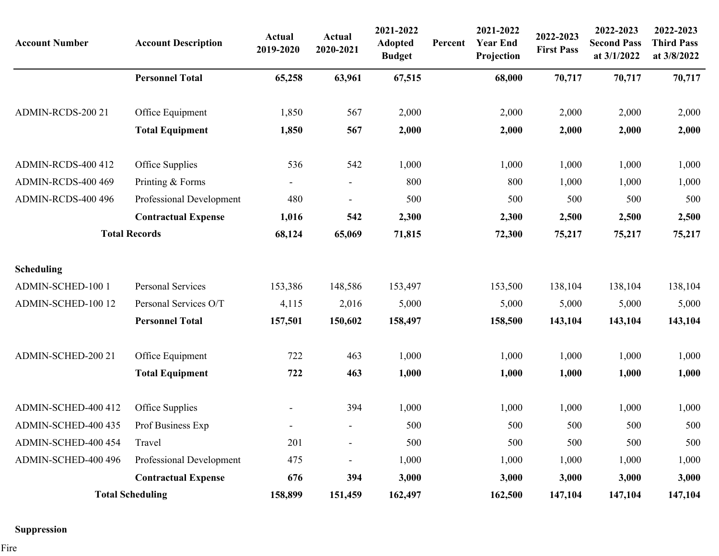| <b>Account Number</b> | <b>Account Description</b> | <b>Actual</b><br>2019-2020 | <b>Actual</b><br>2020-2021 | 2021-2022<br><b>Adopted</b><br><b>Budget</b> | Percent | 2021-2022<br><b>Year End</b><br>Projection | 2022-2023<br><b>First Pass</b> | 2022-2023<br><b>Second Pass</b><br>at 3/1/2022 | 2022-2023<br><b>Third Pass</b><br>at 3/8/2022 |
|-----------------------|----------------------------|----------------------------|----------------------------|----------------------------------------------|---------|--------------------------------------------|--------------------------------|------------------------------------------------|-----------------------------------------------|
|                       | <b>Personnel Total</b>     | 65,258                     | 63,961                     | 67,515                                       |         | 68,000                                     | 70,717                         | 70,717                                         | 70,717                                        |
| ADMIN-RCDS-200 21     | Office Equipment           | 1,850                      | 567                        | 2,000                                        |         | 2,000                                      | 2,000                          | 2,000                                          | 2,000                                         |
|                       | <b>Total Equipment</b>     | 1,850                      | 567                        | 2,000                                        |         | 2,000                                      | 2,000                          | 2,000                                          | 2,000                                         |
| ADMIN-RCDS-400 412    | Office Supplies            | 536                        | 542                        | 1,000                                        |         | 1,000                                      | 1,000                          | 1,000                                          | 1,000                                         |
| ADMIN-RCDS-400 469    | Printing & Forms           |                            |                            | 800                                          |         | 800                                        | 1,000                          | 1,000                                          | 1,000                                         |
| ADMIN-RCDS-400 496    | Professional Development   | 480                        |                            | 500                                          |         | 500                                        | 500                            | 500                                            | 500                                           |
|                       | <b>Contractual Expense</b> | 1,016                      | 542                        | 2,300                                        |         | 2,300                                      | 2,500                          | 2,500                                          | 2,500                                         |
|                       | <b>Total Records</b>       | 68,124                     | 65,069                     | 71,815                                       |         | 72,300                                     | 75,217                         | 75,217                                         | 75,217                                        |
| <b>Scheduling</b>     |                            |                            |                            |                                              |         |                                            |                                |                                                |                                               |
| ADMIN-SCHED-100 1     | Personal Services          | 153,386                    | 148,586                    | 153,497                                      |         | 153,500                                    | 138,104                        | 138,104                                        | 138,104                                       |
| ADMIN-SCHED-100 12    | Personal Services O/T      | 4,115                      | 2,016                      | 5,000                                        |         | 5,000                                      | 5,000                          | 5,000                                          | 5,000                                         |
|                       | <b>Personnel Total</b>     | 157,501                    | 150,602                    | 158,497                                      |         | 158,500                                    | 143,104                        | 143,104                                        | 143,104                                       |
| ADMIN-SCHED-200 21    | Office Equipment           | 722                        | 463                        | 1,000                                        |         | 1,000                                      | 1,000                          | 1,000                                          | 1,000                                         |
|                       | <b>Total Equipment</b>     | 722                        | 463                        | 1,000                                        |         | 1,000                                      | 1,000                          | 1,000                                          | 1,000                                         |
| ADMIN-SCHED-400 412   | Office Supplies            |                            | 394                        | 1,000                                        |         | 1,000                                      | 1,000                          | 1,000                                          | 1,000                                         |
| ADMIN-SCHED-400 435   | Prof Business Exp          |                            |                            | 500                                          |         | 500                                        | 500                            | 500                                            | 500                                           |
| ADMIN-SCHED-400 454   | Travel                     | 201                        |                            | 500                                          |         | 500                                        | 500                            | 500                                            | 500                                           |
| ADMIN-SCHED-400 496   | Professional Development   | 475                        | $\blacksquare$             | 1,000                                        |         | 1,000                                      | 1,000                          | 1,000                                          | 1,000                                         |
|                       | <b>Contractual Expense</b> | 676                        | 394                        | 3,000                                        |         | 3,000                                      | 3,000                          | 3,000                                          | 3,000                                         |
|                       | <b>Total Scheduling</b>    | 158,899                    | 151,459                    | 162,497                                      |         | 162,500                                    | 147,104                        | 147,104                                        | 147,104                                       |

### **Suppression**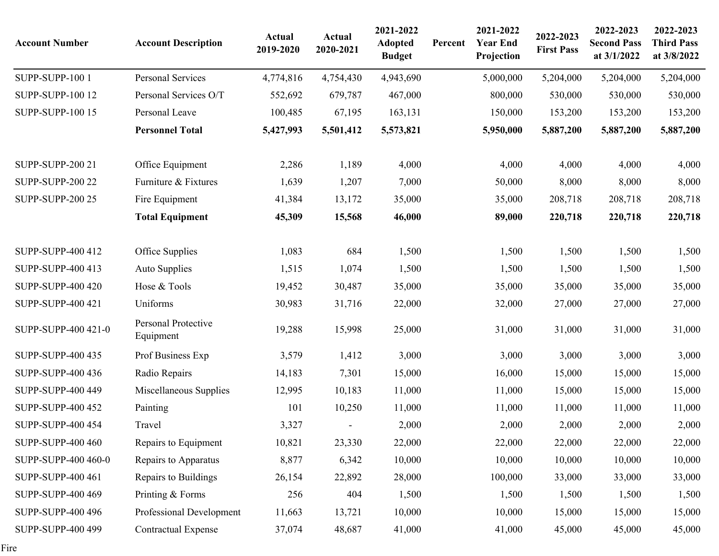| <b>Account Number</b>    | <b>Account Description</b>       | <b>Actual</b><br>2019-2020 | <b>Actual</b><br>2020-2021 | 2021-2022<br><b>Adopted</b><br><b>Budget</b> | Percent | 2021-2022<br><b>Year End</b><br>Projection | 2022-2023<br><b>First Pass</b> | 2022-2023<br><b>Second Pass</b><br>at 3/1/2022 | 2022-2023<br><b>Third Pass</b><br>at 3/8/2022 |
|--------------------------|----------------------------------|----------------------------|----------------------------|----------------------------------------------|---------|--------------------------------------------|--------------------------------|------------------------------------------------|-----------------------------------------------|
| SUPP-SUPP-100 1          | Personal Services                | 4,774,816                  | 4,754,430                  | 4,943,690                                    |         | 5,000,000                                  | 5,204,000                      | 5,204,000                                      | 5,204,000                                     |
| <b>SUPP-SUPP-100 12</b>  | Personal Services O/T            | 552,692                    | 679,787                    | 467,000                                      |         | 800,000                                    | 530,000                        | 530,000                                        | 530,000                                       |
| <b>SUPP-SUPP-100 15</b>  | Personal Leave                   | 100,485                    | 67,195                     | 163,131                                      |         | 150,000                                    | 153,200                        | 153,200                                        | 153,200                                       |
|                          | <b>Personnel Total</b>           | 5,427,993                  | 5,501,412                  | 5,573,821                                    |         | 5,950,000                                  | 5,887,200                      | 5,887,200                                      | 5,887,200                                     |
| <b>SUPP-SUPP-200 21</b>  | Office Equipment                 | 2,286                      | 1,189                      | 4,000                                        |         | 4,000                                      | 4,000                          | 4,000                                          | 4,000                                         |
| <b>SUPP-SUPP-200 22</b>  | Furniture & Fixtures             | 1,639                      | 1,207                      | 7,000                                        |         | 50,000                                     | 8,000                          | 8,000                                          | 8,000                                         |
| <b>SUPP-SUPP-200 25</b>  | Fire Equipment                   | 41,384                     | 13,172                     | 35,000                                       |         | 35,000                                     | 208,718                        | 208,718                                        | 208,718                                       |
|                          | <b>Total Equipment</b>           | 45,309                     | 15,568                     | 46,000                                       |         | 89,000                                     | 220,718                        | 220,718                                        | 220,718                                       |
| SUPP-SUPP-400 412        | Office Supplies                  | 1,083                      | 684                        | 1,500                                        |         | 1,500                                      | 1,500                          | 1,500                                          | 1,500                                         |
| SUPP-SUPP-400 413        | Auto Supplies                    | 1,515                      | 1,074                      | 1,500                                        |         | 1,500                                      | 1,500                          | 1,500                                          | 1,500                                         |
| <b>SUPP-SUPP-400 420</b> | Hose & Tools                     | 19,452                     | 30,487                     | 35,000                                       |         | 35,000                                     | 35,000                         | 35,000                                         | 35,000                                        |
| SUPP-SUPP-400 421        | Uniforms                         | 30,983                     | 31,716                     | 22,000                                       |         | 32,000                                     | 27,000                         | 27,000                                         | 27,000                                        |
| SUPP-SUPP-400 421-0      | Personal Protective<br>Equipment | 19,288                     | 15,998                     | 25,000                                       |         | 31,000                                     | 31,000                         | 31,000                                         | 31,000                                        |
| <b>SUPP-SUPP-400 435</b> | Prof Business Exp                | 3,579                      | 1,412                      | 3,000                                        |         | 3,000                                      | 3,000                          | 3,000                                          | 3,000                                         |
| <b>SUPP-SUPP-400 436</b> | Radio Repairs                    | 14,183                     | 7,301                      | 15,000                                       |         | 16,000                                     | 15,000                         | 15,000                                         | 15,000                                        |
| SUPP-SUPP-400 449        | Miscellaneous Supplies           | 12,995                     | 10,183                     | 11,000                                       |         | 11,000                                     | 15,000                         | 15,000                                         | 15,000                                        |
| <b>SUPP-SUPP-400 452</b> | Painting                         | 101                        | 10,250                     | 11,000                                       |         | 11,000                                     | 11,000                         | 11,000                                         | 11,000                                        |
| <b>SUPP-SUPP-400 454</b> | Travel                           | 3,327                      | $\overline{\phantom{a}}$   | 2,000                                        |         | 2,000                                      | 2,000                          | 2,000                                          | 2,000                                         |
| SUPP-SUPP-400 460        | Repairs to Equipment             | 10,821                     | 23,330                     | 22,000                                       |         | 22,000                                     | 22,000                         | 22,000                                         | 22,000                                        |
| SUPP-SUPP-400 460-0      | Repairs to Apparatus             | 8,877                      | 6,342                      | 10,000                                       |         | 10,000                                     | 10,000                         | 10,000                                         | 10,000                                        |
| SUPP-SUPP-400 461        | Repairs to Buildings             | 26,154                     | 22,892                     | 28,000                                       |         | 100,000                                    | 33,000                         | 33,000                                         | 33,000                                        |
| SUPP-SUPP-400 469        | Printing & Forms                 | 256                        | 404                        | 1,500                                        |         | 1,500                                      | 1,500                          | 1,500                                          | 1,500                                         |
| <b>SUPP-SUPP-400 496</b> | Professional Development         | 11,663                     | 13,721                     | 10,000                                       |         | 10,000                                     | 15,000                         | 15,000                                         | 15,000                                        |
| SUPP-SUPP-400 499        | <b>Contractual Expense</b>       | 37,074                     | 48,687                     | 41,000                                       |         | 41,000                                     | 45,000                         | 45,000                                         | 45,000                                        |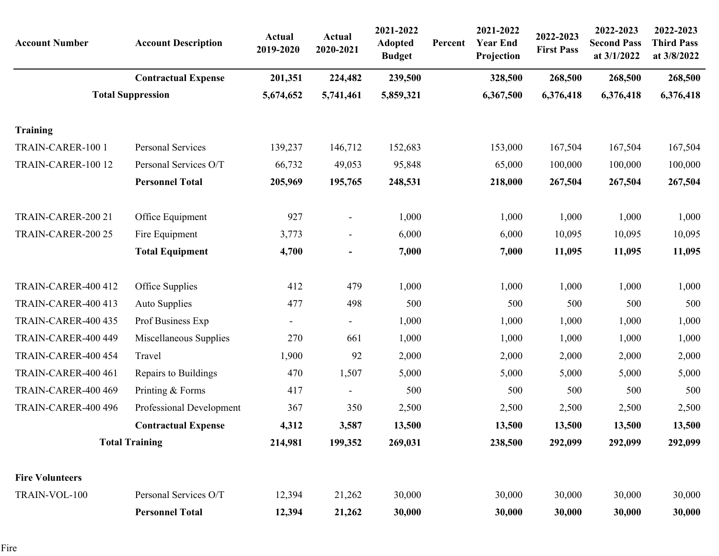| <b>Account Number</b>  | <b>Account Description</b> | <b>Actual</b><br>2019-2020 | Actual<br>2020-2021      | 2021-2022<br><b>Adopted</b><br><b>Budget</b> | Percent | 2021-2022<br><b>Year End</b><br>Projection | 2022-2023<br><b>First Pass</b> | 2022-2023<br><b>Second Pass</b><br>at 3/1/2022 | 2022-2023<br><b>Third Pass</b><br>at 3/8/2022 |
|------------------------|----------------------------|----------------------------|--------------------------|----------------------------------------------|---------|--------------------------------------------|--------------------------------|------------------------------------------------|-----------------------------------------------|
|                        | <b>Contractual Expense</b> | 201,351                    | 224,482                  | 239,500                                      |         | 328,500                                    | 268,500                        | 268,500                                        | 268,500                                       |
|                        | <b>Total Suppression</b>   | 5,674,652                  | 5,741,461                | 5,859,321                                    |         | 6,367,500                                  | 6,376,418                      | 6,376,418                                      | 6,376,418                                     |
| <b>Training</b>        |                            |                            |                          |                                              |         |                                            |                                |                                                |                                               |
| TRAIN-CARER-100 1      | Personal Services          | 139,237                    | 146,712                  | 152,683                                      |         | 153,000                                    | 167,504                        | 167,504                                        | 167,504                                       |
| TRAIN-CARER-100 12     | Personal Services O/T      | 66,732                     | 49,053                   | 95,848                                       |         | 65,000                                     | 100,000                        | 100,000                                        | 100,000                                       |
|                        | <b>Personnel Total</b>     | 205,969                    | 195,765                  | 248,531                                      |         | 218,000                                    | 267,504                        | 267,504                                        | 267,504                                       |
| TRAIN-CARER-200 21     | Office Equipment           | 927                        | $\overline{\phantom{a}}$ | 1,000                                        |         | 1,000                                      | 1,000                          | 1,000                                          | 1,000                                         |
| TRAIN-CARER-200 25     | Fire Equipment             | 3,773                      | $\overline{\phantom{a}}$ | 6,000                                        |         | 6,000                                      | 10,095                         | 10,095                                         | 10,095                                        |
|                        | <b>Total Equipment</b>     | 4,700                      | $\blacksquare$           | 7,000                                        |         | 7,000                                      | 11,095                         | 11,095                                         | 11,095                                        |
| TRAIN-CARER-400 412    | Office Supplies            | 412                        | 479                      | 1,000                                        |         | 1,000                                      | 1,000                          | 1,000                                          | 1,000                                         |
| TRAIN-CARER-400 413    | Auto Supplies              | 477                        | 498                      | 500                                          |         | 500                                        | 500                            | 500                                            | 500                                           |
| TRAIN-CARER-400 435    | Prof Business Exp          | $\blacksquare$             | $\overline{\phantom{a}}$ | 1,000                                        |         | 1,000                                      | 1,000                          | 1,000                                          | 1,000                                         |
| TRAIN-CARER-400 449    | Miscellaneous Supplies     | 270                        | 661                      | 1,000                                        |         | 1,000                                      | 1,000                          | 1,000                                          | 1,000                                         |
| TRAIN-CARER-400 454    | Travel                     | 1,900                      | 92                       | 2,000                                        |         | 2,000                                      | 2,000                          | 2,000                                          | 2,000                                         |
| TRAIN-CARER-400 461    | Repairs to Buildings       | 470                        | 1,507                    | 5,000                                        |         | 5,000                                      | 5,000                          | 5,000                                          | 5,000                                         |
| TRAIN-CARER-400 469    | Printing & Forms           | 417                        | $\overline{\phantom{a}}$ | 500                                          |         | 500                                        | 500                            | 500                                            | 500                                           |
| TRAIN-CARER-400 496    | Professional Development   | 367                        | 350                      | 2,500                                        |         | 2,500                                      | 2,500                          | 2,500                                          | 2,500                                         |
|                        | <b>Contractual Expense</b> | 4,312                      | 3,587                    | 13,500                                       |         | 13,500                                     | 13,500                         | 13,500                                         | 13,500                                        |
|                        | <b>Total Training</b>      | 214,981                    | 199,352                  | 269,031                                      |         | 238,500                                    | 292,099                        | 292,099                                        | 292,099                                       |
| <b>Fire Volunteers</b> |                            |                            |                          |                                              |         |                                            |                                |                                                |                                               |
| TRAIN-VOL-100          | Personal Services O/T      | 12,394                     | 21,262                   | 30,000                                       |         | 30,000                                     | 30,000                         | 30,000                                         | 30,000                                        |
|                        | <b>Personnel Total</b>     | 12,394                     | 21,262                   | 30,000                                       |         | 30,000                                     | 30,000                         | 30,000                                         | 30,000                                        |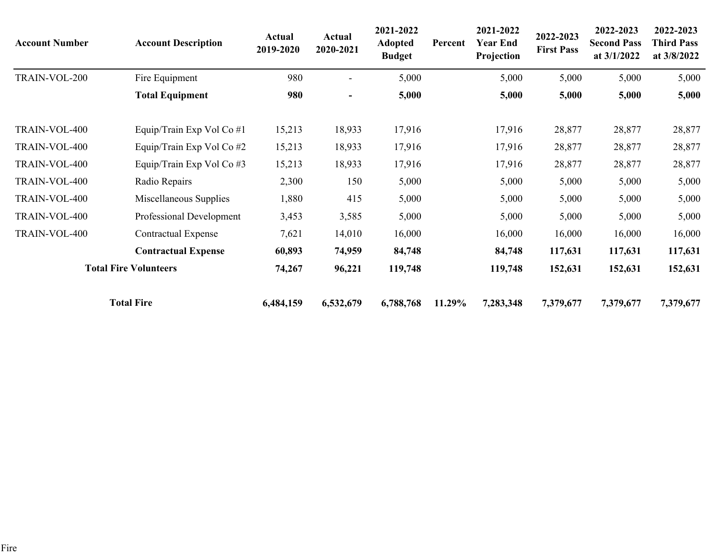| <b>Account Number</b> | <b>Account Description</b>   | Actual<br>2019-2020 | <b>Actual</b><br>2020-2021 | 2021-2022<br><b>Adopted</b><br><b>Budget</b> | Percent | 2021-2022<br><b>Year End</b><br>Projection | 2022-2023<br><b>First Pass</b> | 2022-2023<br><b>Second Pass</b><br>at $3/1/2022$ | 2022-2023<br><b>Third Pass</b><br>at 3/8/2022 |
|-----------------------|------------------------------|---------------------|----------------------------|----------------------------------------------|---------|--------------------------------------------|--------------------------------|--------------------------------------------------|-----------------------------------------------|
| TRAIN-VOL-200         | Fire Equipment               | 980                 |                            | 5,000                                        |         | 5,000                                      | 5,000                          | 5,000                                            | 5,000                                         |
|                       | <b>Total Equipment</b>       | 980                 |                            | 5,000                                        |         | 5,000                                      | 5,000                          | 5,000                                            | 5,000                                         |
| TRAIN-VOL-400         | Equip/Train Exp Vol Co #1    | 15,213              | 18,933                     | 17,916                                       |         | 17,916                                     | 28,877                         | 28,877                                           | 28,877                                        |
| TRAIN-VOL-400         | Equip/Train Exp Vol Co #2    | 15,213              | 18,933                     | 17,916                                       |         | 17,916                                     | 28,877                         | 28,877                                           | 28,877                                        |
| TRAIN-VOL-400         | Equip/Train Exp Vol Co #3    | 15,213              | 18,933                     | 17,916                                       |         | 17,916                                     | 28,877                         | 28,877                                           | 28,877                                        |
| TRAIN-VOL-400         | Radio Repairs                | 2,300               | 150                        | 5,000                                        |         | 5,000                                      | 5,000                          | 5,000                                            | 5,000                                         |
| TRAIN-VOL-400         | Miscellaneous Supplies       | 1,880               | 415                        | 5,000                                        |         | 5,000                                      | 5,000                          | 5,000                                            | 5,000                                         |
| TRAIN-VOL-400         | Professional Development     | 3,453               | 3,585                      | 5,000                                        |         | 5,000                                      | 5,000                          | 5,000                                            | 5,000                                         |
| TRAIN-VOL-400         | <b>Contractual Expense</b>   | 7,621               | 14,010                     | 16,000                                       |         | 16,000                                     | 16,000                         | 16,000                                           | 16,000                                        |
|                       | <b>Contractual Expense</b>   | 60,893              | 74,959                     | 84,748                                       |         | 84,748                                     | 117,631                        | 117,631                                          | 117,631                                       |
|                       | <b>Total Fire Volunteers</b> | 74,267              | 96,221                     | 119,748                                      |         | 119,748                                    | 152,631                        | 152,631                                          | 152,631                                       |
|                       | <b>Total Fire</b>            | 6,484,159           | 6,532,679                  | 6,788,768                                    | 11.29%  | 7,283,348                                  | 7,379,677                      | 7,379,677                                        | 7,379,677                                     |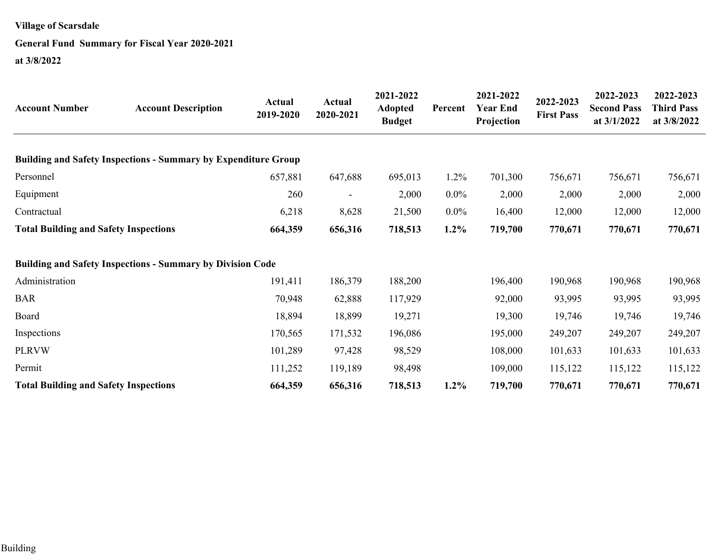### **General Fund Summary for Fiscal Year 2020-2021**

**at 3/8/2022**

| <b>Account Number</b>                        | <b>Account Description</b>                                            | <b>Actual</b><br>2019-2020 | <b>Actual</b><br>2020-2021 | 2021-2022<br><b>Adopted</b><br><b>Budget</b> | Percent | 2021-2022<br><b>Year End</b><br>Projection | 2022-2023<br><b>First Pass</b> | 2022-2023<br><b>Second Pass</b><br>at 3/1/2022 | 2022-2023<br><b>Third Pass</b><br>at 3/8/2022 |
|----------------------------------------------|-----------------------------------------------------------------------|----------------------------|----------------------------|----------------------------------------------|---------|--------------------------------------------|--------------------------------|------------------------------------------------|-----------------------------------------------|
|                                              | <b>Building and Safety Inspections - Summary by Expenditure Group</b> |                            |                            |                                              |         |                                            |                                |                                                |                                               |
| Personnel                                    |                                                                       | 657,881                    | 647,688                    | 695,013                                      | $1.2\%$ | 701,300                                    | 756,671                        | 756,671                                        | 756,671                                       |
| Equipment                                    |                                                                       | 260                        |                            | 2,000                                        | $0.0\%$ | 2,000                                      | 2,000                          | 2,000                                          | 2,000                                         |
| Contractual                                  |                                                                       | 6,218                      | 8,628                      | 21,500                                       | $0.0\%$ | 16,400                                     | 12,000                         | 12,000                                         | 12,000                                        |
| <b>Total Building and Safety Inspections</b> |                                                                       | 664,359                    | 656,316                    | 718,513                                      | $1.2\%$ | 719,700                                    | 770,671                        | 770,671                                        | 770,671                                       |
|                                              | <b>Building and Safety Inspections - Summary by Division Code</b>     |                            |                            |                                              |         |                                            |                                |                                                |                                               |
| Administration                               |                                                                       | 191,411                    | 186,379                    | 188,200                                      |         | 196,400                                    | 190,968                        | 190,968                                        | 190,968                                       |
| <b>BAR</b>                                   |                                                                       | 70,948                     | 62,888                     | 117,929                                      |         | 92,000                                     | 93,995                         | 93,995                                         | 93,995                                        |
| Board                                        |                                                                       | 18,894                     | 18,899                     | 19,271                                       |         | 19,300                                     | 19,746                         | 19,746                                         | 19,746                                        |
| Inspections                                  |                                                                       | 170,565                    | 171,532                    | 196,086                                      |         | 195,000                                    | 249,207                        | 249,207                                        | 249,207                                       |
| <b>PLRVW</b>                                 |                                                                       | 101,289                    | 97,428                     | 98,529                                       |         | 108,000                                    | 101,633                        | 101,633                                        | 101,633                                       |
| Permit                                       |                                                                       | 111,252                    | 119,189                    | 98,498                                       |         | 109,000                                    | 115,122                        | 115,122                                        | 115,122                                       |
| <b>Total Building and Safety Inspections</b> |                                                                       | 664,359                    | 656,316                    | 718,513                                      | $1.2\%$ | 719,700                                    | 770,671                        | 770,671                                        | 770,671                                       |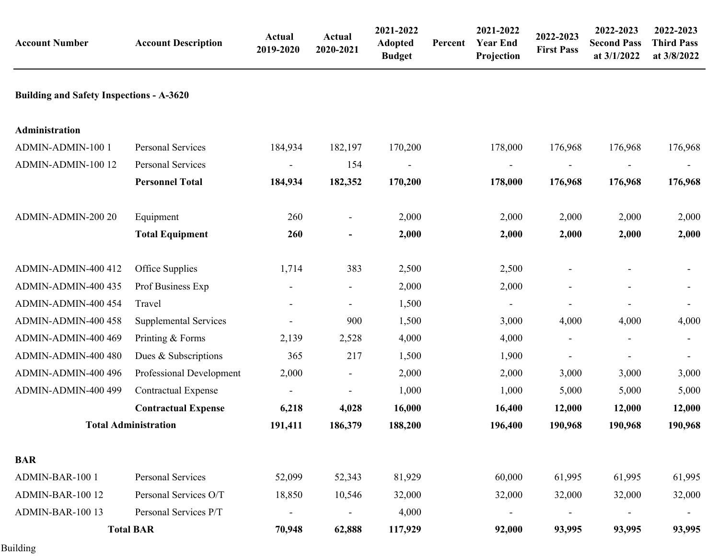| <b>Account Number</b>                           | <b>Account Description</b>   | Actual<br>2019-2020 | <b>Actual</b><br>2020-2021 | 2021-2022<br><b>Adopted</b><br><b>Budget</b> | Percent | 2021-2022<br><b>Year End</b><br>Projection | 2022-2023<br><b>First Pass</b> | 2022-2023<br><b>Second Pass</b><br>at 3/1/2022 | 2022-2023<br><b>Third Pass</b><br>at 3/8/2022 |
|-------------------------------------------------|------------------------------|---------------------|----------------------------|----------------------------------------------|---------|--------------------------------------------|--------------------------------|------------------------------------------------|-----------------------------------------------|
| <b>Building and Safety Inspections - A-3620</b> |                              |                     |                            |                                              |         |                                            |                                |                                                |                                               |
| Administration                                  |                              |                     |                            |                                              |         |                                            |                                |                                                |                                               |
| ADMIN-ADMIN-100 1                               | Personal Services            | 184,934             | 182,197                    | 170,200                                      |         | 178,000                                    | 176,968                        | 176,968                                        | 176,968                                       |
| ADMIN-ADMIN-100 12                              | Personal Services            |                     | 154                        |                                              |         |                                            |                                |                                                |                                               |
|                                                 | <b>Personnel Total</b>       | 184,934             | 182,352                    | 170,200                                      |         | 178,000                                    | 176,968                        | 176,968                                        | 176,968                                       |
| ADMIN-ADMIN-200 20                              | Equipment                    | 260                 | $\overline{\phantom{a}}$   | 2,000                                        |         | 2,000                                      | 2,000                          | 2,000                                          | 2,000                                         |
|                                                 | <b>Total Equipment</b>       | 260                 | $\overline{a}$             | 2,000                                        |         | 2,000                                      | 2,000                          | 2,000                                          | 2,000                                         |
| ADMIN-ADMIN-400 412                             | Office Supplies              | 1,714               | 383                        | 2,500                                        |         | 2,500                                      |                                |                                                |                                               |
| ADMIN-ADMIN-400 435                             | Prof Business Exp            |                     | $\blacksquare$             | 2,000                                        |         | 2,000                                      |                                |                                                |                                               |
| ADMIN-ADMIN-400 454                             | Travel                       |                     |                            | 1,500                                        |         | $\overline{\phantom{a}}$                   |                                |                                                |                                               |
| ADMIN-ADMIN-400 458                             | <b>Supplemental Services</b> |                     | 900                        | 1,500                                        |         | 3,000                                      | 4,000                          | 4,000                                          | 4,000                                         |
| ADMIN-ADMIN-400 469                             | Printing & Forms             | 2,139               | 2,528                      | 4,000                                        |         | 4,000                                      |                                |                                                |                                               |
| ADMIN-ADMIN-400 480                             | Dues & Subscriptions         | 365                 | 217                        | 1,500                                        |         | 1,900                                      |                                |                                                |                                               |
| ADMIN-ADMIN-400 496                             | Professional Development     | 2,000               | $\overline{\phantom{a}}$   | 2,000                                        |         | 2,000                                      | 3,000                          | 3,000                                          | 3,000                                         |
| ADMIN-ADMIN-400 499                             | <b>Contractual Expense</b>   |                     |                            | 1,000                                        |         | 1,000                                      | 5,000                          | 5,000                                          | 5,000                                         |
|                                                 | <b>Contractual Expense</b>   | 6,218               | 4,028                      | 16,000                                       |         | 16,400                                     | 12,000                         | 12,000                                         | 12,000                                        |
|                                                 | <b>Total Administration</b>  | 191,411             | 186,379                    | 188,200                                      |         | 196,400                                    | 190,968                        | 190,968                                        | 190,968                                       |
| <b>BAR</b>                                      |                              |                     |                            |                                              |         |                                            |                                |                                                |                                               |
| ADMIN-BAR-100 1                                 | Personal Services            | 52,099              | 52,343                     | 81,929                                       |         | 60,000                                     | 61,995                         | 61,995                                         | 61,995                                        |
| ADMIN-BAR-100 12                                | Personal Services O/T        | 18,850              | 10,546                     | 32,000                                       |         | 32,000                                     | 32,000                         | 32,000                                         | 32,000                                        |
| ADMIN-BAR-100 13                                | Personal Services P/T        |                     | $\overline{a}$             | 4,000                                        |         |                                            |                                |                                                |                                               |
|                                                 | <b>Total BAR</b>             | 70,948              | 62,888                     | 117,929                                      |         | 92,000                                     | 93,995                         | 93,995                                         | 93,995                                        |

Building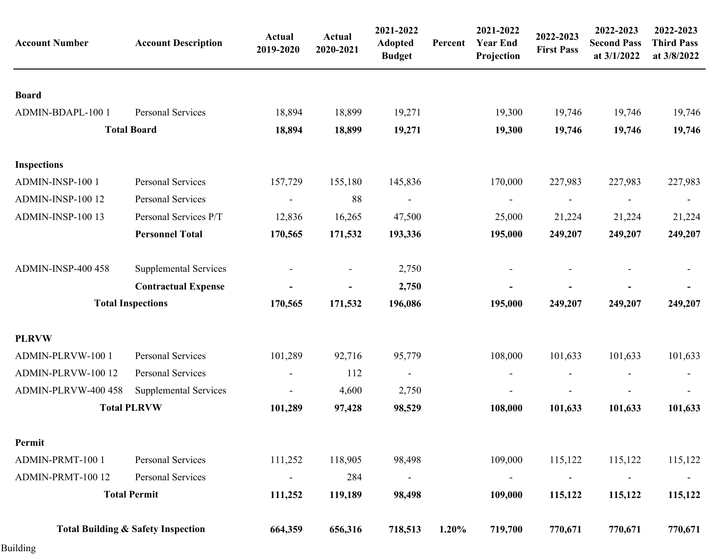| <b>Account Number</b>     | <b>Account Description</b>                    | <b>Actual</b><br>2019-2020   | <b>Actual</b><br>2020-2021 | 2021-2022<br><b>Adopted</b><br><b>Budget</b> | Percent  | 2021-2022<br><b>Year End</b><br>Projection | 2022-2023<br><b>First Pass</b> | 2022-2023<br><b>Second Pass</b><br>at 3/1/2022 | 2022-2023<br><b>Third Pass</b><br>at 3/8/2022 |
|---------------------------|-----------------------------------------------|------------------------------|----------------------------|----------------------------------------------|----------|--------------------------------------------|--------------------------------|------------------------------------------------|-----------------------------------------------|
| <b>Board</b>              |                                               |                              |                            |                                              |          |                                            |                                |                                                |                                               |
| ADMIN-BDAPL-100 1         | Personal Services                             | 18,894                       | 18,899                     | 19,271                                       |          | 19,300                                     | 19,746                         | 19,746                                         | 19,746                                        |
|                           | <b>Total Board</b>                            | 18,894                       | 18,899                     | 19,271                                       |          | 19,300                                     | 19,746                         | 19,746                                         | 19,746                                        |
| <b>Inspections</b>        |                                               |                              |                            |                                              |          |                                            |                                |                                                |                                               |
| ADMIN-INSP-100 1          | Personal Services                             | 157,729                      | 155,180                    | 145,836                                      |          | 170,000                                    | 227,983                        | 227,983                                        | 227,983                                       |
| ADMIN-INSP-100 12         | <b>Personal Services</b>                      | $\overline{\phantom{a}}$     | 88                         |                                              |          |                                            |                                | $\overline{\phantom{a}}$                       | $\overline{\phantom{a}}$                      |
| ADMIN-INSP-100 13         | Personal Services P/T                         | 12,836                       | 16,265                     | 47,500                                       |          | 25,000                                     | 21,224                         | 21,224                                         | 21,224                                        |
|                           | <b>Personnel Total</b>                        | 170,565                      | 171,532                    | 193,336                                      |          | 195,000                                    | 249,207                        | 249,207                                        | 249,207                                       |
| <b>ADMIN-INSP-400 458</b> | <b>Supplemental Services</b>                  |                              |                            | 2,750                                        |          |                                            |                                |                                                |                                               |
|                           | <b>Contractual Expense</b>                    |                              |                            | 2,750                                        |          |                                            |                                |                                                |                                               |
|                           | <b>Total Inspections</b>                      | 170,565                      | 171,532                    | 196,086                                      |          | 195,000                                    | 249,207                        | 249,207                                        | 249,207                                       |
| <b>PLRVW</b>              |                                               |                              |                            |                                              |          |                                            |                                |                                                |                                               |
| ADMIN-PLRVW-100 1         | Personal Services                             | 101,289                      | 92,716                     | 95,779                                       |          | 108,000                                    | 101,633                        | 101,633                                        | 101,633                                       |
| ADMIN-PLRVW-100 12        | Personal Services                             | $\overline{\phantom{a}}$     | 112                        | $\overline{\phantom{a}}$                     |          |                                            |                                |                                                | $\overline{\phantom{a}}$                      |
| ADMIN-PLRVW-400 458       | <b>Supplemental Services</b>                  | $\overline{\phantom{a}}$     | 4,600                      | 2,750                                        |          |                                            |                                |                                                |                                               |
|                           | <b>Total PLRVW</b>                            | 101,289                      | 97,428                     | 98,529                                       |          | 108,000                                    | 101,633                        | 101,633                                        | 101,633                                       |
| Permit                    |                                               |                              |                            |                                              |          |                                            |                                |                                                |                                               |
| ADMIN-PRMT-100 1          | Personal Services                             | 111,252                      | 118,905                    | 98,498                                       |          | 109,000                                    | 115,122                        | 115,122                                        | 115,122                                       |
| ADMIN-PRMT-100 12         | Personal Services                             | $\qquad \qquad \blacksquare$ | 284                        | $\overline{\phantom{a}}$                     |          |                                            |                                | $\overline{\phantom{0}}$                       | $\overline{\phantom{a}}$                      |
|                           | <b>Total Permit</b>                           | 111,252                      | 119,189                    | 98,498                                       |          | 109,000                                    | 115,122                        | 115,122                                        | 115,122                                       |
|                           | <b>Total Building &amp; Safety Inspection</b> | 664,359                      | 656,316                    | 718,513                                      | $1.20\%$ | 719,700                                    | 770,671                        | 770,671                                        | 770,671                                       |

Building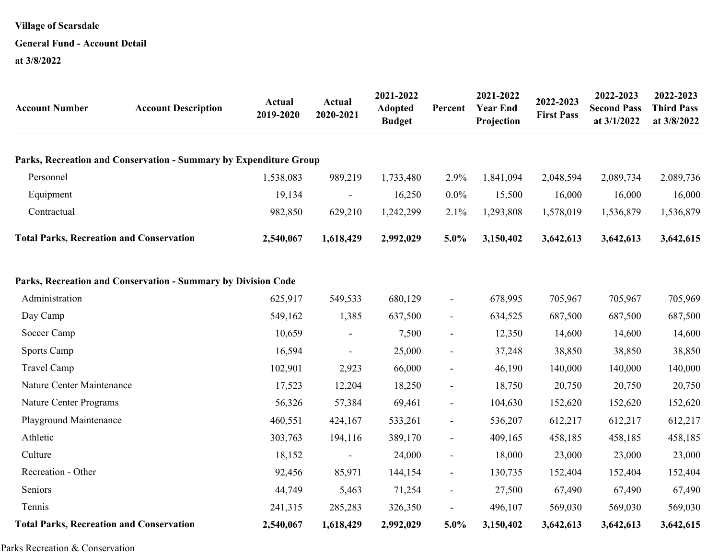### **General Fund - Account Detail**

**at 3/8/2022**

| <b>Account Number</b>                           | <b>Account Description</b>                                        | <b>Actual</b><br>2019-2020 | <b>Actual</b><br>2020-2021 | 2021-2022<br><b>Adopted</b><br><b>Budget</b> | Percent                  | 2021-2022<br><b>Year End</b><br>Projection | 2022-2023<br><b>First Pass</b> | 2022-2023<br><b>Second Pass</b><br>at 3/1/2022 | 2022-2023<br><b>Third Pass</b><br>at 3/8/2022 |
|-------------------------------------------------|-------------------------------------------------------------------|----------------------------|----------------------------|----------------------------------------------|--------------------------|--------------------------------------------|--------------------------------|------------------------------------------------|-----------------------------------------------|
|                                                 | Parks, Recreation and Conservation - Summary by Expenditure Group |                            |                            |                                              |                          |                                            |                                |                                                |                                               |
| Personnel                                       |                                                                   | 1,538,083                  | 989,219                    | 1,733,480                                    | 2.9%                     | 1,841,094                                  | 2,048,594                      | 2,089,734                                      | 2,089,736                                     |
| Equipment                                       |                                                                   | 19,134                     |                            | 16,250                                       | $0.0\%$                  | 15,500                                     | 16,000                         | 16,000                                         | 16,000                                        |
| Contractual                                     |                                                                   | 982,850                    | 629,210                    | 1,242,299                                    | 2.1%                     | 1,293,808                                  | 1,578,019                      | 1,536,879                                      | 1,536,879                                     |
| <b>Total Parks, Recreation and Conservation</b> |                                                                   | 2,540,067                  | 1,618,429                  | 2,992,029                                    | 5.0%                     | 3,150,402                                  | 3,642,613                      | 3,642,613                                      | 3,642,615                                     |
|                                                 | Parks, Recreation and Conservation - Summary by Division Code     |                            |                            |                                              |                          |                                            |                                |                                                |                                               |
| Administration                                  |                                                                   | 625,917                    | 549,533                    | 680,129                                      | $\blacksquare$           | 678,995                                    | 705,967                        | 705,967                                        | 705,969                                       |
| Day Camp                                        |                                                                   | 549,162                    | 1,385                      | 637,500                                      | $\overline{\phantom{a}}$ | 634,525                                    | 687,500                        | 687,500                                        | 687,500                                       |
| Soccer Camp                                     |                                                                   | 10,659                     |                            | 7,500                                        | $\overline{\phantom{a}}$ | 12,350                                     | 14,600                         | 14,600                                         | 14,600                                        |
| Sports Camp                                     |                                                                   | 16,594                     | $\overline{\phantom{a}}$   | 25,000                                       | $\overline{\phantom{a}}$ | 37,248                                     | 38,850                         | 38,850                                         | 38,850                                        |
| Travel Camp                                     |                                                                   | 102,901                    | 2,923                      | 66,000                                       | $\blacksquare$           | 46,190                                     | 140,000                        | 140,000                                        | 140,000                                       |
| Nature Center Maintenance                       |                                                                   | 17,523                     | 12,204                     | 18,250                                       | $\overline{\phantom{a}}$ | 18,750                                     | 20,750                         | 20,750                                         | 20,750                                        |
| Nature Center Programs                          |                                                                   | 56,326                     | 57,384                     | 69,461                                       | $\blacksquare$           | 104,630                                    | 152,620                        | 152,620                                        | 152,620                                       |
| Playground Maintenance                          |                                                                   | 460,551                    | 424,167                    | 533,261                                      | $\blacksquare$           | 536,207                                    | 612,217                        | 612,217                                        | 612,217                                       |
| Athletic                                        |                                                                   | 303,763                    | 194,116                    | 389,170                                      | $\blacksquare$           | 409,165                                    | 458,185                        | 458,185                                        | 458,185                                       |
| Culture                                         |                                                                   | 18,152                     |                            | 24,000                                       | $\blacksquare$           | 18,000                                     | 23,000                         | 23,000                                         | 23,000                                        |
| Recreation - Other                              |                                                                   | 92,456                     | 85,971                     | 144,154                                      | $\blacksquare$           | 130,735                                    | 152,404                        | 152,404                                        | 152,404                                       |
| Seniors                                         |                                                                   | 44,749                     | 5,463                      | 71,254                                       | $\blacksquare$           | 27,500                                     | 67,490                         | 67,490                                         | 67,490                                        |
| Tennis                                          |                                                                   | 241,315                    | 285,283                    | 326,350                                      |                          | 496,107                                    | 569,030                        | 569,030                                        | 569,030                                       |
| <b>Total Parks, Recreation and Conservation</b> |                                                                   | 2,540,067                  | 1,618,429                  | 2,992,029                                    | 5.0%                     | 3,150,402                                  | 3,642,613                      | 3,642,613                                      | 3,642,615                                     |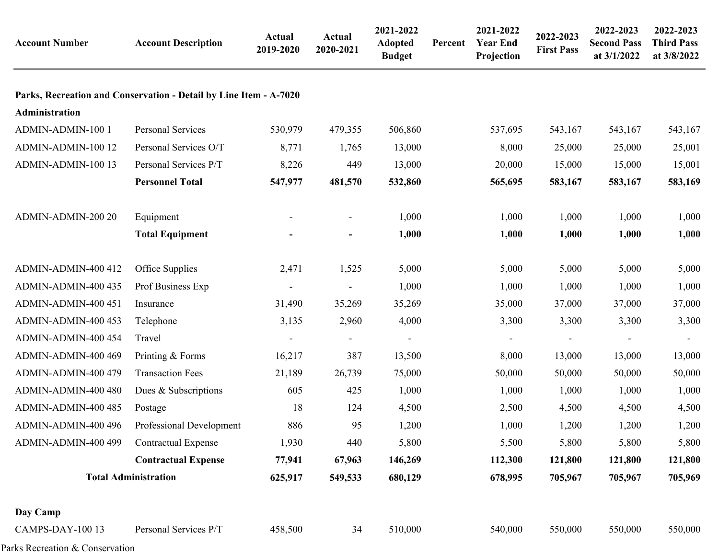| <b>Account Number</b> | <b>Account Description</b>                                        | Actual<br>2019-2020 | <b>Actual</b><br>2020-2021 | 2021-2022<br><b>Adopted</b><br><b>Budget</b> | Percent | 2021-2022<br><b>Year End</b><br>Projection | 2022-2023<br><b>First Pass</b> | 2022-2023<br><b>Second Pass</b><br>at 3/1/2022 | 2022-2023<br><b>Third Pass</b><br>at 3/8/2022 |
|-----------------------|-------------------------------------------------------------------|---------------------|----------------------------|----------------------------------------------|---------|--------------------------------------------|--------------------------------|------------------------------------------------|-----------------------------------------------|
|                       | Parks, Recreation and Conservation - Detail by Line Item - A-7020 |                     |                            |                                              |         |                                            |                                |                                                |                                               |
| Administration        |                                                                   |                     |                            |                                              |         |                                            |                                |                                                |                                               |
| ADMIN-ADMIN-100 1     | Personal Services                                                 | 530,979             | 479,355                    | 506,860                                      |         | 537,695                                    | 543,167                        | 543,167                                        | 543,167                                       |
| ADMIN-ADMIN-100 12    | Personal Services O/T                                             | 8,771               | 1,765                      | 13,000                                       |         | 8,000                                      | 25,000                         | 25,000                                         | 25,001                                        |
| ADMIN-ADMIN-100 13    | Personal Services P/T                                             | 8,226               | 449                        | 13,000                                       |         | 20,000                                     | 15,000                         | 15,000                                         | 15,001                                        |
|                       | <b>Personnel Total</b>                                            | 547,977             | 481,570                    | 532,860                                      |         | 565,695                                    | 583,167                        | 583,167                                        | 583,169                                       |
| ADMIN-ADMIN-200 20    | Equipment                                                         |                     | $\overline{\phantom{a}}$   | 1,000                                        |         | 1,000                                      | 1,000                          | 1,000                                          | 1,000                                         |
|                       | <b>Total Equipment</b>                                            |                     | $\blacksquare$             | 1,000                                        |         | 1,000                                      | 1,000                          | 1,000                                          | 1,000                                         |
| ADMIN-ADMIN-400 412   | Office Supplies                                                   | 2,471               | 1,525                      | 5,000                                        |         | 5,000                                      | 5,000                          | 5,000                                          | 5,000                                         |
| ADMIN-ADMIN-400 435   | Prof Business Exp                                                 |                     |                            | 1,000                                        |         | 1,000                                      | 1,000                          | 1,000                                          | 1,000                                         |
| ADMIN-ADMIN-400 451   | Insurance                                                         | 31,490              | 35,269                     | 35,269                                       |         | 35,000                                     | 37,000                         | 37,000                                         | 37,000                                        |
| ADMIN-ADMIN-400 453   | Telephone                                                         | 3,135               | 2,960                      | 4,000                                        |         | 3,300                                      | 3,300                          | 3,300                                          | 3,300                                         |
| ADMIN-ADMIN-400 454   | Travel                                                            |                     |                            |                                              |         |                                            |                                |                                                |                                               |
| ADMIN-ADMIN-400 469   | Printing & Forms                                                  | 16,217              | 387                        | 13,500                                       |         | 8,000                                      | 13,000                         | 13,000                                         | 13,000                                        |
| ADMIN-ADMIN-400 479   | <b>Transaction Fees</b>                                           | 21,189              | 26,739                     | 75,000                                       |         | 50,000                                     | 50,000                         | 50,000                                         | 50,000                                        |
| ADMIN-ADMIN-400 480   | Dues & Subscriptions                                              | 605                 | 425                        | 1,000                                        |         | 1,000                                      | 1,000                          | 1,000                                          | 1,000                                         |
| ADMIN-ADMIN-400 485   | Postage                                                           | 18                  | 124                        | 4,500                                        |         | 2,500                                      | 4,500                          | 4,500                                          | 4,500                                         |
| ADMIN-ADMIN-400 496   | Professional Development                                          | 886                 | 95                         | 1,200                                        |         | 1,000                                      | 1,200                          | 1,200                                          | 1,200                                         |
| ADMIN-ADMIN-400 499   | <b>Contractual Expense</b>                                        | 1,930               | 440                        | 5,800                                        |         | 5,500                                      | 5,800                          | 5,800                                          | 5,800                                         |
|                       | <b>Contractual Expense</b>                                        | 77,941              | 67,963                     | 146,269                                      |         | 112,300                                    | 121,800                        | 121,800                                        | 121,800                                       |
|                       | <b>Total Administration</b>                                       | 625,917             | 549,533                    | 680,129                                      |         | 678,995                                    | 705,967                        | 705,967                                        | 705,969                                       |
| Day Camp              |                                                                   |                     |                            |                                              |         |                                            |                                |                                                |                                               |
| CAMPS-DAY-100 13      | Personal Services P/T                                             | 458,500             | 34                         | 510,000                                      |         | 540,000                                    | 550,000                        | 550,000                                        | 550,000                                       |
|                       |                                                                   |                     |                            |                                              |         |                                            |                                |                                                |                                               |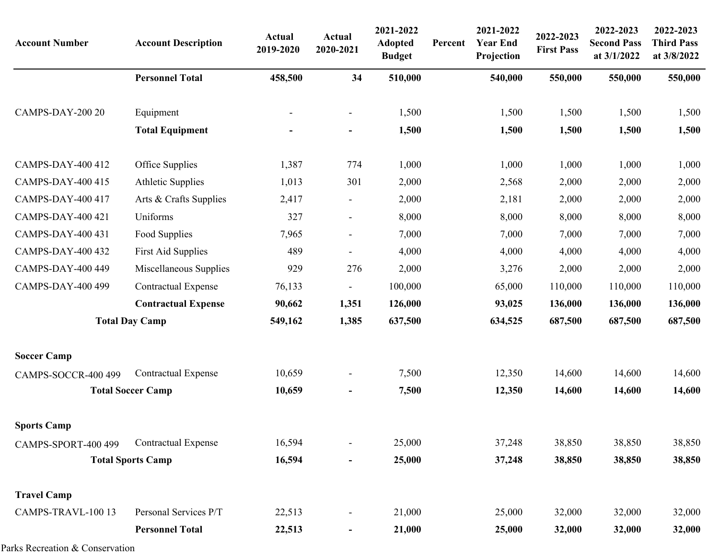| <b>Account Number</b>    | <b>Account Description</b> | Actual<br>2019-2020 | <b>Actual</b><br>2020-2021   | 2021-2022<br><b>Adopted</b><br><b>Budget</b> | Percent | 2021-2022<br><b>Year End</b><br>Projection | 2022-2023<br><b>First Pass</b> | 2022-2023<br><b>Second Pass</b><br>at 3/1/2022 | 2022-2023<br><b>Third Pass</b><br>at 3/8/2022 |
|--------------------------|----------------------------|---------------------|------------------------------|----------------------------------------------|---------|--------------------------------------------|--------------------------------|------------------------------------------------|-----------------------------------------------|
|                          | <b>Personnel Total</b>     | 458,500             | 34                           | 510,000                                      |         | 540,000                                    | 550,000                        | 550,000                                        | 550,000                                       |
| CAMPS-DAY-200 20         | Equipment                  |                     | $\qquad \qquad \blacksquare$ | 1,500                                        |         | 1,500                                      | 1,500                          | 1,500                                          | 1,500                                         |
|                          | <b>Total Equipment</b>     |                     | $\qquad \qquad \blacksquare$ | 1,500                                        |         | 1,500                                      | 1,500                          | 1,500                                          | 1,500                                         |
| CAMPS-DAY-400 412        | Office Supplies            | 1,387               | 774                          | 1,000                                        |         | 1,000                                      | 1,000                          | 1,000                                          | 1,000                                         |
| CAMPS-DAY-400 415        | <b>Athletic Supplies</b>   | 1,013               | 301                          | 2,000                                        |         | 2,568                                      | 2,000                          | 2,000                                          | 2,000                                         |
| CAMPS-DAY-400 417        | Arts & Crafts Supplies     | 2,417               | -                            | 2,000                                        |         | 2,181                                      | 2,000                          | 2,000                                          | 2,000                                         |
| CAMPS-DAY-400 421        | Uniforms                   | 327                 | $\overline{\phantom{a}}$     | 8,000                                        |         | 8,000                                      | 8,000                          | 8,000                                          | 8,000                                         |
| CAMPS-DAY-400 431        | Food Supplies              | 7,965               | $\overline{\phantom{a}}$     | 7,000                                        |         | 7,000                                      | 7,000                          | 7,000                                          | 7,000                                         |
| <b>CAMPS-DAY-400 432</b> | <b>First Aid Supplies</b>  | 489                 | $\overline{\phantom{a}}$     | 4,000                                        |         | 4,000                                      | 4,000                          | 4,000                                          | 4,000                                         |
| CAMPS-DAY-400 449        | Miscellaneous Supplies     | 929                 | 276                          | 2,000                                        |         | 3,276                                      | 2,000                          | 2,000                                          | 2,000                                         |
| CAMPS-DAY-400 499        | <b>Contractual Expense</b> | 76,133              | $\overline{\phantom{a}}$     | 100,000                                      |         | 65,000                                     | 110,000                        | 110,000                                        | 110,000                                       |
|                          | <b>Contractual Expense</b> | 90,662              | 1,351                        | 126,000                                      |         | 93,025                                     | 136,000                        | 136,000                                        | 136,000                                       |
|                          | <b>Total Day Camp</b>      | 549,162             | 1,385                        | 637,500                                      |         | 634,525                                    | 687,500                        | 687,500                                        | 687,500                                       |
| <b>Soccer Camp</b>       |                            |                     |                              |                                              |         |                                            |                                |                                                |                                               |
| CAMPS-SOCCR-400 499      | <b>Contractual Expense</b> | 10,659              | $\overline{\phantom{a}}$     | 7,500                                        |         | 12,350                                     | 14,600                         | 14,600                                         | 14,600                                        |
|                          | <b>Total Soccer Camp</b>   | 10,659              | -                            | 7,500                                        |         | 12,350                                     | 14,600                         | 14,600                                         | 14,600                                        |
| <b>Sports Camp</b>       |                            |                     |                              |                                              |         |                                            |                                |                                                |                                               |
| CAMPS-SPORT-400 499      | <b>Contractual Expense</b> | 16,594              | $\overline{\phantom{a}}$     | 25,000                                       |         | 37,248                                     | 38,850                         | 38,850                                         | 38,850                                        |
|                          | <b>Total Sports Camp</b>   | 16,594              | -                            | 25,000                                       |         | 37,248                                     | 38,850                         | 38,850                                         | 38,850                                        |
| <b>Travel Camp</b>       |                            |                     |                              |                                              |         |                                            |                                |                                                |                                               |
| CAMPS-TRAVL-100 13       | Personal Services P/T      | 22,513              |                              | 21,000                                       |         | 25,000                                     | 32,000                         | 32,000                                         | 32,000                                        |
|                          | <b>Personnel Total</b>     | 22,513              |                              | 21,000                                       |         | 25,000                                     | 32,000                         | 32,000                                         | 32,000                                        |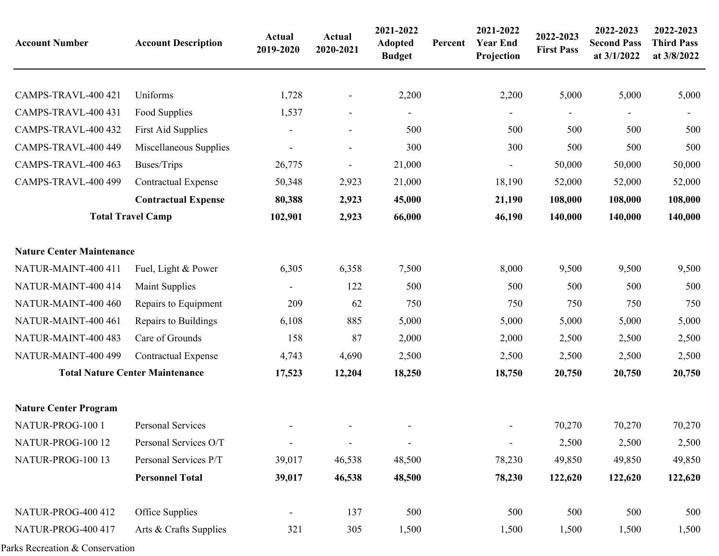| <b>Account Number</b>            | <b>Account Description</b>             | <b>Actual</b><br>2019-2020 | <b>Actual</b><br>2020-2021 | 2021-2022<br><b>Adopted</b><br><b>Budget</b> | Percent | 2021-2022<br><b>Year End</b><br>Projection | 2022-2023<br><b>First Pass</b> | 2022-2023<br><b>Second Pass</b><br>at 3/1/2022 | 2022-2023<br><b>Third Pass</b><br>at 3/8/2022 |
|----------------------------------|----------------------------------------|----------------------------|----------------------------|----------------------------------------------|---------|--------------------------------------------|--------------------------------|------------------------------------------------|-----------------------------------------------|
| CAMPS-TRAVL-400 421              | Uniforms                               | 1,728                      |                            | 2,200                                        |         | 2,200                                      | 5,000                          | 5,000                                          | 5,000                                         |
| CAMPS-TRAVL-400 431              | Food Supplies                          | 1,537                      | $\overline{\phantom{a}}$   |                                              |         |                                            |                                |                                                |                                               |
| CAMPS-TRAVL-400 432              | <b>First Aid Supplies</b>              |                            | $\overline{\phantom{a}}$   | 500                                          |         | 500                                        | 500                            | 500                                            | 500                                           |
| CAMPS-TRAVL-400 449              | Miscellaneous Supplies                 |                            | $\overline{\phantom{a}}$   | 300                                          |         | 300                                        | 500                            | 500                                            | 500                                           |
| CAMPS-TRAVL-400 463              | Buses/Trips                            | 26,775                     |                            | 21,000                                       |         |                                            | 50,000                         | 50,000                                         | 50,000                                        |
| CAMPS-TRAVL-400 499              | <b>Contractual Expense</b>             | 50,348                     | 2,923                      | 21,000                                       |         | 18,190                                     | 52,000                         | 52,000                                         | 52,000                                        |
|                                  | <b>Contractual Expense</b>             | 80,388                     | 2,923                      | 45,000                                       |         | 21,190                                     | 108,000                        | 108,000                                        | 108,000                                       |
|                                  | <b>Total Travel Camp</b>               | 102,901                    | 2,923                      | 66,000                                       |         | 46,190                                     | 140,000                        | 140,000                                        | 140,000                                       |
| <b>Nature Center Maintenance</b> |                                        |                            |                            |                                              |         |                                            |                                |                                                |                                               |
| NATUR-MAINT-400 411              | Fuel, Light & Power                    | 6,305                      | 6,358                      | 7,500                                        |         | 8,000                                      | 9,500                          | 9,500                                          | 9,500                                         |
| NATUR-MAINT-400 414              | <b>Maint Supplies</b>                  |                            | 122                        | 500                                          |         | 500                                        | 500                            | 500                                            | 500                                           |
| NATUR-MAINT-400 460              | Repairs to Equipment                   | 209                        | 62                         | 750                                          |         | 750                                        | 750                            | 750                                            | 750                                           |
| NATUR-MAINT-400 461              | Repairs to Buildings                   | 6,108                      | 885                        | 5,000                                        |         | 5,000                                      | 5,000                          | 5,000                                          | 5,000                                         |
| NATUR-MAINT-400 483              | Care of Grounds                        | 158                        | 87                         | 2,000                                        |         | 2,000                                      | 2,500                          | 2,500                                          | 2,500                                         |
| NATUR-MAINT-400 499              | <b>Contractual Expense</b>             | 4,743                      | 4,690                      | 2,500                                        |         | 2,500                                      | 2,500                          | 2,500                                          | 2,500                                         |
|                                  | <b>Total Nature Center Maintenance</b> | 17,523                     | 12,204                     | 18,250                                       |         | 18,750                                     | 20,750                         | 20,750                                         | 20,750                                        |
| <b>Nature Center Program</b>     |                                        |                            |                            |                                              |         |                                            |                                |                                                |                                               |
| NATUR-PROG-100 1                 | <b>Personal Services</b>               |                            |                            |                                              |         |                                            | 70,270                         | 70,270                                         | 70,270                                        |
| NATUR-PROG-100 12                | Personal Services O/T                  |                            | $\blacksquare$             |                                              |         |                                            | 2,500                          | 2,500                                          | 2,500                                         |
| NATUR-PROG-100 13                | Personal Services P/T                  | 39,017                     | 46,538                     | 48,500                                       |         | 78,230                                     | 49,850                         | 49,850                                         | 49,850                                        |
|                                  | <b>Personnel Total</b>                 | 39,017                     | 46,538                     | 48,500                                       |         | 78,230                                     | 122,620                        | 122,620                                        | 122,620                                       |
| NATUR-PROG-400 412               | Office Supplies                        |                            | 137                        | 500                                          |         | 500                                        | 500                            | 500                                            | 500                                           |
| NATUR-PROG-400 417               | Arts & Crafts Supplies                 | 321                        | 305                        | 1,500                                        |         | 1,500                                      | 1,500                          | 1,500                                          | 1,500                                         |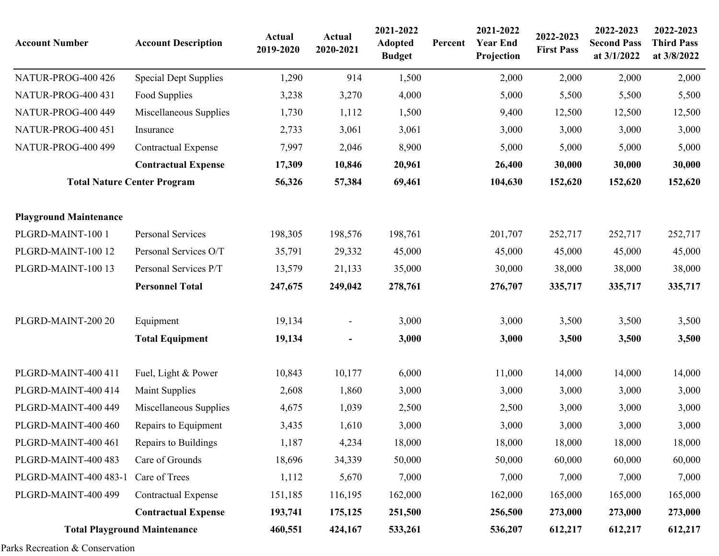| <b>Account Number</b>         | <b>Account Description</b>          | <b>Actual</b><br>2019-2020 | Actual<br>2020-2021      | 2021-2022<br><b>Adopted</b><br><b>Budget</b> | Percent | 2021-2022<br><b>Year End</b><br>Projection | 2022-2023<br><b>First Pass</b> | 2022-2023<br><b>Second Pass</b><br>at 3/1/2022 | 2022-2023<br><b>Third Pass</b><br>at 3/8/2022 |
|-------------------------------|-------------------------------------|----------------------------|--------------------------|----------------------------------------------|---------|--------------------------------------------|--------------------------------|------------------------------------------------|-----------------------------------------------|
| <b>NATUR-PROG-400 426</b>     | <b>Special Dept Supplies</b>        | 1,290                      | 914                      | 1,500                                        |         | 2,000                                      | 2,000                          | 2,000                                          | 2,000                                         |
| <b>NATUR-PROG-400 431</b>     | Food Supplies                       | 3,238                      | 3,270                    | 4,000                                        |         | 5,000                                      | 5,500                          | 5,500                                          | 5,500                                         |
| <b>NATUR-PROG-400 449</b>     | Miscellaneous Supplies              | 1,730                      | 1,112                    | 1,500                                        |         | 9,400                                      | 12,500                         | 12,500                                         | 12,500                                        |
| NATUR-PROG-400 451            | Insurance                           | 2,733                      | 3,061                    | 3,061                                        |         | 3,000                                      | 3,000                          | 3,000                                          | 3,000                                         |
| NATUR-PROG-400 499            | <b>Contractual Expense</b>          | 7,997                      | 2,046                    | 8,900                                        |         | 5,000                                      | 5,000                          | 5,000                                          | 5,000                                         |
|                               | <b>Contractual Expense</b>          | 17,309                     | 10,846                   | 20,961                                       |         | 26,400                                     | 30,000                         | 30,000                                         | 30,000                                        |
|                               | <b>Total Nature Center Program</b>  | 56,326                     | 57,384                   | 69,461                                       |         | 104,630                                    | 152,620                        | 152,620                                        | 152,620                                       |
| <b>Playground Maintenance</b> |                                     |                            |                          |                                              |         |                                            |                                |                                                |                                               |
| PLGRD-MAINT-100 1             | Personal Services                   | 198,305                    | 198,576                  | 198,761                                      |         | 201,707                                    | 252,717                        | 252,717                                        | 252,717                                       |
| PLGRD-MAINT-100 12            | Personal Services O/T               | 35,791                     | 29,332                   | 45,000                                       |         | 45,000                                     | 45,000                         | 45,000                                         | 45,000                                        |
| PLGRD-MAINT-100 13            | Personal Services P/T               | 13,579                     | 21,133                   | 35,000                                       |         | 30,000                                     | 38,000                         | 38,000                                         | 38,000                                        |
|                               | <b>Personnel Total</b>              | 247,675                    | 249,042                  | 278,761                                      |         | 276,707                                    | 335,717                        | 335,717                                        | 335,717                                       |
| PLGRD-MAINT-200 20            | Equipment                           | 19,134                     | $\overline{\phantom{a}}$ | 3,000                                        |         | 3,000                                      | 3,500                          | 3,500                                          | 3,500                                         |
|                               | <b>Total Equipment</b>              | 19,134                     | $\overline{\phantom{a}}$ | 3,000                                        |         | 3,000                                      | 3,500                          | 3,500                                          | 3,500                                         |
| PLGRD-MAINT-400 411           | Fuel, Light & Power                 | 10,843                     | 10,177                   | 6,000                                        |         | 11,000                                     | 14,000                         | 14,000                                         | 14,000                                        |
| PLGRD-MAINT-400 414           | <b>Maint Supplies</b>               | 2,608                      | 1,860                    | 3,000                                        |         | 3,000                                      | 3,000                          | 3,000                                          | 3,000                                         |
| PLGRD-MAINT-400 449           | Miscellaneous Supplies              | 4,675                      | 1,039                    | 2,500                                        |         | 2,500                                      | 3,000                          | 3,000                                          | 3,000                                         |
| PLGRD-MAINT-400 460           | Repairs to Equipment                | 3,435                      | 1,610                    | 3,000                                        |         | 3,000                                      | 3,000                          | 3,000                                          | 3,000                                         |
| PLGRD-MAINT-400 461           | Repairs to Buildings                | 1,187                      | 4,234                    | 18,000                                       |         | 18,000                                     | 18,000                         | 18,000                                         | 18,000                                        |
| PLGRD-MAINT-400 483           | Care of Grounds                     | 18,696                     | 34,339                   | 50,000                                       |         | 50,000                                     | 60,000                         | 60,000                                         | 60,000                                        |
| PLGRD-MAINT-400 483-1         | Care of Trees                       | 1,112                      | 5,670                    | 7,000                                        |         | 7,000                                      | 7,000                          | 7,000                                          | 7,000                                         |
| PLGRD-MAINT-400 499           | <b>Contractual Expense</b>          | 151,185                    | 116,195                  | 162,000                                      |         | 162,000                                    | 165,000                        | 165,000                                        | 165,000                                       |
|                               | <b>Contractual Expense</b>          | 193,741                    | 175,125                  | 251,500                                      |         | 256,500                                    | 273,000                        | 273,000                                        | 273,000                                       |
|                               | <b>Total Playground Maintenance</b> | 460,551                    | 424,167                  | 533,261                                      |         | 536,207                                    | 612,217                        | 612,217                                        | 612,217                                       |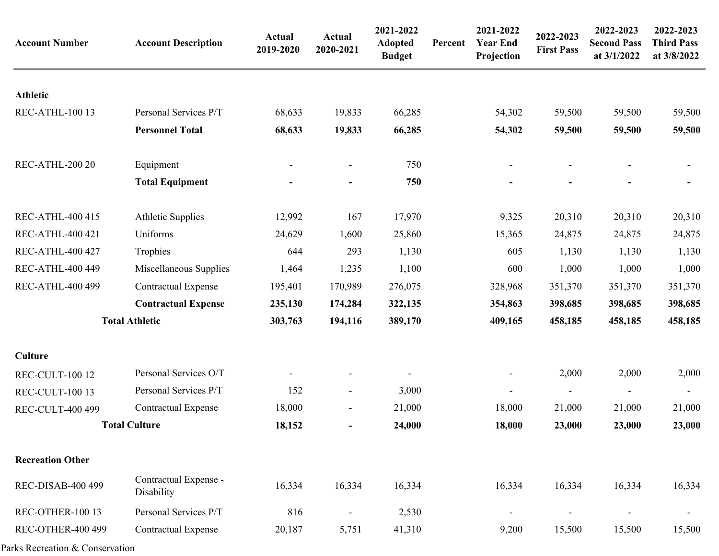| <b>Account Number</b>    | <b>Account Description</b>          | <b>Actual</b><br>2019-2020 | Actual<br>2020-2021      | 2021-2022<br><b>Adopted</b><br><b>Budget</b> | Percent | 2021-2022<br><b>Year End</b><br>Projection | 2022-2023<br><b>First Pass</b> | 2022-2023<br><b>Second Pass</b><br>at 3/1/2022 | 2022-2023<br><b>Third Pass</b><br>at 3/8/2022 |
|--------------------------|-------------------------------------|----------------------------|--------------------------|----------------------------------------------|---------|--------------------------------------------|--------------------------------|------------------------------------------------|-----------------------------------------------|
| <b>Athletic</b>          |                                     |                            |                          |                                              |         |                                            |                                |                                                |                                               |
| REC-ATHL-100 13          | Personal Services P/T               | 68,633                     | 19,833                   | 66,285                                       |         | 54,302                                     | 59,500                         | 59,500                                         | 59,500                                        |
|                          | <b>Personnel Total</b>              | 68,633                     | 19,833                   | 66,285                                       |         | 54,302                                     | 59,500                         | 59,500                                         | 59,500                                        |
| REC-ATHL-200 20          | Equipment                           |                            | $\overline{\phantom{0}}$ | 750                                          |         |                                            |                                |                                                |                                               |
|                          | <b>Total Equipment</b>              |                            |                          | 750                                          |         |                                            |                                |                                                |                                               |
| <b>REC-ATHL-400 415</b>  | <b>Athletic Supplies</b>            | 12,992                     | 167                      | 17,970                                       |         | 9,325                                      | 20,310                         | 20,310                                         | 20,310                                        |
| <b>REC-ATHL-400 421</b>  | Uniforms                            | 24,629                     | 1,600                    | 25,860                                       |         | 15,365                                     | 24,875                         | 24,875                                         | 24,875                                        |
| <b>REC-ATHL-400 427</b>  | Trophies                            | 644                        | 293                      | 1,130                                        |         | 605                                        | 1,130                          | 1,130                                          | 1,130                                         |
| <b>REC-ATHL-400 449</b>  | Miscellaneous Supplies              | 1,464                      | 1,235                    | 1,100                                        |         | 600                                        | 1,000                          | 1,000                                          | 1,000                                         |
| <b>REC-ATHL-400 499</b>  | <b>Contractual Expense</b>          | 195,401                    | 170,989                  | 276,075                                      |         | 328,968                                    | 351,370                        | 351,370                                        | 351,370                                       |
|                          | <b>Contractual Expense</b>          | 235,130                    | 174,284                  | 322,135                                      |         | 354,863                                    | 398,685                        | 398,685                                        | 398,685                                       |
|                          | <b>Total Athletic</b>               | 303,763                    | 194,116                  | 389,170                                      |         | 409,165                                    | 458,185                        | 458,185                                        | 458,185                                       |
| <b>Culture</b>           |                                     |                            |                          |                                              |         |                                            |                                |                                                |                                               |
| REC-CULT-100 12          | Personal Services O/T               |                            |                          |                                              |         |                                            | 2,000                          | 2,000                                          | 2,000                                         |
| REC-CULT-100 13          | Personal Services P/T               | 152                        | $\overline{\phantom{a}}$ | 3,000                                        |         |                                            |                                | $\blacksquare$                                 |                                               |
| <b>REC-CULT-400 499</b>  | <b>Contractual Expense</b>          | 18,000                     | $\overline{\phantom{a}}$ | 21,000                                       |         | 18,000                                     | 21,000                         | 21,000                                         | 21,000                                        |
|                          | <b>Total Culture</b>                | 18,152                     | $\overline{\phantom{0}}$ | 24,000                                       |         | 18,000                                     | 23,000                         | 23,000                                         | 23,000                                        |
| <b>Recreation Other</b>  |                                     |                            |                          |                                              |         |                                            |                                |                                                |                                               |
| <b>REC-DISAB-400 499</b> | Contractual Expense -<br>Disability | 16,334                     | 16,334                   | 16,334                                       |         | 16,334                                     | 16,334                         | 16,334                                         | 16,334                                        |
| REC-OTHER-100 13         | Personal Services P/T               | 816                        | $\overline{\phantom{a}}$ | 2,530                                        |         | $\overline{\phantom{a}}$                   | $\blacksquare$                 | $\overline{\phantom{a}}$                       | $\overline{\phantom{a}}$                      |
| <b>REC-OTHER-400 499</b> | Contractual Expense                 | 20,187                     | 5,751                    | 41,310                                       |         | 9,200                                      | 15,500                         | 15,500                                         | 15,500                                        |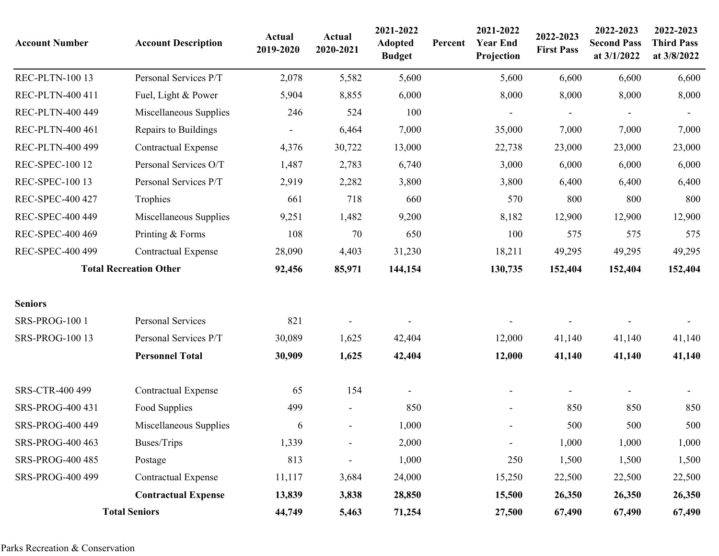| <b>Account Number</b>   | <b>Account Description</b>    | <b>Actual</b><br>2019-2020 | Actual<br>2020-2021      | 2021-2022<br><b>Adopted</b><br><b>Budget</b> | Percent | 2021-2022<br><b>Year End</b><br>Projection | 2022-2023<br><b>First Pass</b> | 2022-2023<br><b>Second Pass</b><br>at 3/1/2022 | 2022-2023<br><b>Third Pass</b><br>at 3/8/2022 |
|-------------------------|-------------------------------|----------------------------|--------------------------|----------------------------------------------|---------|--------------------------------------------|--------------------------------|------------------------------------------------|-----------------------------------------------|
| <b>REC-PLTN-100 13</b>  | Personal Services P/T         | 2,078                      | 5,582                    | 5,600                                        |         | 5,600                                      | 6,600                          | 6,600                                          | 6,600                                         |
| REC-PLTN-400 411        | Fuel, Light & Power           | 5,904                      | 8,855                    | 6,000                                        |         | 8,000                                      | 8,000                          | 8,000                                          | 8,000                                         |
| REC-PLTN-400 449        | Miscellaneous Supplies        | 246                        | 524                      | 100                                          |         |                                            |                                |                                                |                                               |
| REC-PLTN-400 461        | Repairs to Buildings          |                            | 6,464                    | 7,000                                        |         | 35,000                                     | 7,000                          | 7,000                                          | 7,000                                         |
| REC-PLTN-400 499        | <b>Contractual Expense</b>    | 4,376                      | 30,722                   | 13,000                                       |         | 22,738                                     | 23,000                         | 23,000                                         | 23,000                                        |
| <b>REC-SPEC-100 12</b>  | Personal Services O/T         | 1,487                      | 2,783                    | 6,740                                        |         | 3,000                                      | 6,000                          | 6,000                                          | 6,000                                         |
| <b>REC-SPEC-100 13</b>  | Personal Services P/T         | 2,919                      | 2,282                    | 3,800                                        |         | 3,800                                      | 6,400                          | 6,400                                          | 6,400                                         |
| REC-SPEC-400 427        | Trophies                      | 661                        | 718                      | 660                                          |         | 570                                        | 800                            | 800                                            | 800                                           |
| REC-SPEC-400 449        | Miscellaneous Supplies        | 9,251                      | 1,482                    | 9,200                                        |         | 8,182                                      | 12,900                         | 12,900                                         | 12,900                                        |
| REC-SPEC-400 469        | Printing & Forms              | 108                        | 70                       | 650                                          |         | 100                                        | 575                            | 575                                            | 575                                           |
| REC-SPEC-400 499        | <b>Contractual Expense</b>    | 28,090                     | 4,403                    | 31,230                                       |         | 18,211                                     | 49,295                         | 49,295                                         | 49,295                                        |
|                         | <b>Total Recreation Other</b> | 92,456                     | 85,971                   | 144,154                                      |         | 130,735                                    | 152,404                        | 152,404                                        | 152,404                                       |
| <b>Seniors</b>          |                               |                            |                          |                                              |         |                                            |                                |                                                |                                               |
| SRS-PROG-100 1          | Personal Services             | 821                        |                          |                                              |         |                                            |                                |                                                |                                               |
| <b>SRS-PROG-100 13</b>  | Personal Services P/T         | 30,089                     | 1,625                    | 42,404                                       |         | 12,000                                     | 41,140                         | 41,140                                         | 41,140                                        |
|                         | <b>Personnel Total</b>        | 30,909                     | 1,625                    | 42,404                                       |         | 12,000                                     | 41,140                         | 41,140                                         | 41,140                                        |
| SRS-CTR-400 499         | <b>Contractual Expense</b>    | 65                         | 154                      |                                              |         |                                            |                                |                                                |                                               |
| SRS-PROG-400 431        | Food Supplies                 | 499                        | $\blacksquare$           | 850                                          |         |                                            | 850                            | 850                                            | 850                                           |
| <b>SRS-PROG-400 449</b> | Miscellaneous Supplies        | 6                          | $\overline{\phantom{a}}$ | 1,000                                        |         |                                            | 500                            | 500                                            | 500                                           |
| <b>SRS-PROG-400 463</b> | Buses/Trips                   | 1,339                      | $\overline{\phantom{a}}$ | 2,000                                        |         | $\overline{\phantom{a}}$                   | 1,000                          | 1,000                                          | 1,000                                         |
| <b>SRS-PROG-400 485</b> | Postage                       | 813                        | $\overline{\phantom{a}}$ | 1,000                                        |         | 250                                        | 1,500                          | 1,500                                          | 1,500                                         |
| <b>SRS-PROG-400 499</b> | <b>Contractual Expense</b>    | 11,117                     | 3,684                    | 24,000                                       |         | 15,250                                     | 22,500                         | 22,500                                         | 22,500                                        |
|                         | <b>Contractual Expense</b>    | 13,839                     | 3,838                    | 28,850                                       |         | 15,500                                     | 26,350                         | 26,350                                         | 26,350                                        |
|                         | <b>Total Seniors</b>          | 44,749                     | 5,463                    | 71,254                                       |         | 27,500                                     | 67,490                         | 67,490                                         | 67,490                                        |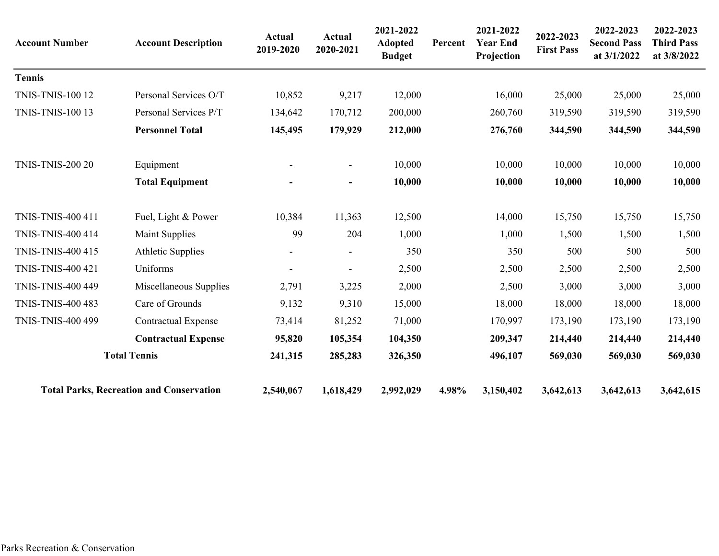| <b>Account Number</b>    | <b>Account Description</b>                      | <b>Actual</b><br>2019-2020 | Actual<br>2020-2021      | 2021-2022<br><b>Adopted</b><br><b>Budget</b> | Percent | 2021-2022<br><b>Year End</b><br>Projection | 2022-2023<br><b>First Pass</b> | 2022-2023<br><b>Second Pass</b><br>at 3/1/2022 | 2022-2023<br><b>Third Pass</b><br>at 3/8/2022 |
|--------------------------|-------------------------------------------------|----------------------------|--------------------------|----------------------------------------------|---------|--------------------------------------------|--------------------------------|------------------------------------------------|-----------------------------------------------|
| <b>Tennis</b>            |                                                 |                            |                          |                                              |         |                                            |                                |                                                |                                               |
| <b>TNIS-TNIS-100 12</b>  | Personal Services O/T                           | 10,852                     | 9,217                    | 12,000                                       |         | 16,000                                     | 25,000                         | 25,000                                         | 25,000                                        |
| <b>TNIS-TNIS-100 13</b>  | Personal Services P/T                           | 134,642                    | 170,712                  | 200,000                                      |         | 260,760                                    | 319,590                        | 319,590                                        | 319,590                                       |
|                          | <b>Personnel Total</b>                          | 145,495                    | 179,929                  | 212,000                                      |         | 276,760                                    | 344,590                        | 344,590                                        | 344,590                                       |
| <b>TNIS-TNIS-200 20</b>  | Equipment                                       |                            | $\overline{\phantom{a}}$ | 10,000                                       |         | 10,000                                     | 10,000                         | 10,000                                         | 10,000                                        |
|                          | <b>Total Equipment</b>                          |                            | $\blacksquare$           | 10,000                                       |         | 10,000                                     | 10,000                         | 10,000                                         | 10,000                                        |
| TNIS-TNIS-400 411        | Fuel, Light & Power                             | 10,384                     | 11,363                   | 12,500                                       |         | 14,000                                     | 15,750                         | 15,750                                         | 15,750                                        |
| <b>TNIS-TNIS-400 414</b> | <b>Maint Supplies</b>                           | 99                         | 204                      | 1,000                                        |         | 1,000                                      | 1,500                          | 1,500                                          | 1,500                                         |
| TNIS-TNIS-400 415        | <b>Athletic Supplies</b>                        |                            | $\overline{\phantom{a}}$ | 350                                          |         | 350                                        | 500                            | 500                                            | 500                                           |
| <b>TNIS-TNIS-400 421</b> | Uniforms                                        | ÷                          | $\blacksquare$           | 2,500                                        |         | 2,500                                      | 2,500                          | 2,500                                          | 2,500                                         |
| <b>TNIS-TNIS-400 449</b> | Miscellaneous Supplies                          | 2,791                      | 3,225                    | 2,000                                        |         | 2,500                                      | 3,000                          | 3,000                                          | 3,000                                         |
| <b>TNIS-TNIS-400 483</b> | Care of Grounds                                 | 9,132                      | 9,310                    | 15,000                                       |         | 18,000                                     | 18,000                         | 18,000                                         | 18,000                                        |
| <b>TNIS-TNIS-400 499</b> | <b>Contractual Expense</b>                      | 73,414                     | 81,252                   | 71,000                                       |         | 170,997                                    | 173,190                        | 173,190                                        | 173,190                                       |
|                          | <b>Contractual Expense</b>                      | 95,820                     | 105,354                  | 104,350                                      |         | 209,347                                    | 214,440                        | 214,440                                        | 214,440                                       |
|                          | <b>Total Tennis</b>                             | 241,315                    | 285,283                  | 326,350                                      |         | 496,107                                    | 569,030                        | 569,030                                        | 569,030                                       |
|                          | <b>Total Parks, Recreation and Conservation</b> | 2,540,067                  | 1,618,429                | 2,992,029                                    | 4.98%   | 3,150,402                                  | 3,642,613                      | 3,642,613                                      | 3,642,615                                     |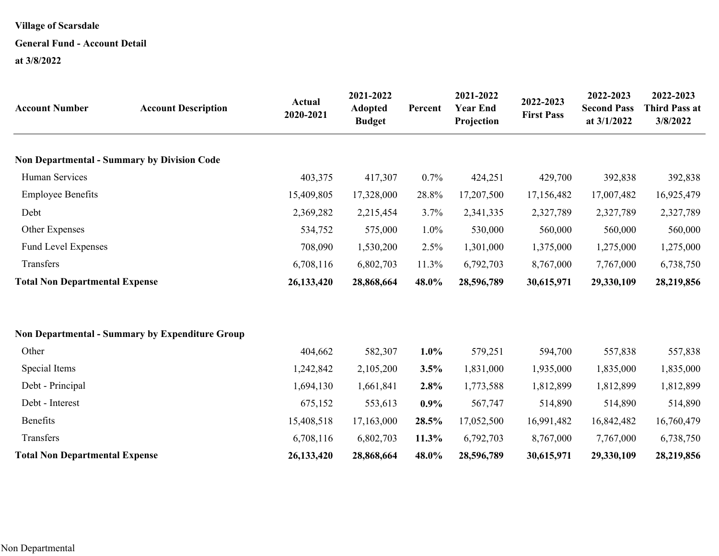## **General Fund - Account Detail**

**at 3/8/2022**

| <b>Account Number</b>                              | <b>Account Description</b>                             | <b>Actual</b><br>2020-2021 | 2021-2022<br><b>Adopted</b><br><b>Budget</b> | Percent | 2021-2022<br><b>Year End</b><br>Projection | 2022-2023<br><b>First Pass</b> | 2022-2023<br><b>Second Pass</b><br>at 3/1/2022 | 2022-2023<br><b>Third Pass at</b><br>3/8/2022 |
|----------------------------------------------------|--------------------------------------------------------|----------------------------|----------------------------------------------|---------|--------------------------------------------|--------------------------------|------------------------------------------------|-----------------------------------------------|
| <b>Non Departmental - Summary by Division Code</b> |                                                        |                            |                                              |         |                                            |                                |                                                |                                               |
| Human Services                                     |                                                        | 403,375                    | 417,307                                      | 0.7%    | 424,251                                    | 429,700                        | 392,838                                        | 392,838                                       |
| <b>Employee Benefits</b>                           |                                                        | 15,409,805                 | 17,328,000                                   | 28.8%   | 17,207,500                                 | 17,156,482                     | 17,007,482                                     | 16,925,479                                    |
| Debt                                               |                                                        | 2,369,282                  | 2,215,454                                    | 3.7%    | 2,341,335                                  | 2,327,789                      | 2,327,789                                      | 2,327,789                                     |
| Other Expenses                                     |                                                        | 534,752                    | 575,000                                      | 1.0%    | 530,000                                    | 560,000                        | 560,000                                        | 560,000                                       |
| <b>Fund Level Expenses</b>                         |                                                        | 708,090                    | 1,530,200                                    | 2.5%    | 1,301,000                                  | 1,375,000                      | 1,275,000                                      | 1,275,000                                     |
| Transfers                                          |                                                        | 6,708,116                  | 6,802,703                                    | 11.3%   | 6,792,703                                  | 8,767,000                      | 7,767,000                                      | 6,738,750                                     |
| <b>Total Non Departmental Expense</b>              |                                                        | 26,133,420                 | 28,868,664                                   | 48.0%   | 28,596,789                                 | 30,615,971                     | 29,330,109                                     | 28,219,856                                    |
|                                                    | <b>Non Departmental - Summary by Expenditure Group</b> |                            |                                              |         |                                            |                                |                                                |                                               |
| Other                                              |                                                        | 404,662                    | 582,307                                      | 1.0%    | 579,251                                    | 594,700                        | 557,838                                        | 557,838                                       |
| Special Items                                      |                                                        | 1,242,842                  | 2,105,200                                    | 3.5%    | 1,831,000                                  | 1,935,000                      | 1,835,000                                      | 1,835,000                                     |
| Debt - Principal                                   |                                                        | 1,694,130                  | 1,661,841                                    | 2.8%    | 1,773,588                                  | 1,812,899                      | 1,812,899                                      | 1,812,899                                     |
| Debt - Interest                                    |                                                        | 675,152                    | 553,613                                      | 0.9%    | 567,747                                    | 514,890                        | 514,890                                        | 514,890                                       |
| Benefits                                           |                                                        | 15,408,518                 | 17,163,000                                   | 28.5%   | 17,052,500                                 | 16,991,482                     | 16,842,482                                     | 16,760,479                                    |
| Transfers                                          |                                                        | 6,708,116                  | 6,802,703                                    | 11.3%   | 6,792,703                                  | 8,767,000                      | 7,767,000                                      | 6,738,750                                     |
| <b>Total Non Departmental Expense</b>              |                                                        | 26,133,420                 | 28,868,664                                   | 48.0%   | 28,596,789                                 | 30,615,971                     | 29,330,109                                     | 28,219,856                                    |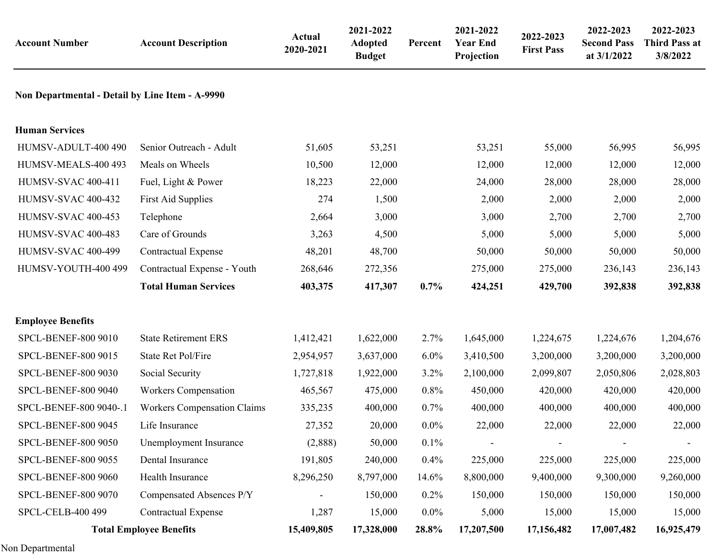| <b>Account Number</b>                           | <b>Account Description</b>         | <b>Actual</b><br>2020-2021 | 2021-2022<br><b>Adopted</b><br><b>Budget</b> | Percent | 2021-2022<br><b>Year End</b><br>Projection | 2022-2023<br><b>First Pass</b> | 2022-2023<br><b>Second Pass</b><br>at 3/1/2022 | 2022-2023<br><b>Third Pass at</b><br>3/8/2022 |
|-------------------------------------------------|------------------------------------|----------------------------|----------------------------------------------|---------|--------------------------------------------|--------------------------------|------------------------------------------------|-----------------------------------------------|
| Non Departmental - Detail by Line Item - A-9990 |                                    |                            |                                              |         |                                            |                                |                                                |                                               |
| <b>Human Services</b>                           |                                    |                            |                                              |         |                                            |                                |                                                |                                               |
| HUMSV-ADULT-400 490                             | Senior Outreach - Adult            | 51,605                     | 53,251                                       |         | 53,251                                     | 55,000                         | 56,995                                         | 56,995                                        |
| HUMSV-MEALS-400 493                             | Meals on Wheels                    | 10,500                     | 12,000                                       |         | 12,000                                     | 12,000                         | 12,000                                         | 12,000                                        |
| <b>HUMSV-SVAC 400-411</b>                       | Fuel, Light & Power                | 18,223                     | 22,000                                       |         | 24,000                                     | 28,000                         | 28,000                                         | 28,000                                        |
| <b>HUMSV-SVAC 400-432</b>                       | <b>First Aid Supplies</b>          | 274                        | 1,500                                        |         | 2,000                                      | 2,000                          | 2,000                                          | 2,000                                         |
| <b>HUMSV-SVAC 400-453</b>                       | Telephone                          | 2,664                      | 3,000                                        |         | 3,000                                      | 2,700                          | 2,700                                          | 2,700                                         |
| <b>HUMSV-SVAC 400-483</b>                       | Care of Grounds                    | 3,263                      | 4,500                                        |         | 5,000                                      | 5,000                          | 5,000                                          | 5,000                                         |
| HUMSV-SVAC 400-499                              | <b>Contractual Expense</b>         | 48,201                     | 48,700                                       |         | 50,000                                     | 50,000                         | 50,000                                         | 50,000                                        |
| HUMSV-YOUTH-400 499                             | Contractual Expense - Youth        | 268,646                    | 272,356                                      |         | 275,000                                    | 275,000                        | 236,143                                        | 236,143                                       |
|                                                 | <b>Total Human Services</b>        | 403,375                    | 417,307                                      | 0.7%    | 424,251                                    | 429,700                        | 392,838                                        | 392,838                                       |
| <b>Employee Benefits</b>                        |                                    |                            |                                              |         |                                            |                                |                                                |                                               |
| SPCL-BENEF-800 9010                             | <b>State Retirement ERS</b>        | 1,412,421                  | 1,622,000                                    | 2.7%    | 1,645,000                                  | 1,224,675                      | 1,224,676                                      | 1,204,676                                     |
| SPCL-BENEF-800 9015                             | State Ret Pol/Fire                 | 2,954,957                  | 3,637,000                                    | $6.0\%$ | 3,410,500                                  | 3,200,000                      | 3,200,000                                      | 3,200,000                                     |
| <b>SPCL-BENEF-800 9030</b>                      | Social Security                    | 1,727,818                  | 1,922,000                                    | 3.2%    | 2,100,000                                  | 2,099,807                      | 2,050,806                                      | 2,028,803                                     |
| <b>SPCL-BENEF-800 9040</b>                      | Workers Compensation               | 465,567                    | 475,000                                      | 0.8%    | 450,000                                    | 420,000                        | 420,000                                        | 420,000                                       |
| SPCL-BENEF-800 9040-.1                          | <b>Workers Compensation Claims</b> | 335,235                    | 400,000                                      | 0.7%    | 400,000                                    | 400,000                        | 400,000                                        | 400,000                                       |
| SPCL-BENEF-800 9045                             | Life Insurance                     | 27,352                     | 20,000                                       | $0.0\%$ | 22,000                                     | 22,000                         | 22,000                                         | 22,000                                        |
| SPCL-BENEF-800 9050                             | Unemployment Insurance             | (2,888)                    | 50,000                                       | 0.1%    |                                            |                                |                                                |                                               |
| SPCL-BENEF-800 9055                             | Dental Insurance                   | 191,805                    | 240,000                                      | 0.4%    | 225,000                                    | 225,000                        | 225,000                                        | 225,000                                       |
| <b>SPCL-BENEF-800 9060</b>                      | Health Insurance                   | 8,296,250                  | 8,797,000                                    | 14.6%   | 8,800,000                                  | 9,400,000                      | 9,300,000                                      | 9,260,000                                     |
| SPCL-BENEF-800 9070                             | Compensated Absences P/Y           |                            | 150,000                                      | 0.2%    | 150,000                                    | 150,000                        | 150,000                                        | 150,000                                       |
| SPCL-CELB-400 499                               | <b>Contractual Expense</b>         | 1,287                      | 15,000                                       | $0.0\%$ | 5,000                                      | 15,000                         | 15,000                                         | 15,000                                        |
| <b>Total Employee Benefits</b>                  |                                    | 15,409,805                 | 17,328,000                                   | 28.8%   | 17,207,500                                 | 17,156,482                     | 17,007,482                                     | 16,925,479                                    |

Non Departmental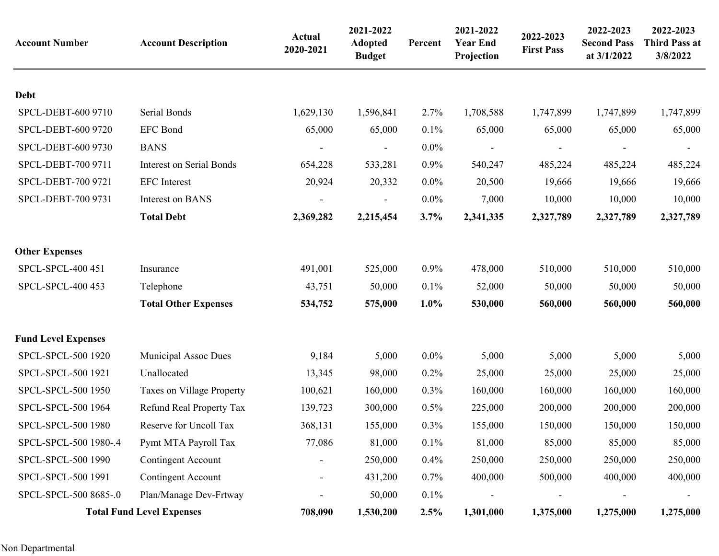| <b>Account Number</b>      | <b>Account Description</b>       | Actual<br>2020-2021 | 2021-2022<br><b>Adopted</b><br><b>Budget</b> | Percent | 2021-2022<br><b>Year End</b><br>Projection | 2022-2023<br><b>First Pass</b> | 2022-2023<br><b>Second Pass</b><br>at 3/1/2022 | 2022-2023<br><b>Third Pass at</b><br>3/8/2022 |
|----------------------------|----------------------------------|---------------------|----------------------------------------------|---------|--------------------------------------------|--------------------------------|------------------------------------------------|-----------------------------------------------|
| <b>Debt</b>                |                                  |                     |                                              |         |                                            |                                |                                                |                                               |
| SPCL-DEBT-600 9710         | Serial Bonds                     | 1,629,130           | 1,596,841                                    | 2.7%    | 1,708,588                                  | 1,747,899                      | 1,747,899                                      | 1,747,899                                     |
| SPCL-DEBT-600 9720         | <b>EFC</b> Bond                  | 65,000              | 65,000                                       | 0.1%    | 65,000                                     | 65,000                         | 65,000                                         | 65,000                                        |
| SPCL-DEBT-600 9730         | <b>BANS</b>                      |                     | $\overline{\phantom{a}}$                     | $0.0\%$ | $\overline{\phantom{a}}$                   |                                |                                                |                                               |
| SPCL-DEBT-700 9711         | <b>Interest on Serial Bonds</b>  | 654,228             | 533,281                                      | 0.9%    | 540,247                                    | 485,224                        | 485,224                                        | 485,224                                       |
| SPCL-DEBT-700 9721         | <b>EFC</b> Interest              | 20,924              | 20,332                                       | $0.0\%$ | 20,500                                     | 19,666                         | 19,666                                         | 19,666                                        |
| SPCL-DEBT-700 9731         | Interest on BANS                 |                     |                                              | $0.0\%$ |                                            | 10,000                         |                                                | 10,000                                        |
|                            |                                  |                     |                                              |         | 7,000                                      |                                | 10,000                                         |                                               |
|                            | <b>Total Debt</b>                | 2,369,282           | 2,215,454                                    | 3.7%    | 2,341,335                                  | 2,327,789                      | 2,327,789                                      | 2,327,789                                     |
| <b>Other Expenses</b>      |                                  |                     |                                              |         |                                            |                                |                                                |                                               |
| SPCL-SPCL-400 451          | Insurance                        | 491,001             | 525,000                                      | 0.9%    | 478,000                                    | 510,000                        | 510,000                                        | 510,000                                       |
| SPCL-SPCL-400 453          | Telephone                        | 43,751              | 50,000                                       | 0.1%    | 52,000                                     | 50,000                         | 50,000                                         | 50,000                                        |
|                            | <b>Total Other Expenses</b>      | 534,752             | 575,000                                      | 1.0%    | 530,000                                    | 560,000                        | 560,000                                        | 560,000                                       |
| <b>Fund Level Expenses</b> |                                  |                     |                                              |         |                                            |                                |                                                |                                               |
| SPCL-SPCL-500 1920         | Municipal Assoc Dues             | 9,184               | 5,000                                        | $0.0\%$ | 5,000                                      | 5,000                          | 5,000                                          | 5,000                                         |
| SPCL-SPCL-500 1921         | Unallocated                      | 13,345              | 98,000                                       | 0.2%    | 25,000                                     | 25,000                         | 25,000                                         | 25,000                                        |
| SPCL-SPCL-500 1950         | Taxes on Village Property        | 100,621             | 160,000                                      | 0.3%    | 160,000                                    | 160,000                        | 160,000                                        | 160,000                                       |
| SPCL-SPCL-500 1964         | Refund Real Property Tax         | 139,723             | 300,000                                      | 0.5%    | 225,000                                    | 200,000                        | 200,000                                        | 200,000                                       |
| SPCL-SPCL-500 1980         | Reserve for Uncoll Tax           | 368,131             | 155,000                                      | 0.3%    | 155,000                                    | 150,000                        | 150,000                                        | 150,000                                       |
| SPCL-SPCL-500 1980-.4      | Pymt MTA Payroll Tax             | 77,086              | 81,000                                       | 0.1%    | 81,000                                     | 85,000                         | 85,000                                         | 85,000                                        |
| SPCL-SPCL-500 1990         | <b>Contingent Account</b>        |                     | 250,000                                      | 0.4%    | 250,000                                    | 250,000                        | 250,000                                        | 250,000                                       |
| SPCL-SPCL-500 1991         | <b>Contingent Account</b>        |                     | 431,200                                      | 0.7%    | 400,000                                    | 500,000                        | 400,000                                        | 400,000                                       |
| SPCL-SPCL-500 8685-.0      | Plan/Manage Dev-Frtway           |                     | 50,000                                       | 0.1%    |                                            |                                |                                                |                                               |
|                            | <b>Total Fund Level Expenses</b> | 708,090             | 1,530,200                                    | 2.5%    | 1,301,000                                  | 1,375,000                      | 1,275,000                                      | 1,275,000                                     |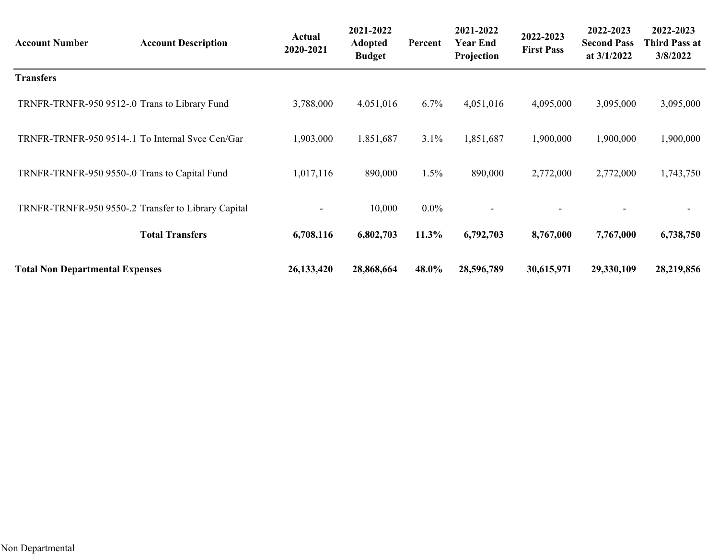| <b>Account Number</b>                         | <b>Account Description</b>                          | <b>Actual</b><br>2020-2021 | 2021-2022<br><b>Adopted</b><br><b>Budget</b> | Percent | 2021-2022<br><b>Year End</b><br>Projection | 2022-2023<br><b>First Pass</b> | 2022-2023<br><b>Second Pass</b><br>at 3/1/2022 | 2022-2023<br><b>Third Pass at</b><br>3/8/2022 |
|-----------------------------------------------|-----------------------------------------------------|----------------------------|----------------------------------------------|---------|--------------------------------------------|--------------------------------|------------------------------------------------|-----------------------------------------------|
| <b>Transfers</b>                              |                                                     |                            |                                              |         |                                            |                                |                                                |                                               |
| TRNFR-TRNFR-950 9512-.0 Trans to Library Fund |                                                     | 3,788,000                  | 4,051,016                                    | $6.7\%$ | 4,051,016                                  | 4,095,000                      | 3,095,000                                      | 3,095,000                                     |
|                                               | TRNFR-TRNFR-950 9514-.1 To Internal Svce Cen/Gar    | 1,903,000                  | 1,851,687                                    | 3.1%    | 1,851,687                                  | 1,900,000                      | 1,900,000                                      | 1,900,000                                     |
| TRNFR-TRNFR-950 9550-.0 Trans to Capital Fund |                                                     | 1,017,116                  | 890,000                                      | $1.5\%$ | 890,000                                    | 2,772,000                      | 2,772,000                                      | 1,743,750                                     |
|                                               | TRNFR-TRNFR-950 9550-.2 Transfer to Library Capital |                            | 10,000                                       | $0.0\%$ |                                            |                                |                                                |                                               |
|                                               | <b>Total Transfers</b>                              | 6,708,116                  | 6,802,703                                    | 11.3%   | 6,792,703                                  | 8,767,000                      | 7,767,000                                      | 6,738,750                                     |
| <b>Total Non Departmental Expenses</b>        |                                                     | 26,133,420                 | 28,868,664                                   | 48.0%   | 28,596,789                                 | 30,615,971                     | 29,330,109                                     | 28,219,856                                    |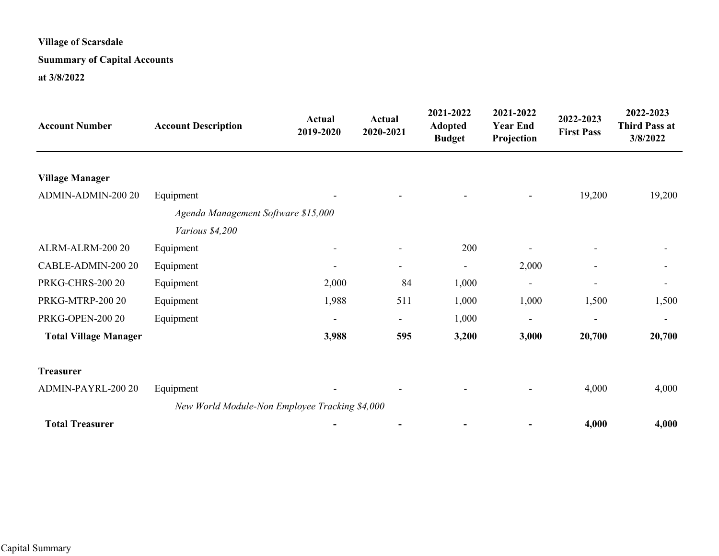# **Suummary of Capital Accounts**

#### **at 3/8/2022**

| <b>Account Number</b>        | <b>Account Description</b>                     | Actual<br>2019-2020      | <b>Actual</b><br>2020-2021 | 2021-2022<br><b>Adopted</b><br><b>Budget</b> | 2021-2022<br><b>Year End</b><br>Projection | 2022-2023<br><b>First Pass</b> | 2022-2023<br><b>Third Pass at</b><br>3/8/2022 |
|------------------------------|------------------------------------------------|--------------------------|----------------------------|----------------------------------------------|--------------------------------------------|--------------------------------|-----------------------------------------------|
|                              |                                                |                          |                            |                                              |                                            |                                |                                               |
| <b>Village Manager</b>       |                                                |                          |                            |                                              |                                            |                                |                                               |
| ADMIN-ADMIN-200 20           | Equipment                                      |                          |                            | ۰                                            | $\qquad \qquad -$                          | 19,200                         | 19,200                                        |
|                              | Agenda Management Software \$15,000            |                          |                            |                                              |                                            |                                |                                               |
|                              | Various \$4,200                                |                          |                            |                                              |                                            |                                |                                               |
| ALRM-ALRM-200 20             | Equipment                                      | $\overline{\phantom{a}}$ | $\overline{\phantom{a}}$   | 200                                          |                                            | $\overline{\phantom{a}}$       |                                               |
| CABLE-ADMIN-200 20           | Equipment                                      | $\qquad \qquad -$        | $\qquad \qquad -$          | ÷                                            | 2,000                                      | $\overline{\phantom{a}}$       |                                               |
| <b>PRKG-CHRS-200 20</b>      | Equipment                                      | 2,000                    | 84                         | 1,000                                        | ۰                                          | -                              |                                               |
| PRKG-MTRP-200 20             | Equipment                                      | 1,988                    | 511                        | 1,000                                        | 1,000                                      | 1,500                          | 1,500                                         |
| PRKG-OPEN-200 20             | Equipment                                      | $\overline{\phantom{a}}$ | $\overline{\phantom{0}}$   | 1,000                                        | $\overline{\phantom{0}}$                   | -                              |                                               |
| <b>Total Village Manager</b> |                                                | 3,988                    | 595                        | 3,200                                        | 3,000                                      | 20,700                         | 20,700                                        |
| <b>Treasurer</b>             |                                                |                          |                            |                                              |                                            |                                |                                               |
| ADMIN-PAYRL-200 20           | Equipment                                      |                          |                            |                                              |                                            | 4,000                          | 4,000                                         |
|                              | New World Module-Non Employee Tracking \$4,000 |                          |                            |                                              |                                            |                                |                                               |
| <b>Total Treasurer</b>       |                                                |                          |                            |                                              |                                            | 4,000                          | 4,000                                         |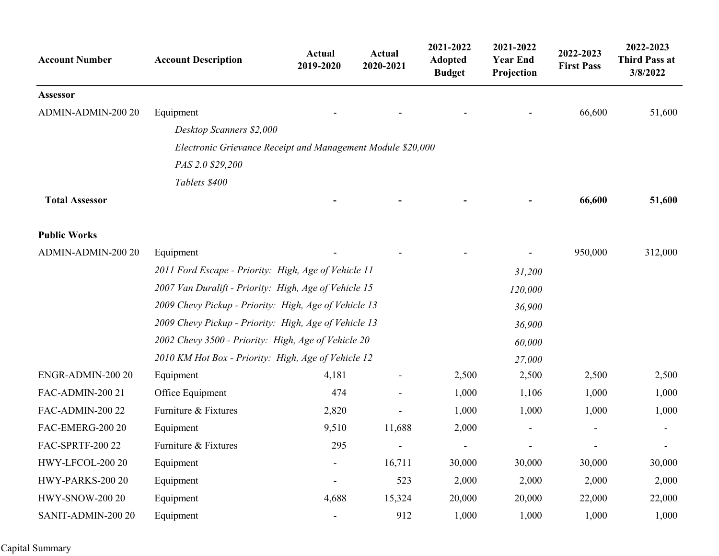| <b>Account Number</b>  | <b>Account Description</b>                                  | Actual<br>2019-2020      | <b>Actual</b><br>2020-2021 | 2021-2022<br><b>Adopted</b><br><b>Budget</b> | 2021-2022<br><b>Year End</b><br>Projection | 2022-2023<br><b>First Pass</b> | 2022-2023<br><b>Third Pass at</b><br>3/8/2022 |
|------------------------|-------------------------------------------------------------|--------------------------|----------------------------|----------------------------------------------|--------------------------------------------|--------------------------------|-----------------------------------------------|
| Assessor               |                                                             |                          |                            |                                              |                                            |                                |                                               |
| ADMIN-ADMIN-200 20     | Equipment                                                   |                          |                            |                                              |                                            | 66,600                         | 51,600                                        |
|                        | Desktop Scanners \$2,000                                    |                          |                            |                                              |                                            |                                |                                               |
|                        | Electronic Grievance Receipt and Management Module \$20,000 |                          |                            |                                              |                                            |                                |                                               |
|                        | PAS 2.0 \$29,200                                            |                          |                            |                                              |                                            |                                |                                               |
|                        | Tablets \$400                                               |                          |                            |                                              |                                            |                                |                                               |
| <b>Total Assessor</b>  |                                                             |                          |                            |                                              |                                            | 66,600                         | 51,600                                        |
| <b>Public Works</b>    |                                                             |                          |                            |                                              |                                            |                                |                                               |
| ADMIN-ADMIN-200 20     | Equipment                                                   |                          |                            |                                              |                                            | 950,000                        | 312,000                                       |
|                        | 2011 Ford Escape - Priority: High, Age of Vehicle 11        |                          |                            |                                              | 31,200                                     |                                |                                               |
|                        | 2007 Van Duralift - Priority: High, Age of Vehicle 15       |                          |                            |                                              | 120,000                                    |                                |                                               |
|                        | 2009 Chevy Pickup - Priority: High, Age of Vehicle 13       |                          |                            |                                              | 36,900                                     |                                |                                               |
|                        | 2009 Chevy Pickup - Priority: High, Age of Vehicle 13       | 36,900                   |                            |                                              |                                            |                                |                                               |
|                        | 2002 Chevy 3500 - Priority: High, Age of Vehicle 20         | 60,000                   |                            |                                              |                                            |                                |                                               |
|                        | 2010 KM Hot Box - Priority: High, Age of Vehicle 12         |                          |                            |                                              | 27,000                                     |                                |                                               |
| ENGR-ADMIN-200 20      | Equipment                                                   | 4,181                    |                            | 2,500                                        | 2,500                                      | 2,500                          | 2,500                                         |
| FAC-ADMIN-200 21       | Office Equipment                                            | 474                      |                            | 1,000                                        | 1,106                                      | 1,000                          | 1,000                                         |
| FAC-ADMIN-200 22       | Furniture & Fixtures                                        | 2,820                    |                            | 1,000                                        | 1,000                                      | 1,000                          | 1,000                                         |
| FAC-EMERG-200 20       | Equipment                                                   | 9,510                    | 11,688                     | 2,000                                        |                                            |                                |                                               |
| FAC-SPRTF-200 22       | Furniture & Fixtures                                        | 295                      |                            |                                              |                                            |                                |                                               |
| HWY-LFCOL-200 20       | Equipment                                                   | $\overline{\phantom{a}}$ | 16,711                     | 30,000                                       | 30,000                                     | 30,000                         | 30,000                                        |
| HWY-PARKS-200 20       | Equipment                                                   | -                        | 523                        | 2,000                                        | 2,000                                      | 2,000                          | 2,000                                         |
| <b>HWY-SNOW-200 20</b> | Equipment                                                   | 4,688                    | 15,324                     | 20,000                                       | 20,000                                     | 22,000                         | 22,000                                        |
| SANIT-ADMIN-200 20     | Equipment                                                   | $\overline{\phantom{0}}$ | 912                        | 1,000                                        | 1,000                                      | 1,000                          | 1,000                                         |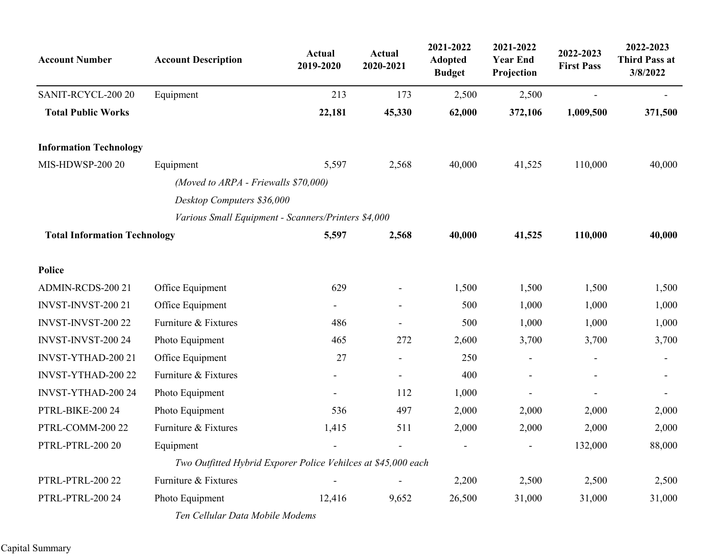| <b>Account Number</b>               | <b>Account Description</b>                                    | <b>Actual</b><br>2019-2020 | <b>Actual</b><br>2020-2021 | 2021-2022<br><b>Adopted</b><br><b>Budget</b> | 2021-2022<br><b>Year End</b><br>Projection | 2022-2023<br><b>First Pass</b> | 2022-2023<br><b>Third Pass at</b><br>3/8/2022 |
|-------------------------------------|---------------------------------------------------------------|----------------------------|----------------------------|----------------------------------------------|--------------------------------------------|--------------------------------|-----------------------------------------------|
| SANIT-RCYCL-200 20                  | Equipment                                                     | 213                        | 173                        | 2,500                                        | 2,500                                      |                                | $\qquad \qquad -$                             |
| <b>Total Public Works</b>           |                                                               | 22,181                     | 45,330                     | 62,000                                       | 372,106                                    | 1,009,500                      | 371,500                                       |
| <b>Information Technology</b>       |                                                               |                            |                            |                                              |                                            |                                |                                               |
| <b>MIS-HDWSP-200 20</b>             | Equipment                                                     | 5,597                      | 2,568                      | 40,000                                       | 41,525                                     | 110,000                        | 40,000                                        |
|                                     | (Moved to ARPA - Friewalls \$70,000)                          |                            |                            |                                              |                                            |                                |                                               |
|                                     | Desktop Computers \$36,000                                    |                            |                            |                                              |                                            |                                |                                               |
|                                     | Various Small Equipment - Scanners/Printers \$4,000           |                            |                            |                                              |                                            |                                |                                               |
| <b>Total Information Technology</b> |                                                               | 5,597                      | 2,568                      | 40,000                                       | 41,525                                     | 110,000                        | 40,000                                        |
| Police                              |                                                               |                            |                            |                                              |                                            |                                |                                               |
| ADMIN-RCDS-200 21                   | Office Equipment                                              | 629                        |                            | 1,500                                        | 1,500                                      | 1,500                          | 1,500                                         |
| INVST-INVST-200 21                  | Office Equipment                                              | $\overline{\phantom{0}}$   |                            | 500                                          | 1,000                                      | 1,000                          | 1,000                                         |
| INVST-INVST-200 22                  | Furniture & Fixtures                                          | 486                        |                            | 500                                          | 1,000                                      | 1,000                          | 1,000                                         |
| INVST-INVST-200 24                  | Photo Equipment                                               | 465                        | 272                        | 2,600                                        | 3,700                                      | 3,700                          | 3,700                                         |
| INVST-YTHAD-200 21                  | Office Equipment                                              | 27                         |                            | 250                                          |                                            |                                | $\qquad \qquad -$                             |
| INVST-YTHAD-200 22                  | Furniture & Fixtures                                          |                            | $\overline{\phantom{a}}$   | 400                                          |                                            |                                |                                               |
| INVST-YTHAD-200 24                  | Photo Equipment                                               | $\overline{\phantom{a}}$   | 112                        | 1,000                                        |                                            |                                |                                               |
| PTRL-BIKE-200 24                    | Photo Equipment                                               | 536                        | 497                        | 2,000                                        | 2,000                                      | 2,000                          | 2,000                                         |
| PTRL-COMM-200 22                    | Furniture & Fixtures                                          | 1,415                      | 511                        | 2,000                                        | 2,000                                      | 2,000                          | 2,000                                         |
| PTRL-PTRL-200 20                    | Equipment                                                     | $\overline{\phantom{0}}$   |                            | $\blacksquare$                               |                                            | 132,000                        | 88,000                                        |
|                                     | Two Outfitted Hybrid Exporer Police Vehilces at \$45,000 each |                            |                            |                                              |                                            |                                |                                               |
| PTRL-PTRL-200 22                    | Furniture & Fixtures                                          |                            |                            | 2,200                                        | 2,500                                      | 2,500                          | 2,500                                         |
| PTRL-PTRL-200 24                    | Photo Equipment                                               | 12,416                     | 9,652                      | 26,500                                       | 31,000                                     | 31,000                         | 31,000                                        |
|                                     | Ten Cellular Data Mobile Modems                               |                            |                            |                                              |                                            |                                |                                               |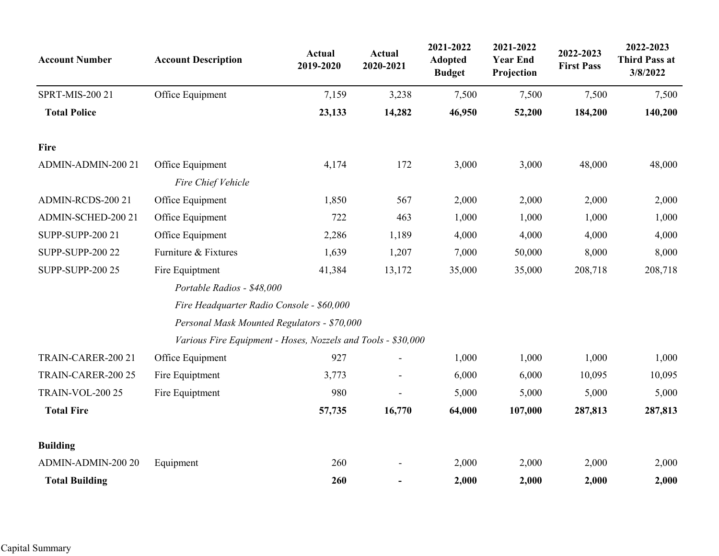| <b>Account Number</b>   | <b>Account Description</b>                                   | <b>Actual</b><br>2019-2020 | <b>Actual</b><br>2020-2021 | 2021-2022<br><b>Adopted</b><br><b>Budget</b> | 2021-2022<br><b>Year End</b><br>Projection | 2022-2023<br><b>First Pass</b> | 2022-2023<br><b>Third Pass at</b><br>3/8/2022 |
|-------------------------|--------------------------------------------------------------|----------------------------|----------------------------|----------------------------------------------|--------------------------------------------|--------------------------------|-----------------------------------------------|
| SPRT-MIS-200 21         | Office Equipment                                             | 7,159                      | 3,238                      | 7,500                                        | 7,500                                      | 7,500                          | 7,500                                         |
| <b>Total Police</b>     |                                                              | 23,133                     | 14,282                     | 46,950                                       | 52,200                                     | 184,200                        | 140,200                                       |
| Fire                    |                                                              |                            |                            |                                              |                                            |                                |                                               |
| ADMIN-ADMIN-200 21      | Office Equipment                                             | 4,174                      | 172                        | 3,000                                        | 3,000                                      | 48,000                         | 48,000                                        |
|                         | Fire Chief Vehicle                                           |                            |                            |                                              |                                            |                                |                                               |
| ADMIN-RCDS-200 21       | Office Equipment                                             | 1,850                      | 567                        | 2,000                                        | 2,000                                      | 2,000                          | 2,000                                         |
| ADMIN-SCHED-200 21      | Office Equipment                                             | 722                        | 463                        | 1,000                                        | 1,000                                      | 1,000                          | 1,000                                         |
| <b>SUPP-SUPP-200 21</b> | Office Equipment                                             | 2,286                      | 1,189                      | 4,000                                        | 4,000                                      | 4,000                          | 4,000                                         |
| <b>SUPP-SUPP-200 22</b> | Furniture & Fixtures                                         | 1,639                      | 1,207                      | 7,000                                        | 50,000                                     | 8,000                          | 8,000                                         |
| <b>SUPP-SUPP-200 25</b> | Fire Equiptment                                              | 41,384                     | 13,172                     | 35,000                                       | 35,000                                     | 208,718                        | 208,718                                       |
|                         | Portable Radios - \$48,000                                   |                            |                            |                                              |                                            |                                |                                               |
|                         | Fire Headquarter Radio Console - \$60,000                    |                            |                            |                                              |                                            |                                |                                               |
|                         | Personal Mask Mounted Regulators - \$70,000                  |                            |                            |                                              |                                            |                                |                                               |
|                         | Various Fire Equipment - Hoses, Nozzels and Tools - \$30,000 |                            |                            |                                              |                                            |                                |                                               |
| TRAIN-CARER-200 21      | Office Equipment                                             | 927                        |                            | 1,000                                        | 1,000                                      | 1,000                          | 1,000                                         |
| TRAIN-CARER-200 25      | Fire Equiptment                                              | 3,773                      |                            | 6,000                                        | 6,000                                      | 10,095                         | 10,095                                        |
| <b>TRAIN-VOL-200 25</b> | Fire Equiptment                                              | 980                        |                            | 5,000                                        | 5,000                                      | 5,000                          | 5,000                                         |
| <b>Total Fire</b>       |                                                              | 57,735                     | 16,770                     | 64,000                                       | 107,000                                    | 287,813                        | 287,813                                       |
| <b>Building</b>         |                                                              |                            |                            |                                              |                                            |                                |                                               |
| ADMIN-ADMIN-200 20      | Equipment                                                    | 260                        |                            | 2,000                                        | 2,000                                      | 2,000                          | 2,000                                         |
| <b>Total Building</b>   |                                                              | 260                        |                            | 2,000                                        | 2,000                                      | 2,000                          | 2,000                                         |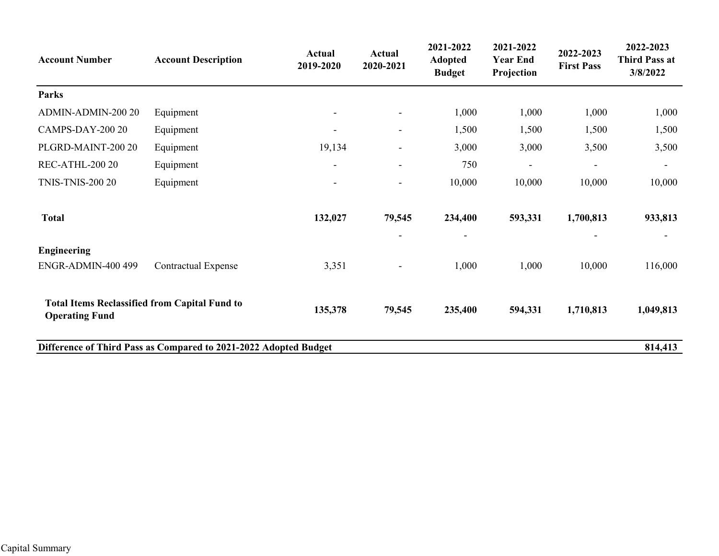| <b>Account Number</b>                                                         | <b>Account Description</b>                                       | <b>Actual</b><br>2019-2020 | <b>Actual</b><br>2020-2021 | 2021-2022<br><b>Adopted</b><br><b>Budget</b> | 2021-2022<br><b>Year End</b><br>Projection | 2022-2023<br><b>First Pass</b> | 2022-2023<br><b>Third Pass at</b><br>3/8/2022 |
|-------------------------------------------------------------------------------|------------------------------------------------------------------|----------------------------|----------------------------|----------------------------------------------|--------------------------------------------|--------------------------------|-----------------------------------------------|
| Parks                                                                         |                                                                  |                            |                            |                                              |                                            |                                |                                               |
| ADMIN-ADMIN-200 20                                                            | Equipment                                                        | $\overline{\phantom{a}}$   | $\overline{\phantom{a}}$   | 1,000                                        | 1,000                                      | 1,000                          | 1,000                                         |
| CAMPS-DAY-200 20                                                              | Equipment                                                        | $\overline{\phantom{a}}$   | $\overline{\phantom{a}}$   | 1,500                                        | 1,500                                      | 1,500                          | 1,500                                         |
| PLGRD-MAINT-200 20                                                            | Equipment                                                        | 19,134                     | $\overline{\phantom{a}}$   | 3,000                                        | 3,000                                      | 3,500                          | 3,500                                         |
| REC-ATHL-200 20                                                               | Equipment                                                        | $\overline{\phantom{a}}$   | $\overline{\phantom{a}}$   | 750                                          |                                            | $\overline{\phantom{a}}$       |                                               |
| <b>TNIS-TNIS-200 20</b>                                                       | Equipment                                                        | $\overline{\phantom{a}}$   | $\overline{\phantom{a}}$   | 10,000                                       | 10,000                                     | 10,000                         | 10,000                                        |
| <b>Total</b>                                                                  |                                                                  | 132,027                    | 79,545                     | 234,400                                      | 593,331                                    | 1,700,813                      | 933,813                                       |
| <b>Engineering</b>                                                            |                                                                  |                            | $\overline{\phantom{a}}$   | $\overline{\phantom{a}}$                     |                                            |                                |                                               |
| ENGR-ADMIN-400 499                                                            | <b>Contractual Expense</b>                                       | 3,351                      | $\blacksquare$             | 1,000                                        | 1,000                                      | 10,000                         | 116,000                                       |
| <b>Total Items Reclassified from Capital Fund to</b><br><b>Operating Fund</b> |                                                                  | 135,378                    | 79,545                     | 235,400                                      | 594,331                                    | 1,710,813                      | 1,049,813                                     |
|                                                                               | Difference of Third Pass as Compared to 2021-2022 Adopted Budget |                            |                            |                                              |                                            |                                | 814,413                                       |